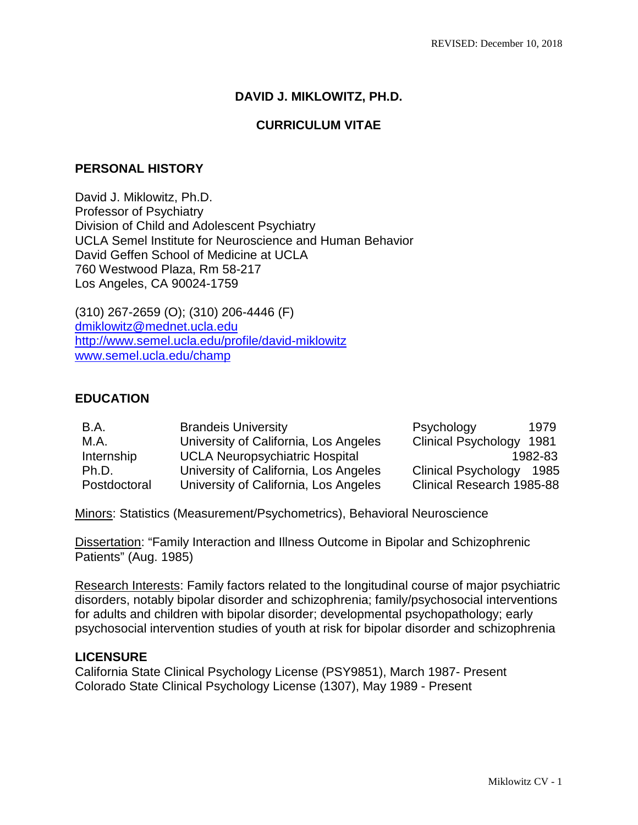## **DAVID J. MIKLOWITZ, PH.D.**

### **CURRICULUM VITAE**

### **PERSONAL HISTORY**

David J. Miklowitz, Ph.D. Professor of Psychiatry Division of Child and Adolescent Psychiatry UCLA Semel Institute for Neuroscience and Human Behavior David Geffen School of Medicine at UCLA 760 Westwood Plaza, Rm 58-217 Los Angeles, CA 90024-1759

(310) 267-2659 (O); (310) 206-4446 (F) [dmiklowitz@mednet.ucla.edu](mailto:dmiklowitz@mednet.ucla.edu) <http://www.semel.ucla.edu/profile/david-miklowitz> [www.semel.ucla.edu/champ](http://www.semel.ucla.edu/champ)

### **EDUCATION**

| B.A.         | <b>Brandeis University</b>            | Psychology                       | 1979    |
|--------------|---------------------------------------|----------------------------------|---------|
| M.A.         | University of California, Los Angeles | <b>Clinical Psychology</b>       | 1981    |
| Internship   | <b>UCLA Neuropsychiatric Hospital</b> |                                  | 1982-83 |
| Ph.D.        | University of California, Los Angeles | <b>Clinical Psychology</b>       | 1985    |
| Postdoctoral | University of California, Los Angeles | <b>Clinical Research 1985-88</b> |         |

Minors: Statistics (Measurement/Psychometrics), Behavioral Neuroscience

Dissertation: "Family Interaction and Illness Outcome in Bipolar and Schizophrenic Patients" (Aug. 1985)

Research Interests: Family factors related to the longitudinal course of major psychiatric disorders, notably bipolar disorder and schizophrenia; family/psychosocial interventions for adults and children with bipolar disorder; developmental psychopathology; early psychosocial intervention studies of youth at risk for bipolar disorder and schizophrenia

### **LICENSURE**

California State Clinical Psychology License (PSY9851), March 1987- Present Colorado State Clinical Psychology License (1307), May 1989 - Present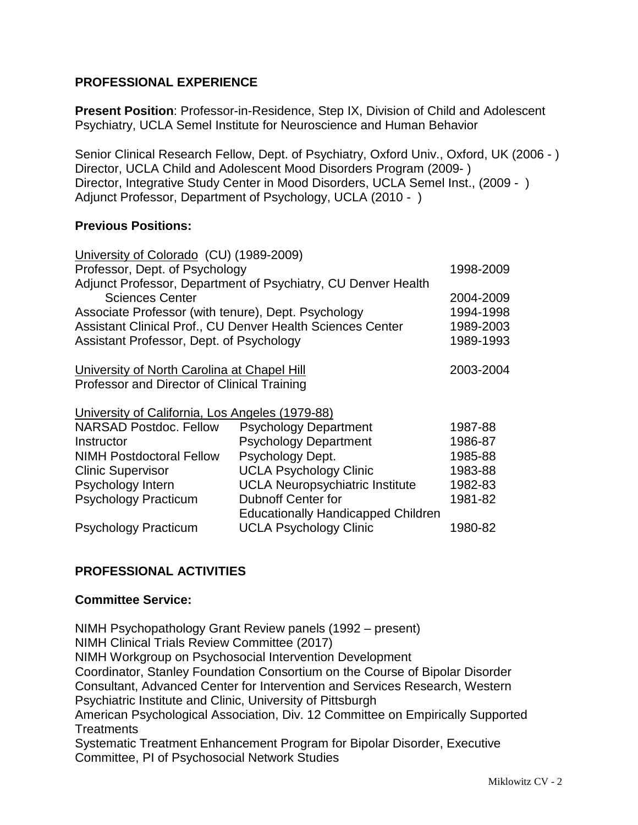## **PROFESSIONAL EXPERIENCE**

**Present Position**: Professor-in-Residence, Step IX, Division of Child and Adolescent Psychiatry, UCLA Semel Institute for Neuroscience and Human Behavior

Senior Clinical Research Fellow, Dept. of Psychiatry, Oxford Univ., Oxford, UK (2006 - ) Director, UCLA Child and Adolescent Mood Disorders Program (2009- ) Director, Integrative Study Center in Mood Disorders, UCLA Semel Inst., (2009 - ) Adjunct Professor, Department of Psychology, UCLA (2010 - )

### **Previous Positions:**

| University of Colorado (CU) (1989-2009)                    |                                                               |           |  |
|------------------------------------------------------------|---------------------------------------------------------------|-----------|--|
| Professor, Dept. of Psychology                             | 1998-2009                                                     |           |  |
|                                                            | Adjunct Professor, Department of Psychiatry, CU Denver Health |           |  |
| <b>Sciences Center</b>                                     |                                                               | 2004-2009 |  |
| Associate Professor (with tenure), Dept. Psychology        |                                                               |           |  |
| Assistant Clinical Prof., CU Denver Health Sciences Center |                                                               |           |  |
| Assistant Professor, Dept. of Psychology                   |                                                               |           |  |
| University of North Carolina at Chapel Hill                |                                                               |           |  |
| Professor and Director of Clinical Training                |                                                               |           |  |
| University of California, Los Angeles (1979-88)            |                                                               |           |  |
| <b>NARSAD Postdoc. Fellow</b>                              | <b>Psychology Department</b>                                  | 1987-88   |  |
| Instructor                                                 | <b>Psychology Department</b>                                  | 1986-87   |  |
| <b>NIMH Postdoctoral Fellow</b>                            | Psychology Dept.                                              | 1985-88   |  |
| <b>Clinic Supervisor</b>                                   | <b>UCLA Psychology Clinic</b>                                 | 1983-88   |  |
| Psychology Intern                                          | <b>UCLA Neuropsychiatric Institute</b>                        | 1982-83   |  |
| <b>Psychology Practicum</b>                                | <b>Dubnoff Center for</b>                                     | 1981-82   |  |
|                                                            | <b>Educationally Handicapped Children</b>                     |           |  |
| <b>Psychology Practicum</b>                                | <b>UCLA Psychology Clinic</b>                                 | 1980-82   |  |

# **PROFESSIONAL ACTIVITIES**

### **Committee Service:**

NIMH Psychopathology Grant Review panels (1992 – present) NIMH Clinical Trials Review Committee (2017) NIMH Workgroup on Psychosocial Intervention Development Coordinator, Stanley Foundation Consortium on the Course of Bipolar Disorder Consultant, Advanced Center for Intervention and Services Research, Western Psychiatric Institute and Clinic, University of Pittsburgh American Psychological Association, Div. 12 Committee on Empirically Supported **Treatments** Systematic Treatment Enhancement Program for Bipolar Disorder, Executive Committee, PI of Psychosocial Network Studies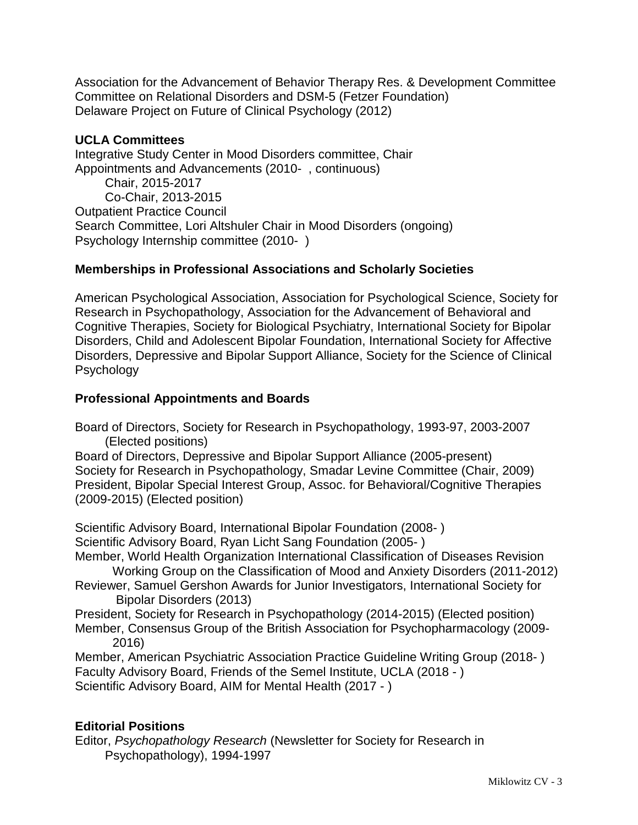Association for the Advancement of Behavior Therapy Res. & Development Committee Committee on Relational Disorders and DSM-5 (Fetzer Foundation) Delaware Project on Future of Clinical Psychology (2012)

## **UCLA Committees**

Integrative Study Center in Mood Disorders committee, Chair Appointments and Advancements (2010- , continuous) Chair, 2015-2017 Co-Chair, 2013-2015 Outpatient Practice Council Search Committee, Lori Altshuler Chair in Mood Disorders (ongoing) Psychology Internship committee (2010- )

# **Memberships in Professional Associations and Scholarly Societies**

American Psychological Association, Association for Psychological Science, Society for Research in Psychopathology, Association for the Advancement of Behavioral and Cognitive Therapies, Society for Biological Psychiatry, International Society for Bipolar Disorders, Child and Adolescent Bipolar Foundation, International Society for Affective Disorders, Depressive and Bipolar Support Alliance, Society for the Science of Clinical Psychology

# **Professional Appointments and Boards**

Board of Directors, Society for Research in Psychopathology, 1993-97, 2003-2007 (Elected positions)

Board of Directors, Depressive and Bipolar Support Alliance (2005-present) Society for Research in Psychopathology, Smadar Levine Committee (Chair, 2009) President, Bipolar Special Interest Group, Assoc. for Behavioral/Cognitive Therapies (2009-2015) (Elected position)

Scientific Advisory Board, International Bipolar Foundation (2008- )

Scientific Advisory Board, Ryan Licht Sang Foundation (2005- )

Member, World Health Organization International Classification of Diseases Revision Working Group on the Classification of Mood and Anxiety Disorders (2011-2012)

Reviewer, Samuel Gershon Awards for Junior Investigators, International Society for Bipolar Disorders (2013)

President, Society for Research in Psychopathology (2014-2015) (Elected position) Member, Consensus Group of the British Association for Psychopharmacology (2009- 2016)

Member, American Psychiatric Association Practice Guideline Writing Group (2018- ) Faculty Advisory Board, Friends of the Semel Institute, UCLA (2018 - ) Scientific Advisory Board, AIM for Mental Health (2017 - )

# **Editorial Positions**

Editor, *Psychopathology Research* (Newsletter for Society for Research in Psychopathology), 1994-1997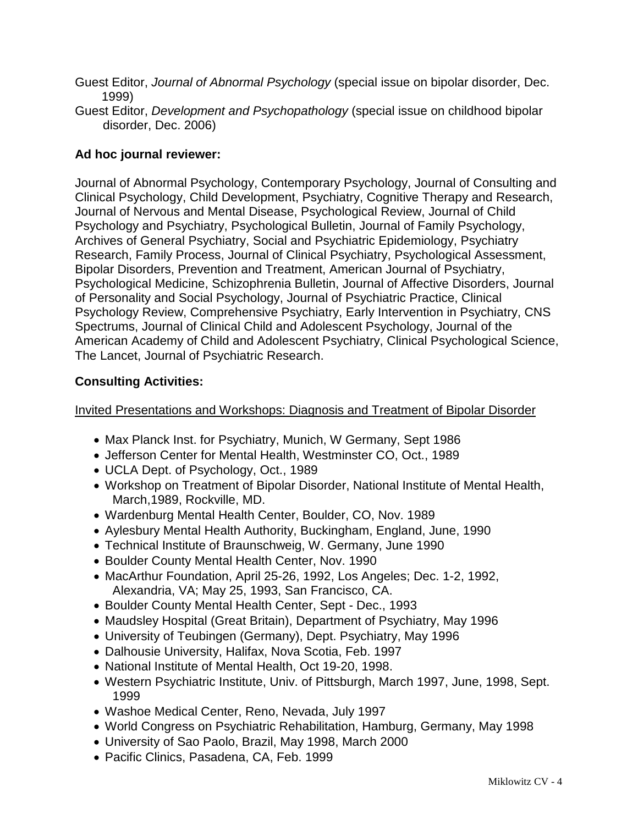- Guest Editor, *Journal of Abnormal Psychology* (special issue on bipolar disorder, Dec. 1999)
- Guest Editor, *Development and Psychopathology* (special issue on childhood bipolar disorder, Dec. 2006)

# **Ad hoc journal reviewer:**

Journal of Abnormal Psychology, Contemporary Psychology, Journal of Consulting and Clinical Psychology, Child Development, Psychiatry, Cognitive Therapy and Research, Journal of Nervous and Mental Disease, Psychological Review, Journal of Child Psychology and Psychiatry, Psychological Bulletin, Journal of Family Psychology, Archives of General Psychiatry, Social and Psychiatric Epidemiology, Psychiatry Research, Family Process, Journal of Clinical Psychiatry, Psychological Assessment, Bipolar Disorders, Prevention and Treatment, American Journal of Psychiatry, Psychological Medicine, Schizophrenia Bulletin, Journal of Affective Disorders, Journal of Personality and Social Psychology, Journal of Psychiatric Practice, Clinical Psychology Review, Comprehensive Psychiatry, Early Intervention in Psychiatry, CNS Spectrums, Journal of Clinical Child and Adolescent Psychology, Journal of the American Academy of Child and Adolescent Psychiatry, Clinical Psychological Science, The Lancet, Journal of Psychiatric Research.

# **Consulting Activities:**

Invited Presentations and Workshops: Diagnosis and Treatment of Bipolar Disorder

- Max Planck Inst. for Psychiatry, Munich, W Germany, Sept 1986
- Jefferson Center for Mental Health, Westminster CO, Oct., 1989
- UCLA Dept. of Psychology, Oct., 1989
- Workshop on Treatment of Bipolar Disorder, National Institute of Mental Health, March,1989, Rockville, MD.
- Wardenburg Mental Health Center, Boulder, CO, Nov. 1989
- Aylesbury Mental Health Authority, Buckingham, England, June, 1990
- Technical Institute of Braunschweig, W. Germany, June 1990
- Boulder County Mental Health Center, Nov. 1990
- MacArthur Foundation, April 25-26, 1992, Los Angeles; Dec. 1-2, 1992, Alexandria, VA; May 25, 1993, San Francisco, CA.
- Boulder County Mental Health Center, Sept Dec., 1993
- Maudsley Hospital (Great Britain), Department of Psychiatry, May 1996
- University of Teubingen (Germany), Dept. Psychiatry, May 1996
- Dalhousie University, Halifax, Nova Scotia, Feb. 1997
- National Institute of Mental Health, Oct 19-20, 1998.
- Western Psychiatric Institute, Univ. of Pittsburgh, March 1997, June, 1998, Sept. 1999
- Washoe Medical Center, Reno, Nevada, July 1997
- World Congress on Psychiatric Rehabilitation, Hamburg, Germany, May 1998
- University of Sao Paolo, Brazil, May 1998, March 2000
- Pacific Clinics, Pasadena, CA, Feb. 1999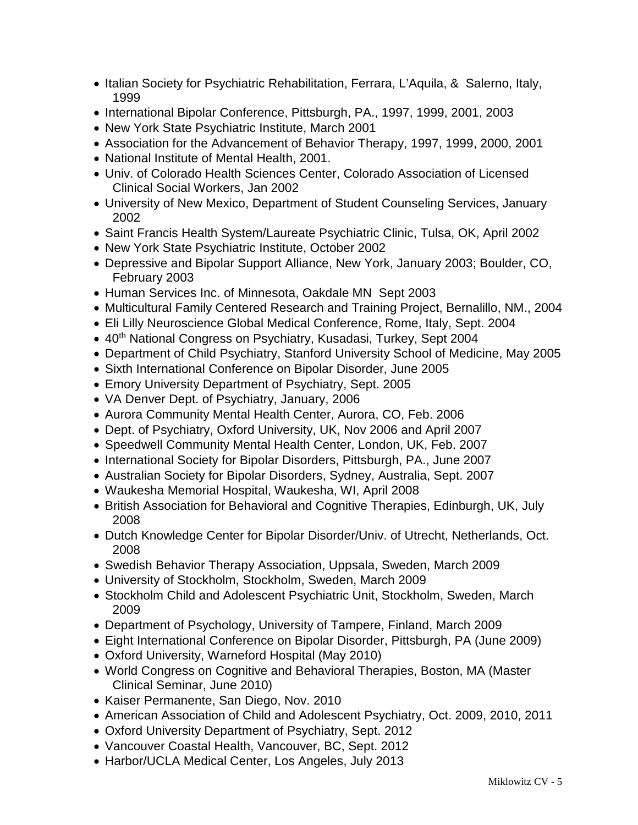- Italian Society for Psychiatric Rehabilitation, Ferrara, L'Aquila, & Salerno, Italy, 1999
- International Bipolar Conference, Pittsburgh, PA., 1997, 1999, 2001, 2003
- New York State Psychiatric Institute, March 2001
- Association for the Advancement of Behavior Therapy, 1997, 1999, 2000, 2001
- National Institute of Mental Health, 2001.
- Univ. of Colorado Health Sciences Center, Colorado Association of Licensed Clinical Social Workers, Jan 2002
- University of New Mexico, Department of Student Counseling Services, January 2002
- Saint Francis Health System/Laureate Psychiatric Clinic, Tulsa, OK, April 2002
- New York State Psychiatric Institute, October 2002
- Depressive and Bipolar Support Alliance, New York, January 2003; Boulder, CO, February 2003
- Human Services Inc. of Minnesota, Oakdale MN Sept 2003
- Multicultural Family Centered Research and Training Project, Bernalillo, NM., 2004
- Eli Lilly Neuroscience Global Medical Conference, Rome, Italy, Sept. 2004
- 40<sup>th</sup> National Congress on Psychiatry, Kusadasi, Turkey, Sept 2004
- Department of Child Psychiatry, Stanford University School of Medicine, May 2005
- Sixth International Conference on Bipolar Disorder, June 2005
- Emory University Department of Psychiatry, Sept. 2005
- VA Denver Dept. of Psychiatry, January, 2006
- Aurora Community Mental Health Center, Aurora, CO, Feb. 2006
- Dept. of Psychiatry, Oxford University, UK, Nov 2006 and April 2007
- Speedwell Community Mental Health Center, London, UK, Feb. 2007
- International Society for Bipolar Disorders, Pittsburgh, PA., June 2007
- Australian Society for Bipolar Disorders, Sydney, Australia, Sept. 2007
- Waukesha Memorial Hospital, Waukesha, WI, April 2008
- British Association for Behavioral and Cognitive Therapies, Edinburgh, UK, July 2008
- Dutch Knowledge Center for Bipolar Disorder/Univ. of Utrecht, Netherlands, Oct. 2008
- Swedish Behavior Therapy Association, Uppsala, Sweden, March 2009
- University of Stockholm, Stockholm, Sweden, March 2009
- Stockholm Child and Adolescent Psychiatric Unit, Stockholm, Sweden, March 2009
- Department of Psychology, University of Tampere, Finland, March 2009
- Eight International Conference on Bipolar Disorder, Pittsburgh, PA (June 2009)
- Oxford University, Warneford Hospital (May 2010)
- World Congress on Cognitive and Behavioral Therapies, Boston, MA (Master Clinical Seminar, June 2010)
- Kaiser Permanente, San Diego, Nov. 2010
- American Association of Child and Adolescent Psychiatry, Oct. 2009, 2010, 2011
- Oxford University Department of Psychiatry, Sept. 2012
- Vancouver Coastal Health, Vancouver, BC, Sept. 2012
- Harbor/UCLA Medical Center, Los Angeles, July 2013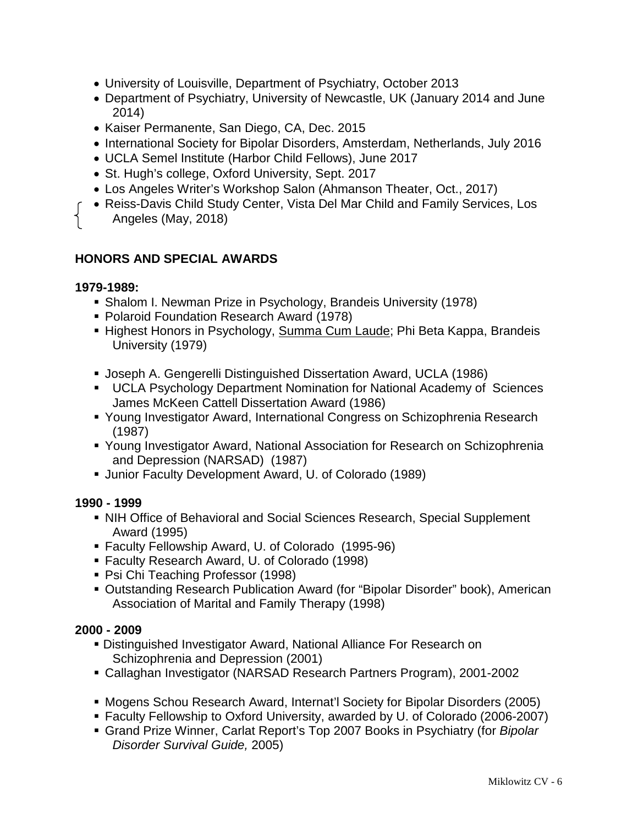- University of Louisville, Department of Psychiatry, October 2013
- Department of Psychiatry, University of Newcastle, UK (January 2014 and June 2014)
- Kaiser Permanente, San Diego, CA, Dec. 2015
- International Society for Bipolar Disorders, Amsterdam, Netherlands, July 2016
- UCLA Semel Institute (Harbor Child Fellows), June 2017
- St. Hugh's college, Oxford University, Sept. 2017
- Los Angeles Writer's Workshop Salon (Ahmanson Theater, Oct., 2017)
- Reiss-Davis Child Study Center, Vista Del Mar Child and Family Services, Los Angeles (May, 2018)

## **HONORS AND SPECIAL AWARDS**

#### **1979-1989:**

- Shalom I. Newman Prize in Psychology, Brandeis University (1978)
- Polaroid Foundation Research Award (1978)
- Highest Honors in Psychology, Summa Cum Laude; Phi Beta Kappa, Brandeis University (1979)
- Joseph A. Gengerelli Distinguished Dissertation Award, UCLA (1986)
- UCLA Psychology Department Nomination for National Academy of Sciences James McKeen Cattell Dissertation Award (1986)
- Young Investigator Award, International Congress on Schizophrenia Research (1987)
- Young Investigator Award, National Association for Research on Schizophrenia and Depression (NARSAD) (1987)
- Junior Faculty Development Award, U. of Colorado (1989)

### **1990 - 1999**

- NIH Office of Behavioral and Social Sciences Research, Special Supplement Award (1995)
- Faculty Fellowship Award, U. of Colorado (1995-96)
- Faculty Research Award, U. of Colorado (1998)
- Psi Chi Teaching Professor (1998)
- Outstanding Research Publication Award (for "Bipolar Disorder" book), American Association of Marital and Family Therapy (1998)

### **2000 - 2009**

- Distinguished Investigator Award, National Alliance For Research on Schizophrenia and Depression (2001)
- Callaghan Investigator (NARSAD Research Partners Program), 2001-2002
- Mogens Schou Research Award, Internat'l Society for Bipolar Disorders (2005)
- Faculty Fellowship to Oxford University, awarded by U. of Colorado (2006-2007)
- Grand Prize Winner, Carlat Report's Top 2007 Books in Psychiatry (for *Bipolar Disorder Survival Guide,* 2005)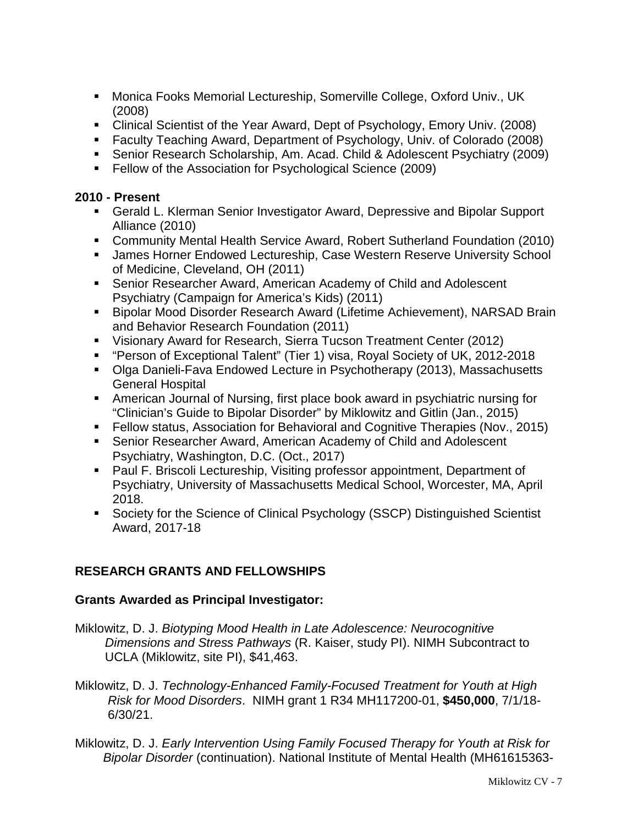- Monica Fooks Memorial Lectureship, Somerville College, Oxford Univ., UK (2008)
- Clinical Scientist of the Year Award, Dept of Psychology, Emory Univ. (2008)
- Faculty Teaching Award, Department of Psychology, Univ. of Colorado (2008)
- Senior Research Scholarship, Am. Acad. Child & Adolescent Psychiatry (2009)
- **Fellow of the Association for Psychological Science (2009)**

### **2010 - Present**

- Gerald L. Klerman Senior Investigator Award, Depressive and Bipolar Support Alliance (2010)
- Community Mental Health Service Award, Robert Sutherland Foundation (2010)
- **James Horner Endowed Lectureship, Case Western Reserve University School** of Medicine, Cleveland, OH (2011)
- Senior Researcher Award, American Academy of Child and Adolescent Psychiatry (Campaign for America's Kids) (2011)
- Bipolar Mood Disorder Research Award (Lifetime Achievement), NARSAD Brain and Behavior Research Foundation (2011)
- Visionary Award for Research, Sierra Tucson Treatment Center (2012)
- "Person of Exceptional Talent" (Tier 1) visa, Royal Society of UK, 2012-2018
- Olga Danieli-Fava Endowed Lecture in Psychotherapy (2013), Massachusetts General Hospital
- American Journal of Nursing, first place book award in psychiatric nursing for "Clinician's Guide to Bipolar Disorder" by Miklowitz and Gitlin (Jan., 2015)
- Fellow status, Association for Behavioral and Cognitive Therapies (Nov., 2015)
- Senior Researcher Award, American Academy of Child and Adolescent Psychiatry, Washington, D.C. (Oct., 2017)
- **Paul F. Briscoli Lectureship, Visiting professor appointment, Department of** Psychiatry, University of Massachusetts Medical School, Worcester, MA, April 2018.
- Society for the Science of Clinical Psychology (SSCP) Distinguished Scientist Award, 2017-18

# **RESEARCH GRANTS AND FELLOWSHIPS**

# **Grants Awarded as Principal Investigator:**

- Miklowitz, D. J. *Biotyping Mood Health in Late Adolescence: Neurocognitive Dimensions and Stress Pathways* (R. Kaiser, study PI). NIMH Subcontract to UCLA (Miklowitz, site PI), \$41,463.
- Miklowitz, D. J. *Technology-Enhanced Family-Focused Treatment for Youth at High Risk for Mood Disorders*. NIMH grant 1 R34 MH117200-01, **\$450,000**, 7/1/18- 6/30/21.
- Miklowitz, D. J. *Early Intervention Using Family Focused Therapy for Youth at Risk for Bipolar Disorder* (continuation). National Institute of Mental Health (MH61615363-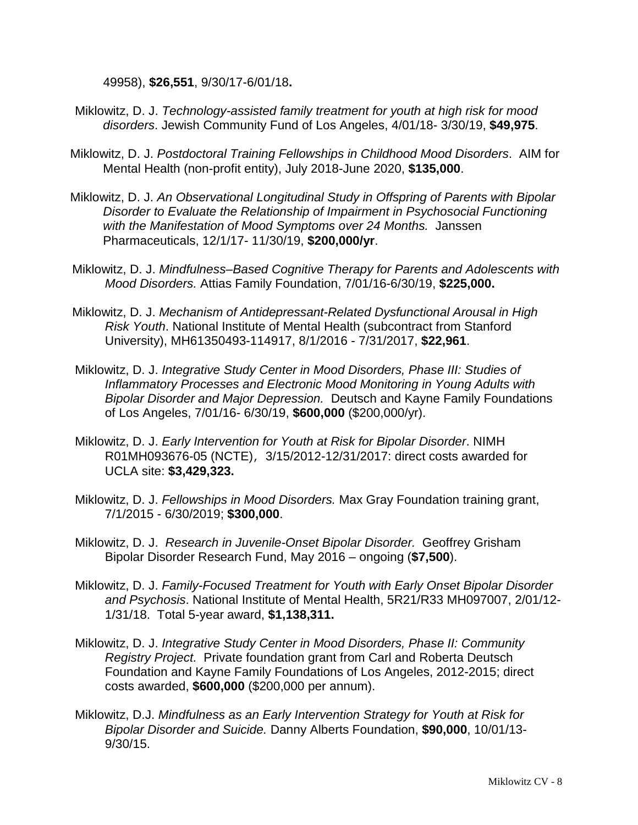49958), **\$26,551**, 9/30/17-6/01/18**.**

- Miklowitz, D. J. *Technology-assisted family treatment for youth at high risk for mood disorders*. Jewish Community Fund of Los Angeles, 4/01/18- 3/30/19, **\$49,975**.
- Miklowitz, D. J. *Postdoctoral Training Fellowships in Childhood Mood Disorders*. AIM for Mental Health (non-profit entity), July 2018-June 2020, **\$135,000**.
- Miklowitz, D. J. *An Observational Longitudinal Study in Offspring of Parents with Bipolar Disorder to Evaluate the Relationship of Impairment in Psychosocial Functioning with the Manifestation of Mood Symptoms over 24 Months.* Janssen Pharmaceuticals, 12/1/17- 11/30/19, **\$200,000/yr**.
- Miklowitz, D. J. *Mindfulness–Based Cognitive Therapy for Parents and Adolescents with Mood Disorders.* Attias Family Foundation, 7/01/16-6/30/19, **\$225,000.**
- Miklowitz, D. J. *Mechanism of Antidepressant-Related Dysfunctional Arousal in High Risk Youth*. National Institute of Mental Health (subcontract from Stanford University), MH61350493-114917, 8/1/2016 - 7/31/2017, **\$22,961**.
- Miklowitz, D. J. *Integrative Study Center in Mood Disorders, Phase III: Studies of Inflammatory Processes and Electronic Mood Monitoring in Young Adults with Bipolar Disorder and Major Depression.* Deutsch and Kayne Family Foundations of Los Angeles, 7/01/16- 6/30/19, **\$600,000** (\$200,000/yr).
- Miklowitz, D. J. *Early Intervention for Youth at Risk for Bipolar Disorder*. NIMH R01MH093676-05 (NCTE), 3/15/2012-12/31/2017: direct costs awarded for UCLA site: **\$3,429,323.**
- Miklowitz, D. J. *Fellowships in Mood Disorders.* Max Gray Foundation training grant, 7/1/2015 - 6/30/2019; **\$300,000**.
- Miklowitz, D. J. *Research in Juvenile-Onset Bipolar Disorder.* Geoffrey Grisham Bipolar Disorder Research Fund, May 2016 – ongoing (**\$7,500**).
- Miklowitz, D. J. *Family-Focused Treatment for Youth with Early Onset Bipolar Disorder and Psychosis*. National Institute of Mental Health, 5R21/R33 MH097007, 2/01/12- 1/31/18. Total 5-year award, **\$1,138,311.**
- Miklowitz, D. J. *Integrative Study Center in Mood Disorders, Phase II: Community Registry Project.* Private foundation grant from Carl and Roberta Deutsch Foundation and Kayne Family Foundations of Los Angeles, 2012-2015; direct costs awarded, **\$600,000** (\$200,000 per annum).
- Miklowitz, D.J. *Mindfulness as an Early Intervention Strategy for Youth at Risk for Bipolar Disorder and Suicide.* Danny Alberts Foundation, **\$90,000**, 10/01/13- 9/30/15.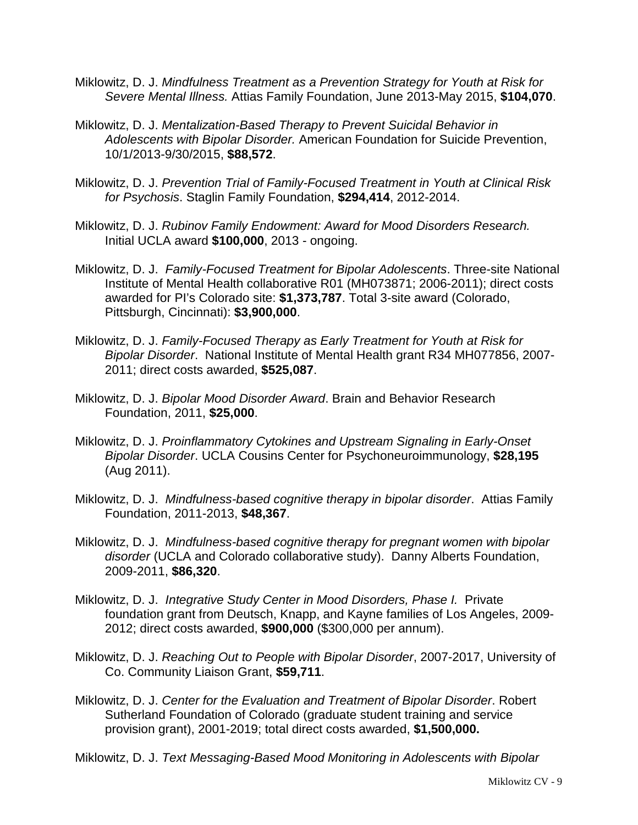- Miklowitz, D. J. *Mindfulness Treatment as a Prevention Strategy for Youth at Risk for Severe Mental Illness.* Attias Family Foundation, June 2013-May 2015, **\$104,070**.
- Miklowitz, D. J. *Mentalization-Based Therapy to Prevent Suicidal Behavior in Adolescents with Bipolar Disorder.* American Foundation for Suicide Prevention, 10/1/2013-9/30/2015, **\$88,572**.
- Miklowitz, D. J. *Prevention Trial of Family-Focused Treatment in Youth at Clinical Risk for Psychosis*. Staglin Family Foundation, **\$294,414**, 2012-2014.
- Miklowitz, D. J. *Rubinov Family Endowment: Award for Mood Disorders Research.*  Initial UCLA award **\$100,000**, 2013 - ongoing.
- Miklowitz, D. J. *Family-Focused Treatment for Bipolar Adolescents*. Three-site National Institute of Mental Health collaborative R01 (MH073871; 2006-2011); direct costs awarded for PI's Colorado site: **\$1,373,787**. Total 3-site award (Colorado, Pittsburgh, Cincinnati): **\$3,900,000**.
- Miklowitz, D. J. *Family-Focused Therapy as Early Treatment for Youth at Risk for Bipolar Disorder*. National Institute of Mental Health grant R34 MH077856, 2007- 2011; direct costs awarded, **\$525,087**.
- Miklowitz, D. J. *Bipolar Mood Disorder Award*. Brain and Behavior Research Foundation, 2011, **\$25,000**.
- Miklowitz, D. J. *Proinflammatory Cytokines and Upstream Signaling in Early-Onset Bipolar Disorder*. UCLA Cousins Center for Psychoneuroimmunology, **\$28,195** (Aug 2011).
- Miklowitz, D. J. *Mindfulness-based cognitive therapy in bipolar disorder*. Attias Family Foundation, 2011-2013, **\$48,367**.
- Miklowitz, D. J. *Mindfulness-based cognitive therapy for pregnant women with bipolar disorder* (UCLA and Colorado collaborative study). Danny Alberts Foundation, 2009-2011, **\$86,320**.
- Miklowitz, D. J. *Integrative Study Center in Mood Disorders, Phase I.* Private foundation grant from Deutsch, Knapp, and Kayne families of Los Angeles, 2009- 2012; direct costs awarded, **\$900,000** (\$300,000 per annum).
- Miklowitz, D. J. *Reaching Out to People with Bipolar Disorder*, 2007-2017, University of Co. Community Liaison Grant, **\$59,711**.
- Miklowitz, D. J. *Center for the Evaluation and Treatment of Bipolar Disorder*. Robert Sutherland Foundation of Colorado (graduate student training and service provision grant), 2001-2019; total direct costs awarded, **\$1,500,000.**
- Miklowitz, D. J. *Text Messaging-Based Mood Monitoring in Adolescents with Bipolar*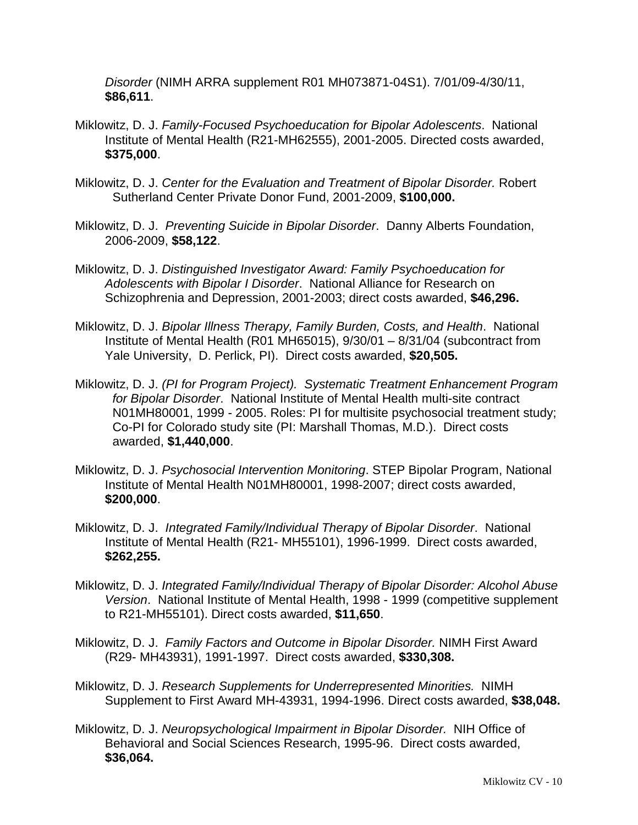*Disorder* (NIMH ARRA supplement R01 MH073871-04S1). 7/01/09-4/30/11, **\$86,611**.

- Miklowitz, D. J. *Family-Focused Psychoeducation for Bipolar Adolescents*. National Institute of Mental Health (R21-MH62555), 2001-2005. Directed costs awarded, **\$375,000**.
- Miklowitz, D. J. *Center for the Evaluation and Treatment of Bipolar Disorder.* Robert Sutherland Center Private Donor Fund, 2001-2009, **\$100,000.**
- Miklowitz, D. J. *Preventing Suicide in Bipolar Disorder*. Danny Alberts Foundation, 2006-2009, **\$58,122**.
- Miklowitz, D. J. *Distinguished Investigator Award: Family Psychoeducation for Adolescents with Bipolar I Disorder*. National Alliance for Research on Schizophrenia and Depression, 2001-2003; direct costs awarded, **\$46,296.**
- Miklowitz, D. J. *Bipolar Illness Therapy, Family Burden, Costs, and Health*. National Institute of Mental Health (R01 MH65015), 9/30/01 – 8/31/04 (subcontract from Yale University, D. Perlick, PI). Direct costs awarded, **\$20,505.**
- Miklowitz, D. J. *(PI for Program Project). Systematic Treatment Enhancement Program for Bipolar Disorder*. National Institute of Mental Health multi-site contract N01MH80001, 1999 - 2005. Roles: PI for multisite psychosocial treatment study; Co-PI for Colorado study site (PI: Marshall Thomas, M.D.). Direct costs awarded, **\$1,440,000**.
- Miklowitz, D. J. *Psychosocial Intervention Monitoring*. STEP Bipolar Program, National Institute of Mental Health N01MH80001, 1998-2007; direct costs awarded, **\$200,000**.
- Miklowitz, D. J. *Integrated Family/Individual Therapy of Bipolar Disorder*. National Institute of Mental Health (R21- MH55101), 1996-1999. Direct costs awarded, **\$262,255.**
- Miklowitz, D. J. *Integrated Family/Individual Therapy of Bipolar Disorder: Alcohol Abuse Version*. National Institute of Mental Health, 1998 - 1999 (competitive supplement to R21-MH55101). Direct costs awarded, **\$11,650**.
- Miklowitz, D. J. *Family Factors and Outcome in Bipolar Disorder.* NIMH First Award (R29- MH43931), 1991-1997. Direct costs awarded, **\$330,308.**
- Miklowitz, D. J. *Research Supplements for Underrepresented Minorities.* NIMH Supplement to First Award MH-43931, 1994-1996. Direct costs awarded, **\$38,048.**
- Miklowitz, D. J. *Neuropsychological Impairment in Bipolar Disorder.* NIH Office of Behavioral and Social Sciences Research, 1995-96. Direct costs awarded, **\$36,064.**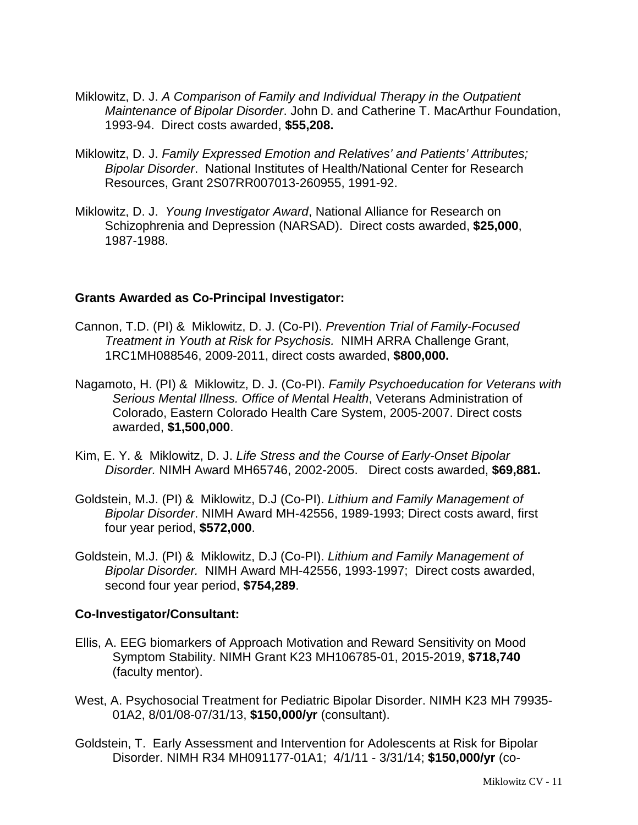- Miklowitz, D. J. *A Comparison of Family and Individual Therapy in the Outpatient Maintenance of Bipolar Disorder*. John D. and Catherine T. MacArthur Foundation, 1993-94. Direct costs awarded, **\$55,208.**
- Miklowitz, D. J. *Family Expressed Emotion and Relatives' and Patients' Attributes; Bipolar Disorder*. National Institutes of Health/National Center for Research Resources, Grant 2S07RR007013-260955, 1991-92.
- Miklowitz, D. J. *Young Investigator Award*, National Alliance for Research on Schizophrenia and Depression (NARSAD). Direct costs awarded, **\$25,000**, 1987-1988.

### **Grants Awarded as Co-Principal Investigator:**

- Cannon, T.D. (PI) & Miklowitz, D. J. (Co-PI). *Prevention Trial of Family-Focused Treatment in Youth at Risk for Psychosis.* NIMH ARRA Challenge Grant, 1RC1MH088546, 2009-2011, direct costs awarded, **\$800,000.**
- Nagamoto, H. (PI) & Miklowitz, D. J. (Co-PI). *Family Psychoeducation for Veterans with Serious Mental Illness. Office of Menta*l *Health*, Veterans Administration of Colorado, Eastern Colorado Health Care System, 2005-2007. Direct costs awarded, **\$1,500,000**.
- Kim, E. Y. & Miklowitz, D. J. *Life Stress and the Course of Early-Onset Bipolar Disorder.* NIMH Award MH65746, 2002-2005. Direct costs awarded, **\$69,881.**
- Goldstein, M.J. (PI) & Miklowitz, D.J (Co-PI). *Lithium and Family Management of Bipolar Disorder*. NIMH Award MH-42556, 1989-1993; Direct costs award, first four year period, **\$572,000**.
- Goldstein, M.J. (PI) & Miklowitz, D.J (Co-PI). *Lithium and Family Management of Bipolar Disorder.* NIMH Award MH-42556, 1993-1997; Direct costs awarded, second four year period, **\$754,289**.

### **Co-Investigator/Consultant:**

- Ellis, A. EEG biomarkers of Approach Motivation and Reward Sensitivity on Mood Symptom Stability. NIMH Grant K23 MH106785-01, 2015-2019, **\$718,740** (faculty mentor).
- West, A. Psychosocial Treatment for Pediatric Bipolar Disorder. NIMH K23 MH 79935- 01A2, 8/01/08-07/31/13, **\$150,000/yr** (consultant).
- Goldstein, T. Early Assessment and Intervention for Adolescents at Risk for Bipolar Disorder. NIMH R34 MH091177-01A1; 4/1/11 - 3/31/14; **\$150,000/yr** (co-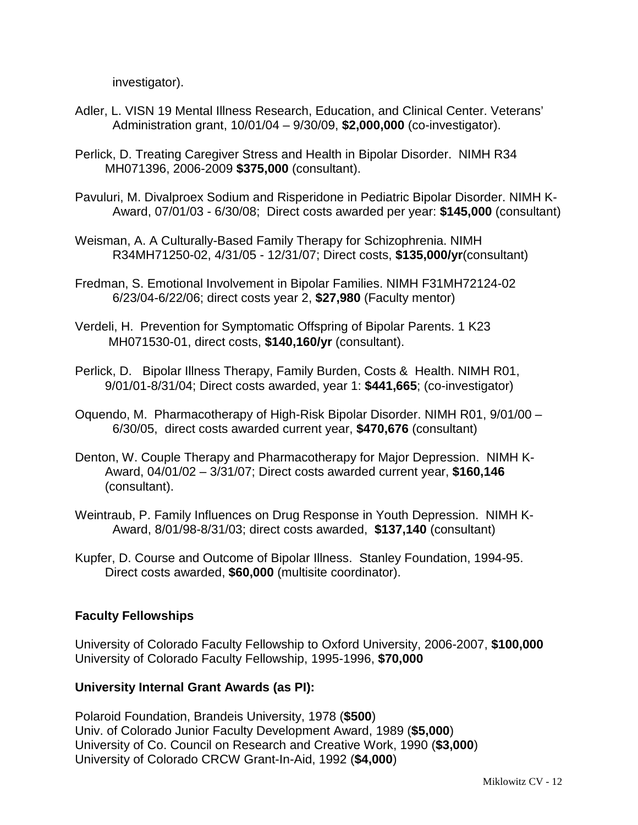investigator).

- Adler, L. VISN 19 Mental Illness Research, Education, and Clinical Center. Veterans' Administration grant, 10/01/04 – 9/30/09, **\$2,000,000** (co-investigator).
- Perlick, D. Treating Caregiver Stress and Health in Bipolar Disorder. NIMH R34 MH071396, 2006-2009 **\$375,000** (consultant).
- Pavuluri, M. Divalproex Sodium and Risperidone in Pediatric Bipolar Disorder. NIMH K-Award, 07/01/03 - 6/30/08; Direct costs awarded per year: **\$145,000** (consultant)
- Weisman, A. A Culturally-Based Family Therapy for Schizophrenia. NIMH R34MH71250-02, 4/31/05 - 12/31/07; Direct costs, **\$135,000/yr**(consultant)
- Fredman, S. Emotional Involvement in Bipolar Families. NIMH F31MH72124-02 6/23/04-6/22/06; direct costs year 2, **\$27,980** (Faculty mentor)
- Verdeli, H. Prevention for Symptomatic Offspring of Bipolar Parents. 1 K23 MH071530-01, direct costs, **\$140,160/yr** (consultant).
- Perlick, D. Bipolar Illness Therapy, Family Burden, Costs & Health. NIMH R01, 9/01/01-8/31/04; Direct costs awarded, year 1: **\$441,665**; (co-investigator)
- Oquendo, M. Pharmacotherapy of High-Risk Bipolar Disorder. NIMH R01, 9/01/00 6/30/05, direct costs awarded current year, **\$470,676** (consultant)
- Denton, W. Couple Therapy and Pharmacotherapy for Major Depression. NIMH K-Award, 04/01/02 – 3/31/07; Direct costs awarded current year, **\$160,146** (consultant).
- Weintraub, P. Family Influences on Drug Response in Youth Depression. NIMH K-Award, 8/01/98-8/31/03; direct costs awarded, **\$137,140** (consultant)
- Kupfer, D. Course and Outcome of Bipolar Illness. Stanley Foundation, 1994-95. Direct costs awarded, **\$60,000** (multisite coordinator).

### **Faculty Fellowships**

University of Colorado Faculty Fellowship to Oxford University, 2006-2007, **\$100,000** University of Colorado Faculty Fellowship, 1995-1996, **\$70,000**

#### **University Internal Grant Awards (as PI):**

Polaroid Foundation, Brandeis University, 1978 (**\$500**) Univ. of Colorado Junior Faculty Development Award, 1989 (**\$5,000**) University of Co. Council on Research and Creative Work, 1990 (**\$3,000**) University of Colorado CRCW Grant-In-Aid, 1992 (**\$4,000**)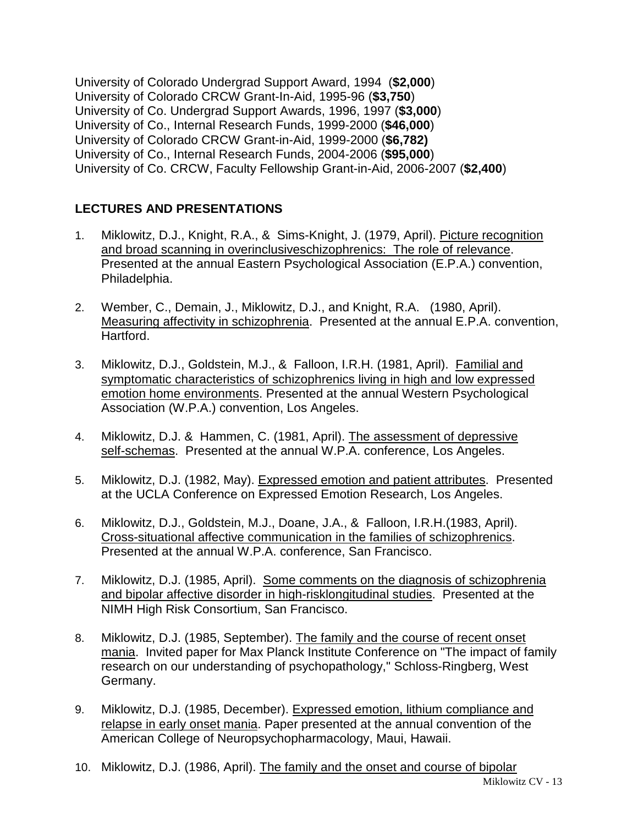University of Colorado Undergrad Support Award, 1994 (**\$2,000**) University of Colorado CRCW Grant-In-Aid, 1995-96 (**\$3,750**) University of Co. Undergrad Support Awards, 1996, 1997 (**\$3,000**) University of Co., Internal Research Funds, 1999-2000 (**\$46,000**) University of Colorado CRCW Grant-in-Aid, 1999-2000 (**\$6,782)** University of Co., Internal Research Funds, 2004-2006 (**\$95,000**) University of Co. CRCW, Faculty Fellowship Grant-in-Aid, 2006-2007 (**\$2,400**)

# **LECTURES AND PRESENTATIONS**

- 1. Miklowitz, D.J., Knight, R.A., & Sims-Knight, J. (1979, April). Picture recognition and broad scanning in overinclusiveschizophrenics: The role of relevance. Presented at the annual Eastern Psychological Association (E.P.A.) convention, Philadelphia.
- 2. Wember, C., Demain, J., Miklowitz, D.J., and Knight, R.A. (1980, April). Measuring affectivity in schizophrenia. Presented at the annual E.P.A. convention, Hartford.
- 3. Miklowitz, D.J., Goldstein, M.J., & Falloon, I.R.H. (1981, April). Familial and symptomatic characteristics of schizophrenics living in high and low expressed emotion home environments. Presented at the annual Western Psychological Association (W.P.A.) convention, Los Angeles.
- 4. Miklowitz, D.J. & Hammen, C. (1981, April). The assessment of depressive self-schemas. Presented at the annual W.P.A. conference, Los Angeles.
- 5. Miklowitz, D.J. (1982, May). Expressed emotion and patient attributes. Presented at the UCLA Conference on Expressed Emotion Research, Los Angeles.
- 6. Miklowitz, D.J., Goldstein, M.J., Doane, J.A., & Falloon, I.R.H.(1983, April). Cross-situational affective communication in the families of schizophrenics. Presented at the annual W.P.A. conference, San Francisco.
- 7. Miklowitz, D.J. (1985, April). Some comments on the diagnosis of schizophrenia and bipolar affective disorder in high-risklongitudinal studies. Presented at the NIMH High Risk Consortium, San Francisco.
- 8. Miklowitz, D.J. (1985, September). The family and the course of recent onset mania. Invited paper for Max Planck Institute Conference on "The impact of family research on our understanding of psychopathology," Schloss-Ringberg, West Germany.
- 9. Miklowitz, D.J. (1985, December). Expressed emotion, lithium compliance and relapse in early onset mania. Paper presented at the annual convention of the American College of Neuropsychopharmacology, Maui, Hawaii.
- 10. Miklowitz, D.J. (1986, April). The family and the onset and course of bipolar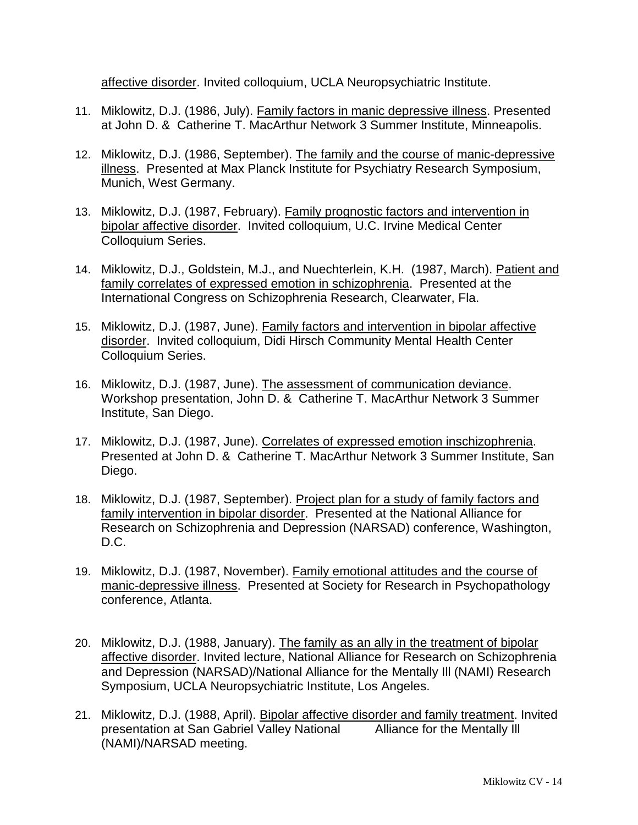affective disorder. Invited colloquium, UCLA Neuropsychiatric Institute.

- 11. Miklowitz, D.J. (1986, July). Family factors in manic depressive illness. Presented at John D. & Catherine T. MacArthur Network 3 Summer Institute, Minneapolis.
- 12. Miklowitz, D.J. (1986, September). The family and the course of manic-depressive illness. Presented at Max Planck Institute for Psychiatry Research Symposium, Munich, West Germany.
- 13. Miklowitz, D.J. (1987, February). Family prognostic factors and intervention in bipolar affective disorder. Invited colloquium, U.C. Irvine Medical Center Colloquium Series.
- 14. Miklowitz, D.J., Goldstein, M.J., and Nuechterlein, K.H. (1987, March). Patient and family correlates of expressed emotion in schizophrenia. Presented at the International Congress on Schizophrenia Research, Clearwater, Fla.
- 15. Miklowitz, D.J. (1987, June). Family factors and intervention in bipolar affective disorder. Invited colloquium, Didi Hirsch Community Mental Health Center Colloquium Series.
- 16. Miklowitz, D.J. (1987, June). The assessment of communication deviance. Workshop presentation, John D. & Catherine T. MacArthur Network 3 Summer Institute, San Diego.
- 17. Miklowitz, D.J. (1987, June). Correlates of expressed emotion inschizophrenia. Presented at John D. & Catherine T. MacArthur Network 3 Summer Institute, San Diego.
- 18. Miklowitz, D.J. (1987, September). Project plan for a study of family factors and family intervention in bipolar disorder. Presented at the National Alliance for Research on Schizophrenia and Depression (NARSAD) conference, Washington, D.C.
- 19. Miklowitz, D.J. (1987, November). Family emotional attitudes and the course of manic-depressive illness. Presented at Society for Research in Psychopathology conference, Atlanta.
- 20. Miklowitz, D.J. (1988, January). The family as an ally in the treatment of bipolar affective disorder. Invited lecture, National Alliance for Research on Schizophrenia and Depression (NARSAD)/National Alliance for the Mentally Ill (NAMI) Research Symposium, UCLA Neuropsychiatric Institute, Los Angeles.
- 21. Miklowitz, D.J. (1988, April). Bipolar affective disorder and family treatment. Invited presentation at San Gabriel Valley National Alliance for the Mentally Ill (NAMI)/NARSAD meeting.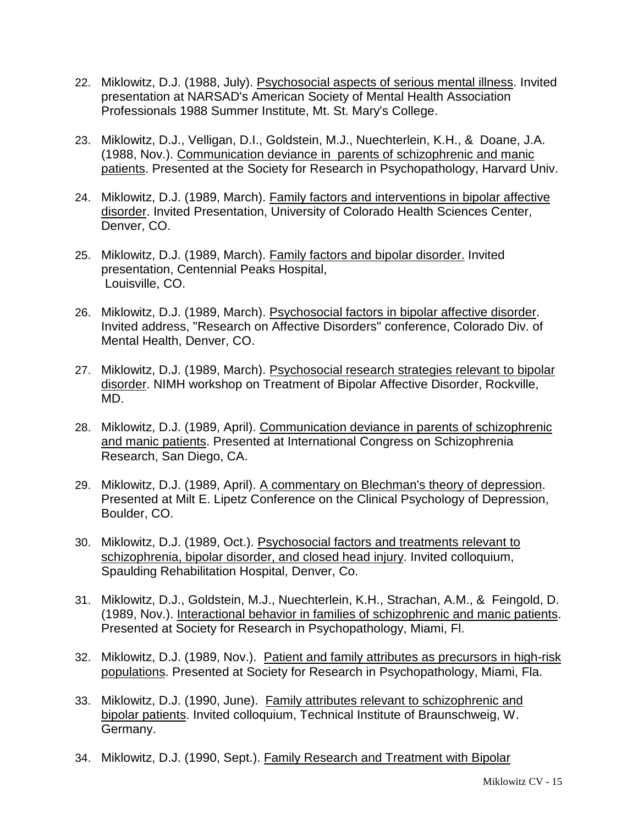- 22. Miklowitz, D.J. (1988, July). Psychosocial aspects of serious mental illness. Invited presentation at NARSAD's American Society of Mental Health Association Professionals 1988 Summer Institute, Mt. St. Mary's College.
- 23. Miklowitz, D.J., Velligan, D.I., Goldstein, M.J., Nuechterlein, K.H., & Doane, J.A. (1988, Nov.). Communication deviance in parents of schizophrenic and manic patients. Presented at the Society for Research in Psychopathology, Harvard Univ.
- 24. Miklowitz, D.J. (1989, March). Family factors and interventions in bipolar affective disorder. Invited Presentation, University of Colorado Health Sciences Center, Denver, CO.
- 25. Miklowitz, D.J. (1989, March). Family factors and bipolar disorder. Invited presentation, Centennial Peaks Hospital, Louisville, CO.
- 26. Miklowitz, D.J. (1989, March). Psychosocial factors in bipolar affective disorder. Invited address, "Research on Affective Disorders" conference, Colorado Div. of Mental Health, Denver, CO.
- 27. Miklowitz, D.J. (1989, March). Psychosocial research strategies relevant to bipolar disorder. NIMH workshop on Treatment of Bipolar Affective Disorder, Rockville, MD.
- 28. Miklowitz, D.J. (1989, April). Communication deviance in parents of schizophrenic and manic patients. Presented at International Congress on Schizophrenia Research, San Diego, CA.
- 29. Miklowitz, D.J. (1989, April). A commentary on Blechman's theory of depression. Presented at Milt E. Lipetz Conference on the Clinical Psychology of Depression, Boulder, CO.
- 30. Miklowitz, D.J. (1989, Oct.). Psychosocial factors and treatments relevant to schizophrenia, bipolar disorder, and closed head injury. Invited colloquium, Spaulding Rehabilitation Hospital, Denver, Co.
- 31. Miklowitz, D.J., Goldstein, M.J., Nuechterlein, K.H., Strachan, A.M., & Feingold, D. (1989, Nov.). Interactional behavior in families of schizophrenic and manic patients. Presented at Society for Research in Psychopathology, Miami, Fl.
- 32. Miklowitz, D.J. (1989, Nov.). Patient and family attributes as precursors in high-risk populations. Presented at Society for Research in Psychopathology, Miami, Fla.
- 33. Miklowitz, D.J. (1990, June). Family attributes relevant to schizophrenic and bipolar patients. Invited colloquium, Technical Institute of Braunschweig, W. Germany.
- 34. Miklowitz, D.J. (1990, Sept.). Family Research and Treatment with Bipolar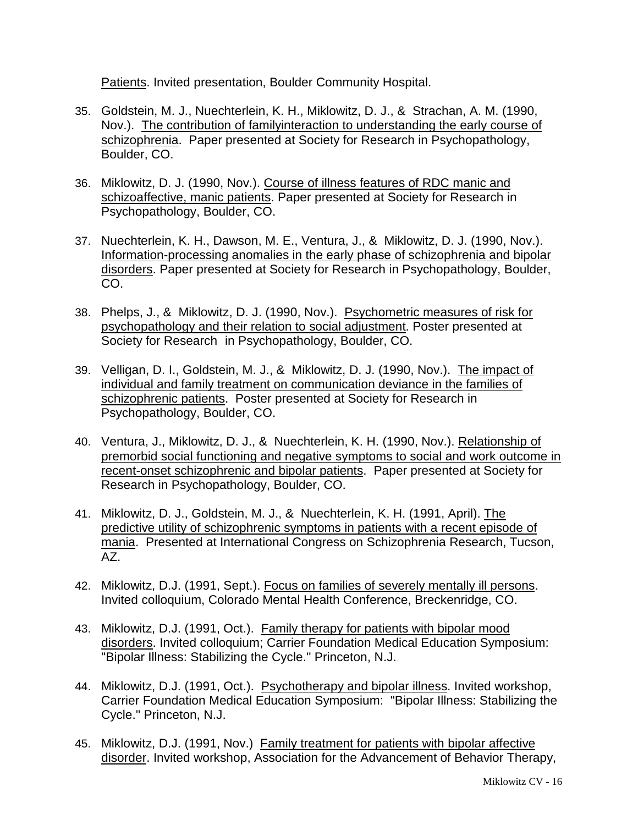Patients. Invited presentation, Boulder Community Hospital.

- 35. Goldstein, M. J., Nuechterlein, K. H., Miklowitz, D. J., & Strachan, A. M. (1990, Nov.). The contribution of familyinteraction to understanding the early course of schizophrenia. Paper presented at Society for Research in Psychopathology, Boulder, CO.
- 36. Miklowitz, D. J. (1990, Nov.). Course of illness features of RDC manic and schizoaffective, manic patients. Paper presented at Society for Research in Psychopathology, Boulder, CO.
- 37. Nuechterlein, K. H., Dawson, M. E., Ventura, J., & Miklowitz, D. J. (1990, Nov.). Information-processing anomalies in the early phase of schizophrenia and bipolar disorders. Paper presented at Society for Research in Psychopathology, Boulder, CO.
- 38. Phelps, J., & Miklowitz, D. J. (1990, Nov.). Psychometric measures of risk for psychopathology and their relation to social adjustment. Poster presented at Society for Research in Psychopathology, Boulder, CO.
- 39. Velligan, D. I., Goldstein, M. J., & Miklowitz, D. J. (1990, Nov.). The impact of individual and family treatment on communication deviance in the families of schizophrenic patients. Poster presented at Society for Research in Psychopathology, Boulder, CO.
- 40. Ventura, J., Miklowitz, D. J., & Nuechterlein, K. H. (1990, Nov.). Relationship of premorbid social functioning and negative symptoms to social and work outcome in recent-onset schizophrenic and bipolar patients. Paper presented at Society for Research in Psychopathology, Boulder, CO.
- 41. Miklowitz, D. J., Goldstein, M. J., & Nuechterlein, K. H. (1991, April). The predictive utility of schizophrenic symptoms in patients with a recent episode of mania. Presented at International Congress on Schizophrenia Research, Tucson, AZ.
- 42. Miklowitz, D.J. (1991, Sept.). Focus on families of severely mentally ill persons. Invited colloquium, Colorado Mental Health Conference, Breckenridge, CO.
- 43. Miklowitz, D.J. (1991, Oct.). Family therapy for patients with bipolar mood disorders. Invited colloquium; Carrier Foundation Medical Education Symposium: "Bipolar Illness: Stabilizing the Cycle." Princeton, N.J.
- 44. Miklowitz, D.J. (1991, Oct.). Psychotherapy and bipolar illness. Invited workshop, Carrier Foundation Medical Education Symposium: "Bipolar Illness: Stabilizing the Cycle." Princeton, N.J.
- 45. Miklowitz, D.J. (1991, Nov.) Family treatment for patients with bipolar affective disorder. Invited workshop, Association for the Advancement of Behavior Therapy,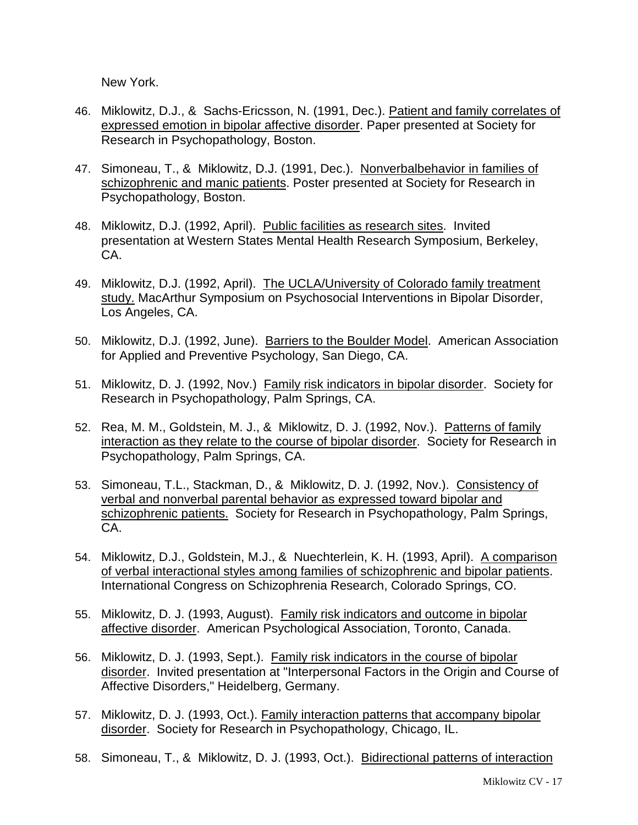New York.

- 46. Miklowitz, D.J., & Sachs-Ericsson, N. (1991, Dec.). Patient and family correlates of expressed emotion in bipolar affective disorder. Paper presented at Society for Research in Psychopathology, Boston.
- 47. Simoneau, T., & Miklowitz, D.J. (1991, Dec.). Nonverbalbehavior in families of schizophrenic and manic patients. Poster presented at Society for Research in Psychopathology, Boston.
- 48. Miklowitz, D.J. (1992, April). Public facilities as research sites. Invited presentation at Western States Mental Health Research Symposium, Berkeley, CA.
- 49. Miklowitz, D.J. (1992, April). The UCLA/University of Colorado family treatment study. MacArthur Symposium on Psychosocial Interventions in Bipolar Disorder, Los Angeles, CA.
- 50. Miklowitz, D.J. (1992, June). Barriers to the Boulder Model. American Association for Applied and Preventive Psychology, San Diego, CA.
- 51. Miklowitz, D. J. (1992, Nov.) Family risk indicators in bipolar disorder. Society for Research in Psychopathology, Palm Springs, CA.
- 52. Rea, M. M., Goldstein, M. J., & Miklowitz, D. J. (1992, Nov.). Patterns of family interaction as they relate to the course of bipolar disorder. Society for Research in Psychopathology, Palm Springs, CA.
- 53. Simoneau, T.L., Stackman, D., & Miklowitz, D. J. (1992, Nov.). Consistency of verbal and nonverbal parental behavior as expressed toward bipolar and schizophrenic patients. Society for Research in Psychopathology, Palm Springs, CA.
- 54. Miklowitz, D.J., Goldstein, M.J., & Nuechterlein, K. H. (1993, April). A comparison of verbal interactional styles among families of schizophrenic and bipolar patients. International Congress on Schizophrenia Research, Colorado Springs, CO.
- 55. Miklowitz, D. J. (1993, August). Family risk indicators and outcome in bipolar affective disorder. American Psychological Association, Toronto, Canada.
- 56. Miklowitz, D. J. (1993, Sept.). Family risk indicators in the course of bipolar disorder. Invited presentation at "Interpersonal Factors in the Origin and Course of Affective Disorders," Heidelberg, Germany.
- 57. Miklowitz, D. J. (1993, Oct.). Family interaction patterns that accompany bipolar disorder. Society for Research in Psychopathology, Chicago, IL.
- 58. Simoneau, T., & Miklowitz, D. J. (1993, Oct.). Bidirectional patterns of interaction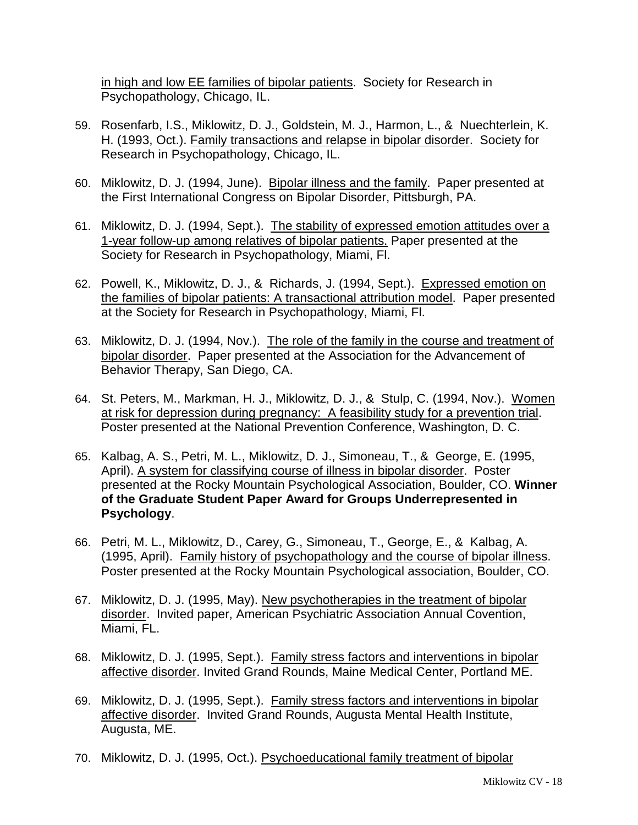in high and low EE families of bipolar patients. Society for Research in Psychopathology, Chicago, IL.

- 59. Rosenfarb, I.S., Miklowitz, D. J., Goldstein, M. J., Harmon, L., & Nuechterlein, K. H. (1993, Oct.). Family transactions and relapse in bipolar disorder. Society for Research in Psychopathology, Chicago, IL.
- 60. Miklowitz, D. J. (1994, June). Bipolar illness and the family. Paper presented at the First International Congress on Bipolar Disorder, Pittsburgh, PA.
- 61. Miklowitz, D. J. (1994, Sept.). The stability of expressed emotion attitudes over a 1-year follow-up among relatives of bipolar patients. Paper presented at the Society for Research in Psychopathology, Miami, Fl.
- 62. Powell, K., Miklowitz, D. J., & Richards, J. (1994, Sept.). Expressed emotion on the families of bipolar patients: A transactional attribution model. Paper presented at the Society for Research in Psychopathology, Miami, Fl.
- 63. Miklowitz, D. J. (1994, Nov.). The role of the family in the course and treatment of bipolar disorder. Paper presented at the Association for the Advancement of Behavior Therapy, San Diego, CA.
- 64. St. Peters, M., Markman, H. J., Miklowitz, D. J., & Stulp, C. (1994, Nov.). Women at risk for depression during pregnancy: A feasibility study for a prevention trial. Poster presented at the National Prevention Conference, Washington, D. C.
- 65. Kalbag, A. S., Petri, M. L., Miklowitz, D. J., Simoneau, T., & George, E. (1995, April). A system for classifying course of illness in bipolar disorder. Poster presented at the Rocky Mountain Psychological Association, Boulder, CO. **Winner of the Graduate Student Paper Award for Groups Underrepresented in Psychology**.
- 66. Petri, M. L., Miklowitz, D., Carey, G., Simoneau, T., George, E., & Kalbag, A. (1995, April). Family history of psychopathology and the course of bipolar illness. Poster presented at the Rocky Mountain Psychological association, Boulder, CO.
- 67. Miklowitz, D. J. (1995, May). New psychotherapies in the treatment of bipolar disorder. Invited paper, American Psychiatric Association Annual Covention, Miami, FL.
- 68. Miklowitz, D. J. (1995, Sept.). Family stress factors and interventions in bipolar affective disorder. Invited Grand Rounds, Maine Medical Center, Portland ME.
- 69. Miklowitz, D. J. (1995, Sept.). Family stress factors and interventions in bipolar affective disorder. Invited Grand Rounds, Augusta Mental Health Institute, Augusta, ME.
- 70. Miklowitz, D. J. (1995, Oct.). Psychoeducational family treatment of bipolar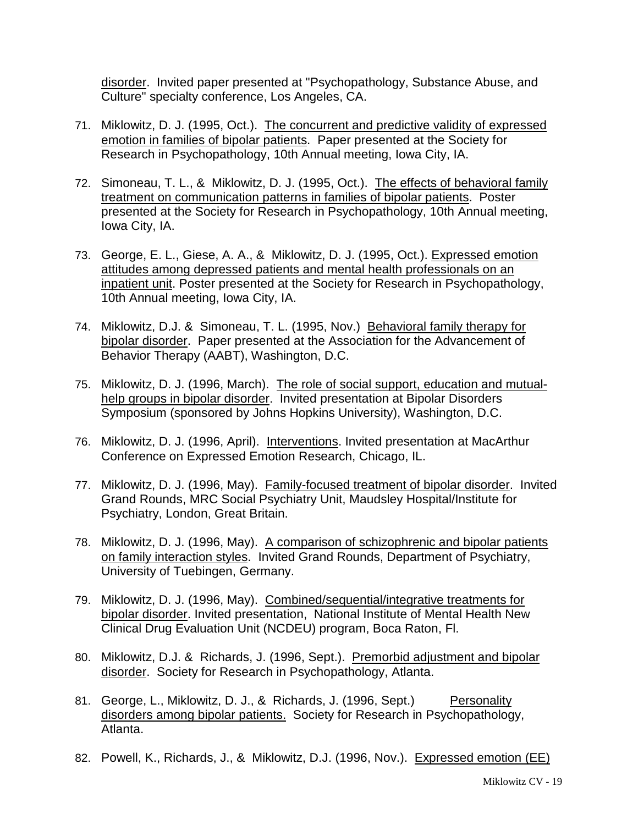disorder. Invited paper presented at "Psychopathology, Substance Abuse, and Culture" specialty conference, Los Angeles, CA.

- 71. Miklowitz, D. J. (1995, Oct.). The concurrent and predictive validity of expressed emotion in families of bipolar patients. Paper presented at the Society for Research in Psychopathology, 10th Annual meeting, Iowa City, IA.
- 72. Simoneau, T. L., & Miklowitz, D. J. (1995, Oct.). The effects of behavioral family treatment on communication patterns in families of bipolar patients. Poster presented at the Society for Research in Psychopathology, 10th Annual meeting, Iowa City, IA.
- 73. George, E. L., Giese, A. A., & Miklowitz, D. J. (1995, Oct.). Expressed emotion attitudes among depressed patients and mental health professionals on an inpatient unit. Poster presented at the Society for Research in Psychopathology, 10th Annual meeting, Iowa City, IA.
- 74. Miklowitz, D.J. & Simoneau, T. L. (1995, Nov.) Behavioral family therapy for bipolar disorder. Paper presented at the Association for the Advancement of Behavior Therapy (AABT), Washington, D.C.
- 75. Miklowitz, D. J. (1996, March). The role of social support, education and mutualhelp groups in bipolar disorder. Invited presentation at Bipolar Disorders Symposium (sponsored by Johns Hopkins University), Washington, D.C.
- 76. Miklowitz, D. J. (1996, April). Interventions. Invited presentation at MacArthur Conference on Expressed Emotion Research, Chicago, IL.
- 77. Miklowitz, D. J. (1996, May). Family-focused treatment of bipolar disorder. Invited Grand Rounds, MRC Social Psychiatry Unit, Maudsley Hospital/Institute for Psychiatry, London, Great Britain.
- 78. Miklowitz, D. J. (1996, May). A comparison of schizophrenic and bipolar patients on family interaction styles. Invited Grand Rounds, Department of Psychiatry, University of Tuebingen, Germany.
- 79. Miklowitz, D. J. (1996, May). Combined/sequential/integrative treatments for bipolar disorder. Invited presentation, National Institute of Mental Health New Clinical Drug Evaluation Unit (NCDEU) program, Boca Raton, Fl.
- 80. Miklowitz, D.J. & Richards, J. (1996, Sept.). Premorbid adjustment and bipolar disorder. Society for Research in Psychopathology, Atlanta.
- 81. George, L., Miklowitz, D. J., & Richards, J. (1996, Sept.) Personality disorders among bipolar patients. Society for Research in Psychopathology, Atlanta.
- 82. Powell, K., Richards, J., & Miklowitz, D.J. (1996, Nov.). Expressed emotion (EE)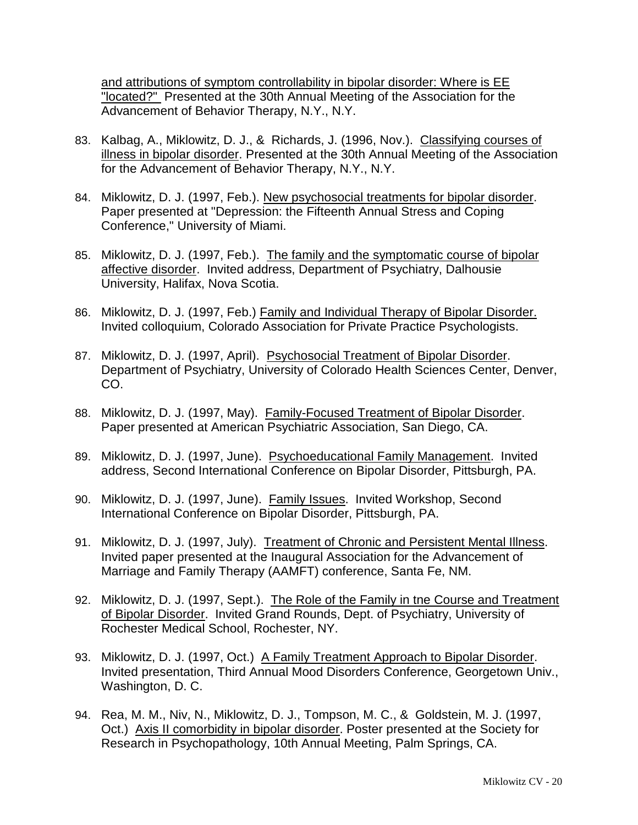and attributions of symptom controllability in bipolar disorder: Where is EE "located?" Presented at the 30th Annual Meeting of the Association for the Advancement of Behavior Therapy, N.Y., N.Y.

- 83. Kalbag, A., Miklowitz, D. J., & Richards, J. (1996, Nov.). Classifying courses of illness in bipolar disorder. Presented at the 30th Annual Meeting of the Association for the Advancement of Behavior Therapy, N.Y., N.Y.
- 84. Miklowitz, D. J. (1997, Feb.). New psychosocial treatments for bipolar disorder. Paper presented at "Depression: the Fifteenth Annual Stress and Coping Conference," University of Miami.
- 85. Miklowitz, D. J. (1997, Feb.). The family and the symptomatic course of bipolar affective disorder. Invited address, Department of Psychiatry, Dalhousie University, Halifax, Nova Scotia.
- 86. Miklowitz, D. J. (1997, Feb.) Family and Individual Therapy of Bipolar Disorder. Invited colloquium, Colorado Association for Private Practice Psychologists.
- 87. Miklowitz, D. J. (1997, April). Psychosocial Treatment of Bipolar Disorder. Department of Psychiatry, University of Colorado Health Sciences Center, Denver, CO.
- 88. Miklowitz, D. J. (1997, May). Family-Focused Treatment of Bipolar Disorder. Paper presented at American Psychiatric Association, San Diego, CA.
- 89. Miklowitz, D. J. (1997, June). Psychoeducational Family Management. Invited address, Second International Conference on Bipolar Disorder, Pittsburgh, PA.
- 90. Miklowitz, D. J. (1997, June). Family Issues. Invited Workshop, Second International Conference on Bipolar Disorder, Pittsburgh, PA.
- 91. Miklowitz, D. J. (1997, July). Treatment of Chronic and Persistent Mental Illness. Invited paper presented at the Inaugural Association for the Advancement of Marriage and Family Therapy (AAMFT) conference, Santa Fe, NM.
- 92. Miklowitz, D. J. (1997, Sept.). The Role of the Family in tne Course and Treatment of Bipolar Disorder. Invited Grand Rounds, Dept. of Psychiatry, University of Rochester Medical School, Rochester, NY.
- 93. Miklowitz, D. J. (1997, Oct.) A Family Treatment Approach to Bipolar Disorder. Invited presentation, Third Annual Mood Disorders Conference, Georgetown Univ., Washington, D. C.
- 94. Rea, M. M., Niv, N., Miklowitz, D. J., Tompson, M. C., & Goldstein, M. J. (1997, Oct.) Axis II comorbidity in bipolar disorder. Poster presented at the Society for Research in Psychopathology, 10th Annual Meeting, Palm Springs, CA.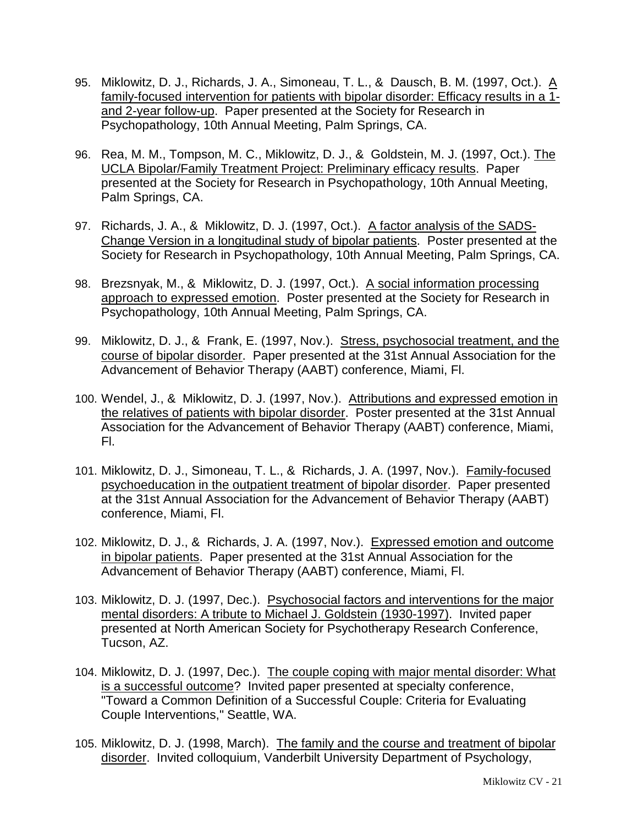- 95. Miklowitz, D. J., Richards, J. A., Simoneau, T. L., & Dausch, B. M. (1997, Oct.). A family-focused intervention for patients with bipolar disorder: Efficacy results in a 1 and 2-year follow-up. Paper presented at the Society for Research in Psychopathology, 10th Annual Meeting, Palm Springs, CA.
- 96. Rea, M. M., Tompson, M. C., Miklowitz, D. J., & Goldstein, M. J. (1997, Oct.). The UCLA Bipolar/Family Treatment Project: Preliminary efficacy results. Paper presented at the Society for Research in Psychopathology, 10th Annual Meeting, Palm Springs, CA.
- 97. Richards, J. A., & Miklowitz, D. J. (1997, Oct.). A factor analysis of the SADS-Change Version in a longitudinal study of bipolar patients. Poster presented at the Society for Research in Psychopathology, 10th Annual Meeting, Palm Springs, CA.
- 98. Brezsnyak, M., & Miklowitz, D. J. (1997, Oct.). A social information processing approach to expressed emotion. Poster presented at the Society for Research in Psychopathology, 10th Annual Meeting, Palm Springs, CA.
- 99. Miklowitz, D. J., & Frank, E. (1997, Nov.). Stress, psychosocial treatment, and the course of bipolar disorder. Paper presented at the 31st Annual Association for the Advancement of Behavior Therapy (AABT) conference, Miami, Fl.
- 100. Wendel, J., & Miklowitz, D. J. (1997, Nov.). Attributions and expressed emotion in the relatives of patients with bipolar disorder. Poster presented at the 31st Annual Association for the Advancement of Behavior Therapy (AABT) conference, Miami, Fl.
- 101. Miklowitz, D. J., Simoneau, T. L., & Richards, J. A. (1997, Nov.). Family-focused psychoeducation in the outpatient treatment of bipolar disorder. Paper presented at the 31st Annual Association for the Advancement of Behavior Therapy (AABT) conference, Miami, Fl.
- 102. Miklowitz, D. J., & Richards, J. A. (1997, Nov.). Expressed emotion and outcome in bipolar patients. Paper presented at the 31st Annual Association for the Advancement of Behavior Therapy (AABT) conference, Miami, Fl.
- 103. Miklowitz, D. J. (1997, Dec.). Psychosocial factors and interventions for the major mental disorders: A tribute to Michael J. Goldstein (1930-1997). Invited paper presented at North American Society for Psychotherapy Research Conference, Tucson, AZ.
- 104. Miklowitz, D. J. (1997, Dec.). The couple coping with major mental disorder: What is a successful outcome? Invited paper presented at specialty conference, "Toward a Common Definition of a Successful Couple: Criteria for Evaluating Couple Interventions," Seattle, WA.
- 105. Miklowitz, D. J. (1998, March). The family and the course and treatment of bipolar disorder. Invited colloquium, Vanderbilt University Department of Psychology,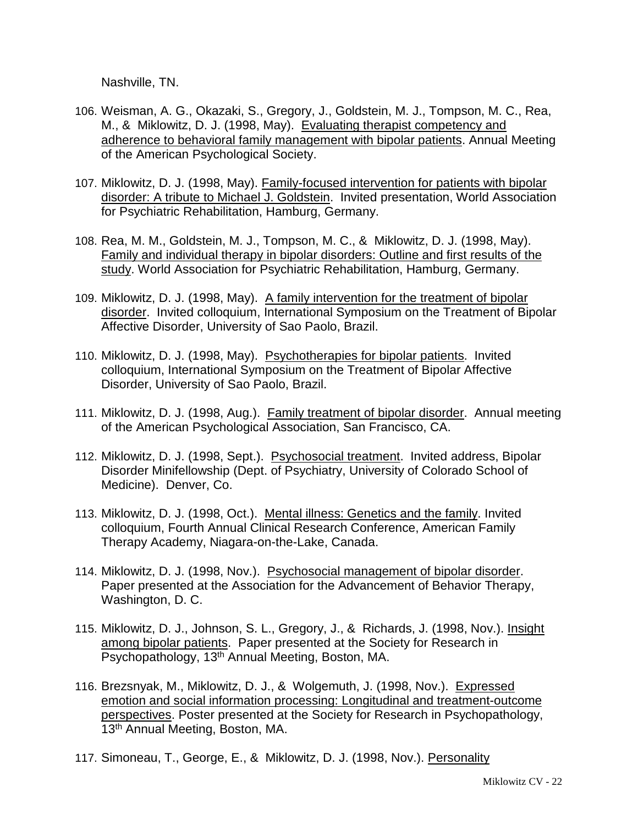Nashville, TN.

- 106. Weisman, A. G., Okazaki, S., Gregory, J., Goldstein, M. J., Tompson, M. C., Rea, M., & Miklowitz, D. J. (1998, May). Evaluating therapist competency and adherence to behavioral family management with bipolar patients. Annual Meeting of the American Psychological Society.
- 107. Miklowitz, D. J. (1998, May). Family-focused intervention for patients with bipolar disorder: A tribute to Michael J. Goldstein. Invited presentation, World Association for Psychiatric Rehabilitation, Hamburg, Germany.
- 108. Rea, M. M., Goldstein, M. J., Tompson, M. C., & Miklowitz, D. J. (1998, May). Family and individual therapy in bipolar disorders: Outline and first results of the study. World Association for Psychiatric Rehabilitation, Hamburg, Germany.
- 109. Miklowitz, D. J. (1998, May). A family intervention for the treatment of bipolar disorder. Invited colloquium, International Symposium on the Treatment of Bipolar Affective Disorder, University of Sao Paolo, Brazil.
- 110. Miklowitz, D. J. (1998, May). Psychotherapies for bipolar patients. Invited colloquium, International Symposium on the Treatment of Bipolar Affective Disorder, University of Sao Paolo, Brazil.
- 111. Miklowitz, D. J. (1998, Aug.). Family treatment of bipolar disorder. Annual meeting of the American Psychological Association, San Francisco, CA.
- 112. Miklowitz, D. J. (1998, Sept.). Psychosocial treatment. Invited address, Bipolar Disorder Minifellowship (Dept. of Psychiatry, University of Colorado School of Medicine). Denver, Co.
- 113. Miklowitz, D. J. (1998, Oct.). Mental illness: Genetics and the family. Invited colloquium, Fourth Annual Clinical Research Conference, American Family Therapy Academy, Niagara-on-the-Lake, Canada.
- 114. Miklowitz, D. J. (1998, Nov.). Psychosocial management of bipolar disorder. Paper presented at the Association for the Advancement of Behavior Therapy, Washington, D. C.
- 115. Miklowitz, D. J., Johnson, S. L., Gregory, J., & Richards, J. (1998, Nov.). Insight among bipolar patients. Paper presented at the Society for Research in Psychopathology, 13<sup>th</sup> Annual Meeting, Boston, MA.
- 116. Brezsnyak, M., Miklowitz, D. J., & Wolgemuth, J. (1998, Nov.). Expressed emotion and social information processing: Longitudinal and treatment-outcome perspectives. Poster presented at the Society for Research in Psychopathology, 13<sup>th</sup> Annual Meeting, Boston, MA.
- 117. Simoneau, T., George, E., & Miklowitz, D. J. (1998, Nov.). Personality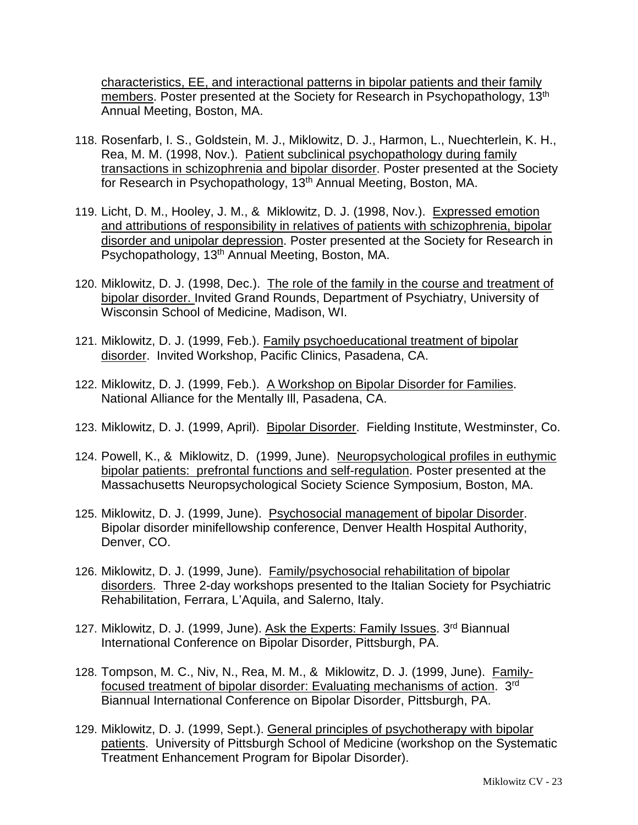characteristics, EE, and interactional patterns in bipolar patients and their family members. Poster presented at the Society for Research in Psychopathology, 13<sup>th</sup> Annual Meeting, Boston, MA.

- 118. Rosenfarb, I. S., Goldstein, M. J., Miklowitz, D. J., Harmon, L., Nuechterlein, K. H., Rea, M. M. (1998, Nov.). Patient subclinical psychopathology during family transactions in schizophrenia and bipolar disorder. Poster presented at the Society for Research in Psychopathology, 13<sup>th</sup> Annual Meeting, Boston, MA.
- 119. Licht, D. M., Hooley, J. M., & Miklowitz, D. J. (1998, Nov.). Expressed emotion and attributions of responsibility in relatives of patients with schizophrenia, bipolar disorder and unipolar depression. Poster presented at the Society for Research in Psychopathology, 13th Annual Meeting, Boston, MA.
- 120. Miklowitz, D. J. (1998, Dec.). The role of the family in the course and treatment of bipolar disorder. Invited Grand Rounds, Department of Psychiatry, University of Wisconsin School of Medicine, Madison, WI.
- 121. Miklowitz, D. J. (1999, Feb.). Family psychoeducational treatment of bipolar disorder. Invited Workshop, Pacific Clinics, Pasadena, CA.
- 122. Miklowitz, D. J. (1999, Feb.). A Workshop on Bipolar Disorder for Families. National Alliance for the Mentally Ill, Pasadena, CA.
- 123. Miklowitz, D. J. (1999, April). Bipolar Disorder. Fielding Institute, Westminster, Co.
- 124. Powell, K., & Miklowitz, D. (1999, June). Neuropsychological profiles in euthymic bipolar patients: prefrontal functions and self-regulation. Poster presented at the Massachusetts Neuropsychological Society Science Symposium, Boston, MA.
- 125. Miklowitz, D. J. (1999, June). Psychosocial management of bipolar Disorder. Bipolar disorder minifellowship conference, Denver Health Hospital Authority, Denver, CO.
- 126. Miklowitz, D. J. (1999, June). Family/psychosocial rehabilitation of bipolar disorders. Three 2-day workshops presented to the Italian Society for Psychiatric Rehabilitation, Ferrara, L'Aquila, and Salerno, Italy.
- 127. Miklowitz, D. J. (1999, June). Ask the Experts: Family Issues. 3rd Biannual International Conference on Bipolar Disorder, Pittsburgh, PA.
- 128. Tompson, M. C., Niv, N., Rea, M. M., & Miklowitz, D. J. (1999, June). Familyfocused treatment of bipolar disorder: Evaluating mechanisms of action. 3rd Biannual International Conference on Bipolar Disorder, Pittsburgh, PA.
- 129. Miklowitz, D. J. (1999, Sept.). General principles of psychotherapy with bipolar patients. University of Pittsburgh School of Medicine (workshop on the Systematic Treatment Enhancement Program for Bipolar Disorder).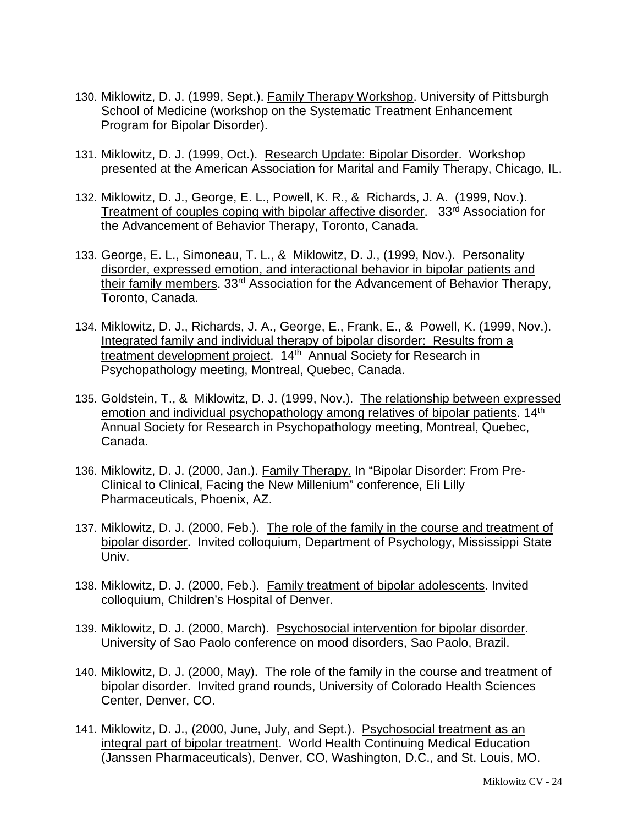- 130. Miklowitz, D. J. (1999, Sept.). Family Therapy Workshop. University of Pittsburgh School of Medicine (workshop on the Systematic Treatment Enhancement Program for Bipolar Disorder).
- 131. Miklowitz, D. J. (1999, Oct.). Research Update: Bipolar Disorder. Workshop presented at the American Association for Marital and Family Therapy, Chicago, IL.
- 132. Miklowitz, D. J., George, E. L., Powell, K. R., & Richards, J. A. (1999, Nov.). Treatment of couples coping with bipolar affective disorder. 33rd Association for the Advancement of Behavior Therapy, Toronto, Canada.
- 133. George, E. L., Simoneau, T. L., & Miklowitz, D. J., (1999, Nov.). Personality disorder, expressed emotion, and interactional behavior in bipolar patients and their family members. 33rd Association for the Advancement of Behavior Therapy, Toronto, Canada.
- 134. Miklowitz, D. J., Richards, J. A., George, E., Frank, E., & Powell, K. (1999, Nov.). Integrated family and individual therapy of bipolar disorder: Results from a treatment development project. 14<sup>th</sup> Annual Society for Research in Psychopathology meeting, Montreal, Quebec, Canada.
- 135. Goldstein, T., & Miklowitz, D. J. (1999, Nov.). The relationship between expressed emotion and individual psychopathology among relatives of bipolar patients. 14<sup>th</sup> Annual Society for Research in Psychopathology meeting, Montreal, Quebec, Canada.
- 136. Miklowitz, D. J. (2000, Jan.). Family Therapy. In "Bipolar Disorder: From Pre-Clinical to Clinical, Facing the New Millenium" conference, Eli Lilly Pharmaceuticals, Phoenix, AZ.
- 137. Miklowitz, D. J. (2000, Feb.). The role of the family in the course and treatment of bipolar disorder. Invited colloquium, Department of Psychology, Mississippi State Univ.
- 138. Miklowitz, D. J. (2000, Feb.). Family treatment of bipolar adolescents. Invited colloquium, Children's Hospital of Denver.
- 139. Miklowitz, D. J. (2000, March). Psychosocial intervention for bipolar disorder. University of Sao Paolo conference on mood disorders, Sao Paolo, Brazil.
- 140. Miklowitz, D. J. (2000, May). The role of the family in the course and treatment of bipolar disorder. Invited grand rounds, University of Colorado Health Sciences Center, Denver, CO.
- 141. Miklowitz, D. J., (2000, June, July, and Sept.). Psychosocial treatment as an integral part of bipolar treatment. World Health Continuing Medical Education (Janssen Pharmaceuticals), Denver, CO, Washington, D.C., and St. Louis, MO.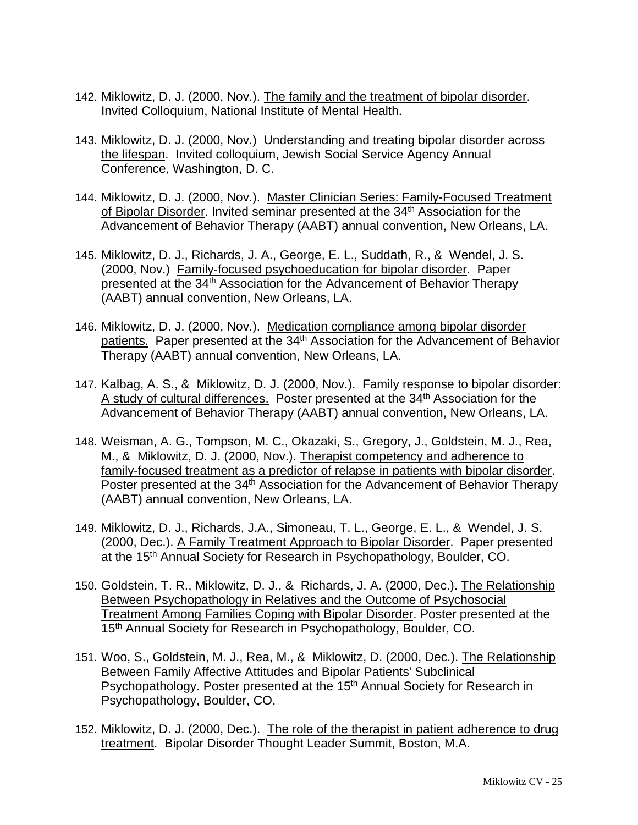- 142. Miklowitz, D. J. (2000, Nov.). The family and the treatment of bipolar disorder. Invited Colloquium, National Institute of Mental Health.
- 143. Miklowitz, D. J. (2000, Nov.) Understanding and treating bipolar disorder across the lifespan. Invited colloquium, Jewish Social Service Agency Annual Conference, Washington, D. C.
- 144. Miklowitz, D. J. (2000, Nov.). Master Clinician Series: Family-Focused Treatment of Bipolar Disorder. Invited seminar presented at the 34<sup>th</sup> Association for the Advancement of Behavior Therapy (AABT) annual convention, New Orleans, LA.
- 145. Miklowitz, D. J., Richards, J. A., George, E. L., Suddath, R., & Wendel, J. S. (2000, Nov.) Family-focused psychoeducation for bipolar disorder. Paper presented at the 34th Association for the Advancement of Behavior Therapy (AABT) annual convention, New Orleans, LA.
- 146. Miklowitz, D. J. (2000, Nov.). Medication compliance among bipolar disorder patients. Paper presented at the 34<sup>th</sup> Association for the Advancement of Behavior Therapy (AABT) annual convention, New Orleans, LA.
- 147. Kalbag, A. S., & Miklowitz, D. J. (2000, Nov.). Family response to bipolar disorder: A study of cultural differences. Poster presented at the 34<sup>th</sup> Association for the Advancement of Behavior Therapy (AABT) annual convention, New Orleans, LA.
- 148. Weisman, A. G., Tompson, M. C., Okazaki, S., Gregory, J., Goldstein, M. J., Rea, M., & Miklowitz, D. J. (2000, Nov.). Therapist competency and adherence to family-focused treatment as a predictor of relapse in patients with bipolar disorder. Poster presented at the 34<sup>th</sup> Association for the Advancement of Behavior Therapy (AABT) annual convention, New Orleans, LA.
- 149. Miklowitz, D. J., Richards, J.A., Simoneau, T. L., George, E. L., & Wendel, J. S. (2000, Dec.). A Family Treatment Approach to Bipolar Disorder. Paper presented at the 15th Annual Society for Research in Psychopathology, Boulder, CO.
- 150. Goldstein, T. R., Miklowitz, D. J., & Richards, J. A. (2000, Dec.). The Relationship Between Psychopathology in Relatives and the Outcome of Psychosocial Treatment Among Families Coping with Bipolar Disorder. Poster presented at the 15<sup>th</sup> Annual Society for Research in Psychopathology, Boulder, CO.
- 151. Woo, S., Goldstein, M. J., Rea, M., & Miklowitz, D. (2000, Dec.). The Relationship Between Family Affective Attitudes and Bipolar Patients' Subclinical Psychopathology. Poster presented at the 15<sup>th</sup> Annual Society for Research in Psychopathology, Boulder, CO.
- 152. Miklowitz, D. J. (2000, Dec.). The role of the therapist in patient adherence to drug treatment. Bipolar Disorder Thought Leader Summit, Boston, M.A.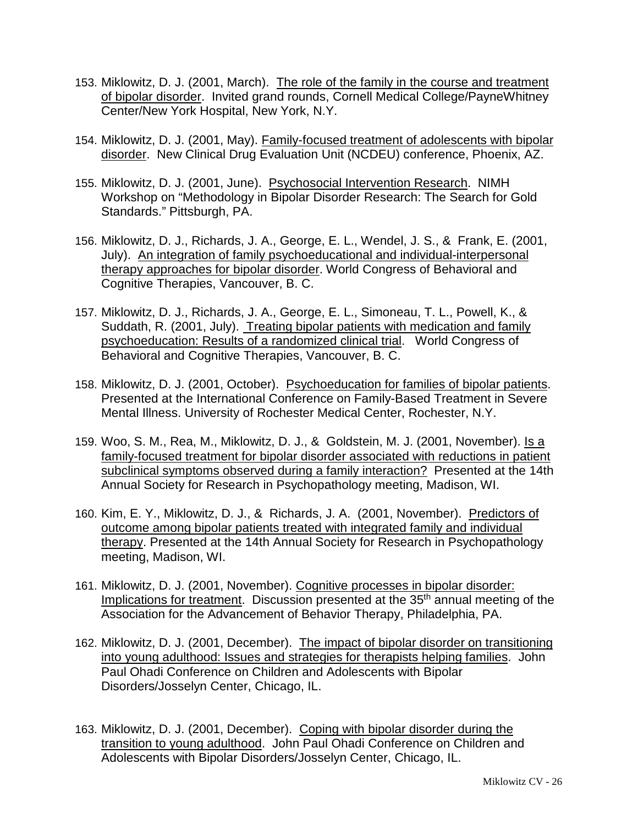- 153. Miklowitz, D. J. (2001, March). The role of the family in the course and treatment of bipolar disorder. Invited grand rounds, Cornell Medical College/PayneWhitney Center/New York Hospital, New York, N.Y.
- 154. Miklowitz, D. J. (2001, May). Family-focused treatment of adolescents with bipolar disorder. New Clinical Drug Evaluation Unit (NCDEU) conference, Phoenix, AZ.
- 155. Miklowitz, D. J. (2001, June). Psychosocial Intervention Research. NIMH Workshop on "Methodology in Bipolar Disorder Research: The Search for Gold Standards." Pittsburgh, PA.
- 156. Miklowitz, D. J., Richards, J. A., George, E. L., Wendel, J. S., & Frank, E. (2001, July). An integration of family psychoeducational and individual-interpersonal therapy approaches for bipolar disorder. World Congress of Behavioral and Cognitive Therapies, Vancouver, B. C.
- 157. Miklowitz, D. J., Richards, J. A., George, E. L., Simoneau, T. L., Powell, K., & Suddath, R. (2001, July). Treating bipolar patients with medication and family psychoeducation: Results of a randomized clinical trial. World Congress of Behavioral and Cognitive Therapies, Vancouver, B. C.
- 158. Miklowitz, D. J. (2001, October). Psychoeducation for families of bipolar patients. Presented at the International Conference on Family-Based Treatment in Severe Mental Illness. University of Rochester Medical Center, Rochester, N.Y.
- 159. Woo, S. M., Rea, M., Miklowitz, D. J., & Goldstein, M. J. (2001, November). Is a family-focused treatment for bipolar disorder associated with reductions in patient subclinical symptoms observed during a family interaction? Presented at the 14th Annual Society for Research in Psychopathology meeting, Madison, WI.
- 160. Kim, E. Y., Miklowitz, D. J., & Richards, J. A. (2001, November). Predictors of outcome among bipolar patients treated with integrated family and individual therapy. Presented at the 14th Annual Society for Research in Psychopathology meeting, Madison, WI.
- 161. Miklowitz, D. J. (2001, November). Cognitive processes in bipolar disorder: Implications for treatment. Discussion presented at the 35<sup>th</sup> annual meeting of the Association for the Advancement of Behavior Therapy, Philadelphia, PA.
- 162. Miklowitz, D. J. (2001, December). The impact of bipolar disorder on transitioning into young adulthood: Issues and strategies for therapists helping families. John Paul Ohadi Conference on Children and Adolescents with Bipolar Disorders/Josselyn Center, Chicago, IL.
- 163. Miklowitz, D. J. (2001, December). Coping with bipolar disorder during the transition to young adulthood. John Paul Ohadi Conference on Children and Adolescents with Bipolar Disorders/Josselyn Center, Chicago, IL.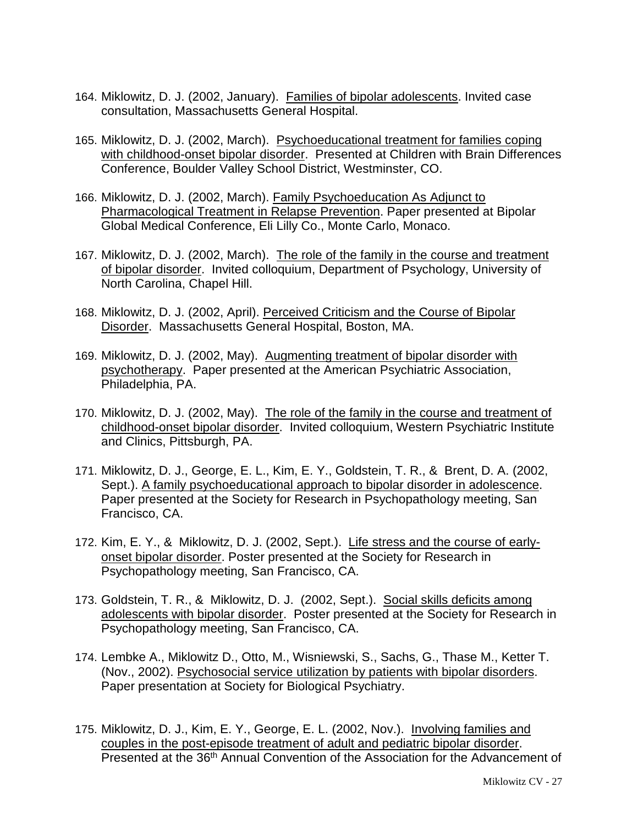- 164. Miklowitz, D. J. (2002, January). Families of bipolar adolescents. Invited case consultation, Massachusetts General Hospital.
- 165. Miklowitz, D. J. (2002, March). Psychoeducational treatment for families coping with childhood-onset bipolar disorder. Presented at Children with Brain Differences Conference, Boulder Valley School District, Westminster, CO.
- 166. Miklowitz, D. J. (2002, March). Family Psychoeducation As Adjunct to Pharmacological Treatment in Relapse Prevention. Paper presented at Bipolar Global Medical Conference, Eli Lilly Co., Monte Carlo, Monaco.
- 167. Miklowitz, D. J. (2002, March). The role of the family in the course and treatment of bipolar disorder. Invited colloquium, Department of Psychology, University of North Carolina, Chapel Hill.
- 168. Miklowitz, D. J. (2002, April). Perceived Criticism and the Course of Bipolar Disorder. Massachusetts General Hospital, Boston, MA.
- 169. Miklowitz, D. J. (2002, May). Augmenting treatment of bipolar disorder with psychotherapy. Paper presented at the American Psychiatric Association, Philadelphia, PA.
- 170. Miklowitz, D. J. (2002, May). The role of the family in the course and treatment of childhood-onset bipolar disorder. Invited colloquium, Western Psychiatric Institute and Clinics, Pittsburgh, PA.
- 171. Miklowitz, D. J., George, E. L., Kim, E. Y., Goldstein, T. R., & Brent, D. A. (2002, Sept.). A family psychoeducational approach to bipolar disorder in adolescence. Paper presented at the Society for Research in Psychopathology meeting, San Francisco, CA.
- 172. Kim, E. Y., & Miklowitz, D. J. (2002, Sept.). Life stress and the course of earlyonset bipolar disorder. Poster presented at the Society for Research in Psychopathology meeting, San Francisco, CA.
- 173. Goldstein, T. R., & Miklowitz, D. J. (2002, Sept.). Social skills deficits among adolescents with bipolar disorder. Poster presented at the Society for Research in Psychopathology meeting, San Francisco, CA.
- 174. Lembke A., Miklowitz D., Otto, M., Wisniewski, S., Sachs, G., Thase M., Ketter T. (Nov., 2002). Psychosocial service utilization by patients with bipolar disorders. Paper presentation at Society for Biological Psychiatry.
- 175. Miklowitz, D. J., Kim, E. Y., George, E. L. (2002, Nov.). Involving families and couples in the post-episode treatment of adult and pediatric bipolar disorder. Presented at the 36th Annual Convention of the Association for the Advancement of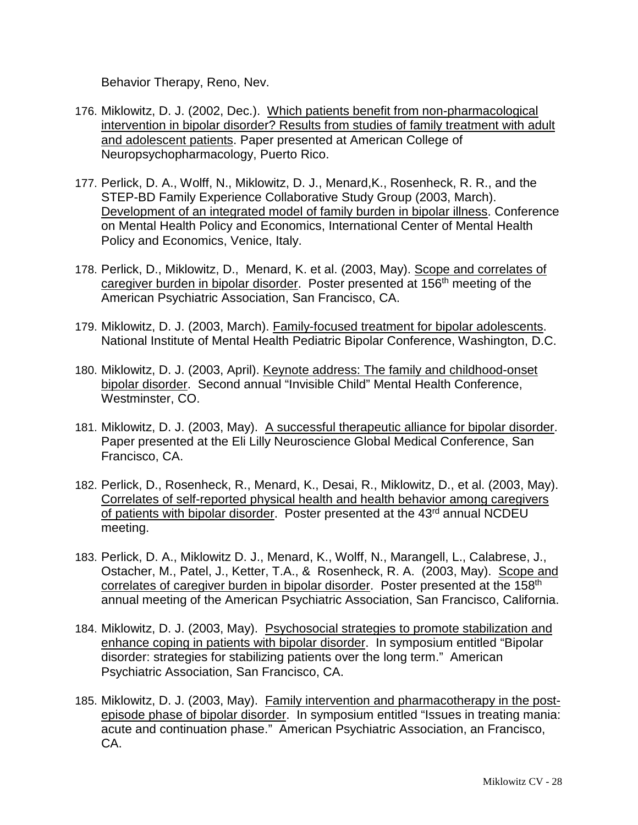Behavior Therapy, Reno, Nev.

- 176. Miklowitz, D. J. (2002, Dec.). Which patients benefit from non-pharmacological intervention in bipolar disorder? Results from studies of family treatment with adult and adolescent patients. Paper presented at American College of Neuropsychopharmacology, Puerto Rico.
- 177. Perlick, D. A., Wolff, N., Miklowitz, D. J., Menard,K., Rosenheck, R. R., and the STEP-BD Family Experience Collaborative Study Group (2003, March). Development of an integrated model of family burden in bipolar illness. Conference on Mental Health Policy and Economics, International Center of Mental Health Policy and Economics, Venice, Italy.
- 178. Perlick, D., Miklowitz, D., Menard, K. et al. (2003, May). Scope and correlates of caregiver burden in bipolar disorder. Poster presented at 156th meeting of the American Psychiatric Association, San Francisco, CA.
- 179. Miklowitz, D. J. (2003, March). Family-focused treatment for bipolar adolescents. National Institute of Mental Health Pediatric Bipolar Conference, Washington, D.C.
- 180. Miklowitz, D. J. (2003, April). Keynote address: The family and childhood-onset bipolar disorder. Second annual "Invisible Child" Mental Health Conference, Westminster, CO.
- 181. Miklowitz, D. J. (2003, May). A successful therapeutic alliance for bipolar disorder. Paper presented at the Eli Lilly Neuroscience Global Medical Conference, San Francisco, CA.
- 182. Perlick, D., Rosenheck, R., Menard, K., Desai, R., Miklowitz, D., et al. (2003, May). Correlates of self-reported physical health and health behavior among caregivers of patients with bipolar disorder. Poster presented at the 43<sup>rd</sup> annual NCDEU meeting.
- 183. Perlick, D. A., Miklowitz D. J., Menard, K., Wolff, N., Marangell, L., Calabrese, J., Ostacher, M., Patel, J., Ketter, T.A., & Rosenheck, R. A. (2003, May). Scope and correlates of caregiver burden in bipolar disorder. Poster presented at the 158<sup>th</sup> annual meeting of the American Psychiatric Association, San Francisco, California.
- 184. Miklowitz, D. J. (2003, May). Psychosocial strategies to promote stabilization and enhance coping in patients with bipolar disorder. In symposium entitled "Bipolar disorder: strategies for stabilizing patients over the long term." American Psychiatric Association, San Francisco, CA.
- 185. Miklowitz, D. J. (2003, May). Family intervention and pharmacotherapy in the postepisode phase of bipolar disorder. In symposium entitled "Issues in treating mania: acute and continuation phase." American Psychiatric Association, an Francisco, CA.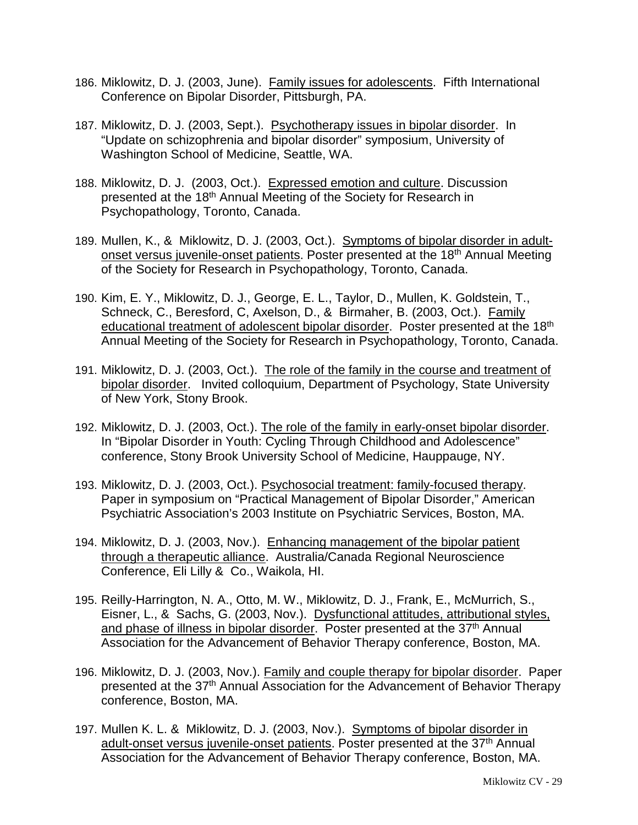- 186. Miklowitz, D. J. (2003, June). Family issues for adolescents. Fifth International Conference on Bipolar Disorder, Pittsburgh, PA.
- 187. Miklowitz, D. J. (2003, Sept.). Psychotherapy issues in bipolar disorder. In "Update on schizophrenia and bipolar disorder" symposium, University of Washington School of Medicine, Seattle, WA.
- 188. Miklowitz, D. J. (2003, Oct.). Expressed emotion and culture. Discussion presented at the 18<sup>th</sup> Annual Meeting of the Society for Research in Psychopathology, Toronto, Canada.
- 189. Mullen, K., & Miklowitz, D. J. (2003, Oct.). Symptoms of bipolar disorder in adultonset versus juvenile-onset patients. Poster presented at the 18<sup>th</sup> Annual Meeting of the Society for Research in Psychopathology, Toronto, Canada.
- 190. Kim, E. Y., Miklowitz, D. J., George, E. L., Taylor, D., Mullen, K. Goldstein, T., Schneck, C., Beresford, C, Axelson, D., & Birmaher, B. (2003, Oct.). Family educational treatment of adolescent bipolar disorder. Poster presented at the 18<sup>th</sup> Annual Meeting of the Society for Research in Psychopathology, Toronto, Canada.
- 191. Miklowitz, D. J. (2003, Oct.). The role of the family in the course and treatment of bipolar disorder. Invited colloquium, Department of Psychology, State University of New York, Stony Brook.
- 192. Miklowitz, D. J. (2003, Oct.). The role of the family in early-onset bipolar disorder. In "Bipolar Disorder in Youth: Cycling Through Childhood and Adolescence" conference, Stony Brook University School of Medicine, Hauppauge, NY.
- 193. Miklowitz, D. J. (2003, Oct.). Psychosocial treatment: family-focused therapy. Paper in symposium on "Practical Management of Bipolar Disorder," American Psychiatric Association's 2003 Institute on Psychiatric Services, Boston, MA.
- 194. Miklowitz, D. J. (2003, Nov.). Enhancing management of the bipolar patient through a therapeutic alliance. Australia/Canada Regional Neuroscience Conference, Eli Lilly & Co., Waikola, HI.
- 195. Reilly-Harrington, N. A., Otto, M. W., Miklowitz, D. J., Frank, E., McMurrich, S., Eisner, L., & Sachs, G. (2003, Nov.). Dysfunctional attitudes, attributional styles, and phase of illness in bipolar disorder. Poster presented at the 37<sup>th</sup> Annual Association for the Advancement of Behavior Therapy conference, Boston, MA.
- 196. Miklowitz, D. J. (2003, Nov.). Family and couple therapy for bipolar disorder. Paper presented at the 37th Annual Association for the Advancement of Behavior Therapy conference, Boston, MA.
- 197. Mullen K. L. & Miklowitz, D. J. (2003, Nov.). Symptoms of bipolar disorder in adult-onset versus juvenile-onset patients. Poster presented at the 37<sup>th</sup> Annual Association for the Advancement of Behavior Therapy conference, Boston, MA.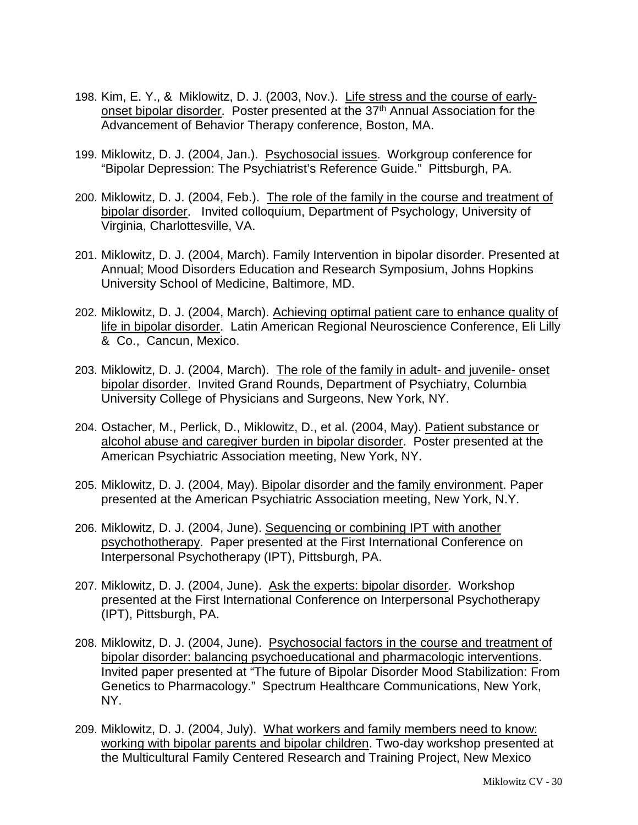- 198. Kim, E. Y., & Miklowitz, D. J. (2003, Nov.). Life stress and the course of earlyonset bipolar disorder. Poster presented at the 37<sup>th</sup> Annual Association for the Advancement of Behavior Therapy conference, Boston, MA.
- 199. Miklowitz, D. J. (2004, Jan.). Psychosocial issues. Workgroup conference for "Bipolar Depression: The Psychiatrist's Reference Guide." Pittsburgh, PA.
- 200. Miklowitz, D. J. (2004, Feb.). The role of the family in the course and treatment of bipolar disorder. Invited colloquium, Department of Psychology, University of Virginia, Charlottesville, VA.
- 201. Miklowitz, D. J. (2004, March). Family Intervention in bipolar disorder. Presented at Annual; Mood Disorders Education and Research Symposium, Johns Hopkins University School of Medicine, Baltimore, MD.
- 202. Miklowitz, D. J. (2004, March). Achieving optimal patient care to enhance quality of life in bipolar disorder. Latin American Regional Neuroscience Conference, Eli Lilly & Co., Cancun, Mexico.
- 203. Miklowitz, D. J. (2004, March). The role of the family in adult- and juvenile- onset bipolar disorder. Invited Grand Rounds, Department of Psychiatry, Columbia University College of Physicians and Surgeons, New York, NY.
- 204. Ostacher, M., Perlick, D., Miklowitz, D., et al. (2004, May). Patient substance or alcohol abuse and caregiver burden in bipolar disorder. Poster presented at the American Psychiatric Association meeting, New York, NY.
- 205. Miklowitz, D. J. (2004, May). Bipolar disorder and the family environment. Paper presented at the American Psychiatric Association meeting, New York, N.Y.
- 206. Miklowitz, D. J. (2004, June). Sequencing or combining IPT with another psychothotherapy. Paper presented at the First International Conference on Interpersonal Psychotherapy (IPT), Pittsburgh, PA.
- 207. Miklowitz, D. J. (2004, June). Ask the experts: bipolar disorder. Workshop presented at the First International Conference on Interpersonal Psychotherapy (IPT), Pittsburgh, PA.
- 208. Miklowitz, D. J. (2004, June). Psychosocial factors in the course and treatment of bipolar disorder: balancing psychoeducational and pharmacologic interventions. Invited paper presented at "The future of Bipolar Disorder Mood Stabilization: From Genetics to Pharmacology." Spectrum Healthcare Communications, New York, NY.
- 209. Miklowitz, D. J. (2004, July). What workers and family members need to know: working with bipolar parents and bipolar children. Two-day workshop presented at the Multicultural Family Centered Research and Training Project, New Mexico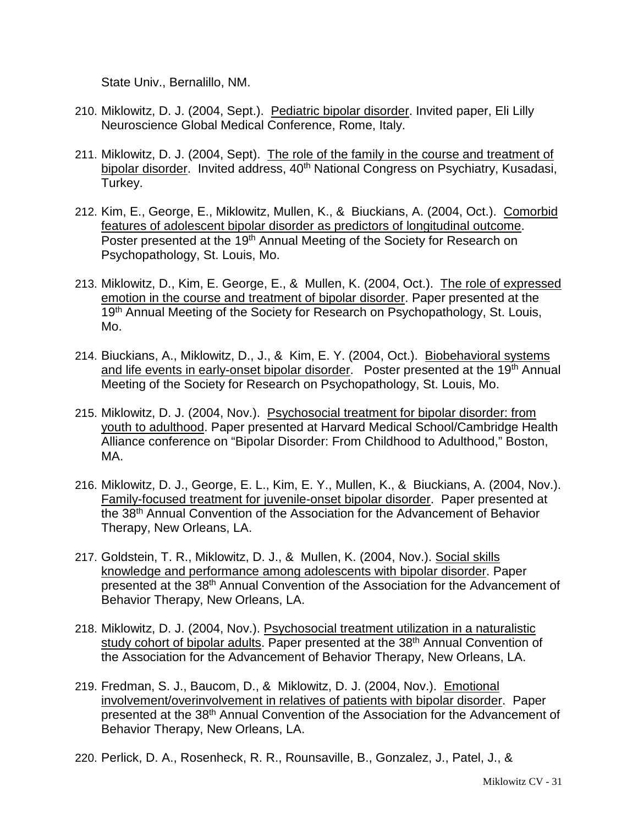State Univ., Bernalillo, NM.

- 210. Miklowitz, D. J. (2004, Sept.). Pediatric bipolar disorder. Invited paper, Eli Lilly Neuroscience Global Medical Conference, Rome, Italy.
- 211. Miklowitz, D. J. (2004, Sept). The role of the family in the course and treatment of bipolar disorder. Invited address, 40<sup>th</sup> National Congress on Psychiatry, Kusadasi, Turkey.
- 212. Kim, E., George, E., Miklowitz, Mullen, K., & Biuckians, A. (2004, Oct.). Comorbid features of adolescent bipolar disorder as predictors of longitudinal outcome. Poster presented at the 19<sup>th</sup> Annual Meeting of the Society for Research on Psychopathology, St. Louis, Mo.
- 213. Miklowitz, D., Kim, E. George, E., & Mullen, K. (2004, Oct.). The role of expressed emotion in the course and treatment of bipolar disorder. Paper presented at the 19<sup>th</sup> Annual Meeting of the Society for Research on Psychopathology, St. Louis, Mo.
- 214. Biuckians, A., Miklowitz, D., J., & Kim, E. Y. (2004, Oct.). Biobehavioral systems and life events in early-onset bipolar disorder. Poster presented at the 19<sup>th</sup> Annual Meeting of the Society for Research on Psychopathology, St. Louis, Mo.
- 215. Miklowitz, D. J. (2004, Nov.). Psychosocial treatment for bipolar disorder: from youth to adulthood. Paper presented at Harvard Medical School/Cambridge Health Alliance conference on "Bipolar Disorder: From Childhood to Adulthood," Boston, MA.
- 216. Miklowitz, D. J., George, E. L., Kim, E. Y., Mullen, K., & Biuckians, A. (2004, Nov.). Family-focused treatment for juvenile-onset bipolar disorder. Paper presented at the 38th Annual Convention of the Association for the Advancement of Behavior Therapy, New Orleans, LA.
- 217. Goldstein, T. R., Miklowitz, D. J., & Mullen, K. (2004, Nov.). Social skills knowledge and performance among adolescents with bipolar disorder. Paper presented at the 38th Annual Convention of the Association for the Advancement of Behavior Therapy, New Orleans, LA.
- 218. Miklowitz, D. J. (2004, Nov.). Psychosocial treatment utilization in a naturalistic study cohort of bipolar adults. Paper presented at the 38<sup>th</sup> Annual Convention of the Association for the Advancement of Behavior Therapy, New Orleans, LA.
- 219. Fredman, S. J., Baucom, D., & Miklowitz, D. J. (2004, Nov.). Emotional involvement/overinvolvement in relatives of patients with bipolar disorder. Paper presented at the 38th Annual Convention of the Association for the Advancement of Behavior Therapy, New Orleans, LA.
- 220. Perlick, D. A., Rosenheck, R. R., Rounsaville, B., Gonzalez, J., Patel, J., &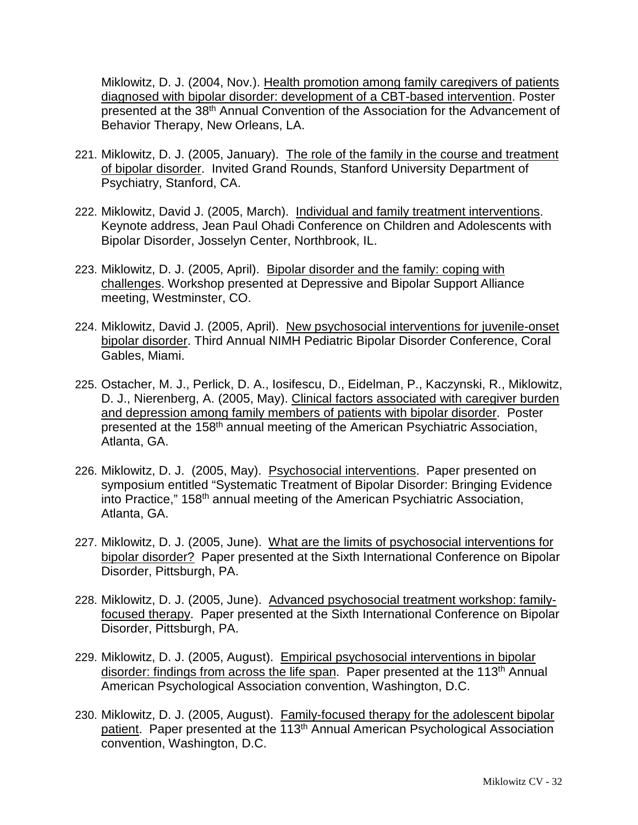Miklowitz, D. J. (2004, Nov.). Health promotion among family caregivers of patients diagnosed with bipolar disorder: development of a CBT-based intervention. Poster presented at the 38th Annual Convention of the Association for the Advancement of Behavior Therapy, New Orleans, LA.

- 221. Miklowitz, D. J. (2005, January). The role of the family in the course and treatment of bipolar disorder. Invited Grand Rounds, Stanford University Department of Psychiatry, Stanford, CA.
- 222. Miklowitz, David J. (2005, March). Individual and family treatment interventions. Keynote address, Jean Paul Ohadi Conference on Children and Adolescents with Bipolar Disorder, Josselyn Center, Northbrook, IL.
- 223. Miklowitz, D. J. (2005, April). Bipolar disorder and the family: coping with challenges. Workshop presented at Depressive and Bipolar Support Alliance meeting, Westminster, CO.
- 224. Miklowitz, David J. (2005, April). New psychosocial interventions for juvenile-onset bipolar disorder. Third Annual NIMH Pediatric Bipolar Disorder Conference, Coral Gables, Miami.
- 225. Ostacher, M. J., Perlick, D. A., Iosifescu, D., Eidelman, P., Kaczynski, R., Miklowitz, D. J., Nierenberg, A. (2005, May). Clinical factors associated with caregiver burden and depression among family members of patients with bipolar disorder. Poster presented at the 158th annual meeting of the American Psychiatric Association, Atlanta, GA.
- 226. Miklowitz, D. J. (2005, May). Psychosocial interventions. Paper presented on symposium entitled "Systematic Treatment of Bipolar Disorder: Bringing Evidence into Practice," 158th annual meeting of the American Psychiatric Association, Atlanta, GA.
- 227. Miklowitz, D. J. (2005, June). What are the limits of psychosocial interventions for bipolar disorder? Paper presented at the Sixth International Conference on Bipolar Disorder, Pittsburgh, PA.
- 228. Miklowitz, D. J. (2005, June). Advanced psychosocial treatment workshop: familyfocused therapy. Paper presented at the Sixth International Conference on Bipolar Disorder, Pittsburgh, PA.
- 229. Miklowitz, D. J. (2005, August). Empirical psychosocial interventions in bipolar disorder: findings from across the life span. Paper presented at the 113<sup>th</sup> Annual American Psychological Association convention, Washington, D.C.
- 230. Miklowitz, D. J. (2005, August). Family-focused therapy for the adolescent bipolar patient. Paper presented at the 113th Annual American Psychological Association convention, Washington, D.C.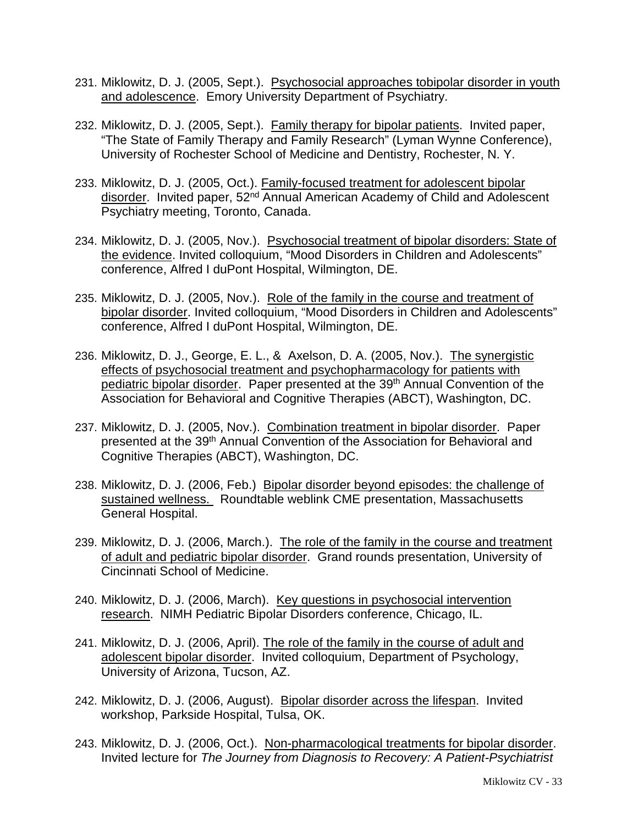- 231. Miklowitz, D. J. (2005, Sept.). Psychosocial approaches tobipolar disorder in youth and adolescence. Emory University Department of Psychiatry.
- 232. Miklowitz, D. J. (2005, Sept.). Family therapy for bipolar patients. Invited paper, "The State of Family Therapy and Family Research" (Lyman Wynne Conference), University of Rochester School of Medicine and Dentistry, Rochester, N. Y.
- 233. Miklowitz, D. J. (2005, Oct.). Family-focused treatment for adolescent bipolar disorder. Invited paper, 52<sup>nd</sup> Annual American Academy of Child and Adolescent Psychiatry meeting, Toronto, Canada.
- 234. Miklowitz, D. J. (2005, Nov.). Psychosocial treatment of bipolar disorders: State of the evidence. Invited colloquium, "Mood Disorders in Children and Adolescents" conference, Alfred I duPont Hospital, Wilmington, DE.
- 235. Miklowitz, D. J. (2005, Nov.). Role of the family in the course and treatment of bipolar disorder. Invited colloquium, "Mood Disorders in Children and Adolescents" conference, Alfred I duPont Hospital, Wilmington, DE.
- 236. Miklowitz, D. J., George, E. L., & Axelson, D. A. (2005, Nov.). The synergistic effects of psychosocial treatment and psychopharmacology for patients with pediatric bipolar disorder. Paper presented at the 39th Annual Convention of the Association for Behavioral and Cognitive Therapies (ABCT), Washington, DC.
- 237. Miklowitz, D. J. (2005, Nov.). Combination treatment in bipolar disorder. Paper presented at the 39<sup>th</sup> Annual Convention of the Association for Behavioral and Cognitive Therapies (ABCT), Washington, DC.
- 238. Miklowitz, D. J. (2006, Feb.) Bipolar disorder beyond episodes: the challenge of sustained wellness. Roundtable weblink CME presentation, Massachusetts General Hospital.
- 239. Miklowitz, D. J. (2006, March.). The role of the family in the course and treatment of adult and pediatric bipolar disorder. Grand rounds presentation, University of Cincinnati School of Medicine.
- 240. Miklowitz, D. J. (2006, March). Key questions in psychosocial intervention research. NIMH Pediatric Bipolar Disorders conference, Chicago, IL.
- 241. Miklowitz, D. J. (2006, April). The role of the family in the course of adult and adolescent bipolar disorder. Invited colloquium, Department of Psychology, University of Arizona, Tucson, AZ.
- 242. Miklowitz, D. J. (2006, August). Bipolar disorder across the lifespan. Invited workshop, Parkside Hospital, Tulsa, OK.
- 243. Miklowitz, D. J. (2006, Oct.). Non-pharmacological treatments for bipolar disorder. Invited lecture for *The Journey from Diagnosis to Recovery: A Patient-Psychiatrist*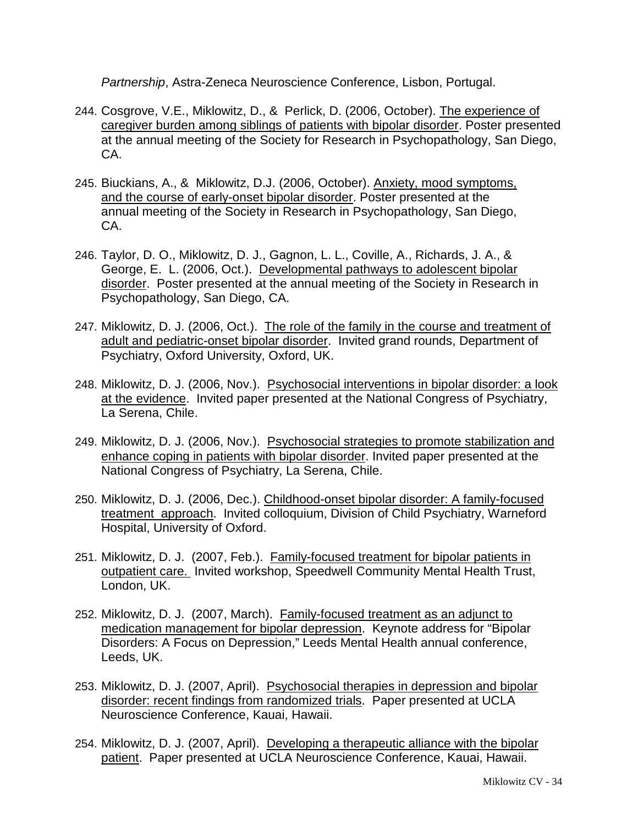*Partnership*, Astra-Zeneca Neuroscience Conference, Lisbon, Portugal.

- 244. Cosgrove, V.E., Miklowitz, D., & Perlick, D. (2006, October). The experience of caregiver burden among siblings of patients with bipolar disorder. Poster presented at the annual meeting of the Society for Research in Psychopathology, San Diego, CA.
- 245. Biuckians, A., & Miklowitz, D.J. (2006, October). Anxiety, mood symptoms, and the course of early-onset bipolar disorder. Poster presented at the annual meeting of the Society in Research in Psychopathology, San Diego, CA.
- 246. Taylor, D. O., Miklowitz, D. J., Gagnon, L. L., Coville, A., Richards, J. A., & George, E. L. (2006, Oct.). Developmental pathways to adolescent bipolar disorder. Poster presented at the annual meeting of the Society in Research in Psychopathology, San Diego, CA.
- 247. Miklowitz, D. J. (2006, Oct.). The role of the family in the course and treatment of adult and pediatric-onset bipolar disorder. Invited grand rounds, Department of Psychiatry, Oxford University, Oxford, UK.
- 248. Miklowitz, D. J. (2006, Nov.). Psychosocial interventions in bipolar disorder: a look at the evidence. Invited paper presented at the National Congress of Psychiatry, La Serena, Chile.
- 249. Miklowitz, D. J. (2006, Nov.). Psychosocial strategies to promote stabilization and enhance coping in patients with bipolar disorder. Invited paper presented at the National Congress of Psychiatry, La Serena, Chile.
- 250. Miklowitz, D. J. (2006, Dec.). Childhood-onset bipolar disorder: A family-focused treatment approach. Invited colloquium, Division of Child Psychiatry, Warneford Hospital, University of Oxford.
- 251. Miklowitz, D. J. (2007, Feb.). Family-focused treatment for bipolar patients in outpatient care. Invited workshop, Speedwell Community Mental Health Trust, London, UK.
- 252. Miklowitz, D. J. (2007, March). Family-focused treatment as an adjunct to medication management for bipolar depression. Keynote address for "Bipolar Disorders: A Focus on Depression," Leeds Mental Health annual conference, Leeds, UK.
- 253. Miklowitz, D. J. (2007, April). Psychosocial therapies in depression and bipolar disorder: recent findings from randomized trials. Paper presented at UCLA Neuroscience Conference, Kauai, Hawaii.
- 254. Miklowitz, D. J. (2007, April). Developing a therapeutic alliance with the bipolar patient. Paper presented at UCLA Neuroscience Conference, Kauai, Hawaii.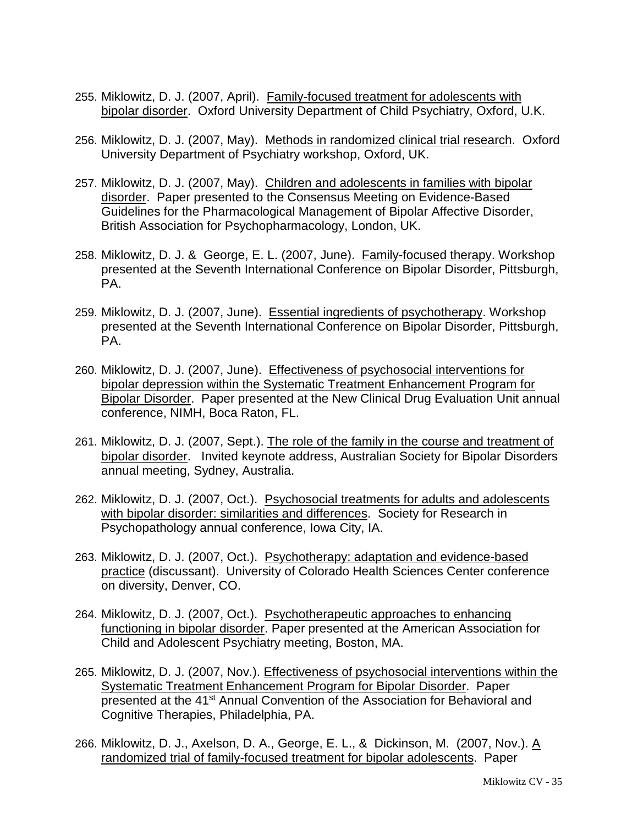- 255. Miklowitz, D. J. (2007, April). Family-focused treatment for adolescents with bipolar disorder. Oxford University Department of Child Psychiatry, Oxford, U.K.
- 256. Miklowitz, D. J. (2007, May). Methods in randomized clinical trial research. Oxford University Department of Psychiatry workshop, Oxford, UK.
- 257. Miklowitz, D. J. (2007, May). Children and adolescents in families with bipolar disorder. Paper presented to the Consensus Meeting on Evidence-Based Guidelines for the Pharmacological Management of Bipolar Affective Disorder, British Association for Psychopharmacology, London, UK.
- 258. Miklowitz, D. J. & George, E. L. (2007, June). Family-focused therapy. Workshop presented at the Seventh International Conference on Bipolar Disorder, Pittsburgh, PA.
- 259. Miklowitz, D. J. (2007, June). Essential ingredients of psychotherapy. Workshop presented at the Seventh International Conference on Bipolar Disorder, Pittsburgh, PA.
- 260. Miklowitz, D. J. (2007, June). Effectiveness of psychosocial interventions for bipolar depression within the Systematic Treatment Enhancement Program for Bipolar Disorder. Paper presented at the New Clinical Drug Evaluation Unit annual conference, NIMH, Boca Raton, FL.
- 261. Miklowitz, D. J. (2007, Sept.). The role of the family in the course and treatment of bipolar disorder. Invited keynote address, Australian Society for Bipolar Disorders annual meeting, Sydney, Australia.
- 262. Miklowitz, D. J. (2007, Oct.). Psychosocial treatments for adults and adolescents with bipolar disorder: similarities and differences. Society for Research in Psychopathology annual conference, Iowa City, IA.
- 263. Miklowitz, D. J. (2007, Oct.). Psychotherapy: adaptation and evidence-based practice (discussant). University of Colorado Health Sciences Center conference on diversity, Denver, CO.
- 264. Miklowitz, D. J. (2007, Oct.). Psychotherapeutic approaches to enhancing functioning in bipolar disorder. Paper presented at the American Association for Child and Adolescent Psychiatry meeting, Boston, MA.
- 265. Miklowitz, D. J. (2007, Nov.). Effectiveness of psychosocial interventions within the Systematic Treatment Enhancement Program for Bipolar Disorder. Paper presented at the 41st Annual Convention of the Association for Behavioral and Cognitive Therapies, Philadelphia, PA.
- 266. Miklowitz, D. J., Axelson, D. A., George, E. L., & Dickinson, M. (2007, Nov.). A randomized trial of family-focused treatment for bipolar adolescents. Paper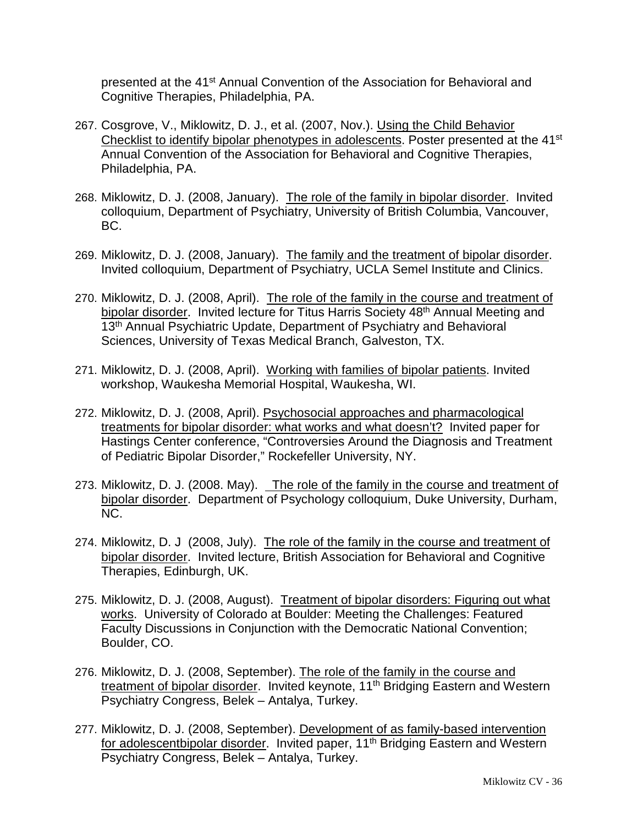presented at the 41<sup>st</sup> Annual Convention of the Association for Behavioral and Cognitive Therapies, Philadelphia, PA.

- 267. Cosgrove, V., Miklowitz, D. J., et al. (2007, Nov.). Using the Child Behavior Checklist to identify bipolar phenotypes in adolescents. Poster presented at the 41st Annual Convention of the Association for Behavioral and Cognitive Therapies, Philadelphia, PA.
- 268. Miklowitz, D. J. (2008, January). The role of the family in bipolar disorder. Invited colloquium, Department of Psychiatry, University of British Columbia, Vancouver, BC.
- 269. Miklowitz, D. J. (2008, January). The family and the treatment of bipolar disorder. Invited colloquium, Department of Psychiatry, UCLA Semel Institute and Clinics.
- 270. Miklowitz, D. J. (2008, April). The role of the family in the course and treatment of bipolar disorder. Invited lecture for Titus Harris Society 48<sup>th</sup> Annual Meeting and 13<sup>th</sup> Annual Psychiatric Update, Department of Psychiatry and Behavioral Sciences, University of Texas Medical Branch, Galveston, TX.
- 271. Miklowitz, D. J. (2008, April). Working with families of bipolar patients. Invited workshop, Waukesha Memorial Hospital, Waukesha, WI.
- 272. Miklowitz, D. J. (2008, April). Psychosocial approaches and pharmacological treatments for bipolar disorder: what works and what doesn't? Invited paper for Hastings Center conference, "Controversies Around the Diagnosis and Treatment of Pediatric Bipolar Disorder," Rockefeller University, NY.
- 273. Miklowitz, D. J. (2008. May). The role of the family in the course and treatment of bipolar disorder. Department of Psychology colloquium, Duke University, Durham, NC.
- 274. Miklowitz, D. J (2008, July). The role of the family in the course and treatment of bipolar disorder. Invited lecture, British Association for Behavioral and Cognitive Therapies, Edinburgh, UK.
- 275. Miklowitz, D. J. (2008, August). Treatment of bipolar disorders: Figuring out what works. University of Colorado at Boulder: Meeting the Challenges: Featured Faculty Discussions in Conjunction with the Democratic National Convention; Boulder, CO.
- 276. Miklowitz, D. J. (2008, September). The role of the family in the course and treatment of bipolar disorder. Invited keynote, 11<sup>th</sup> Bridging Eastern and Western Psychiatry Congress, Belek – Antalya, Turkey.
- 277. Miklowitz, D. J. (2008, September). Development of as family-based intervention for adolescentbipolar disorder. Invited paper, 11<sup>th</sup> Bridging Eastern and Western Psychiatry Congress, Belek – Antalya, Turkey.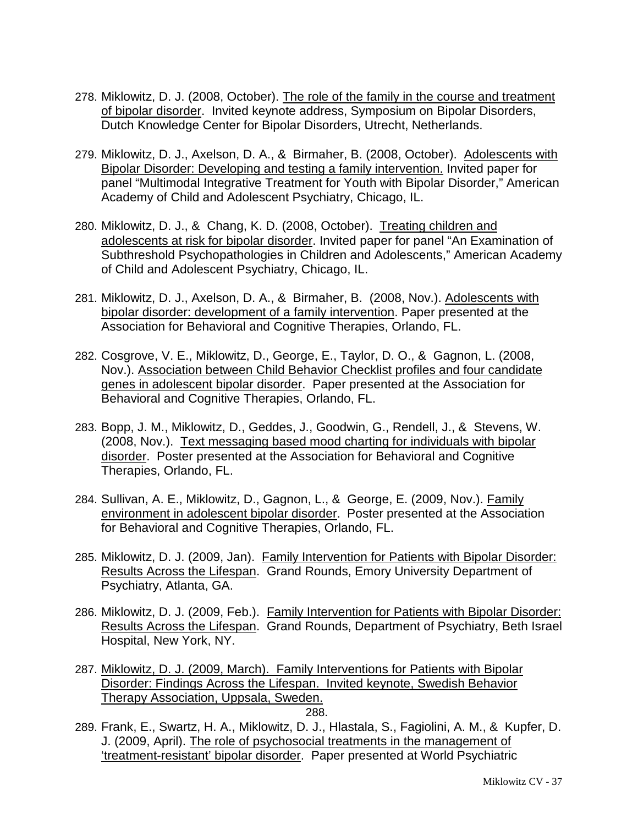- 278. Miklowitz, D. J. (2008, October). The role of the family in the course and treatment of bipolar disorder. Invited keynote address, Symposium on Bipolar Disorders, Dutch Knowledge Center for Bipolar Disorders, Utrecht, Netherlands.
- 279. Miklowitz, D. J., Axelson, D. A., & Birmaher, B. (2008, October). Adolescents with Bipolar Disorder: Developing and testing a family intervention. Invited paper for panel "Multimodal Integrative Treatment for Youth with Bipolar Disorder," American Academy of Child and Adolescent Psychiatry, Chicago, IL.
- 280. Miklowitz, D. J., & Chang, K. D. (2008, October). Treating children and adolescents at risk for bipolar disorder. Invited paper for panel "An Examination of Subthreshold Psychopathologies in Children and Adolescents," American Academy of Child and Adolescent Psychiatry, Chicago, IL.
- 281. Miklowitz, D. J., Axelson, D. A., & Birmaher, B. (2008, Nov.). Adolescents with bipolar disorder: development of a family intervention. Paper presented at the Association for Behavioral and Cognitive Therapies, Orlando, FL.
- 282. Cosgrove, V. E., Miklowitz, D., George, E., Taylor, D. O., & Gagnon, L. (2008, Nov.). Association between Child Behavior Checklist profiles and four candidate genes in adolescent bipolar disorder. Paper presented at the Association for Behavioral and Cognitive Therapies, Orlando, FL.
- 283. Bopp, J. M., Miklowitz, D., Geddes, J., Goodwin, G., Rendell, J., & Stevens, W. (2008, Nov.). Text messaging based mood charting for individuals with bipolar disorder. Poster presented at the Association for Behavioral and Cognitive Therapies, Orlando, FL.
- 284. Sullivan, A. E., Miklowitz, D., Gagnon, L., & George, E. (2009, Nov.). Family environment in adolescent bipolar disorder. Poster presented at the Association for Behavioral and Cognitive Therapies, Orlando, FL.
- 285. Miklowitz, D. J. (2009, Jan). Family Intervention for Patients with Bipolar Disorder: Results Across the Lifespan. Grand Rounds, Emory University Department of Psychiatry, Atlanta, GA.
- 286. Miklowitz, D. J. (2009, Feb.). Family Intervention for Patients with Bipolar Disorder: Results Across the Lifespan. Grand Rounds, Department of Psychiatry, Beth Israel Hospital, New York, NY.
- 287. Miklowitz, D. J. (2009, March). Family Interventions for Patients with Bipolar Disorder: Findings Across the Lifespan. Invited keynote, Swedish Behavior Therapy Association, Uppsala, Sweden. 288.
- 289. Frank, E., Swartz, H. A., Miklowitz, D. J., Hlastala, S., Fagiolini, A. M., & Kupfer, D. J. (2009, April). The role of psychosocial treatments in the management of 'treatment-resistant' bipolar disorder. Paper presented at World Psychiatric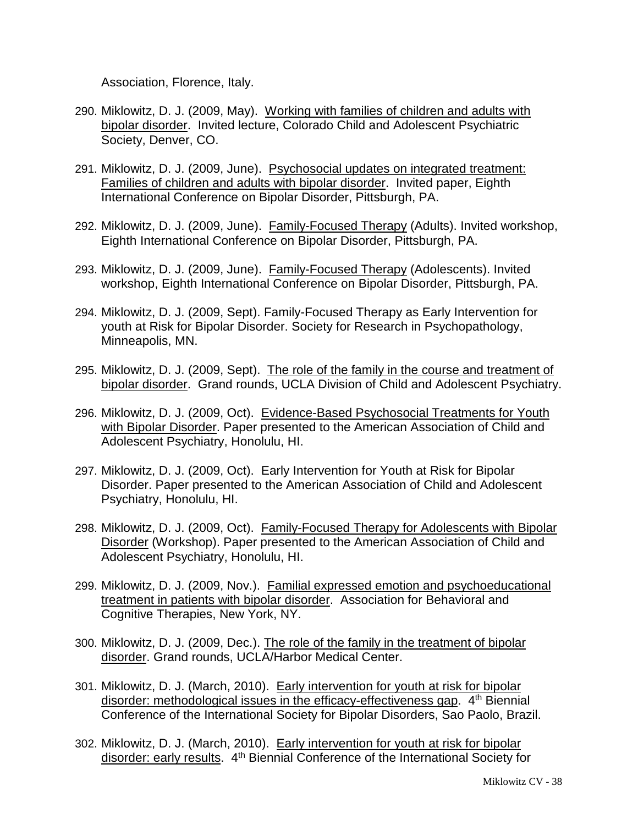Association, Florence, Italy.

- 290. Miklowitz, D. J. (2009, May). Working with families of children and adults with bipolar disorder. Invited lecture, Colorado Child and Adolescent Psychiatric Society, Denver, CO.
- 291. Miklowitz, D. J. (2009, June). Psychosocial updates on integrated treatment: Families of children and adults with bipolar disorder. Invited paper, Eighth International Conference on Bipolar Disorder, Pittsburgh, PA.
- 292. Miklowitz, D. J. (2009, June). Family-Focused Therapy (Adults). Invited workshop, Eighth International Conference on Bipolar Disorder, Pittsburgh, PA.
- 293. Miklowitz, D. J. (2009, June). Family-Focused Therapy (Adolescents). Invited workshop, Eighth International Conference on Bipolar Disorder, Pittsburgh, PA.
- 294. Miklowitz, D. J. (2009, Sept). Family-Focused Therapy as Early Intervention for youth at Risk for Bipolar Disorder. Society for Research in Psychopathology, Minneapolis, MN.
- 295. Miklowitz, D. J. (2009, Sept). The role of the family in the course and treatment of bipolar disorder. Grand rounds, UCLA Division of Child and Adolescent Psychiatry.
- 296. Miklowitz, D. J. (2009, Oct). Evidence-Based Psychosocial Treatments for Youth with Bipolar Disorder. Paper presented to the American Association of Child and Adolescent Psychiatry, Honolulu, HI.
- 297. Miklowitz, D. J. (2009, Oct). Early Intervention for Youth at Risk for Bipolar Disorder. Paper presented to the American Association of Child and Adolescent Psychiatry, Honolulu, HI.
- 298. Miklowitz, D. J. (2009, Oct). Family-Focused Therapy for Adolescents with Bipolar Disorder (Workshop). Paper presented to the American Association of Child and Adolescent Psychiatry, Honolulu, HI.
- 299. Miklowitz, D. J. (2009, Nov.). Familial expressed emotion and psychoeducational treatment in patients with bipolar disorder. Association for Behavioral and Cognitive Therapies, New York, NY.
- 300. Miklowitz, D. J. (2009, Dec.). The role of the family in the treatment of bipolar disorder. Grand rounds, UCLA/Harbor Medical Center.
- 301. Miklowitz, D. J. (March, 2010). Early intervention for youth at risk for bipolar disorder: methodological issues in the efficacy-effectiveness gap. 4<sup>th</sup> Biennial Conference of the International Society for Bipolar Disorders, Sao Paolo, Brazil.
- 302. Miklowitz, D. J. (March, 2010). Early intervention for youth at risk for bipolar disorder: early results. 4th Biennial Conference of the International Society for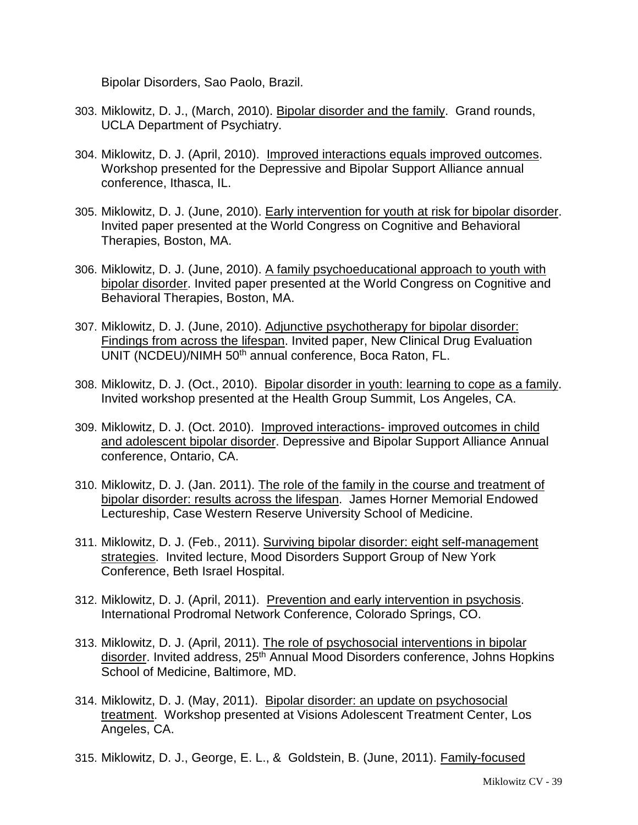Bipolar Disorders, Sao Paolo, Brazil.

- 303. Miklowitz, D. J., (March, 2010). Bipolar disorder and the family. Grand rounds, UCLA Department of Psychiatry.
- 304. Miklowitz, D. J. (April, 2010). Improved interactions equals improved outcomes. Workshop presented for the Depressive and Bipolar Support Alliance annual conference, Ithasca, IL.
- 305. Miklowitz, D. J. (June, 2010). Early intervention for youth at risk for bipolar disorder. Invited paper presented at the World Congress on Cognitive and Behavioral Therapies, Boston, MA.
- 306. Miklowitz, D. J. (June, 2010). A family psychoeducational approach to youth with bipolar disorder. Invited paper presented at the World Congress on Cognitive and Behavioral Therapies, Boston, MA.
- 307. Miklowitz, D. J. (June, 2010). Adjunctive psychotherapy for bipolar disorder: Findings from across the lifespan. Invited paper, New Clinical Drug Evaluation UNIT (NCDEU)/NIMH 50th annual conference, Boca Raton, FL.
- 308. Miklowitz, D. J. (Oct., 2010). Bipolar disorder in youth: learning to cope as a family. Invited workshop presented at the Health Group Summit, Los Angeles, CA.
- 309. Miklowitz, D. J. (Oct. 2010). Improved interactions- improved outcomes in child and adolescent bipolar disorder. Depressive and Bipolar Support Alliance Annual conference, Ontario, CA.
- 310. Miklowitz, D. J. (Jan. 2011). The role of the family in the course and treatment of bipolar disorder: results across the lifespan. James Horner Memorial Endowed Lectureship, Case Western Reserve University School of Medicine.
- 311. Miklowitz, D. J. (Feb., 2011). Surviving bipolar disorder: eight self-management strategies. Invited lecture, Mood Disorders Support Group of New York Conference, Beth Israel Hospital.
- 312. Miklowitz, D. J. (April, 2011). Prevention and early intervention in psychosis. International Prodromal Network Conference, Colorado Springs, CO.
- 313. Miklowitz, D. J. (April, 2011). The role of psychosocial interventions in bipolar disorder. Invited address, 25<sup>th</sup> Annual Mood Disorders conference, Johns Hopkins School of Medicine, Baltimore, MD.
- 314. Miklowitz, D. J. (May, 2011). Bipolar disorder: an update on psychosocial treatment. Workshop presented at Visions Adolescent Treatment Center, Los Angeles, CA.
- 315. Miklowitz, D. J., George, E. L., & Goldstein, B. (June, 2011). Family-focused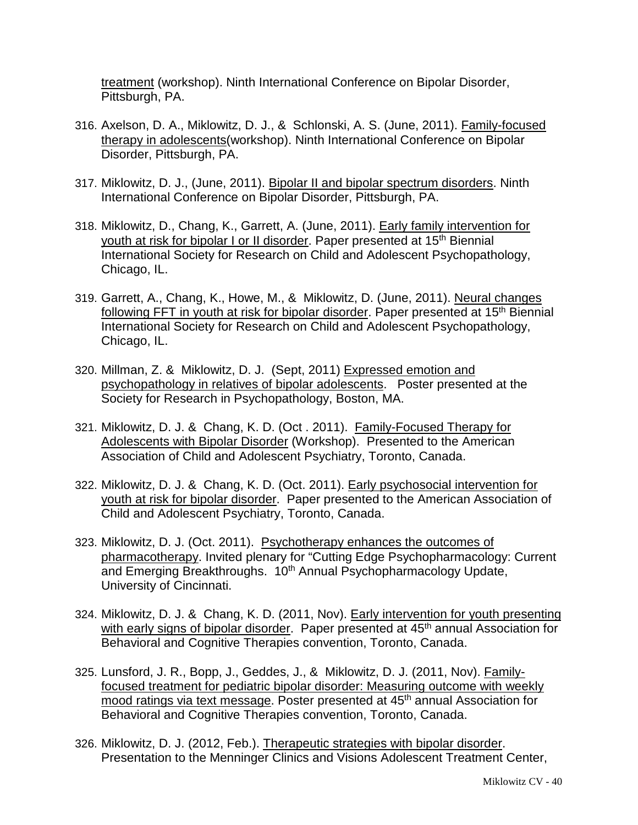treatment (workshop). Ninth International Conference on Bipolar Disorder, Pittsburgh, PA.

- 316. Axelson, D. A., Miklowitz, D. J., & Schlonski, A. S. (June, 2011). Family-focused therapy in adolescents(workshop). Ninth International Conference on Bipolar Disorder, Pittsburgh, PA.
- 317. Miklowitz, D. J., (June, 2011). Bipolar II and bipolar spectrum disorders. Ninth International Conference on Bipolar Disorder, Pittsburgh, PA.
- 318. Miklowitz, D., Chang, K., Garrett, A. (June, 2011). Early family intervention for youth at risk for bipolar I or II disorder. Paper presented at 15<sup>th</sup> Biennial International Society for Research on Child and Adolescent Psychopathology, Chicago, IL.
- 319. Garrett, A., Chang, K., Howe, M., & Miklowitz, D. (June, 2011). Neural changes following FFT in youth at risk for bipolar disorder. Paper presented at 15<sup>th</sup> Biennial International Society for Research on Child and Adolescent Psychopathology, Chicago, IL.
- 320. Millman, Z. & Miklowitz, D. J. (Sept, 2011) Expressed emotion and psychopathology in relatives of bipolar adolescents. Poster presented at the Society for Research in Psychopathology, Boston, MA.
- 321. Miklowitz, D. J. & Chang, K. D. (Oct . 2011). Family-Focused Therapy for Adolescents with Bipolar Disorder (Workshop). Presented to the American Association of Child and Adolescent Psychiatry, Toronto, Canada.
- 322. Miklowitz, D. J. & Chang, K. D. (Oct. 2011). Early psychosocial intervention for youth at risk for bipolar disorder. Paper presented to the American Association of Child and Adolescent Psychiatry, Toronto, Canada.
- 323. Miklowitz, D. J. (Oct. 2011). Psychotherapy enhances the outcomes of pharmacotherapy. Invited plenary for "Cutting Edge Psychopharmacology: Current and Emerging Breakthroughs. 10<sup>th</sup> Annual Psychopharmacology Update, University of Cincinnati.
- 324. Miklowitz, D. J. & Chang, K. D. (2011, Nov). Early intervention for youth presenting with early signs of bipolar disorder. Paper presented at 45<sup>th</sup> annual Association for Behavioral and Cognitive Therapies convention, Toronto, Canada.
- 325. Lunsford, J. R., Bopp, J., Geddes, J., & Miklowitz, D. J. (2011, Nov). Familyfocused treatment for pediatric bipolar disorder: Measuring outcome with weekly mood ratings via text message. Poster presented at 45<sup>th</sup> annual Association for Behavioral and Cognitive Therapies convention, Toronto, Canada.
- 326. Miklowitz, D. J. (2012, Feb.). Therapeutic strategies with bipolar disorder. Presentation to the Menninger Clinics and Visions Adolescent Treatment Center,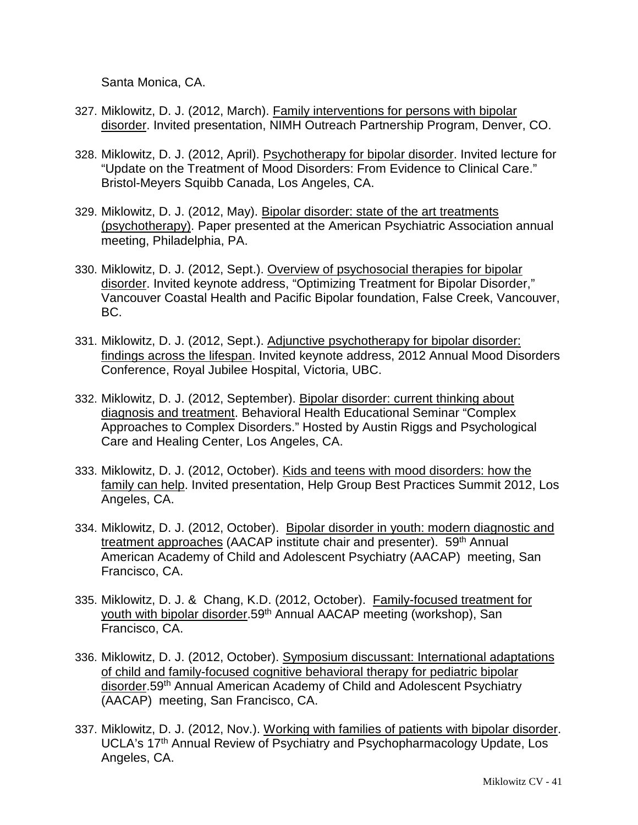Santa Monica, CA.

- 327. Miklowitz, D. J. (2012, March). Family interventions for persons with bipolar disorder. Invited presentation, NIMH Outreach Partnership Program, Denver, CO.
- 328. Miklowitz, D. J. (2012, April). Psychotherapy for bipolar disorder. Invited lecture for "Update on the Treatment of Mood Disorders: From Evidence to Clinical Care." Bristol-Meyers Squibb Canada, Los Angeles, CA.
- 329. Miklowitz, D. J. (2012, May). Bipolar disorder: state of the art treatments (psychotherapy). Paper presented at the American Psychiatric Association annual meeting, Philadelphia, PA.
- 330. Miklowitz, D. J. (2012, Sept.). Overview of psychosocial therapies for bipolar disorder. Invited keynote address, "Optimizing Treatment for Bipolar Disorder," Vancouver Coastal Health and Pacific Bipolar foundation, False Creek, Vancouver, BC.
- 331. Miklowitz, D. J. (2012, Sept.). Adjunctive psychotherapy for bipolar disorder: findings across the lifespan. Invited keynote address, 2012 Annual Mood Disorders Conference, Royal Jubilee Hospital, Victoria, UBC.
- 332. Miklowitz, D. J. (2012, September). Bipolar disorder: current thinking about diagnosis and treatment. Behavioral Health Educational Seminar "Complex Approaches to Complex Disorders." Hosted by Austin Riggs and Psychological Care and Healing Center, Los Angeles, CA.
- 333. Miklowitz, D. J. (2012, October). Kids and teens with mood disorders: how the family can help. Invited presentation, Help Group Best Practices Summit 2012, Los Angeles, CA.
- 334. Miklowitz, D. J. (2012, October). Bipolar disorder in youth: modern diagnostic and treatment approaches (AACAP institute chair and presenter). 59<sup>th</sup> Annual American Academy of Child and Adolescent Psychiatry (AACAP) meeting, San Francisco, CA.
- 335. Miklowitz, D. J. & Chang, K.D. (2012, October). Family-focused treatment for youth with bipolar disorder.59<sup>th</sup> Annual AACAP meeting (workshop), San Francisco, CA.
- 336. Miklowitz, D. J. (2012, October). Symposium discussant: International adaptations of child and family-focused cognitive behavioral therapy for pediatric bipolar disorder.59th Annual American Academy of Child and Adolescent Psychiatry (AACAP) meeting, San Francisco, CA.
- 337. Miklowitz, D. J. (2012, Nov.). Working with families of patients with bipolar disorder. UCLA's 17<sup>th</sup> Annual Review of Psychiatry and Psychopharmacology Update, Los Angeles, CA.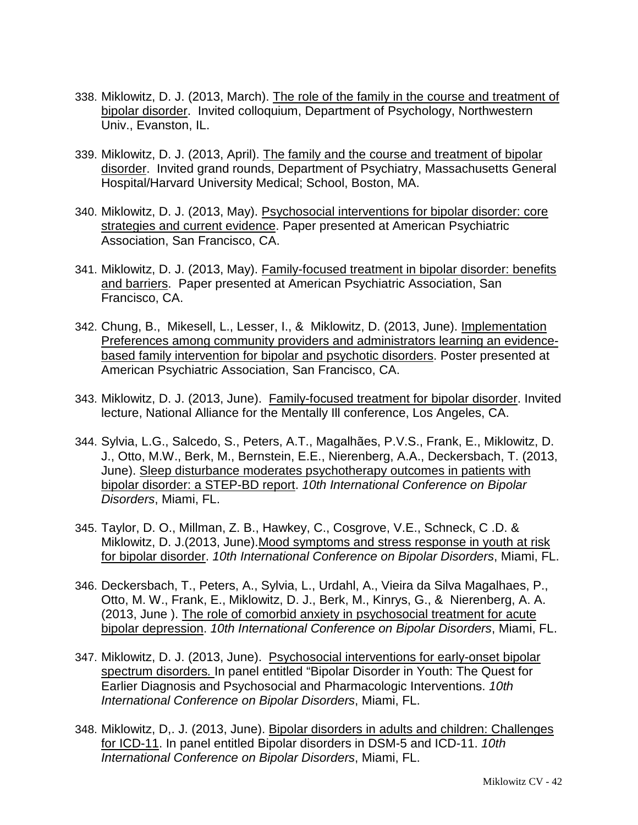- 338. Miklowitz, D. J. (2013, March). The role of the family in the course and treatment of bipolar disorder. Invited colloquium, Department of Psychology, Northwestern Univ., Evanston, IL.
- 339. Miklowitz, D. J. (2013, April). The family and the course and treatment of bipolar disorder. Invited grand rounds, Department of Psychiatry, Massachusetts General Hospital/Harvard University Medical; School, Boston, MA.
- 340. Miklowitz, D. J. (2013, May). Psychosocial interventions for bipolar disorder: core strategies and current evidence. Paper presented at American Psychiatric Association, San Francisco, CA.
- 341. Miklowitz, D. J. (2013, May). Family-focused treatment in bipolar disorder: benefits and barriers. Paper presented at American Psychiatric Association, San Francisco, CA.
- 342. Chung, B., Mikesell, L., Lesser, I., & Miklowitz, D. (2013, June). Implementation Preferences among community providers and administrators learning an evidencebased family intervention for bipolar and psychotic disorders. Poster presented at American Psychiatric Association, San Francisco, CA.
- 343. Miklowitz, D. J. (2013, June). Family-focused treatment for bipolar disorder. Invited lecture, National Alliance for the Mentally Ill conference, Los Angeles, CA.
- 344. Sylvia, L.G., Salcedo, S., Peters, A.T., Magalhães, P.V.S., Frank, E., Miklowitz, D. J., Otto, M.W., Berk, M., Bernstein, E.E., Nierenberg, A.A., Deckersbach, T. (2013, June). Sleep disturbance moderates psychotherapy outcomes in patients with bipolar disorder: a STEP-BD report. *10th International Conference on Bipolar Disorders*, Miami, FL.
- 345. Taylor, D. O., Millman, Z. B., Hawkey, C., Cosgrove, V.E., Schneck, C .D. & Miklowitz, D. J.(2013, June).Mood symptoms and stress response in youth at risk for bipolar disorder. *10th International Conference on Bipolar Disorders*, Miami, FL.
- 346. Deckersbach, T., Peters, A., Sylvia, L., Urdahl, A., Vieira da Silva Magalhaes, P., Otto, M. W., Frank, E., Miklowitz, D. J., Berk, M., Kinrys, G., & Nierenberg, A. A. (2013, June ). The role of comorbid anxiety in psychosocial treatment for acute bipolar depression. *10th International Conference on Bipolar Disorders*, Miami, FL.
- 347. Miklowitz, D. J. (2013, June). Psychosocial interventions for early-onset bipolar spectrum disorders*.* In panel entitled "Bipolar Disorder in Youth: The Quest for Earlier Diagnosis and Psychosocial and Pharmacologic Interventions. *10th International Conference on Bipolar Disorders*, Miami, FL.
- 348. Miklowitz, D,. J. (2013, June). Bipolar disorders in adults and children: Challenges for ICD-11. In panel entitled Bipolar disorders in DSM-5 and ICD-11. *10th International Conference on Bipolar Disorders*, Miami, FL.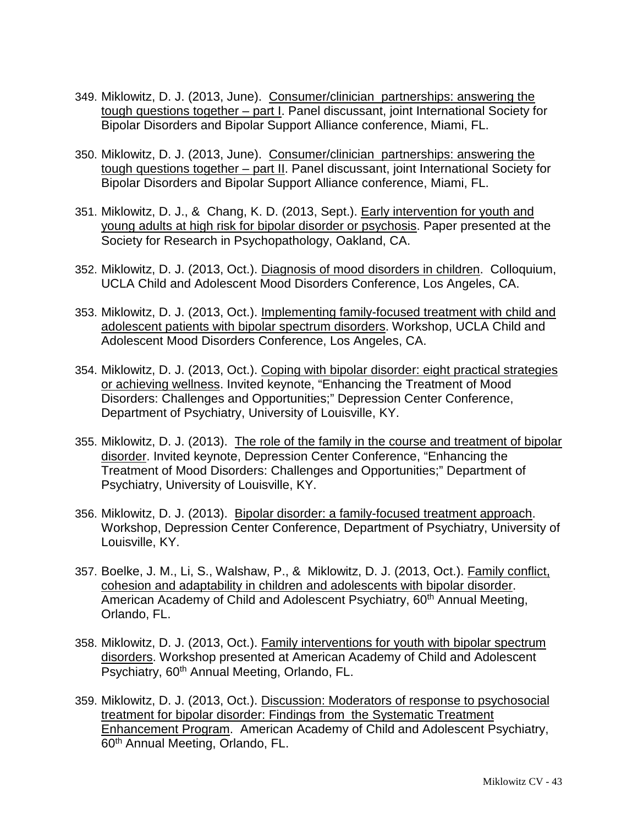- 349. Miklowitz, D. J. (2013, June). Consumer/clinician partnerships: answering the tough questions together *–* part I. Panel discussant, joint International Society for Bipolar Disorders and Bipolar Support Alliance conference, Miami, FL.
- 350. Miklowitz, D. J. (2013, June). Consumer/clinician partnerships: answering the tough questions together *–* part II. Panel discussant, joint International Society for Bipolar Disorders and Bipolar Support Alliance conference, Miami, FL.
- 351. Miklowitz, D. J., & Chang, K. D. (2013, Sept.). Early intervention for youth and young adults at high risk for bipolar disorder or psychosis. Paper presented at the Society for Research in Psychopathology, Oakland, CA.
- 352. Miklowitz, D. J. (2013, Oct.). Diagnosis of mood disorders in children. Colloquium, UCLA Child and Adolescent Mood Disorders Conference, Los Angeles, CA.
- 353. Miklowitz, D. J. (2013, Oct.). Implementing family-focused treatment with child and adolescent patients with bipolar spectrum disorders. Workshop, UCLA Child and Adolescent Mood Disorders Conference, Los Angeles, CA.
- 354. Miklowitz, D. J. (2013, Oct.). Coping with bipolar disorder: eight practical strategies or achieving wellness. Invited keynote, "Enhancing the Treatment of Mood Disorders: Challenges and Opportunities;" Depression Center Conference, Department of Psychiatry, University of Louisville, KY.
- 355. Miklowitz, D. J. (2013). The role of the family in the course and treatment of bipolar disorder. Invited keynote, Depression Center Conference, "Enhancing the Treatment of Mood Disorders: Challenges and Opportunities;" Department of Psychiatry, University of Louisville, KY.
- 356. Miklowitz, D. J. (2013). Bipolar disorder: a family-focused treatment approach. Workshop, Depression Center Conference, Department of Psychiatry, University of Louisville, KY.
- 357. Boelke, J. M., Li, S., Walshaw, P., & Miklowitz, D. J. (2013, Oct.). Family conflict, cohesion and adaptability in children and adolescents with bipolar disorder. American Academy of Child and Adolescent Psychiatry, 60<sup>th</sup> Annual Meeting, Orlando, FL.
- 358. Miklowitz, D. J. (2013, Oct.). Family interventions for youth with bipolar spectrum disorders. Workshop presented at American Academy of Child and Adolescent Psychiatry, 60<sup>th</sup> Annual Meeting, Orlando, FL.
- 359. Miklowitz, D. J. (2013, Oct.). Discussion: Moderators of response to psychosocial treatment for bipolar disorder: Findings from the Systematic Treatment Enhancement Program. American Academy of Child and Adolescent Psychiatry, 60th Annual Meeting, Orlando, FL.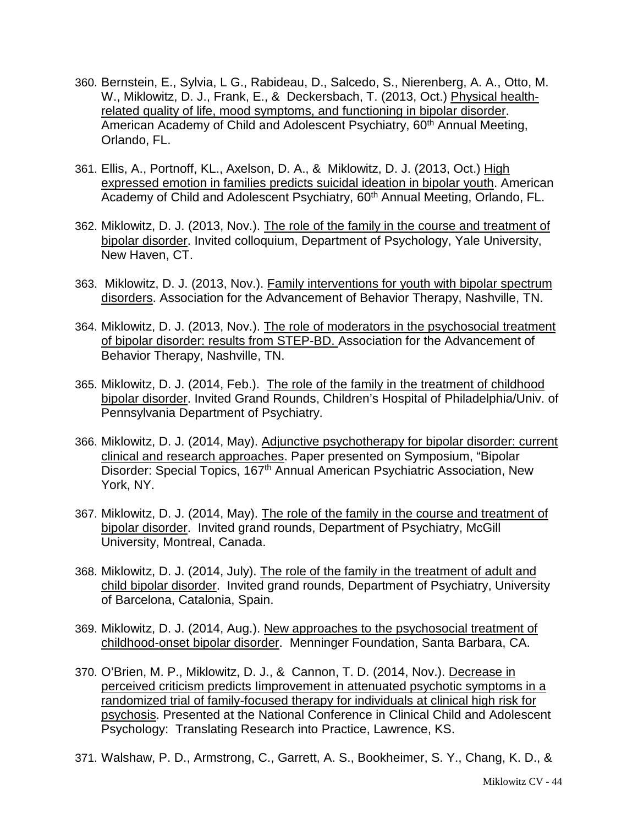- 360. Bernstein, E., Sylvia, L G., Rabideau, D., Salcedo, S., Nierenberg, A. A., Otto, M. W., Miklowitz, D. J., Frank, E., & Deckersbach, T. (2013, Oct.) Physical healthrelated quality of life, mood symptoms, and functioning in bipolar disorder. American Academy of Child and Adolescent Psychiatry, 60<sup>th</sup> Annual Meeting, Orlando, FL.
- 361. Ellis, A., Portnoff, KL., Axelson, D. A., & Miklowitz, D. J. (2013, Oct.) High expressed emotion in families predicts suicidal ideation in bipolar youth. American Academy of Child and Adolescent Psychiatry, 60<sup>th</sup> Annual Meeting, Orlando, FL.
- 362. Miklowitz, D. J. (2013, Nov.). The role of the family in the course and treatment of bipolar disorder. Invited colloquium, Department of Psychology, Yale University, New Haven, CT.
- 363. Miklowitz, D. J. (2013, Nov.). Family interventions for youth with bipolar spectrum disorders. Association for the Advancement of Behavior Therapy, Nashville, TN.
- 364. Miklowitz, D. J. (2013, Nov.). The role of moderators in the psychosocial treatment of bipolar disorder: results from STEP-BD. Association for the Advancement of Behavior Therapy, Nashville, TN.
- 365. Miklowitz, D. J. (2014, Feb.). The role of the family in the treatment of childhood bipolar disorder. Invited Grand Rounds, Children's Hospital of Philadelphia/Univ. of Pennsylvania Department of Psychiatry.
- 366. Miklowitz, D. J. (2014, May). Adjunctive psychotherapy for bipolar disorder: current clinical and research approaches. Paper presented on Symposium, "Bipolar Disorder: Special Topics, 167<sup>th</sup> Annual American Psychiatric Association, New York, NY.
- 367. Miklowitz, D. J. (2014, May). The role of the family in the course and treatment of bipolar disorder. Invited grand rounds, Department of Psychiatry, McGill University, Montreal, Canada.
- 368. Miklowitz, D. J. (2014, July). The role of the family in the treatment of adult and child bipolar disorder. Invited grand rounds, Department of Psychiatry, University of Barcelona, Catalonia, Spain.
- 369. Miklowitz, D. J. (2014, Aug.). New approaches to the psychosocial treatment of childhood-onset bipolar disorder. Menninger Foundation, Santa Barbara, CA.
- 370. O'Brien, M. P., Miklowitz, D. J., & Cannon, T. D. (2014, Nov.). Decrease in perceived criticism predicts Iimprovement in attenuated psychotic symptoms in a randomized trial of family-focused therapy for individuals at clinical high risk for psychosis. Presented at the National Conference in Clinical Child and Adolescent Psychology: Translating Research into Practice, Lawrence, KS.
- 371. Walshaw, P. D., Armstrong, C., Garrett, A. S., Bookheimer, S. Y., Chang, K. D., &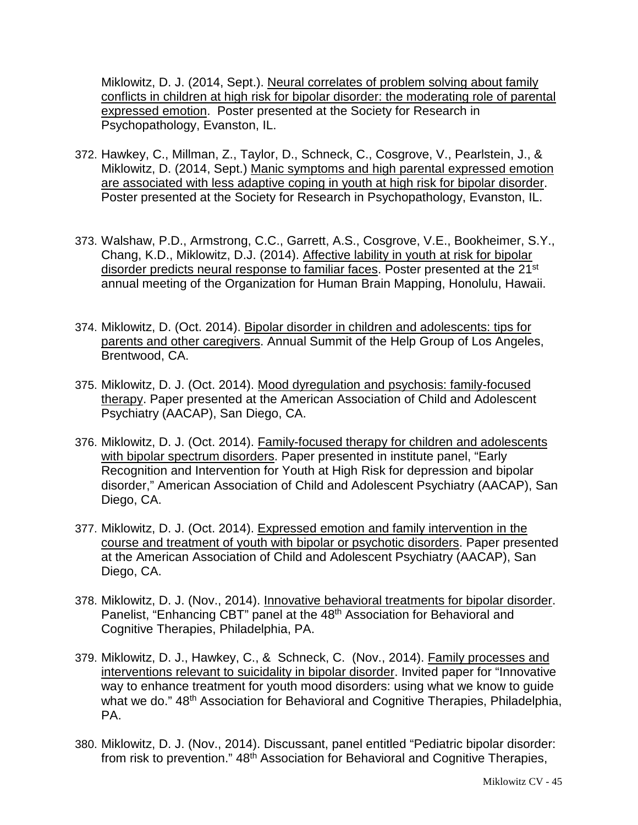Miklowitz, D. J. (2014, Sept.). Neural correlates of problem solving about family conflicts in children at high risk for bipolar disorder: the moderating role of parental expressed emotion. Poster presented at the Society for Research in Psychopathology, Evanston, IL.

- 372. Hawkey, C., Millman, Z., Taylor, D., Schneck, C., Cosgrove, V., Pearlstein, J., & Miklowitz, D. (2014, Sept.) Manic symptoms and high parental expressed emotion are associated with less adaptive coping in youth at high risk for bipolar disorder. Poster presented at the Society for Research in Psychopathology, Evanston, IL.
- 373. Walshaw, P.D., Armstrong, C.C., Garrett, A.S., Cosgrove, V.E., Bookheimer, S.Y., Chang, K.D., Miklowitz, D.J. (2014). Affective lability in youth at risk for bipolar disorder predicts neural response to familiar faces. Poster presented at the 21<sup>st</sup> annual meeting of the Organization for Human Brain Mapping, Honolulu, Hawaii.
- 374. Miklowitz, D. (Oct. 2014). Bipolar disorder in children and adolescents: tips for parents and other caregivers. Annual Summit of the Help Group of Los Angeles, Brentwood, CA.
- 375. Miklowitz, D. J. (Oct. 2014). Mood dyregulation and psychosis: family-focused therapy. Paper presented at the American Association of Child and Adolescent Psychiatry (AACAP), San Diego, CA.
- 376. Miklowitz, D. J. (Oct. 2014). Family-focused therapy for children and adolescents with bipolar spectrum disorders. Paper presented in institute panel, "Early Recognition and Intervention for Youth at High Risk for depression and bipolar disorder," American Association of Child and Adolescent Psychiatry (AACAP), San Diego, CA.
- 377. Miklowitz, D. J. (Oct. 2014). Expressed emotion and family intervention in the course and treatment of youth with bipolar or psychotic disorders. Paper presented at the American Association of Child and Adolescent Psychiatry (AACAP), San Diego, CA.
- 378. Miklowitz, D. J. (Nov., 2014). Innovative behavioral treatments for bipolar disorder. Panelist, "Enhancing CBT" panel at the 48<sup>th</sup> Association for Behavioral and Cognitive Therapies, Philadelphia, PA.
- 379. Miklowitz, D. J., Hawkey, C., & Schneck, C. (Nov., 2014). Family processes and interventions relevant to suicidality in bipolar disorder. Invited paper for "Innovative way to enhance treatment for youth mood disorders: using what we know to guide what we do." 48<sup>th</sup> Association for Behavioral and Cognitive Therapies, Philadelphia, PA.
- 380. Miklowitz, D. J. (Nov., 2014). Discussant, panel entitled "Pediatric bipolar disorder: from risk to prevention." 48<sup>th</sup> Association for Behavioral and Cognitive Therapies,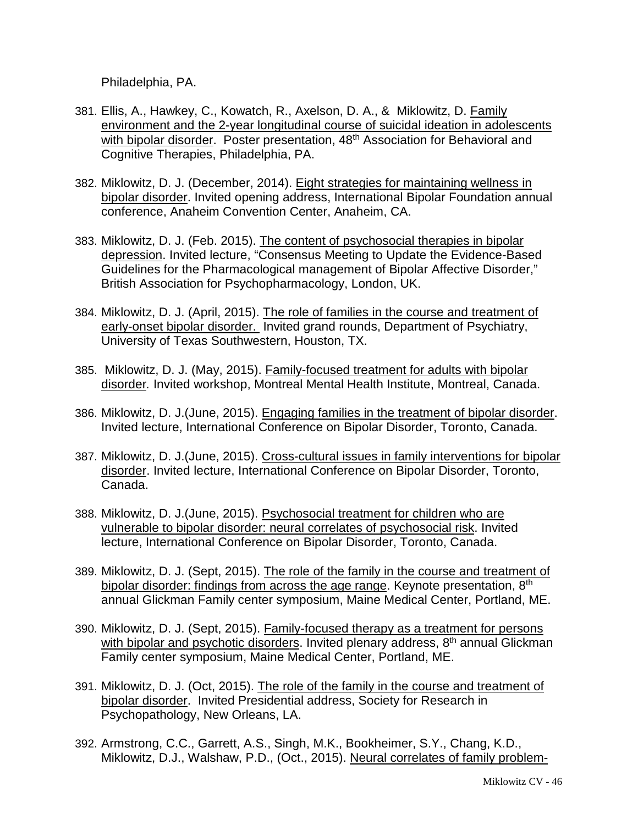Philadelphia, PA.

- 381. Ellis, A., Hawkey, C., Kowatch, R., Axelson, D. A., & Miklowitz, D. Family environment and the 2-year longitudinal course of suicidal ideation in adolescents with bipolar disorder. Poster presentation, 48<sup>th</sup> Association for Behavioral and Cognitive Therapies, Philadelphia, PA.
- 382. Miklowitz, D. J. (December, 2014). Eight strategies for maintaining wellness in bipolar disorder. Invited opening address, International Bipolar Foundation annual conference, Anaheim Convention Center, Anaheim, CA.
- 383. Miklowitz, D. J. (Feb. 2015). The content of psychosocial therapies in bipolar depression. Invited lecture, "Consensus Meeting to Update the Evidence-Based Guidelines for the Pharmacological management of Bipolar Affective Disorder," British Association for Psychopharmacology, London, UK.
- 384. Miklowitz, D. J. (April, 2015). The role of families in the course and treatment of early-onset bipolar disorder. Invited grand rounds, Department of Psychiatry, University of Texas Southwestern, Houston, TX.
- 385. Miklowitz, D. J. (May, 2015). Family-focused treatment for adults with bipolar disorder*.* Invited workshop, Montreal Mental Health Institute, Montreal, Canada.
- 386. Miklowitz, D. J.(June, 2015). Engaging families in the treatment of bipolar disorder. Invited lecture, International Conference on Bipolar Disorder, Toronto, Canada.
- 387. Miklowitz, D. J.(June, 2015). Cross-cultural issues in family interventions for bipolar disorder. Invited lecture, International Conference on Bipolar Disorder, Toronto, Canada.
- 388. Miklowitz, D. J.(June, 2015). Psychosocial treatment for children who are vulnerable to bipolar disorder: neural correlates of psychosocial risk. Invited lecture, International Conference on Bipolar Disorder, Toronto, Canada.
- 389. Miklowitz, D. J. (Sept, 2015). The role of the family in the course and treatment of bipolar disorder: findings from across the age range. Keynote presentation, 8<sup>th</sup> annual Glickman Family center symposium, Maine Medical Center, Portland, ME.
- 390. Miklowitz, D. J. (Sept, 2015). Family-focused therapy as a treatment for persons with bipolar and psychotic disorders. Invited plenary address, 8<sup>th</sup> annual Glickman Family center symposium, Maine Medical Center, Portland, ME.
- 391. Miklowitz, D. J. (Oct, 2015). The role of the family in the course and treatment of bipolar disorder. Invited Presidential address, Society for Research in Psychopathology, New Orleans, LA.
- 392. Armstrong, C.C., Garrett, A.S., Singh, M.K., Bookheimer, S.Y., Chang, K.D., Miklowitz, D.J., Walshaw, P.D., (Oct., 2015). Neural correlates of family problem-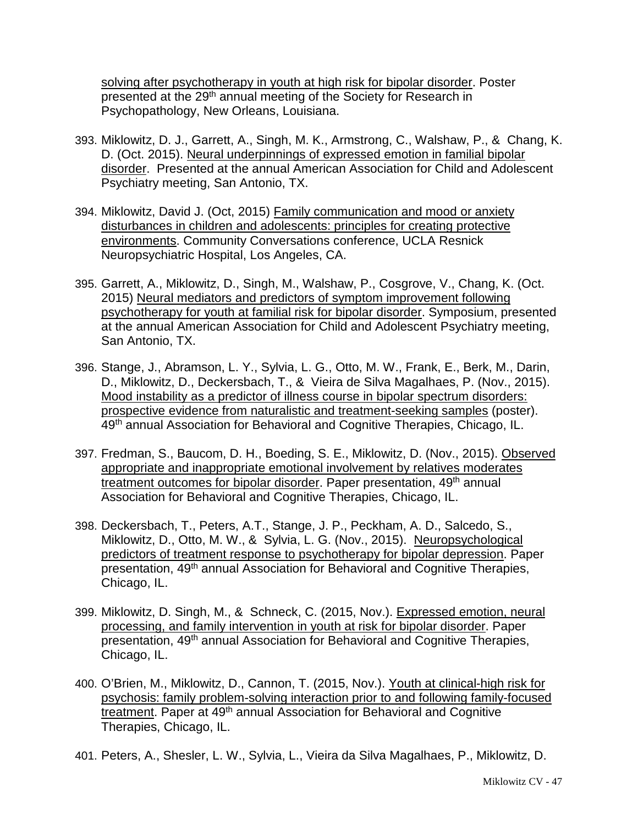solving after psychotherapy in youth at high risk for bipolar disorder. Poster presented at the 29<sup>th</sup> annual meeting of the Society for Research in Psychopathology, New Orleans, Louisiana.

- 393. Miklowitz, D. J., Garrett, A., Singh, M. K., Armstrong, C., Walshaw, P., & Chang, K. D. (Oct. 2015). Neural underpinnings of expressed emotion in familial bipolar disorder. Presented at the annual American Association for Child and Adolescent Psychiatry meeting, San Antonio, TX.
- 394. Miklowitz, David J. (Oct, 2015) Family communication and mood or anxiety disturbances in children and adolescents: principles for creating protective environments. Community Conversations conference, UCLA Resnick Neuropsychiatric Hospital, Los Angeles, CA.
- 395. Garrett, A., Miklowitz, D., Singh, M., Walshaw, P., Cosgrove, V., Chang, K. (Oct. 2015) Neural mediators and predictors of symptom improvement following psychotherapy for youth at familial risk for bipolar disorder. Symposium, presented at the annual American Association for Child and Adolescent Psychiatry meeting, San Antonio, TX.
- 396. Stange, J., Abramson, L. Y., Sylvia, L. G., Otto, M. W., Frank, E., Berk, M., Darin, D., Miklowitz, D., Deckersbach, T., & Vieira de Silva Magalhaes, P. (Nov., 2015). Mood instability as a predictor of illness course in bipolar spectrum disorders: prospective evidence from naturalistic and treatment-seeking samples (poster). 49<sup>th</sup> annual Association for Behavioral and Cognitive Therapies, Chicago, IL.
- 397. Fredman, S., Baucom, D. H., Boeding, S. E., Miklowitz, D. (Nov., 2015). Observed appropriate and inappropriate emotional involvement by relatives moderates treatment outcomes for bipolar disorder. Paper presentation, 49<sup>th</sup> annual Association for Behavioral and Cognitive Therapies, Chicago, IL.
- 398. Deckersbach, T., Peters, A.T., Stange, J. P., Peckham, A. D., Salcedo, S., Miklowitz, D., Otto, M. W., & Sylvia, L. G. (Nov., 2015). Neuropsychological predictors of treatment response to psychotherapy for bipolar depression. Paper presentation, 49th annual Association for Behavioral and Cognitive Therapies, Chicago, IL.
- 399. Miklowitz, D. Singh, M., & Schneck, C. (2015, Nov.). Expressed emotion, neural processing, and family intervention in youth at risk for bipolar disorder. Paper presentation, 49th annual Association for Behavioral and Cognitive Therapies, Chicago, IL.
- 400. O'Brien, M., Miklowitz, D., Cannon, T. (2015, Nov.). Youth at clinical-high risk for psychosis: family problem-solving interaction prior to and following family-focused treatment. Paper at 49th annual Association for Behavioral and Cognitive Therapies, Chicago, IL.
- 401. Peters, A., Shesler, L. W., Sylvia, L., Vieira da Silva Magalhaes, P., Miklowitz, D.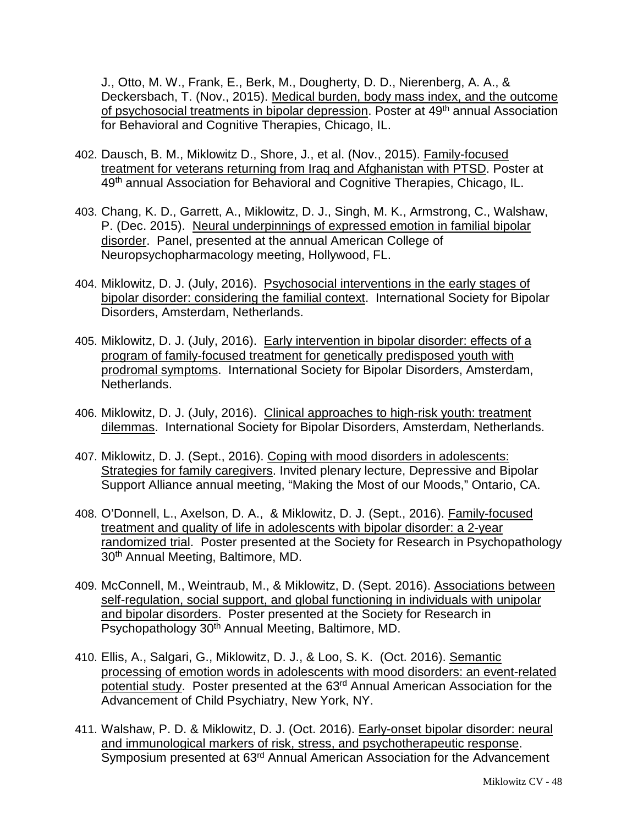J., Otto, M. W., Frank, E., Berk, M., Dougherty, D. D., Nierenberg, A. A., & Deckersbach, T. (Nov., 2015). Medical burden, body mass index, and the outcome of psychosocial treatments in bipolar depression. Poster at 49th annual Association for Behavioral and Cognitive Therapies, Chicago, IL.

- 402. Dausch, B. M., Miklowitz D., Shore, J., et al. (Nov., 2015). Family-focused treatment for veterans returning from Iraq and Afghanistan with PTSD. Poster at 49<sup>th</sup> annual Association for Behavioral and Cognitive Therapies, Chicago, IL.
- 403. Chang, K. D., Garrett, A., Miklowitz, D. J., Singh, M. K., Armstrong, C., Walshaw, P. (Dec. 2015). Neural underpinnings of expressed emotion in familial bipolar disorder. Panel, presented at the annual American College of Neuropsychopharmacology meeting, Hollywood, FL.
- 404. Miklowitz, D. J. (July, 2016). Psychosocial interventions in the early stages of bipolar disorder: considering the familial context. International Society for Bipolar Disorders, Amsterdam, Netherlands.
- 405. Miklowitz, D. J. (July, 2016). Early intervention in bipolar disorder: effects of a program of family-focused treatment for genetically predisposed youth with prodromal symptoms. International Society for Bipolar Disorders, Amsterdam, Netherlands.
- 406. Miklowitz, D. J. (July, 2016). Clinical approaches to high-risk youth: treatment dilemmas. International Society for Bipolar Disorders, Amsterdam, Netherlands.
- 407. Miklowitz, D. J. (Sept., 2016). Coping with mood disorders in adolescents: Strategies for family caregivers. Invited plenary lecture, Depressive and Bipolar Support Alliance annual meeting, "Making the Most of our Moods," Ontario, CA.
- 408. O'Donnell, L., Axelson, D. A., & Miklowitz, D. J. (Sept., 2016). Family-focused treatment and quality of life in adolescents with bipolar disorder: a 2-year randomized trial. Poster presented at the Society for Research in Psychopathology 30th Annual Meeting, Baltimore, MD.
- 409. McConnell, M., Weintraub, M., & Miklowitz, D. (Sept. 2016). Associations between self-regulation, social support, and global functioning in individuals with unipolar and bipolar disorders. Poster presented at the Society for Research in Psychopathology 30<sup>th</sup> Annual Meeting, Baltimore, MD.
- 410. Ellis, A., Salgari, G., Miklowitz, D. J., & Loo, S. K. (Oct. 2016). Semantic processing of emotion words in adolescents with mood disorders: an event-related potential study. Poster presented at the 63rd Annual American Association for the Advancement of Child Psychiatry, New York, NY.
- 411. Walshaw, P. D. & Miklowitz, D. J. (Oct. 2016). Early-onset bipolar disorder: neural and immunological markers of risk, stress, and psychotherapeutic response. Symposium presented at 63rd Annual American Association for the Advancement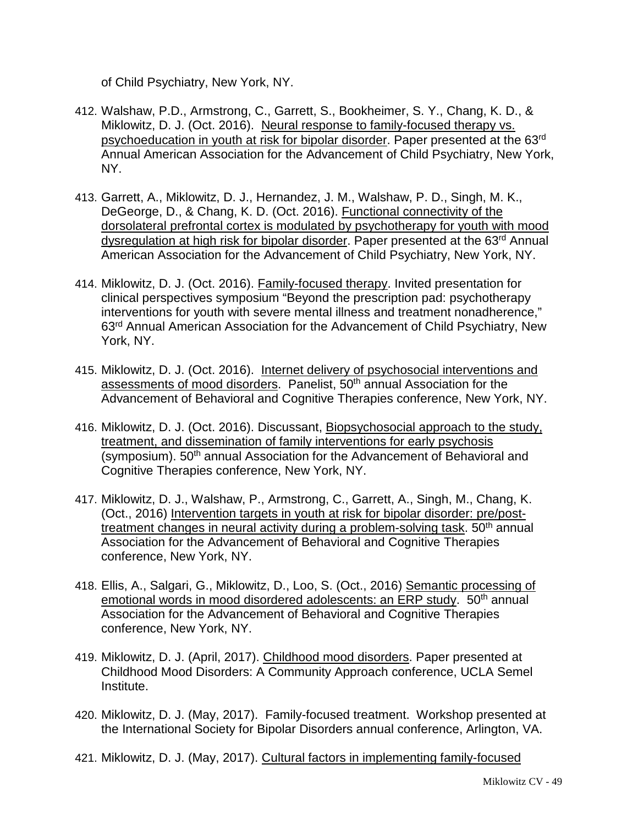of Child Psychiatry, New York, NY.

- 412. Walshaw, P.D., Armstrong, C., Garrett, S., Bookheimer, S. Y., Chang, K. D., & Miklowitz, D. J. (Oct. 2016). Neural response to family-focused therapy vs. psychoeducation in youth at risk for bipolar disorder. Paper presented at the 63rd Annual American Association for the Advancement of Child Psychiatry, New York, NY.
- 413. Garrett, A., Miklowitz, D. J., Hernandez, J. M., Walshaw, P. D., Singh, M. K., DeGeorge, D., & Chang, K. D. (Oct. 2016). Functional connectivity of the dorsolateral prefrontal cortex is modulated by psychotherapy for youth with mood dysregulation at high risk for bipolar disorder. Paper presented at the 63<sup>rd</sup> Annual American Association for the Advancement of Child Psychiatry, New York, NY.
- 414. Miklowitz, D. J. (Oct. 2016). Family-focused therapy. Invited presentation for clinical perspectives symposium "Beyond the prescription pad: psychotherapy interventions for youth with severe mental illness and treatment nonadherence," 63rd Annual American Association for the Advancement of Child Psychiatry, New York, NY.
- 415. Miklowitz, D. J. (Oct. 2016). Internet delivery of psychosocial interventions and assessments of mood disorders. Panelist, 50th annual Association for the Advancement of Behavioral and Cognitive Therapies conference, New York, NY.
- 416. Miklowitz, D. J. (Oct. 2016). Discussant, Biopsychosocial approach to the study, treatment, and dissemination of family interventions for early psychosis (symposium). 50<sup>th</sup> annual Association for the Advancement of Behavioral and Cognitive Therapies conference, New York, NY.
- 417. Miklowitz, D. J., Walshaw, P., Armstrong, C., Garrett, A., Singh, M., Chang, K. (Oct., 2016) Intervention targets in youth at risk for bipolar disorder: pre/posttreatment changes in neural activity during a problem-solving task. 50<sup>th</sup> annual Association for the Advancement of Behavioral and Cognitive Therapies conference, New York, NY.
- 418. Ellis, A., Salgari, G., Miklowitz, D., Loo, S. (Oct., 2016) Semantic processing of emotional words in mood disordered adolescents: an ERP study. 50<sup>th</sup> annual Association for the Advancement of Behavioral and Cognitive Therapies conference, New York, NY.
- 419. Miklowitz, D. J. (April, 2017). Childhood mood disorders. Paper presented at Childhood Mood Disorders: A Community Approach conference, UCLA Semel Institute.
- 420. Miklowitz, D. J. (May, 2017). Family-focused treatment. Workshop presented at the International Society for Bipolar Disorders annual conference, Arlington, VA.
- 421. Miklowitz, D. J. (May, 2017). Cultural factors in implementing family-focused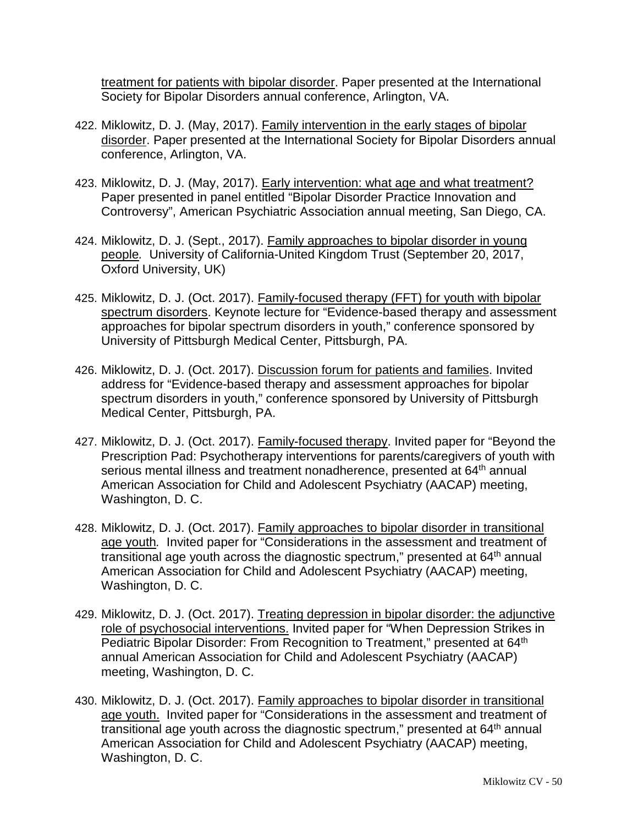treatment for patients with bipolar disorder. Paper presented at the International Society for Bipolar Disorders annual conference, Arlington, VA.

- 422. Miklowitz, D. J. (May, 2017). Family intervention in the early stages of bipolar disorder. Paper presented at the International Society for Bipolar Disorders annual conference, Arlington, VA.
- 423. Miklowitz, D. J. (May, 2017). Early intervention: what age and what treatment? Paper presented in panel entitled "Bipolar Disorder Practice Innovation and Controversy", American Psychiatric Association annual meeting, San Diego, CA.
- 424. Miklowitz, D. J. (Sept., 2017). Family approaches to bipolar disorder in young people*.* University of California-United Kingdom Trust (September 20, 2017, Oxford University, UK)
- 425. Miklowitz, D. J. (Oct. 2017). Family-focused therapy (FFT) for youth with bipolar spectrum disorders. Keynote lecture for "Evidence-based therapy and assessment approaches for bipolar spectrum disorders in youth," conference sponsored by University of Pittsburgh Medical Center, Pittsburgh, PA.
- 426. Miklowitz, D. J. (Oct. 2017). Discussion forum for patients and families. Invited address for "Evidence-based therapy and assessment approaches for bipolar spectrum disorders in youth," conference sponsored by University of Pittsburgh Medical Center, Pittsburgh, PA.
- 427. Miklowitz, D. J. (Oct. 2017). Family-focused therapy. Invited paper for "Beyond the Prescription Pad: Psychotherapy interventions for parents/caregivers of youth with serious mental illness and treatment nonadherence, presented at 64<sup>th</sup> annual American Association for Child and Adolescent Psychiatry (AACAP) meeting, Washington, D. C.
- 428. Miklowitz, D. J. (Oct. 2017). Family approaches to bipolar disorder in transitional age youth*.* Invited paper for "Considerations in the assessment and treatment of transitional age youth across the diagnostic spectrum," presented at 64<sup>th</sup> annual American Association for Child and Adolescent Psychiatry (AACAP) meeting, Washington, D. C.
- 429. Miklowitz, D. J. (Oct. 2017). Treating depression in bipolar disorder: the adjunctive role of psychosocial interventions. Invited paper for "When Depression Strikes in Pediatric Bipolar Disorder: From Recognition to Treatment," presented at 64<sup>th</sup> annual American Association for Child and Adolescent Psychiatry (AACAP) meeting, Washington, D. C.
- 430. Miklowitz, D. J. (Oct. 2017). Family approaches to bipolar disorder in transitional age youth.Invited paper for "Considerations in the assessment and treatment of transitional age youth across the diagnostic spectrum," presented at  $64<sup>th</sup>$  annual American Association for Child and Adolescent Psychiatry (AACAP) meeting, Washington, D. C.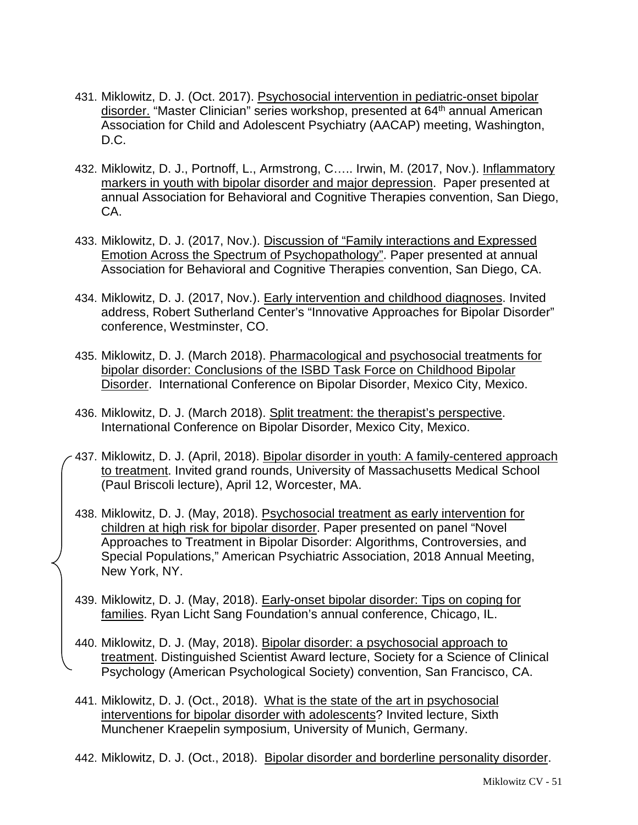- 431. Miklowitz, D. J. (Oct. 2017). Psychosocial intervention in pediatric-onset bipolar disorder. "Master Clinician" series workshop, presented at 64<sup>th</sup> annual American Association for Child and Adolescent Psychiatry (AACAP) meeting, Washington, D.C.
- 432. Miklowitz, D. J., Portnoff, L., Armstrong, C….. Irwin, M. (2017, Nov.). Inflammatory markers in youth with bipolar disorder and major depression. Paper presented at annual Association for Behavioral and Cognitive Therapies convention, San Diego, CA.
- 433. Miklowitz, D. J. (2017, Nov.). Discussion of "Family interactions and Expressed Emotion Across the Spectrum of Psychopathology". Paper presented at annual Association for Behavioral and Cognitive Therapies convention, San Diego, CA.
- 434. Miklowitz, D. J. (2017, Nov.). Early intervention and childhood diagnoses. Invited address, Robert Sutherland Center's "Innovative Approaches for Bipolar Disorder" conference, Westminster, CO.
- 435. Miklowitz, D. J. (March 2018). Pharmacological and psychosocial treatments for bipolar disorder: Conclusions of the ISBD Task Force on Childhood Bipolar Disorder. International Conference on Bipolar Disorder, Mexico City, Mexico.
- 436. Miklowitz, D. J. (March 2018). Split treatment: the therapist's perspective. International Conference on Bipolar Disorder, Mexico City, Mexico.
- 437. Miklowitz, D. J. (April, 2018). Bipolar disorder in youth: A family-centered approach to treatment. Invited grand rounds, University of Massachusetts Medical School (Paul Briscoli lecture), April 12, Worcester, MA.
- 438. Miklowitz, D. J. (May, 2018). Psychosocial treatment as early intervention for children at high risk for bipolar disorder. Paper presented on panel "Novel Approaches to Treatment in Bipolar Disorder: Algorithms, Controversies, and Special Populations," American Psychiatric Association, 2018 Annual Meeting, New York, NY.
- 439. Miklowitz, D. J. (May, 2018). Early-onset bipolar disorder: Tips on coping for families. Ryan Licht Sang Foundation's annual conference, Chicago, IL.

440. Miklowitz, D. J. (May, 2018). Bipolar disorder: a psychosocial approach to treatment. Distinguished Scientist Award lecture, Society for a Science of Clinical Psychology (American Psychological Society) convention, San Francisco, CA.

- 441. Miklowitz, D. J. (Oct., 2018). What is the state of the art in psychosocial interventions for bipolar disorder with adolescents? Invited lecture, Sixth Munchener Kraepelin symposium, University of Munich, Germany.
- 442. Miklowitz, D. J. (Oct., 2018). Bipolar disorder and borderline personality disorder.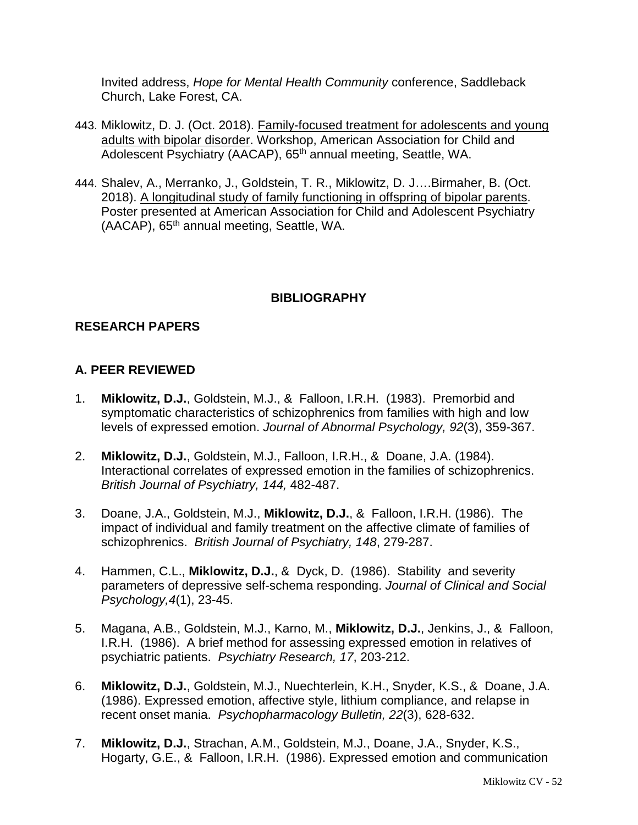Invited address, *Hope for Mental Health Community* conference, Saddleback Church, Lake Forest, CA.

- 443. Miklowitz, D. J. (Oct. 2018). Family-focused treatment for adolescents and young adults with bipolar disorder. Workshop, American Association for Child and Adolescent Psychiatry (AACAP), 65<sup>th</sup> annual meeting, Seattle, WA.
- 444. Shalev, A., Merranko, J., Goldstein, T. R., Miklowitz, D. J….Birmaher, B. (Oct. 2018). A longitudinal study of family functioning in offspring of bipolar parents. Poster presented at American Association for Child and Adolescent Psychiatry (AACAP), 65<sup>th</sup> annual meeting, Seattle, WA.

## **BIBLIOGRAPHY**

## **RESEARCH PAPERS**

## **A. PEER REVIEWED**

- 1. **Miklowitz, D.J.**, Goldstein, M.J., & Falloon, I.R.H. (1983). Premorbid and symptomatic characteristics of schizophrenics from families with high and low levels of expressed emotion. *Journal of Abnormal Psychology, 92*(3), 359-367.
- 2. **Miklowitz, D.J.**, Goldstein, M.J., Falloon, I.R.H., & Doane, J.A. (1984). Interactional correlates of expressed emotion in the families of schizophrenics. *British Journal of Psychiatry, 144,* 482-487.
- 3. Doane, J.A., Goldstein, M.J., **Miklowitz, D.J.**, & Falloon, I.R.H. (1986). The impact of individual and family treatment on the affective climate of families of schizophrenics. *British Journal of Psychiatry, 148*, 279-287.
- 4. Hammen, C.L., **Miklowitz, D.J.**, & Dyck, D. (1986). Stability and severity parameters of depressive self-schema responding. *Journal of Clinical and Social Psychology,4*(1), 23-45.
- 5. Magana, A.B., Goldstein, M.J., Karno, M., **Miklowitz, D.J.**, Jenkins, J., & Falloon, I.R.H. (1986). A brief method for assessing expressed emotion in relatives of psychiatric patients. *Psychiatry Research, 17*, 203-212.
- 6. **Miklowitz, D.J.**, Goldstein, M.J., Nuechterlein, K.H., Snyder, K.S., & Doane, J.A. (1986). Expressed emotion, affective style, lithium compliance, and relapse in recent onset mania. *Psychopharmacology Bulletin, 22*(3), 628-632.
- 7. **Miklowitz, D.J.**, Strachan, A.M., Goldstein, M.J., Doane, J.A., Snyder, K.S., Hogarty, G.E., & Falloon, I.R.H. (1986). Expressed emotion and communication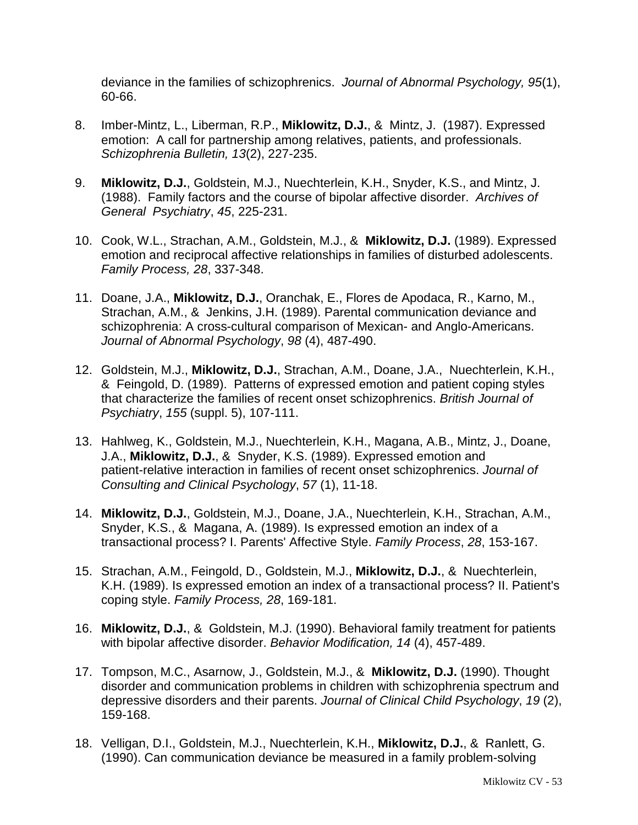deviance in the families of schizophrenics. *Journal of Abnormal Psychology, 95*(1), 60-66.

- 8. Imber-Mintz, L., Liberman, R.P., **Miklowitz, D.J.**, & Mintz, J. (1987). Expressed emotion: A call for partnership among relatives, patients, and professionals. *Schizophrenia Bulletin, 13*(2), 227-235.
- 9. **Miklowitz, D.J.**, Goldstein, M.J., Nuechterlein, K.H., Snyder, K.S., and Mintz, J. (1988). Family factors and the course of bipolar affective disorder. *Archives of General Psychiatry*, *45*, 225-231.
- 10. Cook, W.L., Strachan, A.M., Goldstein, M.J., & **Miklowitz, D.J.** (1989). Expressed emotion and reciprocal affective relationships in families of disturbed adolescents. *Family Process, 28*, 337-348.
- 11. Doane, J.A., **Miklowitz, D.J.**, Oranchak, E., Flores de Apodaca, R., Karno, M., Strachan, A.M., & Jenkins, J.H. (1989). Parental communication deviance and schizophrenia: A cross-cultural comparison of Mexican- and Anglo-Americans. *Journal of Abnormal Psychology*, *98* (4), 487-490.
- 12. Goldstein, M.J., **Miklowitz, D.J.**, Strachan, A.M., Doane, J.A., Nuechterlein, K.H., & Feingold, D. (1989). Patterns of expressed emotion and patient coping styles that characterize the families of recent onset schizophrenics. *British Journal of Psychiatry*, *155* (suppl. 5), 107-111.
- 13. Hahlweg, K., Goldstein, M.J., Nuechterlein, K.H., Magana, A.B., Mintz, J., Doane, J.A., **Miklowitz, D.J.**, & Snyder, K.S. (1989). Expressed emotion and patient-relative interaction in families of recent onset schizophrenics. *Journal of Consulting and Clinical Psychology*, *57* (1), 11-18.
- 14. **Miklowitz, D.J.**, Goldstein, M.J., Doane, J.A., Nuechterlein, K.H., Strachan, A.M., Snyder, K.S., & Magana, A. (1989). Is expressed emotion an index of a transactional process? I. Parents' Affective Style. *Family Process*, *28*, 153-167.
- 15. Strachan, A.M., Feingold, D., Goldstein, M.J., **Miklowitz, D.J.**, & Nuechterlein, K.H. (1989). Is expressed emotion an index of a transactional process? II. Patient's coping style. *Family Process, 28*, 169-181.
- 16. **Miklowitz, D.J.**, & Goldstein, M.J. (1990). Behavioral family treatment for patients with bipolar affective disorder. *Behavior Modification, 14* (4), 457-489.
- 17. Tompson, M.C., Asarnow, J., Goldstein, M.J., & **Miklowitz, D.J.** (1990). Thought disorder and communication problems in children with schizophrenia spectrum and depressive disorders and their parents. *Journal of Clinical Child Psychology*, *19* (2), 159-168.
- 18. Velligan, D.I., Goldstein, M.J., Nuechterlein, K.H., **Miklowitz, D.J.**, & Ranlett, G. (1990). Can communication deviance be measured in a family problem-solving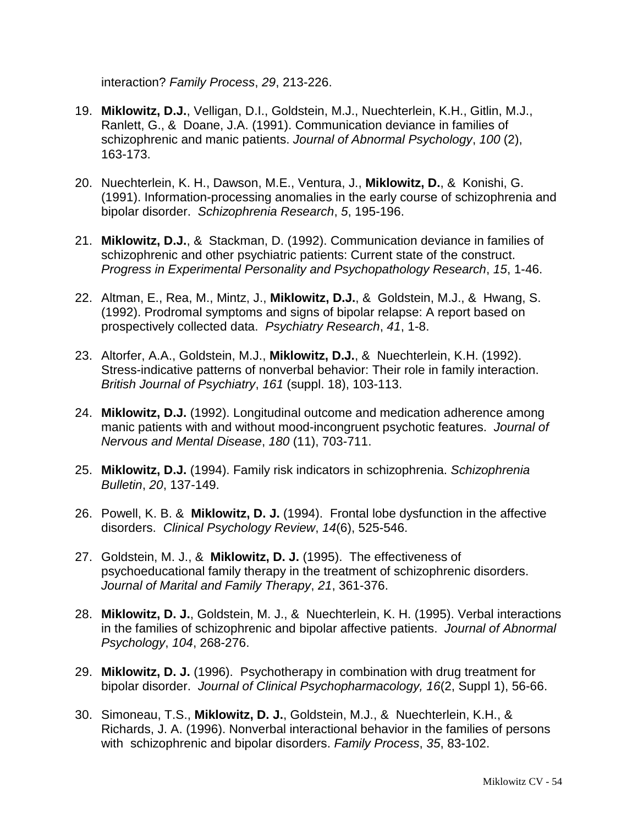interaction? *Family Process*, *29*, 213-226.

- 19. **Miklowitz, D.J.**, Velligan, D.I., Goldstein, M.J., Nuechterlein, K.H., Gitlin, M.J., Ranlett, G., & Doane, J.A. (1991). Communication deviance in families of schizophrenic and manic patients. *Journal of Abnormal Psychology*, *100* (2), 163-173.
- 20. Nuechterlein, K. H., Dawson, M.E., Ventura, J., **Miklowitz, D.**, & Konishi, G. (1991). Information-processing anomalies in the early course of schizophrenia and bipolar disorder. *Schizophrenia Research*, *5*, 195-196.
- 21. **Miklowitz, D.J.**, & Stackman, D. (1992). Communication deviance in families of schizophrenic and other psychiatric patients: Current state of the construct. *Progress in Experimental Personality and Psychopathology Research*, *15*, 1-46.
- 22. Altman, E., Rea, M., Mintz, J., **Miklowitz, D.J.**, & Goldstein, M.J., & Hwang, S. (1992). Prodromal symptoms and signs of bipolar relapse: A report based on prospectively collected data. *Psychiatry Research*, *41*, 1-8.
- 23. Altorfer, A.A., Goldstein, M.J., **Miklowitz, D.J.**, & Nuechterlein, K.H. (1992). Stress-indicative patterns of nonverbal behavior: Their role in family interaction. *British Journal of Psychiatry*, *161* (suppl. 18), 103-113.
- 24. **Miklowitz, D.J.** (1992). Longitudinal outcome and medication adherence among manic patients with and without mood-incongruent psychotic features. *Journal of Nervous and Mental Disease*, *180* (11), 703-711.
- 25. **Miklowitz, D.J.** (1994). Family risk indicators in schizophrenia. *Schizophrenia Bulletin*, *20*, 137-149.
- 26. Powell, K. B. & **Miklowitz, D. J.** (1994). Frontal lobe dysfunction in the affective disorders. *Clinical Psychology Review*, *14*(6), 525-546.
- 27. Goldstein, M. J., & **Miklowitz, D. J.** (1995). The effectiveness of psychoeducational family therapy in the treatment of schizophrenic disorders. *Journal of Marital and Family Therapy*, *21*, 361-376.
- 28. **Miklowitz, D. J.**, Goldstein, M. J., & Nuechterlein, K. H. (1995). Verbal interactions in the families of schizophrenic and bipolar affective patients. *Journal of Abnormal Psychology*, *104*, 268-276.
- 29. **Miklowitz, D. J.** (1996). Psychotherapy in combination with drug treatment for bipolar disorder. *Journal of Clinical Psychopharmacology, 16*(2, Suppl 1), 56-66.
- 30. Simoneau, T.S., **Miklowitz, D. J.**, Goldstein, M.J., & Nuechterlein, K.H., & Richards, J. A. (1996). Nonverbal interactional behavior in the families of persons with schizophrenic and bipolar disorders. *Family Process*, *35*, 83-102.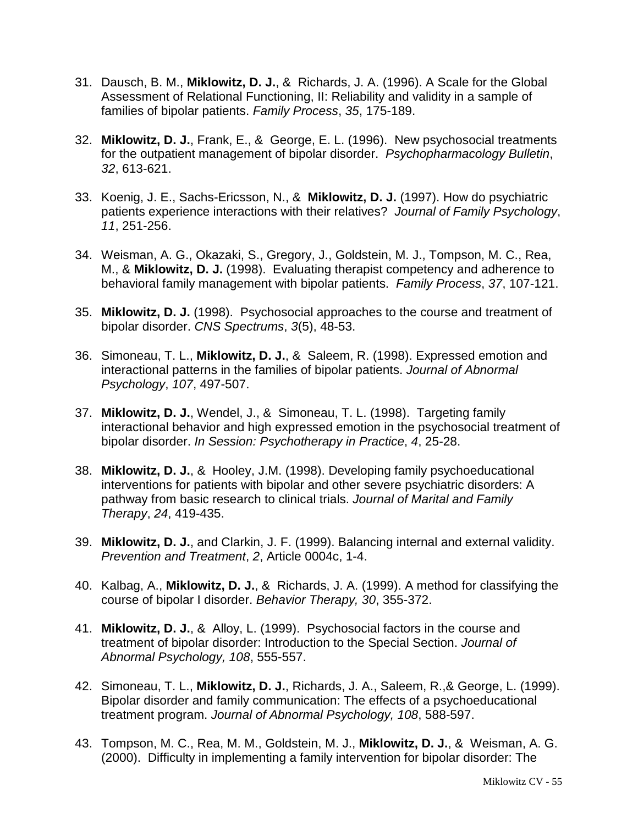- 31. Dausch, B. M., **Miklowitz, D. J.**, & Richards, J. A. (1996). A Scale for the Global Assessment of Relational Functioning, II: Reliability and validity in a sample of families of bipolar patients. *Family Process*, *35*, 175-189.
- 32. **Miklowitz, D. J.**, Frank, E., & George, E. L. (1996). New psychosocial treatments for the outpatient management of bipolar disorder. *Psychopharmacology Bulletin*, *32*, 613-621.
- 33. Koenig, J. E., Sachs-Ericsson, N., & **Miklowitz, D. J.** (1997). How do psychiatric patients experience interactions with their relatives? *Journal of Family Psychology*, *11*, 251-256.
- 34. Weisman, A. G., Okazaki, S., Gregory, J., Goldstein, M. J., Tompson, M. C., Rea, M., & **Miklowitz, D. J.** (1998). Evaluating therapist competency and adherence to behavioral family management with bipolar patients. *Family Process*, *37*, 107-121.
- 35. **Miklowitz, D. J.** (1998). Psychosocial approaches to the course and treatment of bipolar disorder. *CNS Spectrums*, *3*(5), 48-53.
- 36. Simoneau, T. L., **Miklowitz, D. J.**, & Saleem, R. (1998). Expressed emotion and interactional patterns in the families of bipolar patients. *Journal of Abnormal Psychology*, *107*, 497-507.
- 37. **Miklowitz, D. J.**, Wendel, J., & Simoneau, T. L. (1998). Targeting family interactional behavior and high expressed emotion in the psychosocial treatment of bipolar disorder. *In Session: Psychotherapy in Practice*, *4*, 25-28.
- 38. **Miklowitz, D. J.**, & Hooley, J.M. (1998). Developing family psychoeducational interventions for patients with bipolar and other severe psychiatric disorders: A pathway from basic research to clinical trials. *Journal of Marital and Family Therapy*, *24*, 419-435.
- 39. **Miklowitz, D. J.**, and Clarkin, J. F. (1999). Balancing internal and external validity. *Prevention and Treatment*, *2*, Article 0004c, 1-4.
- 40. Kalbag, A., **Miklowitz, D. J.**, & Richards, J. A. (1999). A method for classifying the course of bipolar I disorder. *Behavior Therapy, 30*, 355-372.
- 41. **Miklowitz, D. J.**, & Alloy, L. (1999). Psychosocial factors in the course and treatment of bipolar disorder: Introduction to the Special Section. *Journal of Abnormal Psychology, 108*, 555-557.
- 42. Simoneau, T. L., **Miklowitz, D. J.**, Richards, J. A., Saleem, R.,& George, L. (1999). Bipolar disorder and family communication: The effects of a psychoeducational treatment program. *Journal of Abnormal Psychology, 108*, 588-597.
- 43. Tompson, M. C., Rea, M. M., Goldstein, M. J., **Miklowitz, D. J.**, & Weisman, A. G. (2000). Difficulty in implementing a family intervention for bipolar disorder: The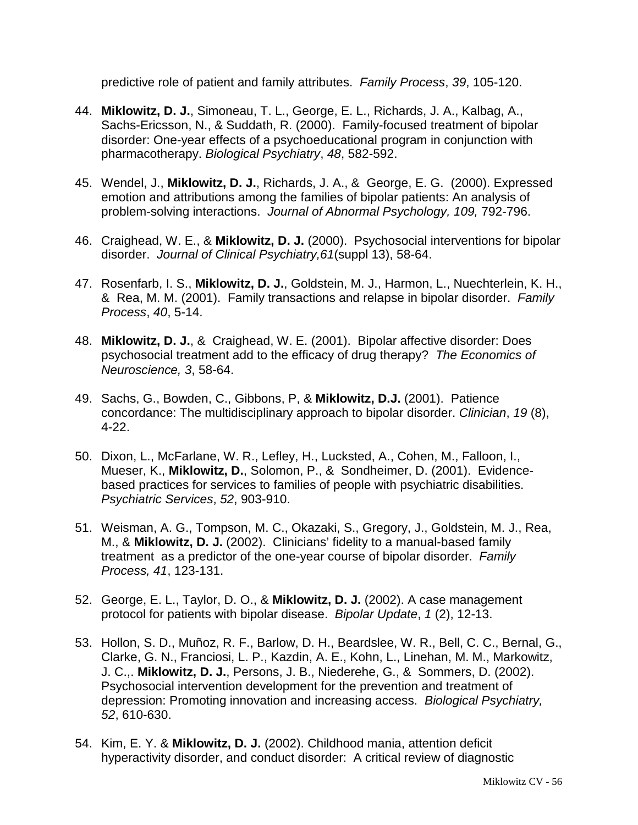predictive role of patient and family attributes. *Family Process*, *39*, 105-120.

- 44. **Miklowitz, D. J.**, Simoneau, T. L., George, E. L., Richards, J. A., Kalbag, A., Sachs-Ericsson, N., & Suddath, R. (2000). Family-focused treatment of bipolar disorder: One-year effects of a psychoeducational program in conjunction with pharmacotherapy. *Biological Psychiatry*, *48*, 582-592.
- 45. Wendel, J., **Miklowitz, D. J.**, Richards, J. A., & George, E. G. (2000). Expressed emotion and attributions among the families of bipolar patients: An analysis of problem-solving interactions. *Journal of Abnormal Psychology, 109,* 792-796.
- 46. Craighead, W. E., & **Miklowitz, D. J.** (2000). Psychosocial interventions for bipolar disorder. *Journal of Clinical Psychiatry,61*(suppl 13), 58-64.
- 47. Rosenfarb, I. S., **Miklowitz, D. J.**, Goldstein, M. J., Harmon, L., Nuechterlein, K. H., & Rea, M. M. (2001). Family transactions and relapse in bipolar disorder. *Family Process*, *40*, 5-14.
- 48. **Miklowitz, D. J.**, & Craighead, W. E. (2001). Bipolar affective disorder: Does psychosocial treatment add to the efficacy of drug therapy? *The Economics of Neuroscience, 3*, 58-64.
- 49. Sachs, G., Bowden, C., Gibbons, P, & **Miklowitz, D.J.** (2001). Patience concordance: The multidisciplinary approach to bipolar disorder. *Clinician*, *19* (8), 4-22.
- 50. Dixon, L., McFarlane, W. R., Lefley, H., Lucksted, A., Cohen, M., Falloon, I., Mueser, K., **Miklowitz, D.**, Solomon, P., & Sondheimer, D. (2001). Evidencebased practices for services to families of people with psychiatric disabilities. *Psychiatric Services*, *52*, 903-910.
- 51. Weisman, A. G., Tompson, M. C., Okazaki, S., Gregory, J., Goldstein, M. J., Rea, M., & **Miklowitz, D. J.** (2002). Clinicians' fidelity to a manual-based family treatment as a predictor of the one-year course of bipolar disorder. *Family Process, 41*, 123-131.
- 52. George, E. L., Taylor, D. O., & **Miklowitz, D. J.** (2002). A case management protocol for patients with bipolar disease. *Bipolar Update*, *1* (2), 12-13.
- 53. Hollon, S. D., Muñoz, R. F., Barlow, D. H., Beardslee, W. R., Bell, C. C., Bernal, G., Clarke, G. N., Franciosi, L. P., Kazdin, A. E., Kohn, L., Linehan, M. M., Markowitz, J. C.,. **Miklowitz, D. J.**, Persons, J. B., Niederehe, G., & Sommers, D. (2002). Psychosocial intervention development for the prevention and treatment of depression: Promoting innovation and increasing access. *Biological Psychiatry, 52*, 610-630.
- 54. Kim, E. Y. & **Miklowitz, D. J.** (2002). Childhood mania, attention deficit hyperactivity disorder, and conduct disorder: A critical review of diagnostic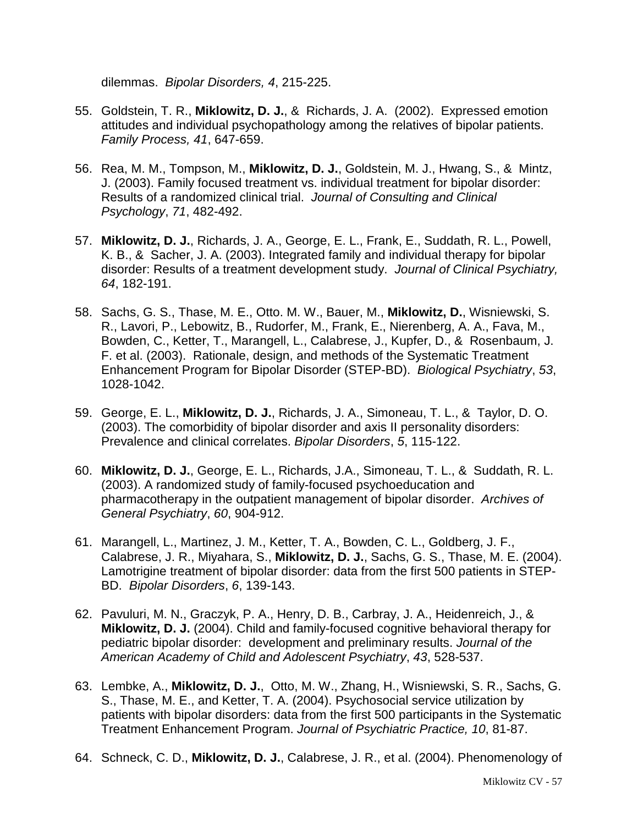dilemmas. *Bipolar Disorders, 4*, 215-225.

- 55. Goldstein, T. R., **Miklowitz, D. J.**, & Richards, J. A. (2002). Expressed emotion attitudes and individual psychopathology among the relatives of bipolar patients. *Family Process, 41*, 647-659.
- 56. Rea, M. M., Tompson, M., **Miklowitz, D. J.**, Goldstein, M. J., Hwang, S., & Mintz, J. (2003). Family focused treatment vs. individual treatment for bipolar disorder: Results of a randomized clinical trial. *Journal of Consulting and Clinical Psychology*, *71*, 482-492.
- 57. **Miklowitz, D. J.**, Richards, J. A., George, E. L., Frank, E., Suddath, R. L., Powell, K. B., & Sacher, J. A. (2003). Integrated family and individual therapy for bipolar disorder: Results of a treatment development study. *Journal of Clinical Psychiatry, 64*, 182-191.
- 58. Sachs, G. S., Thase, M. E., Otto. M. W., Bauer, M., **Miklowitz, D.**, Wisniewski, S. R., Lavori, P., Lebowitz, B., Rudorfer, M., Frank, E., Nierenberg, A. A., Fava, M., Bowden, C., Ketter, T., Marangell, L., Calabrese, J., Kupfer, D., & Rosenbaum, J. F. et al. (2003). Rationale, design, and methods of the Systematic Treatment Enhancement Program for Bipolar Disorder (STEP-BD). *Biological Psychiatry*, *53*, 1028-1042.
- 59. George, E. L., **Miklowitz, D. J.**, Richards, J. A., Simoneau, T. L., & Taylor, D. O. (2003). The comorbidity of bipolar disorder and axis II personality disorders: Prevalence and clinical correlates. *Bipolar Disorders*, *5*, 115-122.
- 60. **Miklowitz, D. J.**, George, E. L., Richards, J.A., Simoneau, T. L., & Suddath, R. L. (2003). A randomized study of family-focused psychoeducation and pharmacotherapy in the outpatient management of bipolar disorder. *Archives of General Psychiatry*, *60*, 904-912.
- 61. Marangell, L., Martinez, J. M., Ketter, T. A., Bowden, C. L., Goldberg, J. F., Calabrese, J. R., Miyahara, S., **Miklowitz, D. J.**, Sachs, G. S., Thase, M. E. (2004). Lamotrigine treatment of bipolar disorder: data from the first 500 patients in STEP-BD. *Bipolar Disorders*, *6*, 139-143.
- 62. Pavuluri, M. N., Graczyk, P. A., Henry, D. B., Carbray, J. A., Heidenreich, J., & **Miklowitz, D. J.** (2004). Child and family-focused cognitive behavioral therapy for pediatric bipolar disorder: development and preliminary results. *Journal of the American Academy of Child and Adolescent Psychiatry*, *43*, 528-537.
- 63. Lembke, A., **Miklowitz, D. J.**, Otto, M. W., Zhang, H., Wisniewski, S. R., Sachs, G. S., Thase, M. E., and Ketter, T. A. (2004). Psychosocial service utilization by patients with bipolar disorders: data from the first 500 participants in the Systematic Treatment Enhancement Program. *Journal of Psychiatric Practice, 10*, 81-87.
- 64. Schneck, C. D., **Miklowitz, D. J.**, Calabrese, J. R., et al. (2004). Phenomenology of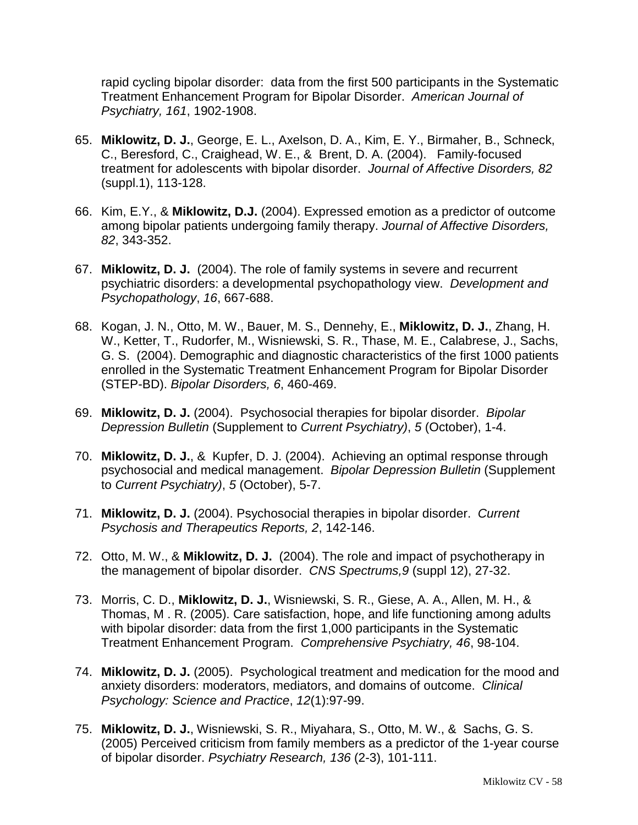rapid cycling bipolar disorder: data from the first 500 participants in the Systematic Treatment Enhancement Program for Bipolar Disorder. *American Journal of Psychiatry, 161*, 1902-1908.

- 65. **Miklowitz, D. J.**, George, E. L., Axelson, D. A., Kim, E. Y., Birmaher, B., Schneck, C., Beresford, C., Craighead, W. E., & Brent, D. A. (2004). Family-focused treatment for adolescents with bipolar disorder. *Journal of Affective Disorders, 82* (suppl.1), 113-128.
- 66. Kim, E.Y., & **Miklowitz, D.J.** (2004). Expressed emotion as a predictor of outcome among bipolar patients undergoing family therapy. *Journal of Affective Disorders, 82*, 343-352.
- 67. **Miklowitz, D. J.** (2004). The role of family systems in severe and recurrent psychiatric disorders: a developmental psychopathology view. *Development and Psychopathology*, *16*, 667-688.
- 68. Kogan, J. N., Otto, M. W., Bauer, M. S., Dennehy, E., **Miklowitz, D. J.**, Zhang, H. W., Ketter, T., Rudorfer, M., Wisniewski, S. R., Thase, M. E., Calabrese, J., Sachs, G. S. (2004). Demographic and diagnostic characteristics of the first 1000 patients enrolled in the Systematic Treatment Enhancement Program for Bipolar Disorder (STEP-BD). *Bipolar Disorders, 6*, 460-469.
- 69. **Miklowitz, D. J.** (2004). Psychosocial therapies for bipolar disorder. *Bipolar Depression Bulletin* (Supplement to *Current Psychiatry)*, *5* (October), 1-4.
- 70. **Miklowitz, D. J.**, & Kupfer, D. J. (2004). Achieving an optimal response through psychosocial and medical management. *Bipolar Depression Bulletin* (Supplement to *Current Psychiatry)*, *5* (October), 5-7.
- 71. **Miklowitz, D. J.** (2004). Psychosocial therapies in bipolar disorder. *Current Psychosis and Therapeutics Reports, 2*, 142-146.
- 72. Otto, M. W., & **Miklowitz, D. J.** (2004). The role and impact of psychotherapy in the management of bipolar disorder. *CNS Spectrums,9* (suppl 12), 27-32.
- 73. Morris, C. D., **Miklowitz, D. J.**, Wisniewski, S. R., Giese, A. A., Allen, M. H., & Thomas, M . R. (2005). Care satisfaction, hope, and life functioning among adults with bipolar disorder: data from the first 1,000 participants in the Systematic Treatment Enhancement Program. *Comprehensive Psychiatry, 46*, 98-104.
- 74. **Miklowitz, D. J.** (2005). Psychological treatment and medication for the mood and anxiety disorders: moderators, mediators, and domains of outcome. *Clinical Psychology: Science and Practice*, *12*(1):97-99.
- 75. **Miklowitz, D. J.**, Wisniewski, S. R., Miyahara, S., Otto, M. W., & Sachs, G. S. (2005) Perceived criticism from family members as a predictor of the 1-year course of bipolar disorder. *Psychiatry Research, 136* (2-3), 101-111.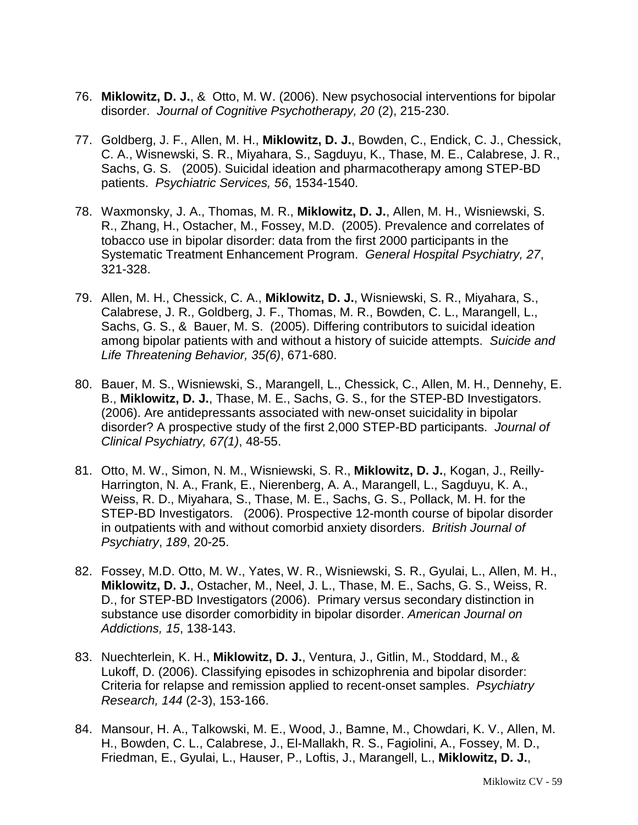- 76. **Miklowitz, D. J.**, & Otto, M. W. (2006). New psychosocial interventions for bipolar disorder. *Journal of Cognitive Psychotherapy, 20* (2), 215-230.
- 77. Goldberg, J. F., Allen, M. H., **Miklowitz, D. J.**, Bowden, C., Endick, C. J., Chessick, C. A., Wisnewski, S. R., Miyahara, S., Sagduyu, K., Thase, M. E., Calabrese, J. R., Sachs, G. S. (2005). Suicidal ideation and pharmacotherapy among STEP-BD patients. *Psychiatric Services, 56*, 1534-1540.
- 78. Waxmonsky, J. A., Thomas, M. R., **Miklowitz, D. J.**, Allen, M. H., Wisniewski, S. R., Zhang, H., Ostacher, M., Fossey, M.D. (2005). Prevalence and correlates of tobacco use in bipolar disorder: data from the first 2000 participants in the Systematic Treatment Enhancement Program. *General Hospital Psychiatry, 27*, 321-328.
- 79. Allen, M. H., Chessick, C. A., **Miklowitz, D. J.**, Wisniewski, S. R., Miyahara, S., Calabrese, J. R., Goldberg, J. F., Thomas, M. R., Bowden, C. L., Marangell, L., Sachs, G. S., & Bauer, M. S. (2005). Differing contributors to suicidal ideation among bipolar patients with and without a history of suicide attempts. *Suicide and Life Threatening Behavior, 35(6)*, 671-680.
- 80. Bauer, M. S., Wisniewski, S., Marangell, L., Chessick, C., Allen, M. H., Dennehy, E. B., **Miklowitz, D. J.**, Thase, M. E., Sachs, G. S., for the STEP-BD Investigators. (2006). Are antidepressants associated with new-onset suicidality in bipolar disorder? A prospective study of the first 2,000 STEP-BD participants. *Journal of Clinical Psychiatry, 67(1)*, 48-55.
- 81. Otto, M. W., Simon, N. M., Wisniewski, S. R., **Miklowitz, D. J.**, Kogan, J., Reilly-Harrington, N. A., Frank, E., Nierenberg, A. A., Marangell, L., Sagduyu, K. A., Weiss, R. D., Miyahara, S., Thase, M. E., Sachs, G. S., Pollack, M. H. for the STEP-BD Investigators. (2006). Prospective 12-month course of bipolar disorder in outpatients with and without comorbid anxiety disorders. *British Journal of Psychiatry*, *189*, 20-25.
- 82. Fossey, M.D. Otto, M. W., Yates, W. R., Wisniewski, S. R., Gyulai, L., Allen, M. H., **Miklowitz, D. J.**, Ostacher, M., Neel, J. L., Thase, M. E., Sachs, G. S., Weiss, R. D., for STEP-BD Investigators (2006). Primary versus secondary distinction in substance use disorder comorbidity in bipolar disorder. *American Journal on Addictions, 15*, 138-143.
- 83. Nuechterlein, K. H., **Miklowitz, D. J.**, Ventura, J., Gitlin, M., Stoddard, M., & Lukoff, D. (2006). Classifying episodes in schizophrenia and bipolar disorder: Criteria for relapse and remission applied to recent-onset samples. *Psychiatry Research, 144* (2-3), 153-166.
- 84. Mansour, H. A., Talkowski, M. E., Wood, J., Bamne, M., Chowdari, K. V., Allen, M. H., Bowden, C. L., Calabrese, J., El-Mallakh, R. S., Fagiolini, A., Fossey, M. D., Friedman, E., Gyulai, L., Hauser, P., Loftis, J., Marangell, L., **Miklowitz, D. J.**,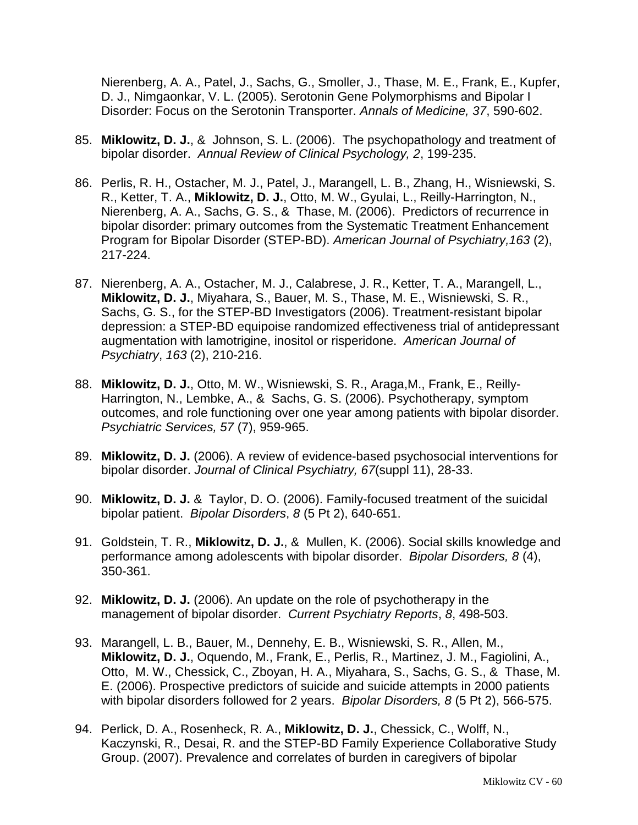Nierenberg, A. A., Patel, J., Sachs, G., Smoller, J., Thase, M. E., Frank, E., Kupfer, D. J., Nimgaonkar, V. L. (2005). Serotonin Gene Polymorphisms and Bipolar I Disorder: Focus on the Serotonin Transporter. *Annals of Medicine, 37*, 590-602.

- 85. **Miklowitz, D. J.**, & Johnson, S. L. (2006). The psychopathology and treatment of bipolar disorder. *Annual Review of Clinical Psychology, 2*, 199-235.
- 86. Perlis, R. H., Ostacher, M. J., Patel, J., Marangell, L. B., Zhang, H., Wisniewski, S. R., Ketter, T. A., **Miklowitz, D. J.**, Otto, M. W., Gyulai, L., Reilly-Harrington, N., Nierenberg, A. A., Sachs, G. S., & Thase, M. (2006). Predictors of recurrence in bipolar disorder: primary outcomes from the Systematic Treatment Enhancement Program for Bipolar Disorder (STEP-BD). *American Journal of Psychiatry,163* (2), 217-224.
- 87. Nierenberg, A. A., Ostacher, M. J., Calabrese, J. R., Ketter, T. A., Marangell, L., **Miklowitz, D. J.**, Miyahara, S., Bauer, M. S., Thase, M. E., Wisniewski, S. R., Sachs, G. S., for the STEP-BD Investigators (2006). Treatment-resistant bipolar depression: a STEP-BD equipoise randomized effectiveness trial of antidepressant augmentation with lamotrigine, inositol or risperidone. *American Journal of Psychiatry*, *163* (2), 210-216.
- 88. **Miklowitz, D. J.**, Otto, M. W., Wisniewski, S. R., Araga,M., Frank, E., Reilly-Harrington, N., Lembke, A., & Sachs, G. S. (2006). Psychotherapy, symptom outcomes, and role functioning over one year among patients with bipolar disorder. *Psychiatric Services, 57* (7), 959-965.
- 89. **Miklowitz, D. J.** (2006). A review of evidence-based psychosocial interventions for bipolar disorder. *Journal of Clinical Psychiatry, 67*(suppl 11), 28-33.
- 90. **Miklowitz, D. J.** & Taylor, D. O. (2006). Family-focused treatment of the suicidal bipolar patient. *Bipolar Disorders*, *8* (5 Pt 2), 640-651.
- 91. Goldstein, T. R., **Miklowitz, D. J.**, & Mullen, K. (2006). Social skills knowledge and performance among adolescents with bipolar disorder. *Bipolar Disorders, 8* (4), 350-361.
- 92. **Miklowitz, D. J.** (2006). An update on the role of psychotherapy in the management of bipolar disorder. *Current Psychiatry Reports*, *8*, 498-503.
- 93. Marangell, L. B., Bauer, M., Dennehy, E. B., Wisniewski, S. R., Allen, M., **Miklowitz, D. J.**, Oquendo, M., Frank, E., Perlis, R., Martinez, J. M., Fagiolini, A., Otto, M. W., Chessick, C., Zboyan, H. A., Miyahara, S., Sachs, G. S., & Thase, M. E. (2006). Prospective predictors of suicide and suicide attempts in 2000 patients with bipolar disorders followed for 2 years. *Bipolar Disorders, 8* (5 Pt 2), 566-575.
- 94. Perlick, D. A., Rosenheck, R. A., **Miklowitz, D. J.**, Chessick, C., Wolff, N., Kaczynski, R., Desai, R. and the STEP-BD Family Experience Collaborative Study Group. (2007). Prevalence and correlates of burden in caregivers of bipolar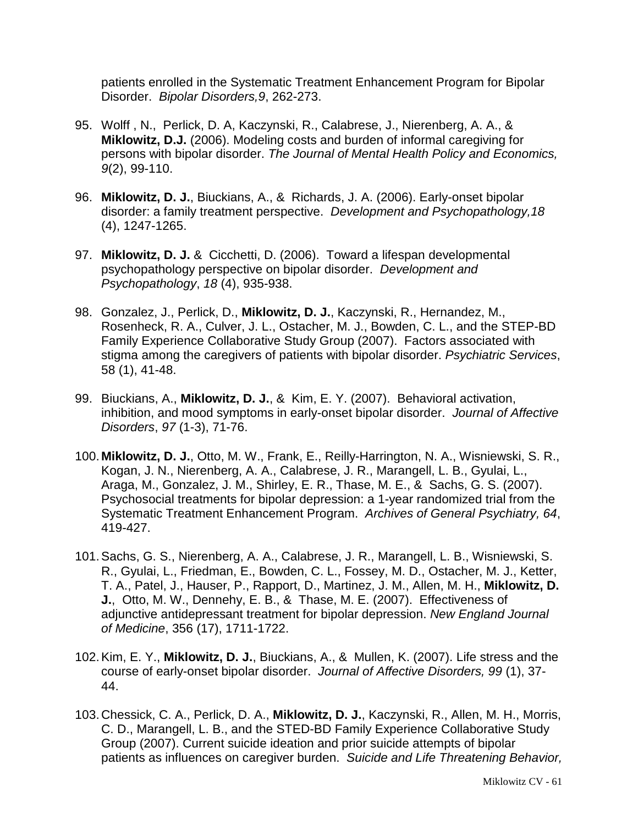patients enrolled in the Systematic Treatment Enhancement Program for Bipolar Disorder. *Bipolar Disorders,9*, 262-273.

- 95. Wolff , N., Perlick, D. A, Kaczynski, R., Calabrese, J., Nierenberg, A. A., & **Miklowitz, D.J.** (2006). Modeling costs and burden of informal caregiving for persons with bipolar disorder. *The Journal of Mental Health Policy and Economics, 9*(2), 99-110.
- 96. **Miklowitz, D. J.**, Biuckians, A., & Richards, J. A. (2006). Early-onset bipolar disorder: a family treatment perspective. *Development and Psychopathology,18* (4), 1247-1265.
- 97. **Miklowitz, D. J.** & Cicchetti, D. (2006). Toward a lifespan developmental psychopathology perspective on bipolar disorder. *Development and Psychopathology*, *18* (4), 935-938.
- 98. Gonzalez, J., Perlick, D., **Miklowitz, D. J.**, Kaczynski, R., Hernandez, M., Rosenheck, R. A., Culver, J. L., Ostacher, M. J., Bowden, C. L., and the STEP-BD Family Experience Collaborative Study Group (2007). Factors associated with stigma among the caregivers of patients with bipolar disorder. *Psychiatric Services*, 58 (1), 41-48.
- 99. Biuckians, A., **Miklowitz, D. J.**, & Kim, E. Y. (2007). Behavioral activation, inhibition, and mood symptoms in early-onset bipolar disorder. *Journal of Affective Disorders*, *97* (1-3), 71-76.
- 100. **Miklowitz, D. J.**, Otto, M. W., Frank, E., Reilly-Harrington, N. A., Wisniewski, S. R., Kogan, J. N., Nierenberg, A. A., Calabrese, J. R., Marangell, L. B., Gyulai, L., Araga, M., Gonzalez, J. M., Shirley, E. R., Thase, M. E., & Sachs, G. S. (2007). Psychosocial treatments for bipolar depression: a 1-year randomized trial from the Systematic Treatment Enhancement Program. *Archives of General Psychiatry, 64*, 419-427.
- 101.Sachs, G. S., Nierenberg, A. A., Calabrese, J. R., Marangell, L. B., Wisniewski, S. R., Gyulai, L., Friedman, E., Bowden, C. L., Fossey, M. D., Ostacher, M. J., Ketter, T. A., Patel, J., Hauser, P., Rapport, D., Martinez, J. M., Allen, M. H., **Miklowitz, D. J.**, Otto, M. W., Dennehy, E. B., & Thase, M. E. (2007). Effectiveness of adjunctive antidepressant treatment for bipolar depression. *New England Journal of Medicine*, 356 (17), 1711-1722.
- 102.Kim, E. Y., **Miklowitz, D. J.**, Biuckians, A., & Mullen, K. (2007). Life stress and the course of early-onset bipolar disorder. *Journal of Affective Disorders, 99* (1), 37- 44.
- 103.Chessick, C. A., Perlick, D. A., **Miklowitz, D. J.**, Kaczynski, R., Allen, M. H., Morris, C. D., Marangell, L. B., and the STED-BD Family Experience Collaborative Study Group (2007). Current suicide ideation and prior suicide attempts of bipolar patients as influences on caregiver burden. *Suicide and Life Threatening Behavior,*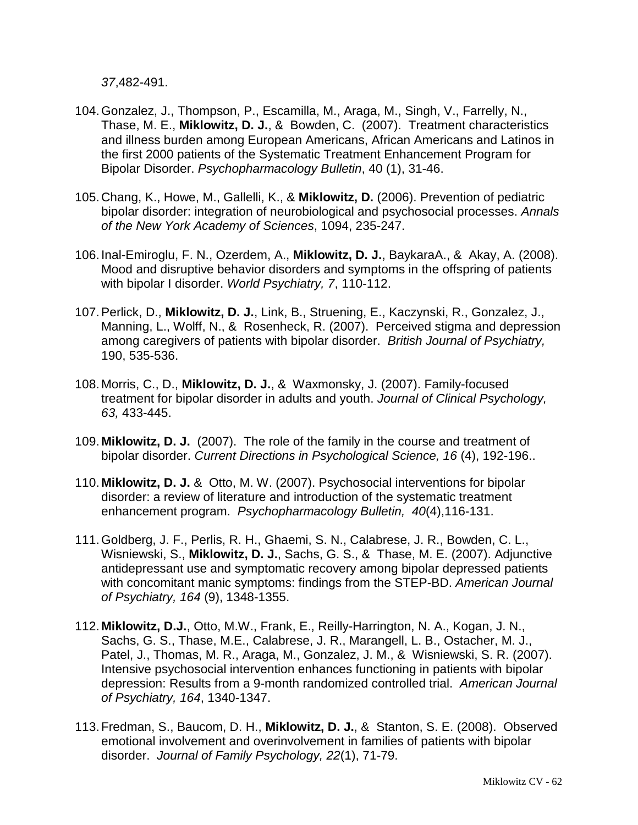*37*,482-491.

- 104.Gonzalez, J., Thompson, P., Escamilla, M., Araga, M., Singh, V., Farrelly, N., Thase, M. E., **Miklowitz, D. J.**, & Bowden, C. (2007). Treatment characteristics and illness burden among European Americans, African Americans and Latinos in the first 2000 patients of the Systematic Treatment Enhancement Program for Bipolar Disorder. *Psychopharmacology Bulletin*, 40 (1), 31-46.
- 105.Chang, K., Howe, M., Gallelli, K., & **Miklowitz, D.** (2006). Prevention of pediatric bipolar disorder: integration of neurobiological and psychosocial processes. *Annals of the New York Academy of Sciences*, 1094, 235-247.
- 106. Inal-Emiroglu, F. N., Ozerdem, A., **Miklowitz, D. J.**, BaykaraA., & Akay, A. (2008). Mood and disruptive behavior disorders and symptoms in the offspring of patients with bipolar I disorder. *World Psychiatry, 7*, 110-112.
- 107.Perlick, D., **Miklowitz, D. J.**, Link, B., Struening, E., Kaczynski, R., Gonzalez, J., Manning, L., Wolff, N., & Rosenheck, R. (2007). Perceived stigma and depression among caregivers of patients with bipolar disorder. *British Journal of Psychiatry,* 190, 535-536.
- 108. Morris, C., D., **Miklowitz, D. J.**, & Waxmonsky, J. (2007). Family-focused treatment for bipolar disorder in adults and youth. *Journal of Clinical Psychology, 63,* 433-445.
- 109. **Miklowitz, D. J.** (2007). The role of the family in the course and treatment of bipolar disorder. *Current Directions in Psychological Science, 16* (4), 192-196..
- 110. **Miklowitz, D. J.** & Otto, M. W. (2007). Psychosocial interventions for bipolar disorder: a review of literature and introduction of the systematic treatment enhancement program. *Psychopharmacology Bulletin, 40*(4),116-131.
- 111.Goldberg, J. F., Perlis, R. H., Ghaemi, S. N., Calabrese, J. R., Bowden, C. L., Wisniewski, S., **Miklowitz, D. J.**, Sachs, G. S., & Thase, M. E. (2007). Adjunctive antidepressant use and symptomatic recovery among bipolar depressed patients with concomitant manic symptoms: findings from the STEP-BD. *American Journal of Psychiatry, 164* (9), 1348-1355.
- 112. **Miklowitz, D.J.**, Otto, M.W., Frank, E., Reilly-Harrington, N. A., Kogan, J. N., Sachs, G. S., Thase, M.E., Calabrese, J. R., Marangell, L. B., Ostacher, M. J., Patel, J., Thomas, M. R., Araga, M., Gonzalez, J. M., & Wisniewski, S. R. (2007). Intensive psychosocial intervention enhances functioning in patients with bipolar depression: Results from a 9-month randomized controlled trial. *American Journal of Psychiatry, 164*, 1340-1347.
- 113.Fredman, S., Baucom, D. H., **Miklowitz, D. J.**, & Stanton, S. E. (2008). Observed emotional involvement and overinvolvement in families of patients with bipolar disorder. *Journal of Family Psychology, 22*(1), 71-79.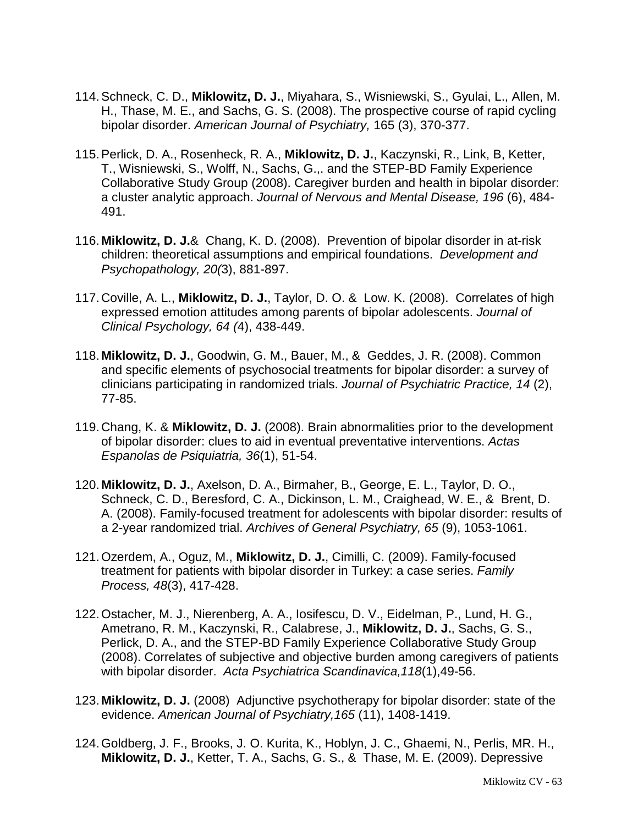- 114.Schneck, C. D., **Miklowitz, D. J.**, Miyahara, S., Wisniewski, S., Gyulai, L., Allen, M. H., Thase, M. E., and Sachs, G. S. (2008). The prospective course of rapid cycling bipolar disorder. *American Journal of Psychiatry,* 165 (3), 370-377.
- 115.Perlick, D. A., Rosenheck, R. A., **Miklowitz, D. J.**, Kaczynski, R., Link, B, Ketter, T., Wisniewski, S., Wolff, N., Sachs, G.,. and the STEP-BD Family Experience Collaborative Study Group (2008). Caregiver burden and health in bipolar disorder: a cluster analytic approach. *Journal of Nervous and Mental Disease, 196* (6), 484- 491.
- 116. **Miklowitz, D. J.**& Chang, K. D. (2008). Prevention of bipolar disorder in at-risk children: theoretical assumptions and empirical foundations. *Development and Psychopathology, 20(*3), 881-897.
- 117.Coville, A. L., **Miklowitz, D. J.**, Taylor, D. O. & Low. K. (2008). Correlates of high expressed emotion attitudes among parents of bipolar adolescents. *Journal of Clinical Psychology, 64 (*4), 438-449.
- 118. **Miklowitz, D. J.**, Goodwin, G. M., Bauer, M., & Geddes, J. R. (2008). Common and specific elements of psychosocial treatments for bipolar disorder: a survey of clinicians participating in randomized trials. *Journal of Psychiatric Practice, 14* (2), 77-85.
- 119.Chang, K. & **Miklowitz, D. J.** (2008). Brain abnormalities prior to the development of bipolar disorder: clues to aid in eventual preventative interventions. *Actas Espanolas de Psiquiatria, 36*(1), 51-54.
- 120. **Miklowitz, D. J.**, Axelson, D. A., Birmaher, B., George, E. L., Taylor, D. O., Schneck, C. D., Beresford, C. A., Dickinson, L. M., Craighead, W. E., & Brent, D. A. (2008). Family-focused treatment for adolescents with bipolar disorder: results of a 2-year randomized trial. *Archives of General Psychiatry, 65* (9), 1053-1061.
- 121.Ozerdem, A., Oguz, M., **Miklowitz, D. J.**, Cimilli, C. (2009). Family-focused treatment for patients with bipolar disorder in Turkey: a case series. *Family Process, 48*(3), 417-428.
- 122.Ostacher, M. J., Nierenberg, A. A., Iosifescu, D. V., Eidelman, P., Lund, H. G., Ametrano, R. M., Kaczynski, R., Calabrese, J., **Miklowitz, D. J.**, Sachs, G. S., Perlick, D. A., and the STEP-BD Family Experience Collaborative Study Group (2008). Correlates of subjective and objective burden among caregivers of patients with bipolar disorder. *Acta Psychiatrica Scandinavica,118*(1),49-56.
- 123. **Miklowitz, D. J.** (2008) Adjunctive psychotherapy for bipolar disorder: state of the evidence. *American Journal of Psychiatry,165* (11), 1408-1419.
- 124.Goldberg, J. F., Brooks, J. O. Kurita, K., Hoblyn, J. C., Ghaemi, N., Perlis, MR. H., **Miklowitz, D. J.**, Ketter, T. A., Sachs, G. S., & Thase, M. E. (2009). Depressive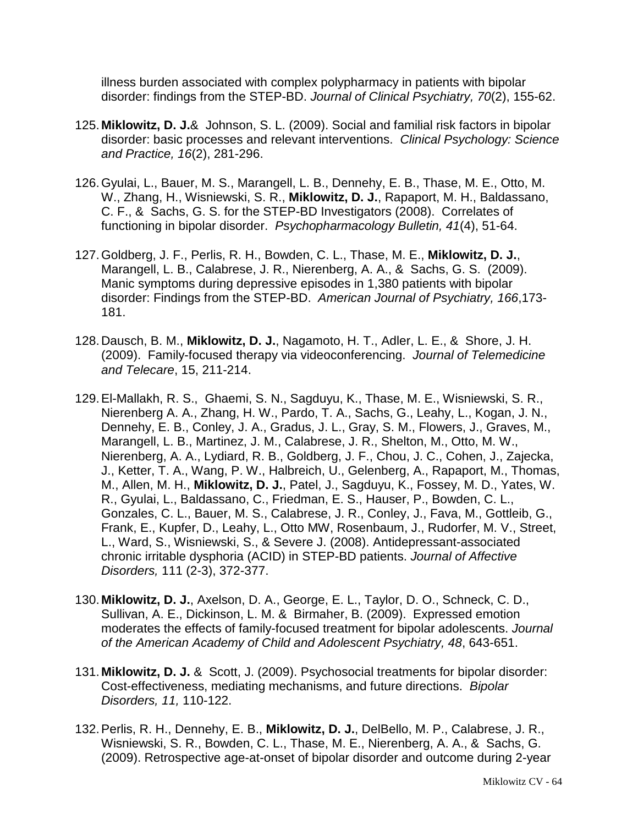illness burden associated with complex polypharmacy in patients with bipolar disorder: findings from the STEP-BD. *Journal of Clinical Psychiatry, 70*(2), 155-62.

- 125. **Miklowitz, D. J.**& Johnson, S. L. (2009). Social and familial risk factors in bipolar disorder: basic processes and relevant interventions. *Clinical Psychology: Science and Practice, 16*(2), 281-296.
- 126.Gyulai, L., Bauer, M. S., Marangell, L. B., Dennehy, E. B., Thase, M. E., Otto, M. W., Zhang, H., Wisniewski, S. R., **Miklowitz, D. J.**, Rapaport, M. H., Baldassano, C. F., & Sachs, G. S. for the STEP-BD Investigators (2008). Correlates of functioning in bipolar disorder. *Psychopharmacology Bulletin, 41*(4), 51-64.
- 127.Goldberg, J. F., Perlis, R. H., Bowden, C. L., Thase, M. E., **Miklowitz, D. J.**, Marangell, L. B., Calabrese, J. R., Nierenberg, A. A., & Sachs, G. S. (2009). Manic symptoms during depressive episodes in 1,380 patients with bipolar disorder: Findings from the STEP-BD. *American Journal of Psychiatry, 166*,173- 181.
- 128.Dausch, B. M., **Miklowitz, D. J.**, Nagamoto, H. T., Adler, L. E., & Shore, J. H. (2009). Family-focused therapy via videoconferencing. *Journal of Telemedicine and Telecare*, 15, 211-214.
- 129[.El-Mallakh, R. S.](http://www.ncbi.nlm.nih.gov/sites/entrez?Db=pubmed&Cmd=Search&Term=%22El-Mallakh%20RS%22%5BAuthor%5D&itool=EntrezSystem2.PEntrez.Pubmed.Pubmed_ResultsPanel.Pubmed_DiscoveryPanel.Pubmed_RVAbstractPlus), [Ghaemi, S. N.](http://www.ncbi.nlm.nih.gov/sites/entrez?Db=pubmed&Cmd=Search&Term=%22Ghaemi%20SN%22%5BAuthor%5D&itool=EntrezSystem2.PEntrez.Pubmed.Pubmed_ResultsPanel.Pubmed_DiscoveryPanel.Pubmed_RVAbstractPlus), [Sagduyu, K.](http://www.ncbi.nlm.nih.gov/sites/entrez?Db=pubmed&Cmd=Search&Term=%22Sagduyu%20K%22%5BAuthor%5D&itool=EntrezSystem2.PEntrez.Pubmed.Pubmed_ResultsPanel.Pubmed_DiscoveryPanel.Pubmed_RVAbstractPlus), [Thase, M. E.](http://www.ncbi.nlm.nih.gov/sites/entrez?Db=pubmed&Cmd=Search&Term=%22Thase%20ME%22%5BAuthor%5D&itool=EntrezSystem2.PEntrez.Pubmed.Pubmed_ResultsPanel.Pubmed_DiscoveryPanel.Pubmed_RVAbstractPlus), [Wisniewski, S. R.](http://www.ncbi.nlm.nih.gov/sites/entrez?Db=pubmed&Cmd=Search&Term=%22Wisniewski%20SR%22%5BAuthor%5D&itool=EntrezSystem2.PEntrez.Pubmed.Pubmed_ResultsPanel.Pubmed_DiscoveryPanel.Pubmed_RVAbstractPlus), [Nierenberg A. A.](http://www.ncbi.nlm.nih.gov/sites/entrez?Db=pubmed&Cmd=Search&Term=%22Nierenberg%20AA%22%5BAuthor%5D&itool=EntrezSystem2.PEntrez.Pubmed.Pubmed_ResultsPanel.Pubmed_DiscoveryPanel.Pubmed_RVAbstractPlus), [Zhang, H. W.](http://www.ncbi.nlm.nih.gov/sites/entrez?Db=pubmed&Cmd=Search&Term=%22Zhang%20HW%22%5BAuthor%5D&itool=EntrezSystem2.PEntrez.Pubmed.Pubmed_ResultsPanel.Pubmed_DiscoveryPanel.Pubmed_RVAbstractPlus), [Pardo, T. A.](http://www.ncbi.nlm.nih.gov/sites/entrez?Db=pubmed&Cmd=Search&Term=%22Pardo%20TA%22%5BAuthor%5D&itool=EntrezSystem2.PEntrez.Pubmed.Pubmed_ResultsPanel.Pubmed_DiscoveryPanel.Pubmed_RVAbstractPlus), [Sachs, G.](http://www.ncbi.nlm.nih.gov/sites/entrez?Db=pubmed&Cmd=Search&Term=%22Sachs%20G%22%5BAuthor%5D&itool=EntrezSystem2.PEntrez.Pubmed.Pubmed_ResultsPanel.Pubmed_DiscoveryPanel.Pubmed_RVAbstractPlus), [Leahy, L.](http://www.ncbi.nlm.nih.gov/sites/entrez?Db=pubmed&Cmd=Search&Term=%22Leahy%20L%22&itool=EntrezSystem2.PEntrez.Pubmed.Pubmed_ResultsPanel.Pubmed_DiscoveryPanel.Pubmed_RVAbstractPlus), [Kogan, J. N.](http://www.ncbi.nlm.nih.gov/sites/entrez?Db=pubmed&Cmd=Search&Term=%22Kogan%20JN%22&itool=EntrezSystem2.PEntrez.Pubmed.Pubmed_ResultsPanel.Pubmed_DiscoveryPanel.Pubmed_RVAbstractPlus), [Dennehy, E. B.](http://www.ncbi.nlm.nih.gov/sites/entrez?Db=pubmed&Cmd=Search&Term=%22Dennehy%20EB%22&itool=EntrezSystem2.PEntrez.Pubmed.Pubmed_ResultsPanel.Pubmed_DiscoveryPanel.Pubmed_RVAbstractPlus), [Conley, J. A.](http://www.ncbi.nlm.nih.gov/sites/entrez?Db=pubmed&Cmd=Search&Term=%22Conley%20JA%22&itool=EntrezSystem2.PEntrez.Pubmed.Pubmed_ResultsPanel.Pubmed_DiscoveryPanel.Pubmed_RVAbstractPlus), [Gradus, J. L.](http://www.ncbi.nlm.nih.gov/sites/entrez?Db=pubmed&Cmd=Search&Term=%22Gradus%20JL%22&itool=EntrezSystem2.PEntrez.Pubmed.Pubmed_ResultsPanel.Pubmed_DiscoveryPanel.Pubmed_RVAbstractPlus), [Gray, S. M.](http://www.ncbi.nlm.nih.gov/sites/entrez?Db=pubmed&Cmd=Search&Term=%22Gray%20SM%22&itool=EntrezSystem2.PEntrez.Pubmed.Pubmed_ResultsPanel.Pubmed_DiscoveryPanel.Pubmed_RVAbstractPlus), [Flowers, J.](http://www.ncbi.nlm.nih.gov/sites/entrez?Db=pubmed&Cmd=Search&Term=%22Flowers%20J%22&itool=EntrezSystem2.PEntrez.Pubmed.Pubmed_ResultsPanel.Pubmed_DiscoveryPanel.Pubmed_RVAbstractPlus), [Graves, M.](http://www.ncbi.nlm.nih.gov/sites/entrez?Db=pubmed&Cmd=Search&Term=%22Graves%20M%22&itool=EntrezSystem2.PEntrez.Pubmed.Pubmed_ResultsPanel.Pubmed_DiscoveryPanel.Pubmed_RVAbstractPlus), [Marangell, L. B.](http://www.ncbi.nlm.nih.gov/sites/entrez?Db=pubmed&Cmd=Search&Term=%22Marangell%20LB%22&itool=EntrezSystem2.PEntrez.Pubmed.Pubmed_ResultsPanel.Pubmed_DiscoveryPanel.Pubmed_RVAbstractPlus), [Martinez, J. M.](http://www.ncbi.nlm.nih.gov/sites/entrez?Db=pubmed&Cmd=Search&Term=%22Martinez%20JM%22&itool=EntrezSystem2.PEntrez.Pubmed.Pubmed_ResultsPanel.Pubmed_DiscoveryPanel.Pubmed_RVAbstractPlus), [Calabrese, J. R.](http://www.ncbi.nlm.nih.gov/sites/entrez?Db=pubmed&Cmd=Search&Term=%22Calabrese%20JR%22&itool=EntrezSystem2.PEntrez.Pubmed.Pubmed_ResultsPanel.Pubmed_DiscoveryPanel.Pubmed_RVAbstractPlus), [Shelton, M.](http://www.ncbi.nlm.nih.gov/sites/entrez?Db=pubmed&Cmd=Search&Term=%22Shelton%20M%22&itool=EntrezSystem2.PEntrez.Pubmed.Pubmed_ResultsPanel.Pubmed_DiscoveryPanel.Pubmed_RVAbstractPlus), [Otto, M. W.](http://www.ncbi.nlm.nih.gov/sites/entrez?Db=pubmed&Cmd=Search&Term=%22Otto%20MW%22&itool=EntrezSystem2.PEntrez.Pubmed.Pubmed_ResultsPanel.Pubmed_DiscoveryPanel.Pubmed_RVAbstractPlus), [Nierenberg, A. A.](http://www.ncbi.nlm.nih.gov/sites/entrez?Db=pubmed&Cmd=Search&Term=%22Nierenberg%20AA%22&itool=EntrezSystem2.PEntrez.Pubmed.Pubmed_ResultsPanel.Pubmed_DiscoveryPanel.Pubmed_RVAbstractPlus), [Lydiard, R. B.](http://www.ncbi.nlm.nih.gov/sites/entrez?Db=pubmed&Cmd=Search&Term=%22Lydiard%20RB%22&itool=EntrezSystem2.PEntrez.Pubmed.Pubmed_ResultsPanel.Pubmed_DiscoveryPanel.Pubmed_RVAbstractPlus), [Goldberg, J. F.](http://www.ncbi.nlm.nih.gov/sites/entrez?Db=pubmed&Cmd=Search&Term=%22Goldberg%20JF%22&itool=EntrezSystem2.PEntrez.Pubmed.Pubmed_ResultsPanel.Pubmed_DiscoveryPanel.Pubmed_RVAbstractPlus), [Chou, J. C.](http://www.ncbi.nlm.nih.gov/sites/entrez?Db=pubmed&Cmd=Search&Term=%22Chou%20JC%22&itool=EntrezSystem2.PEntrez.Pubmed.Pubmed_ResultsPanel.Pubmed_DiscoveryPanel.Pubmed_RVAbstractPlus), [Cohen, J.](http://www.ncbi.nlm.nih.gov/sites/entrez?Db=pubmed&Cmd=Search&Term=%22Cohen%20J%22&itool=EntrezSystem2.PEntrez.Pubmed.Pubmed_ResultsPanel.Pubmed_DiscoveryPanel.Pubmed_RVAbstractPlus), [Zajecka,](http://www.ncbi.nlm.nih.gov/sites/entrez?Db=pubmed&Cmd=Search&Term=%22Zajecka%20J%22&itool=EntrezSystem2.PEntrez.Pubmed.Pubmed_ResultsPanel.Pubmed_DiscoveryPanel.Pubmed_RVAbstractPlus)  [J.](http://www.ncbi.nlm.nih.gov/sites/entrez?Db=pubmed&Cmd=Search&Term=%22Zajecka%20J%22&itool=EntrezSystem2.PEntrez.Pubmed.Pubmed_ResultsPanel.Pubmed_DiscoveryPanel.Pubmed_RVAbstractPlus), [Ketter, T. A.](http://www.ncbi.nlm.nih.gov/sites/entrez?Db=pubmed&Cmd=Search&Term=%22Ketter%20TA%22&itool=EntrezSystem2.PEntrez.Pubmed.Pubmed_ResultsPanel.Pubmed_DiscoveryPanel.Pubmed_RVAbstractPlus), [Wang, P. W.](http://www.ncbi.nlm.nih.gov/sites/entrez?Db=pubmed&Cmd=Search&Term=%22Wang%20PW%22&itool=EntrezSystem2.PEntrez.Pubmed.Pubmed_ResultsPanel.Pubmed_DiscoveryPanel.Pubmed_RVAbstractPlus), [Halbreich, U.](http://www.ncbi.nlm.nih.gov/sites/entrez?Db=pubmed&Cmd=Search&Term=%22Halbreich%20U%22&itool=EntrezSystem2.PEntrez.Pubmed.Pubmed_ResultsPanel.Pubmed_DiscoveryPanel.Pubmed_RVAbstractPlus), [Gelenberg, A.](http://www.ncbi.nlm.nih.gov/sites/entrez?Db=pubmed&Cmd=Search&Term=%22Gelenberg%20A%22&itool=EntrezSystem2.PEntrez.Pubmed.Pubmed_ResultsPanel.Pubmed_DiscoveryPanel.Pubmed_RVAbstractPlus), [Rapaport, M.](http://www.ncbi.nlm.nih.gov/sites/entrez?Db=pubmed&Cmd=Search&Term=%22Rapaport%20M%22&itool=EntrezSystem2.PEntrez.Pubmed.Pubmed_ResultsPanel.Pubmed_DiscoveryPanel.Pubmed_RVAbstractPlus), [Thomas,](http://www.ncbi.nlm.nih.gov/sites/entrez?Db=pubmed&Cmd=Search&Term=%22Thomas%20M%22&itool=EntrezSystem2.PEntrez.Pubmed.Pubmed_ResultsPanel.Pubmed_DiscoveryPanel.Pubmed_RVAbstractPlus)  [M.](http://www.ncbi.nlm.nih.gov/sites/entrez?Db=pubmed&Cmd=Search&Term=%22Thomas%20M%22&itool=EntrezSystem2.PEntrez.Pubmed.Pubmed_ResultsPanel.Pubmed_DiscoveryPanel.Pubmed_RVAbstractPlus), [Allen, M. H.](http://www.ncbi.nlm.nih.gov/sites/entrez?Db=pubmed&Cmd=Search&Term=%22Allen%20MH%22&itool=EntrezSystem2.PEntrez.Pubmed.Pubmed_ResultsPanel.Pubmed_DiscoveryPanel.Pubmed_RVAbstractPlus), **[Miklowitz, D. J.](http://www.ncbi.nlm.nih.gov/sites/entrez?Db=pubmed&Cmd=Search&Term=%22Miklowitz%20DJ%22&itool=EntrezSystem2.PEntrez.Pubmed.Pubmed_ResultsPanel.Pubmed_DiscoveryPanel.Pubmed_RVAbstractPlus)**, [Patel, J.](http://www.ncbi.nlm.nih.gov/sites/entrez?Db=pubmed&Cmd=Search&Term=%22Patel%20J%22&itool=EntrezSystem2.PEntrez.Pubmed.Pubmed_ResultsPanel.Pubmed_DiscoveryPanel.Pubmed_RVAbstractPlus), [Sagduyu, K.](http://www.ncbi.nlm.nih.gov/sites/entrez?Db=pubmed&Cmd=Search&Term=%22Sagduyu%20K%22&itool=EntrezSystem2.PEntrez.Pubmed.Pubmed_ResultsPanel.Pubmed_DiscoveryPanel.Pubmed_RVAbstractPlus), [Fossey, M. D.](http://www.ncbi.nlm.nih.gov/sites/entrez?Db=pubmed&Cmd=Search&Term=%22Fossey%20MD%22&itool=EntrezSystem2.PEntrez.Pubmed.Pubmed_ResultsPanel.Pubmed_DiscoveryPanel.Pubmed_RVAbstractPlus), [Yates, W.](http://www.ncbi.nlm.nih.gov/sites/entrez?Db=pubmed&Cmd=Search&Term=%22Yates%20WR%22&itool=EntrezSystem2.PEntrez.Pubmed.Pubmed_ResultsPanel.Pubmed_DiscoveryPanel.Pubmed_RVAbstractPlus)  [R.](http://www.ncbi.nlm.nih.gov/sites/entrez?Db=pubmed&Cmd=Search&Term=%22Yates%20WR%22&itool=EntrezSystem2.PEntrez.Pubmed.Pubmed_ResultsPanel.Pubmed_DiscoveryPanel.Pubmed_RVAbstractPlus), [Gyulai, L.](http://www.ncbi.nlm.nih.gov/sites/entrez?Db=pubmed&Cmd=Search&Term=%22Gyulai%20L%22&itool=EntrezSystem2.PEntrez.Pubmed.Pubmed_ResultsPanel.Pubmed_DiscoveryPanel.Pubmed_RVAbstractPlus), [Baldassano, C.](http://www.ncbi.nlm.nih.gov/sites/entrez?Db=pubmed&Cmd=Search&Term=%22Baldassano%20C%22&itool=EntrezSystem2.PEntrez.Pubmed.Pubmed_ResultsPanel.Pubmed_DiscoveryPanel.Pubmed_RVAbstractPlus), [Friedman, E. S.](http://www.ncbi.nlm.nih.gov/sites/entrez?Db=pubmed&Cmd=Search&Term=%22Friedman%20ES%22&itool=EntrezSystem2.PEntrez.Pubmed.Pubmed_ResultsPanel.Pubmed_DiscoveryPanel.Pubmed_RVAbstractPlus), [Hauser, P.](http://www.ncbi.nlm.nih.gov/sites/entrez?Db=pubmed&Cmd=Search&Term=%22Hauser%20P%22&itool=EntrezSystem2.PEntrez.Pubmed.Pubmed_ResultsPanel.Pubmed_DiscoveryPanel.Pubmed_RVAbstractPlus), [Bowden, C. L.](http://www.ncbi.nlm.nih.gov/sites/entrez?Db=pubmed&Cmd=Search&Term=%22Bowden%20CL%22&itool=EntrezSystem2.PEntrez.Pubmed.Pubmed_ResultsPanel.Pubmed_DiscoveryPanel.Pubmed_RVAbstractPlus), [Gonzales, C. L.](http://www.ncbi.nlm.nih.gov/sites/entrez?Db=pubmed&Cmd=Search&Term=%22Gonzales%20CL%22&itool=EntrezSystem2.PEntrez.Pubmed.Pubmed_ResultsPanel.Pubmed_DiscoveryPanel.Pubmed_RVAbstractPlus), [Bauer, M. S.](http://www.ncbi.nlm.nih.gov/sites/entrez?Db=pubmed&Cmd=Search&Term=%22Bauer%20MS%22&itool=EntrezSystem2.PEntrez.Pubmed.Pubmed_ResultsPanel.Pubmed_DiscoveryPanel.Pubmed_RVAbstractPlus), [Calabrese, J. R.](http://www.ncbi.nlm.nih.gov/sites/entrez?Db=pubmed&Cmd=Search&Term=%22Calabrese%20JR%22&itool=EntrezSystem2.PEntrez.Pubmed.Pubmed_ResultsPanel.Pubmed_DiscoveryPanel.Pubmed_RVAbstractPlus), [Conley, J.](http://www.ncbi.nlm.nih.gov/sites/entrez?Db=pubmed&Cmd=Search&Term=%22Conley%20J%22&itool=EntrezSystem2.PEntrez.Pubmed.Pubmed_ResultsPanel.Pubmed_DiscoveryPanel.Pubmed_RVAbstractPlus), [Fava, M.](http://www.ncbi.nlm.nih.gov/sites/entrez?Db=pubmed&Cmd=Search&Term=%22Fava%20M%22&itool=EntrezSystem2.PEntrez.Pubmed.Pubmed_ResultsPanel.Pubmed_DiscoveryPanel.Pubmed_RVAbstractPlus), [Gottleib, G.](http://www.ncbi.nlm.nih.gov/sites/entrez?Db=pubmed&Cmd=Search&Term=%22Gottleib%20G%22&itool=EntrezSystem2.PEntrez.Pubmed.Pubmed_ResultsPanel.Pubmed_DiscoveryPanel.Pubmed_RVAbstractPlus), [Frank, E.](http://www.ncbi.nlm.nih.gov/sites/entrez?Db=pubmed&Cmd=Search&Term=%22Frank%20E%22&itool=EntrezSystem2.PEntrez.Pubmed.Pubmed_ResultsPanel.Pubmed_DiscoveryPanel.Pubmed_RVAbstractPlus), [Kupfer, D.](http://www.ncbi.nlm.nih.gov/sites/entrez?Db=pubmed&Cmd=Search&Term=%22Kupfer%20D%22&itool=EntrezSystem2.PEntrez.Pubmed.Pubmed_ResultsPanel.Pubmed_DiscoveryPanel.Pubmed_RVAbstractPlus), [Leahy, L.](http://www.ncbi.nlm.nih.gov/sites/entrez?Db=pubmed&Cmd=Search&Term=%22Leahy%20L%22&itool=EntrezSystem2.PEntrez.Pubmed.Pubmed_ResultsPanel.Pubmed_DiscoveryPanel.Pubmed_RVAbstractPlus), [Otto MW,](http://www.ncbi.nlm.nih.gov/sites/entrez?Db=pubmed&Cmd=Search&Term=%22Otto%20MW%22&itool=EntrezSystem2.PEntrez.Pubmed.Pubmed_ResultsPanel.Pubmed_DiscoveryPanel.Pubmed_RVAbstractPlus) [Rosenbaum, J.](http://www.ncbi.nlm.nih.gov/sites/entrez?Db=pubmed&Cmd=Search&Term=%22Rosenbaum%20J%22&itool=EntrezSystem2.PEntrez.Pubmed.Pubmed_ResultsPanel.Pubmed_DiscoveryPanel.Pubmed_RVAbstractPlus), [Rudorfer, M. V.](http://www.ncbi.nlm.nih.gov/sites/entrez?Db=pubmed&Cmd=Search&Term=%22Rudorfer%20MV%22&itool=EntrezSystem2.PEntrez.Pubmed.Pubmed_ResultsPanel.Pubmed_DiscoveryPanel.Pubmed_RVAbstractPlus), [Street,](http://www.ncbi.nlm.nih.gov/sites/entrez?Db=pubmed&Cmd=Search&Term=%22Street%20L%22&itool=EntrezSystem2.PEntrez.Pubmed.Pubmed_ResultsPanel.Pubmed_DiscoveryPanel.Pubmed_RVAbstractPlus)  [L.](http://www.ncbi.nlm.nih.gov/sites/entrez?Db=pubmed&Cmd=Search&Term=%22Street%20L%22&itool=EntrezSystem2.PEntrez.Pubmed.Pubmed_ResultsPanel.Pubmed_DiscoveryPanel.Pubmed_RVAbstractPlus), [Ward, S.](http://www.ncbi.nlm.nih.gov/sites/entrez?Db=pubmed&Cmd=Search&Term=%22Ward%20S%22&itool=EntrezSystem2.PEntrez.Pubmed.Pubmed_ResultsPanel.Pubmed_DiscoveryPanel.Pubmed_RVAbstractPlus), [Wisniewski, S.](http://www.ncbi.nlm.nih.gov/sites/entrez?Db=pubmed&Cmd=Search&Term=%22Wisniewski%20S%22&itool=EntrezSystem2.PEntrez.Pubmed.Pubmed_ResultsPanel.Pubmed_DiscoveryPanel.Pubmed_RVAbstractPlus), & [Severe J.](http://www.ncbi.nlm.nih.gov/sites/entrez?Db=pubmed&Cmd=Search&Term=%22Severe%20J%22&itool=EntrezSystem2.PEntrez.Pubmed.Pubmed_ResultsPanel.Pubmed_DiscoveryPanel.Pubmed_RVAbstractPlus) (2008). Antidepressant-associated chronic irritable dysphoria (ACID) in STEP-BD patients. *Journal of Affective Disorders,* 111 (2-3), 372-377.
- 130. **Miklowitz, D. J.**, Axelson, D. A., George, E. L., Taylor, D. O., Schneck, C. D., Sullivan, A. E., Dickinson, L. M. & Birmaher, B. (2009). Expressed emotion moderates the effects of family-focused treatment for bipolar adolescents. *Journal of the American Academy of Child and Adolescent Psychiatry, 48*, 643-651.
- 131. **Miklowitz, D. J.** & Scott, J. (2009). Psychosocial treatments for bipolar disorder: Cost-effectiveness, mediating mechanisms, and future directions. *Bipolar Disorders, 11,* 110-122.
- 132.Perlis, R. H., Dennehy, E. B., **Miklowitz, D. J.**, DelBello, M. P., Calabrese, J. R., Wisniewski, S. R., Bowden, C. L., Thase, M. E., Nierenberg, A. A., & Sachs, G. (2009). Retrospective age-at-onset of bipolar disorder and outcome during 2-year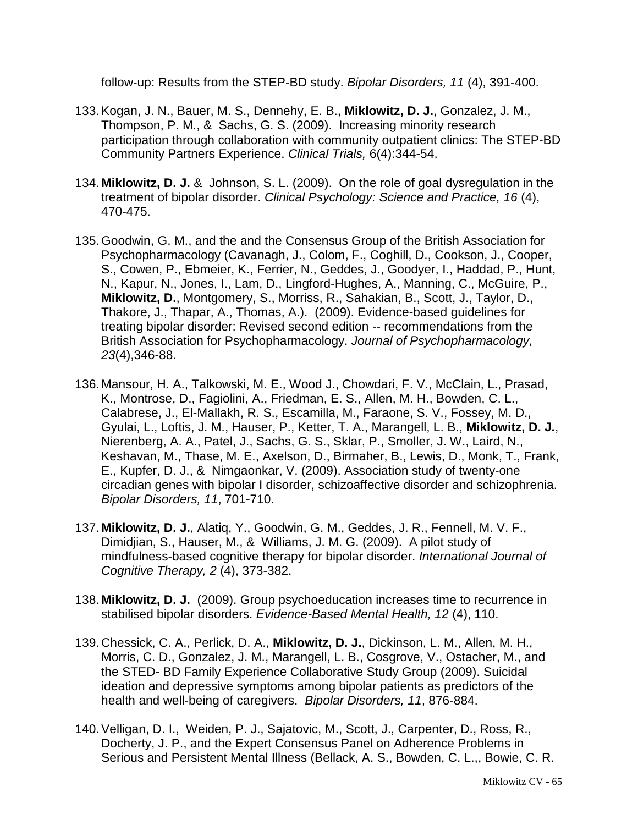follow-up: Results from the STEP-BD study. *Bipolar Disorders, 11* (4), 391-400.

- 133.Kogan, J. N., Bauer, M. S., Dennehy, E. B., **Miklowitz, D. J.**, Gonzalez, J. M., Thompson, P. M., & Sachs, G. S. (2009). Increasing minority research participation through collaboration with community outpatient clinics: The STEP-BD Community Partners Experience. *Clinical Trials,* 6(4):344-54.
- 134. **Miklowitz, D. J.** & Johnson, S. L. (2009). On the role of goal dysregulation in the treatment of bipolar disorder. *Clinical Psychology: Science and Practice, 16* (4), 470-475.
- 135.Goodwin, G. M., and the and the Consensus Group of the British Association for Psychopharmacology (Cavanagh, J., Colom, F., Coghill, D., Cookson, J., Cooper, S., Cowen, P., Ebmeier, K., Ferrier, N., Geddes, J., Goodyer, I., Haddad, P., Hunt, N., Kapur, N., Jones, I., Lam, D., Lingford-Hughes, A., Manning, C., McGuire, P., **Miklowitz, D.**, Montgomery, S., Morriss, R., Sahakian, B., Scott, J., Taylor, D., Thakore, J., Thapar, A., Thomas, A.). (2009). Evidence-based guidelines for treating bipolar disorder: Revised second edition -- recommendations from the British Association for Psychopharmacology. *Journal of Psychopharmacology, 23*(4),346-88.
- 136. Mansour, H. A., Talkowski, M. E., Wood J., Chowdari, F. V., McClain, L., Prasad, K., Montrose, D., Fagiolini, A., Friedman, E. S., Allen, M. H., Bowden, C. L., Calabrese, J., El-Mallakh, R. S., Escamilla, M., Faraone, S. V., Fossey, M. D., Gyulai, L., Loftis, J. M., Hauser, P., Ketter, T. A., Marangell, L. B., **Miklowitz, D. J.**, Nierenberg, A. A., Patel, J., Sachs, G. S., Sklar, P., Smoller, J. W., Laird, N., Keshavan, M., Thase, M. E., Axelson, D., Birmaher, B., Lewis, D., Monk, T., Frank, E., Kupfer, D. J., & Nimgaonkar, V. (2009). Association study of twenty-one circadian genes with bipolar I disorder, schizoaffective disorder and schizophrenia. *Bipolar Disorders, 11*, 701-710.
- 137. **Miklowitz, D. J.**, Alatiq, Y., Goodwin, G. M., Geddes, J. R., Fennell, M. V. F., Dimidjian, S., Hauser, M., & Williams, J. M. G. (2009). A pilot study of mindfulness-based cognitive therapy for bipolar disorder. *International Journal of Cognitive Therapy, 2* (4), 373-382.
- 138. **Miklowitz, D. J.** (2009). Group psychoeducation increases time to recurrence in stabilised bipolar disorders. *Evidence-Based Mental Health, 12* (4), 110.
- 139.Chessick, C. A., Perlick, D. A., **Miklowitz, D. J.**, Dickinson, L. M., Allen, M. H., Morris, C. D., Gonzalez, J. M., Marangell, L. B., Cosgrove, V., Ostacher, M., and the STED- BD Family Experience Collaborative Study Group (2009). Suicidal ideation and depressive symptoms among bipolar patients as predictors of the health and well-being of caregivers. *Bipolar Disorders, 11*, 876-884.
- 140[.Velligan, D. I.](http://www.ncbi.nlm.nih.gov/sites/entrez?Db=pubmed&Cmd=Search&Term=%22Velligan%20DI%22%5BAuthor%5D&itool=EntrezSystem2.PEntrez.Pubmed.Pubmed_ResultsPanel.Pubmed_DiscoveryPanel.Pubmed_RVAbstractPlus), [Weiden, P. J.](http://www.ncbi.nlm.nih.gov/sites/entrez?Db=pubmed&Cmd=Search&Term=%22Weiden%20PJ%22%5BAuthor%5D&itool=EntrezSystem2.PEntrez.Pubmed.Pubmed_ResultsPanel.Pubmed_DiscoveryPanel.Pubmed_RVAbstractPlus), [Sajatovic, M.](http://www.ncbi.nlm.nih.gov/sites/entrez?Db=pubmed&Cmd=Search&Term=%22Sajatovic%20M%22%5BAuthor%5D&itool=EntrezSystem2.PEntrez.Pubmed.Pubmed_ResultsPanel.Pubmed_DiscoveryPanel.Pubmed_RVAbstractPlus), [Scott, J.](http://www.ncbi.nlm.nih.gov/sites/entrez?Db=pubmed&Cmd=Search&Term=%22Scott%20J%22%5BAuthor%5D&itool=EntrezSystem2.PEntrez.Pubmed.Pubmed_ResultsPanel.Pubmed_DiscoveryPanel.Pubmed_RVAbstractPlus), [Carpenter, D.](http://www.ncbi.nlm.nih.gov/sites/entrez?Db=pubmed&Cmd=Search&Term=%22Carpenter%20D%22%5BAuthor%5D&itool=EntrezSystem2.PEntrez.Pubmed.Pubmed_ResultsPanel.Pubmed_DiscoveryPanel.Pubmed_RVAbstractPlus), [Ross, R.](http://www.ncbi.nlm.nih.gov/sites/entrez?Db=pubmed&Cmd=Search&Term=%22Ross%20R%22%5BAuthor%5D&itool=EntrezSystem2.PEntrez.Pubmed.Pubmed_ResultsPanel.Pubmed_DiscoveryPanel.Pubmed_RVAbstractPlus), [Docherty, J. P.](http://www.ncbi.nlm.nih.gov/sites/entrez?Db=pubmed&Cmd=Search&Term=%22Docherty%20JP%22%5BAuthor%5D&itool=EntrezSystem2.PEntrez.Pubmed.Pubmed_ResultsPanel.Pubmed_DiscoveryPanel.Pubmed_RVAbstractPlus), and the [Expert Consensus Panel on Adherence Problems in](http://www.ncbi.nlm.nih.gov/sites/entrez?Db=pubmed&Cmd=Search&Term=%22Expert%20Consensus%20Panel%20on%20Adherence%20Problems%20in%20Serious%20and%20Persistent%20Mental%20Illness%22%5BCorporate%20Author%5D&itool=EntrezSystem2.PEntrez.Pubmed.Pubmed_ResultsPanel.Pubmed_DiscoveryPanel.Pubmed_RVAbstractPlus)  [Serious and Persistent Mental Illness](http://www.ncbi.nlm.nih.gov/sites/entrez?Db=pubmed&Cmd=Search&Term=%22Expert%20Consensus%20Panel%20on%20Adherence%20Problems%20in%20Serious%20and%20Persistent%20Mental%20Illness%22%5BCorporate%20Author%5D&itool=EntrezSystem2.PEntrez.Pubmed.Pubmed_ResultsPanel.Pubmed_DiscoveryPanel.Pubmed_RVAbstractPlus) [\(Bellack, A. S.](http://www.ncbi.nlm.nih.gov/sites/entrez?Db=pubmed&Cmd=Search&Term=%22Bellack%20AS%22&itool=EntrezSystem2.PEntrez.Pubmed.Pubmed_ResultsPanel.Pubmed_DiscoveryPanel.Pubmed_RVAbstractPlus), [Bowden, C. L.](http://www.ncbi.nlm.nih.gov/sites/entrez?Db=pubmed&Cmd=Search&Term=%22Bowden%20CL%22&itool=EntrezSystem2.PEntrez.Pubmed.Pubmed_ResultsPanel.Pubmed_DiscoveryPanel.Pubmed_RVAbstractPlus),, Bowie, C. R.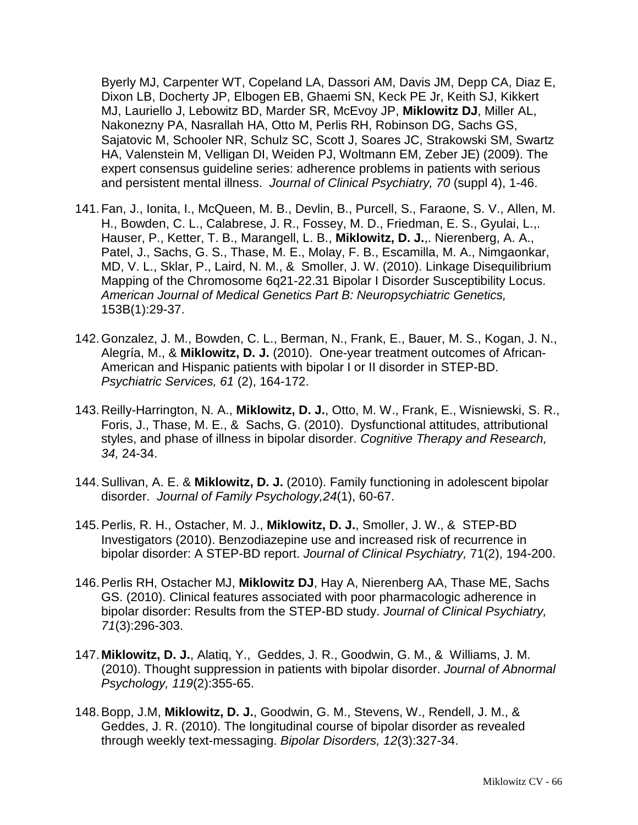[Byerly MJ,](http://www.ncbi.nlm.nih.gov/sites/entrez?Db=pubmed&Cmd=Search&Term=%22Byerly%20MJ%22&itool=EntrezSystem2.PEntrez.Pubmed.Pubmed_ResultsPanel.Pubmed_DiscoveryPanel.Pubmed_RVAbstractPlus) [Carpenter WT,](http://www.ncbi.nlm.nih.gov/sites/entrez?Db=pubmed&Cmd=Search&Term=%22Carpenter%20WT%22&itool=EntrezSystem2.PEntrez.Pubmed.Pubmed_ResultsPanel.Pubmed_DiscoveryPanel.Pubmed_RVAbstractPlus) [Copeland LA,](http://www.ncbi.nlm.nih.gov/sites/entrez?Db=pubmed&Cmd=Search&Term=%22Copeland%20LA%22&itool=EntrezSystem2.PEntrez.Pubmed.Pubmed_ResultsPanel.Pubmed_DiscoveryPanel.Pubmed_RVAbstractPlus) [Dassori AM,](http://www.ncbi.nlm.nih.gov/sites/entrez?Db=pubmed&Cmd=Search&Term=%22Dassori%20AM%22&itool=EntrezSystem2.PEntrez.Pubmed.Pubmed_ResultsPanel.Pubmed_DiscoveryPanel.Pubmed_RVAbstractPlus) [Davis JM,](http://www.ncbi.nlm.nih.gov/sites/entrez?Db=pubmed&Cmd=Search&Term=%22Davis%20JM%22&itool=EntrezSystem2.PEntrez.Pubmed.Pubmed_ResultsPanel.Pubmed_DiscoveryPanel.Pubmed_RVAbstractPlus) [Depp CA,](http://www.ncbi.nlm.nih.gov/sites/entrez?Db=pubmed&Cmd=Search&Term=%22Depp%20CA%22&itool=EntrezSystem2.PEntrez.Pubmed.Pubmed_ResultsPanel.Pubmed_DiscoveryPanel.Pubmed_RVAbstractPlus) [Diaz E,](http://www.ncbi.nlm.nih.gov/sites/entrez?Db=pubmed&Cmd=Search&Term=%22Diaz%20E%22&itool=EntrezSystem2.PEntrez.Pubmed.Pubmed_ResultsPanel.Pubmed_DiscoveryPanel.Pubmed_RVAbstractPlus) [Dixon LB,](http://www.ncbi.nlm.nih.gov/sites/entrez?Db=pubmed&Cmd=Search&Term=%22Dixon%20LB%22&itool=EntrezSystem2.PEntrez.Pubmed.Pubmed_ResultsPanel.Pubmed_DiscoveryPanel.Pubmed_RVAbstractPlus) [Docherty JP,](http://www.ncbi.nlm.nih.gov/sites/entrez?Db=pubmed&Cmd=Search&Term=%22Docherty%20JP%22&itool=EntrezSystem2.PEntrez.Pubmed.Pubmed_ResultsPanel.Pubmed_DiscoveryPanel.Pubmed_RVAbstractPlus) [Elbogen EB,](http://www.ncbi.nlm.nih.gov/sites/entrez?Db=pubmed&Cmd=Search&Term=%22Elbogen%20EB%22&itool=EntrezSystem2.PEntrez.Pubmed.Pubmed_ResultsPanel.Pubmed_DiscoveryPanel.Pubmed_RVAbstractPlus) [Ghaemi SN,](http://www.ncbi.nlm.nih.gov/sites/entrez?Db=pubmed&Cmd=Search&Term=%22Ghaemi%20SN%22&itool=EntrezSystem2.PEntrez.Pubmed.Pubmed_ResultsPanel.Pubmed_DiscoveryPanel.Pubmed_RVAbstractPlus) [Keck PE Jr,](http://www.ncbi.nlm.nih.gov/sites/entrez?Db=pubmed&Cmd=Search&Term=%22Keck%20PE%20Jr%22&itool=EntrezSystem2.PEntrez.Pubmed.Pubmed_ResultsPanel.Pubmed_DiscoveryPanel.Pubmed_RVAbstractPlus) [Keith SJ,](http://www.ncbi.nlm.nih.gov/sites/entrez?Db=pubmed&Cmd=Search&Term=%22Keith%20SJ%22&itool=EntrezSystem2.PEntrez.Pubmed.Pubmed_ResultsPanel.Pubmed_DiscoveryPanel.Pubmed_RVAbstractPlus) [Kikkert](http://www.ncbi.nlm.nih.gov/sites/entrez?Db=pubmed&Cmd=Search&Term=%22Kikkert%20MJ%22&itool=EntrezSystem2.PEntrez.Pubmed.Pubmed_ResultsPanel.Pubmed_DiscoveryPanel.Pubmed_RVAbstractPlus)  [MJ,](http://www.ncbi.nlm.nih.gov/sites/entrez?Db=pubmed&Cmd=Search&Term=%22Kikkert%20MJ%22&itool=EntrezSystem2.PEntrez.Pubmed.Pubmed_ResultsPanel.Pubmed_DiscoveryPanel.Pubmed_RVAbstractPlus) [Lauriello J,](http://www.ncbi.nlm.nih.gov/sites/entrez?Db=pubmed&Cmd=Search&Term=%22Lauriello%20J%22&itool=EntrezSystem2.PEntrez.Pubmed.Pubmed_ResultsPanel.Pubmed_DiscoveryPanel.Pubmed_RVAbstractPlus) [Lebowitz BD,](http://www.ncbi.nlm.nih.gov/sites/entrez?Db=pubmed&Cmd=Search&Term=%22Lebowitz%20BD%22&itool=EntrezSystem2.PEntrez.Pubmed.Pubmed_ResultsPanel.Pubmed_DiscoveryPanel.Pubmed_RVAbstractPlus) [Marder SR,](http://www.ncbi.nlm.nih.gov/sites/entrez?Db=pubmed&Cmd=Search&Term=%22Marder%20SR%22&itool=EntrezSystem2.PEntrez.Pubmed.Pubmed_ResultsPanel.Pubmed_DiscoveryPanel.Pubmed_RVAbstractPlus) [McEvoy JP,](http://www.ncbi.nlm.nih.gov/sites/entrez?Db=pubmed&Cmd=Search&Term=%22McEvoy%20JP%22&itool=EntrezSystem2.PEntrez.Pubmed.Pubmed_ResultsPanel.Pubmed_DiscoveryPanel.Pubmed_RVAbstractPlus) **[Miklowitz DJ](http://www.ncbi.nlm.nih.gov/sites/entrez?Db=pubmed&Cmd=Search&Term=%22Miklowitz%20DJ%22&itool=EntrezSystem2.PEntrez.Pubmed.Pubmed_ResultsPanel.Pubmed_DiscoveryPanel.Pubmed_RVAbstractPlus)**, [Miller AL,](http://www.ncbi.nlm.nih.gov/sites/entrez?Db=pubmed&Cmd=Search&Term=%22Miller%20AL%22&itool=EntrezSystem2.PEntrez.Pubmed.Pubmed_ResultsPanel.Pubmed_DiscoveryPanel.Pubmed_RVAbstractPlus) [Nakonezny PA,](http://www.ncbi.nlm.nih.gov/sites/entrez?Db=pubmed&Cmd=Search&Term=%22Nakonezny%20PA%22&itool=EntrezSystem2.PEntrez.Pubmed.Pubmed_ResultsPanel.Pubmed_DiscoveryPanel.Pubmed_RVAbstractPlus) [Nasrallah HA,](http://www.ncbi.nlm.nih.gov/sites/entrez?Db=pubmed&Cmd=Search&Term=%22Nasrallah%20HA%22&itool=EntrezSystem2.PEntrez.Pubmed.Pubmed_ResultsPanel.Pubmed_DiscoveryPanel.Pubmed_RVAbstractPlus) [Otto M,](http://www.ncbi.nlm.nih.gov/sites/entrez?Db=pubmed&Cmd=Search&Term=%22Otto%20M%22&itool=EntrezSystem2.PEntrez.Pubmed.Pubmed_ResultsPanel.Pubmed_DiscoveryPanel.Pubmed_RVAbstractPlus) [Perlis RH,](http://www.ncbi.nlm.nih.gov/sites/entrez?Db=pubmed&Cmd=Search&Term=%22Perlis%20RH%22&itool=EntrezSystem2.PEntrez.Pubmed.Pubmed_ResultsPanel.Pubmed_DiscoveryPanel.Pubmed_RVAbstractPlus) [Robinson DG,](http://www.ncbi.nlm.nih.gov/sites/entrez?Db=pubmed&Cmd=Search&Term=%22Robinson%20DG%22&itool=EntrezSystem2.PEntrez.Pubmed.Pubmed_ResultsPanel.Pubmed_DiscoveryPanel.Pubmed_RVAbstractPlus) [Sachs GS,](http://www.ncbi.nlm.nih.gov/sites/entrez?Db=pubmed&Cmd=Search&Term=%22Sachs%20GS%22&itool=EntrezSystem2.PEntrez.Pubmed.Pubmed_ResultsPanel.Pubmed_DiscoveryPanel.Pubmed_RVAbstractPlus) [Sajatovic M,](http://www.ncbi.nlm.nih.gov/sites/entrez?Db=pubmed&Cmd=Search&Term=%22Sajatovic%20M%22&itool=EntrezSystem2.PEntrez.Pubmed.Pubmed_ResultsPanel.Pubmed_DiscoveryPanel.Pubmed_RVAbstractPlus) [Schooler NR,](http://www.ncbi.nlm.nih.gov/sites/entrez?Db=pubmed&Cmd=Search&Term=%22Schooler%20NR%22&itool=EntrezSystem2.PEntrez.Pubmed.Pubmed_ResultsPanel.Pubmed_DiscoveryPanel.Pubmed_RVAbstractPlus) [Schulz SC,](http://www.ncbi.nlm.nih.gov/sites/entrez?Db=pubmed&Cmd=Search&Term=%22Schulz%20SC%22&itool=EntrezSystem2.PEntrez.Pubmed.Pubmed_ResultsPanel.Pubmed_DiscoveryPanel.Pubmed_RVAbstractPlus) [Scott J,](http://www.ncbi.nlm.nih.gov/sites/entrez?Db=pubmed&Cmd=Search&Term=%22Scott%20J%22&itool=EntrezSystem2.PEntrez.Pubmed.Pubmed_ResultsPanel.Pubmed_DiscoveryPanel.Pubmed_RVAbstractPlus) [Soares JC,](http://www.ncbi.nlm.nih.gov/sites/entrez?Db=pubmed&Cmd=Search&Term=%22Soares%20JC%22&itool=EntrezSystem2.PEntrez.Pubmed.Pubmed_ResultsPanel.Pubmed_DiscoveryPanel.Pubmed_RVAbstractPlus) [Strakowski SM,](http://www.ncbi.nlm.nih.gov/sites/entrez?Db=pubmed&Cmd=Search&Term=%22Strakowski%20SM%22&itool=EntrezSystem2.PEntrez.Pubmed.Pubmed_ResultsPanel.Pubmed_DiscoveryPanel.Pubmed_RVAbstractPlus) [Swartz](http://www.ncbi.nlm.nih.gov/sites/entrez?Db=pubmed&Cmd=Search&Term=%22Swartz%20HA%22&itool=EntrezSystem2.PEntrez.Pubmed.Pubmed_ResultsPanel.Pubmed_DiscoveryPanel.Pubmed_RVAbstractPlus)  [HA,](http://www.ncbi.nlm.nih.gov/sites/entrez?Db=pubmed&Cmd=Search&Term=%22Swartz%20HA%22&itool=EntrezSystem2.PEntrez.Pubmed.Pubmed_ResultsPanel.Pubmed_DiscoveryPanel.Pubmed_RVAbstractPlus) [Valenstein M,](http://www.ncbi.nlm.nih.gov/sites/entrez?Db=pubmed&Cmd=Search&Term=%22Valenstein%20M%22&itool=EntrezSystem2.PEntrez.Pubmed.Pubmed_ResultsPanel.Pubmed_DiscoveryPanel.Pubmed_RVAbstractPlus) [Velligan DI,](http://www.ncbi.nlm.nih.gov/sites/entrez?Db=pubmed&Cmd=Search&Term=%22Velligan%20DI%22&itool=EntrezSystem2.PEntrez.Pubmed.Pubmed_ResultsPanel.Pubmed_DiscoveryPanel.Pubmed_RVAbstractPlus) [Weiden PJ,](http://www.ncbi.nlm.nih.gov/sites/entrez?Db=pubmed&Cmd=Search&Term=%22Weiden%20PJ%22&itool=EntrezSystem2.PEntrez.Pubmed.Pubmed_ResultsPanel.Pubmed_DiscoveryPanel.Pubmed_RVAbstractPlus) [Woltmann EM,](http://www.ncbi.nlm.nih.gov/sites/entrez?Db=pubmed&Cmd=Search&Term=%22Woltmann%20EM%22&itool=EntrezSystem2.PEntrez.Pubmed.Pubmed_ResultsPanel.Pubmed_DiscoveryPanel.Pubmed_RVAbstractPlus) [Zeber JE\)](http://www.ncbi.nlm.nih.gov/sites/entrez?Db=pubmed&Cmd=Search&Term=%22Zeber%20JE%22&itool=EntrezSystem2.PEntrez.Pubmed.Pubmed_ResultsPanel.Pubmed_DiscoveryPanel.Pubmed_RVAbstractPlus) (2009). The expert consensus guideline series: adherence problems in patients with serious and persistent mental illness. *Journal of Clinical Psychiatry, 70* (suppl 4), 1-46.

- 141.Fan, J., Ionita, I., McQueen, M. B., Devlin, B., Purcell, S., Faraone, S. V., Allen, M. H., Bowden, C. L., Calabrese, J. R., Fossey, M. D., Friedman, E. S., Gyulai, L.,. Hauser, P., Ketter, T. B., Marangell, L. B., **Miklowitz, D. J.**,. Nierenberg, A. A., Patel, J., Sachs, G. S., Thase, M. E., Molay, F. B., Escamilla, M. A., Nimgaonkar, MD, V. L., Sklar, P., Laird, N. M., & Smoller, J. W. (2010). Linkage Disequilibrium Mapping of the Chromosome 6q21-22.31 Bipolar I Disorder Susceptibility Locus. *American Journal of Medical Genetics Part B: Neuropsychiatric Genetics,*  153B(1):29-37.
- 142.Gonzalez, J. M., Bowden, C. L., Berman, N., Frank, E., Bauer, M. S., Kogan, J. N., Alegría, M., & **Miklowitz, D. J.** (2010). One-year treatment outcomes of African-American and Hispanic patients with bipolar I or II disorder in STEP-BD. *Psychiatric Services, 61* (2), 164-172.
- 143.Reilly-Harrington, N. A., **Miklowitz, D. J.**, Otto, M. W., Frank, E., Wisniewski, S. R., Foris, J., Thase, M. E., & Sachs, G. (2010). Dysfunctional attitudes, attributional styles, and phase of illness in bipolar disorder. *Cognitive Therapy and Research, 34,* 24-34.
- 144.Sullivan, A. E. & **Miklowitz, D. J.** (2010). Family functioning in adolescent bipolar disorder. *Journal of Family Psychology,24*(1), 60-67.
- 145.Perlis, R. H., Ostacher, M. J., **Miklowitz, D. J.**, Smoller, J. W., & STEP-BD Investigators (2010). Benzodiazepine use and increased risk of recurrence in bipolar disorder: A STEP-BD report. *Journal of Clinical Psychiatry,* 71(2), 194-200.
- 146[.Perlis RH,](http://www.ncbi.nlm.nih.gov/pubmed?term=%22Perlis%20RH%22%5BAuthor%5D) [Ostacher MJ,](http://www.ncbi.nlm.nih.gov/pubmed?term=%22Ostacher%20MJ%22%5BAuthor%5D) **[Miklowitz DJ](http://www.ncbi.nlm.nih.gov/pubmed?term=%22Miklowitz%20DJ%22%5BAuthor%5D)**, [Hay A,](http://www.ncbi.nlm.nih.gov/pubmed?term=%22Hay%20A%22%5BAuthor%5D) [Nierenberg AA,](http://www.ncbi.nlm.nih.gov/pubmed?term=%22Nierenberg%20AA%22%5BAuthor%5D) [Thase ME,](http://www.ncbi.nlm.nih.gov/pubmed?term=%22Thase%20ME%22%5BAuthor%5D) [Sachs](http://www.ncbi.nlm.nih.gov/pubmed?term=%22Sachs%20GS%22%5BAuthor%5D)  [GS.](http://www.ncbi.nlm.nih.gov/pubmed?term=%22Sachs%20GS%22%5BAuthor%5D) (2010). Clinical features associated with poor pharmacologic adherence in bipolar disorder: Results from the STEP-BD study. *Journal of Clinical Psychiatry, 71*(3):296-303.
- 147. **Miklowitz, D. J.**, Alatiq, Y., Geddes, J. R., Goodwin, G. M., & Williams, J. M. (2010). Thought suppression in patients with bipolar disorder. *Journal of Abnormal Psychology, 119*(2):355-65.
- 148.Bopp, J.M, **Miklowitz, D. J.**, Goodwin, G. M., Stevens, W., Rendell, J. M., & Geddes, J. R. (2010). The longitudinal course of bipolar disorder as revealed through weekly text-messaging. *Bipolar Disorders, 12*(3):327-34.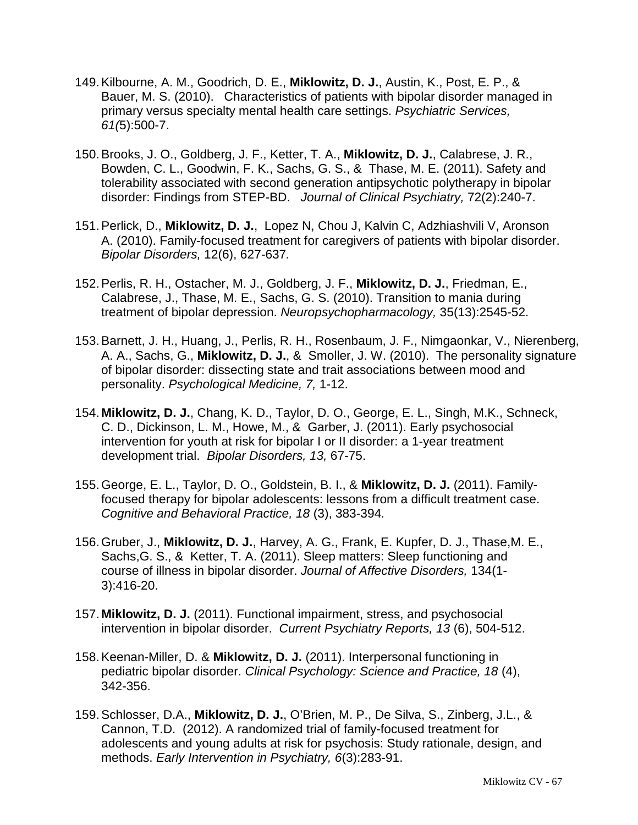- 149.Kilbourne, A. M., Goodrich, D. E., **Miklowitz, D. J.**, Austin, K., Post, E. P., & Bauer, M. S. (2010). Characteristics of patients with bipolar disorder managed in primary versus specialty mental health care settings. *Psychiatric Services, 61(*5):500-7.
- 150.Brooks, J. O., Goldberg, J. F., Ketter, T. A., **Miklowitz, D. J.**, Calabrese, J. R., Bowden, C. L., Goodwin, F. K., Sachs, G. S., & Thase, M. E. (2011). Safety and tolerability associated with second generation antipsychotic polytherapy in bipolar disorder: Findings from STEP-BD. *Journal of Clinical Psychiatry,* 72(2):240-7.
- 151.Perlick, D., **Miklowitz, D. J.**, Lopez N, Chou J, Kalvin C, Adzhiashvili V, Aronson A. (2010). Family-focused treatment for caregivers of patients with bipolar disorder. *Bipolar Disorders,* 12(6), 627-637*.*
- 152.Perlis, R. H., Ostacher, M. J., Goldberg, J. F., **Miklowitz, D. J.**, Friedman, E., Calabrese, J., Thase, M. E., Sachs, G. S. (2010). Transition to mania during treatment of bipolar depression. *Neuropsychopharmacology,* 35(13):2545-52.
- 153.Barnett, J. H., Huang, J., Perlis, R. H., Rosenbaum, J. F., Nimgaonkar, V., Nierenberg, A. A., Sachs, G., **Miklowitz, D. J.**, & Smoller, J. W. (2010). The personality signature of bipolar disorder: dissecting state and trait associations between mood and personality. *Psychological Medicine, 7,* 1-12.
- 154. **Miklowitz, D. J.**, Chang, K. D., Taylor, D. O., George, E. L., Singh, M.K., Schneck, C. D., Dickinson, L. M., Howe, M., & Garber, J. (2011). Early psychosocial intervention for youth at risk for bipolar I or II disorder: a 1-year treatment development trial. *Bipolar Disorders, 13,* 67-75.
- 155.George, E. L., Taylor, D. O., Goldstein, B. I., & **Miklowitz, D. J.** (2011). Familyfocused therapy for bipolar adolescents: lessons from a difficult treatment case. *Cognitive and Behavioral Practice, 18* (3), 383-394*.*
- 156.Gruber, J., **Miklowitz, D. J.**, Harvey, A. G., Frank, E. Kupfer, D. J., Thase,M. E., Sachs,G. S., & Ketter, T. A. (2011). Sleep matters: Sleep functioning and course of illness in bipolar disorder. *Journal of Affective Disorders,* 134(1- 3):416-20.
- 157. **Miklowitz, D. J.** (2011). Functional impairment, stress, and psychosocial intervention in bipolar disorder. *Current Psychiatry Reports, 13* (6), 504-512.
- 158.Keenan-Miller, D. & **Miklowitz, D. J.** (2011). Interpersonal functioning in pediatric bipolar disorder. *Clinical Psychology: Science and Practice, 18* (4), 342-356.
- 159.Schlosser, D.A., **Miklowitz, D. J.**, O'Brien, M. P., De Silva, S., Zinberg, J.L., & Cannon, T.D. (2012). A randomized trial of family-focused treatment for adolescents and young adults at risk for psychosis: Study rationale, design, and methods. *Early Intervention in Psychiatry, 6*(3):283-91.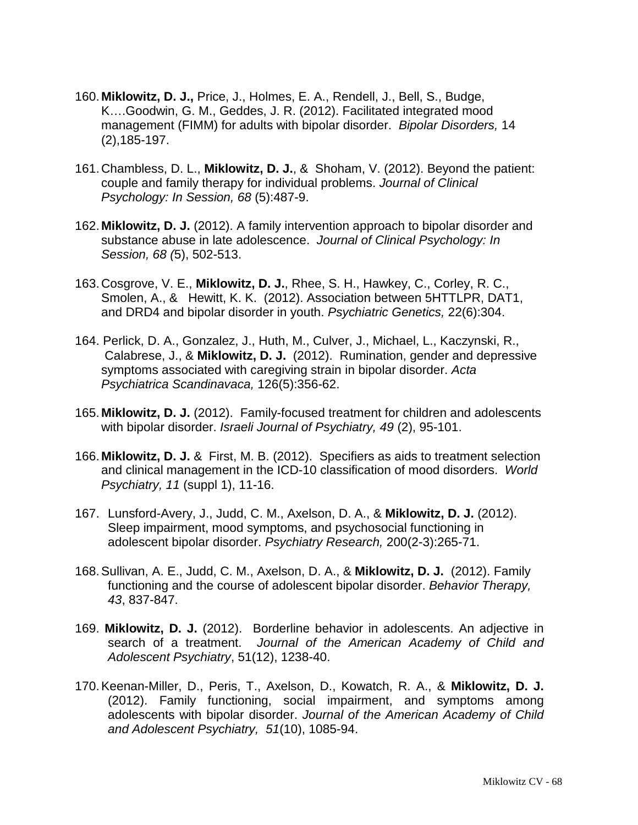- 160. **Miklowitz, D. J.,** Price, J., Holmes, E. A., Rendell, J., Bell, S., Budge, K….Goodwin, G. M., Geddes, J. R. (2012). Facilitated integrated mood management (FIMM) for adults with bipolar disorder. *Bipolar Disorders,* 14 (2),185-197.
- 161.Chambless, D. L., **Miklowitz, D. J.**, & Shoham, V. (2012). Beyond the patient: couple and family therapy for individual problems. *Journal of Clinical Psychology: In Session, 68* (5):487-9.
- 162. **Miklowitz, D. J.** (2012). A family intervention approach to bipolar disorder and substance abuse in late adolescence. *Journal of Clinical Psychology: In Session, 68 (*5), 502-513.
- 163.Cosgrove, V. E., **Miklowitz, D. J.**, Rhee, S. H., Hawkey, C., Corley, R. C., Smolen, A., & Hewitt, K. K. (2012). Association between 5HTTLPR, DAT1, and DRD4 and bipolar disorder in youth. *Psychiatric Genetics,* 22(6):304.
- 164. Perlick, D. A., Gonzalez, J., Huth, M., Culver, J., Michael, L., Kaczynski, R., Calabrese, J., & **Miklowitz, D. J.** (2012). Rumination, gender and depressive symptoms associated with caregiving strain in bipolar disorder. *Acta Psychiatrica Scandinavaca,* 126(5):356-62.
- 165. **Miklowitz, D. J.** (2012). Family-focused treatment for children and adolescents with bipolar disorder. *Israeli Journal of Psychiatry, 49* (2), 95-101.
- 166. **Miklowitz, D. J.** & First, M. B. (2012). Specifiers as aids to treatment selection and clinical management in the ICD-10 classification of mood disorders. *World Psychiatry, 11* (suppl 1), 11-16.
- 167. Lunsford-Avery, J., Judd, C. M., Axelson, D. A., & **Miklowitz, D. J.** (2012). Sleep impairment, mood symptoms, and psychosocial functioning in adolescent bipolar disorder. *Psychiatry Research,* 200(2-3):265-71.
- 168.Sullivan, A. E., Judd, C. M., Axelson, D. A., & **Miklowitz, D. J.** (2012). Family functioning and the course of adolescent bipolar disorder. *Behavior Therapy, 43*, 837-847.
- 169. **Miklowitz, D. J.** (2012). Borderline behavior in adolescents. An adjective in search of a treatment. *Journal of the American Academy of Child and Adolescent Psychiatry*, 51(12), 1238-40.
- 170.Keenan-Miller, D., Peris, T., Axelson, D., Kowatch, R. A., & **Miklowitz, D. J.** (2012). Family functioning, social impairment, and symptoms among adolescents with bipolar disorder. *Journal of the American Academy of Child and Adolescent Psychiatry, 51*(10), 1085-94.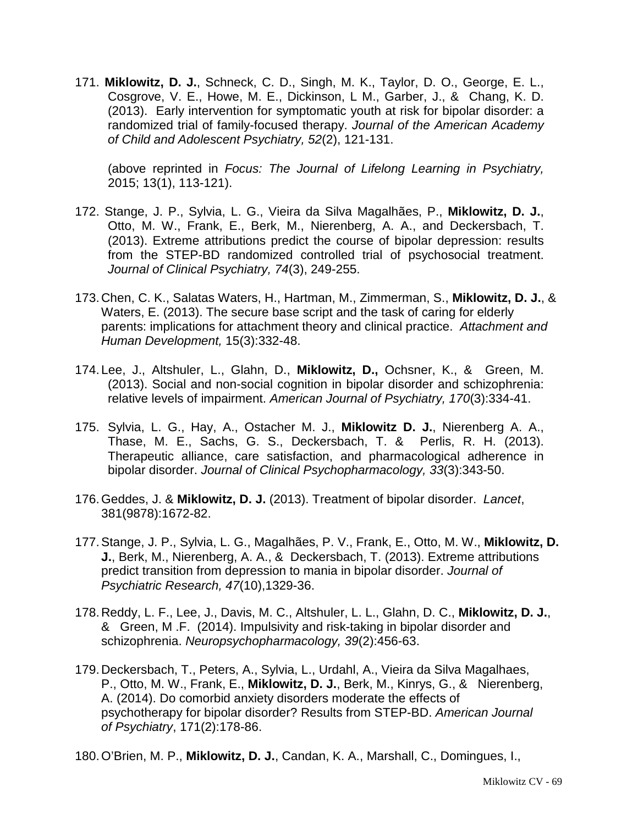171. **Miklowitz, D. J.**, Schneck, C. D., Singh, M. K., Taylor, D. O., George, E. L., Cosgrove, V. E., Howe, M. E., Dickinson, L M., Garber, J., & Chang, K. D. (2013). Early intervention for symptomatic youth at risk for bipolar disorder: a randomized trial of family-focused therapy. *Journal of the American Academy of Child and Adolescent Psychiatry, 52*(2), 121-131.

(above reprinted in *Focus: The Journal of Lifelong Learning in Psychiatry,* 2015; 13(1), 113-121).

- 172. Stange, J. P., Sylvia, L. G., Vieira da Silva Magalhães, P., **Miklowitz, D. J.**, Otto, M. W., Frank, E., Berk, M., Nierenberg, A. A., and Deckersbach, T. (2013). Extreme attributions predict the course of bipolar depression: results from the STEP-BD randomized controlled trial of psychosocial treatment. *Journal of Clinical Psychiatry, 74*(3), 249-255.
- 173.Chen, C. K., Salatas Waters, H., Hartman, M., Zimmerman, S., **Miklowitz, D. J.**, & Waters, E. (2013). The secure base script and the task of caring for elderly parents: implications for attachment theory and clinical practice. *Attachment and Human Development,* 15(3):332-48.
- 174. Lee, J., Altshuler, L., Glahn, D., **Miklowitz, D.,** Ochsner, K., & Green, M. (2013). Social and non-social cognition in bipolar disorder and schizophrenia: relative levels of impairment. *American Journal of Psychiatry, 170*(3):334-41.
- 175. Sylvia, L. G., Hay, A., Ostacher M. J., **Miklowitz D. J.**, Nierenberg A. A., Thase, M. E., Sachs, G. S., Deckersbach, T. & Perlis, R. H. (2013). Therapeutic alliance, care satisfaction, and pharmacological adherence in bipolar disorder. *Journal of Clinical Psychopharmacology, 33*(3):343-50.
- 176.Geddes, J. & **Miklowitz, D. J.** (2013). Treatment of bipolar disorder. *Lancet*, 381(9878):1672-82.
- 177.Stange, J. P., Sylvia, L. G., Magalhães, P. V., Frank, E., Otto, M. W., **Miklowitz, D. J.**, Berk, M., Nierenberg, A. A., & Deckersbach, T. (2013). Extreme attributions predict transition from depression to mania in bipolar disorder. *Journal of Psychiatric Research, 47*(10),1329-36.
- 178.Reddy, L. F., Lee, J., Davis, M. C., Altshuler, L. L., Glahn, D. C., **Miklowitz, D. J.**, & Green, M .F. (2014). Impulsivity and risk-taking in bipolar disorder and schizophrenia. *Neuropsychopharmacology, 39*(2):456-63.
- 179.Deckersbach, T., Peters, A., Sylvia, L., Urdahl, A., Vieira da Silva Magalhaes, P., Otto, M. W., Frank, E., **Miklowitz, D. J.**, Berk, M., Kinrys, G., & Nierenberg, A. (2014). Do comorbid anxiety disorders moderate the effects of psychotherapy for bipolar disorder? Results from STEP-BD. *American Journal of Psychiatry*, 171(2):178-86.

180.O'Brien, M. P., **Miklowitz, D. J.**, Candan, K. A., Marshall, C., Domingues, I.,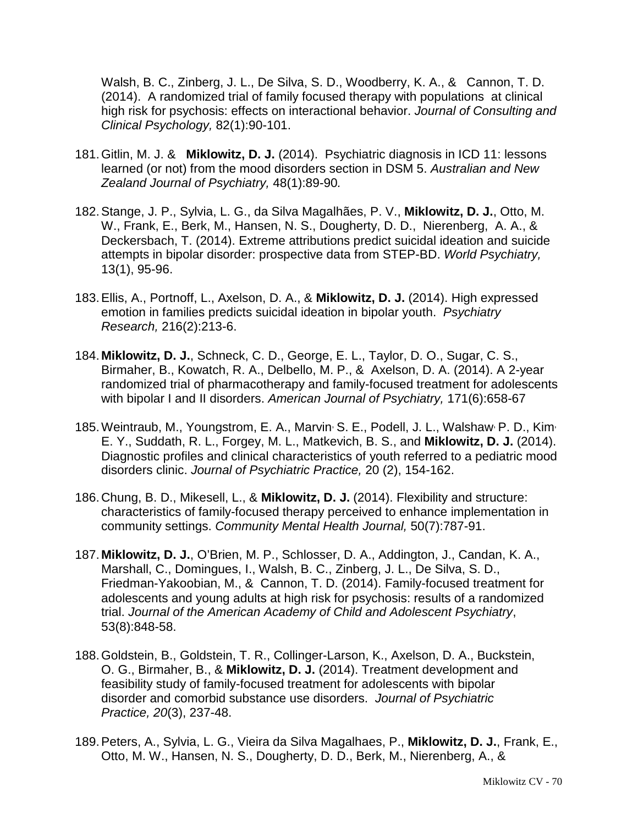Walsh, B. C., Zinberg, J. L., De Silva, S. D., Woodberry, K. A., & Cannon, T. D. (2014). A randomized trial of family focused therapy with populations at clinical high risk for psychosis: effects on interactional behavior. *Journal of Consulting and Clinical Psychology,* 82(1):90-101.

- 181.Gitlin, M. J. & **Miklowitz, D. J.** (2014). Psychiatric diagnosis in ICD 11: lessons learned (or not) from the mood disorders section in DSM 5. *Australian and New Zealand Journal of Psychiatry,* 48(1):89-90*.*
- 182[.Stange, J. P.](http://www.ncbi.nlm.nih.gov/pubmed?term=Stange%20JP%5BAuthor%5D&cauthor=true&cauthor_uid=24497260), [Sylvia, L. G.](http://www.ncbi.nlm.nih.gov/pubmed?term=Sylvia%20LG%5BAuthor%5D&cauthor=true&cauthor_uid=24497260), da Silva Magalhães, P. V., **Miklowitz, D. J.**, Otto, M. W., [Frank, E.](http://www.ncbi.nlm.nih.gov/pubmed?term=Frank%20E%5BAuthor%5D&cauthor=true&cauthor_uid=24497260), [Berk, M.](http://www.ncbi.nlm.nih.gov/pubmed?term=Berk%20M%5BAuthor%5D&cauthor=true&cauthor_uid=24497260), [Hansen, N. S.](http://www.ncbi.nlm.nih.gov/pubmed?term=Hansen%20NS%5BAuthor%5D&cauthor=true&cauthor_uid=24497260), [Dougherty, D. D.](http://www.ncbi.nlm.nih.gov/pubmed?term=Dougherty%20DD%5BAuthor%5D&cauthor=true&cauthor_uid=24497260), [Nierenberg, A. A.](http://www.ncbi.nlm.nih.gov/pubmed?term=Nierenberg%20AA%5BAuthor%5D&cauthor=true&cauthor_uid=24497260), & [Deckersbach, T.](http://www.ncbi.nlm.nih.gov/pubmed?term=Deckersbach%20T%5BAuthor%5D&cauthor=true&cauthor_uid=24497260) (2014). Extreme attributions predict suicidal ideation and suicide attempts in bipolar disorder: prospective data from STEP-BD. *World Psychiatry,* 13(1), 95-96.
- 183.Ellis, A., Portnoff, L., Axelson, D. A., & **Miklowitz, D. J.** (2014). High expressed emotion in families predicts suicidal ideation in bipolar youth. *Psychiatry Research,* 216(2):213-6.
- 184. **Miklowitz, D. J.**, Schneck, C. D., George, E. L., Taylor, D. O., Sugar, C. S., Birmaher, B., Kowatch, R. A., Delbello, M. P., & Axelson, D. A. (2014). A 2-year randomized trial of pharmacotherapy and family-focused treatment for adolescents with bipolar I and II disorders. *American Journal of Psychiatry,* 171(6):658-67
- 185. Weintraub, M., Youngstrom, E. A., Marvin<sup>,</sup> S. E., Podell, J. L., Walshaw<sup>,</sup> P. D., Kim<sup>,</sup> E. Y., Suddath, R. L., Forgey, M. L., Matkevich, B. S., and **Miklowitz, D. J.** (2014). Diagnostic profiles and clinical characteristics of youth referred to a pediatric mood disorders clinic. *Journal of Psychiatric Practice,* 20 (2), 154-162.
- 186.Chung, B. D., Mikesell, L., & **Miklowitz, D. J.** (2014). Flexibility and structure: characteristics of family-focused therapy perceived to enhance implementation in community settings. *Community Mental Health Journal,* 50(7):787-91.
- 187. **Miklowitz, D. J.**, O'Brien, M. P., Schlosser, D. A., Addington, J., Candan, K. A., Marshall, C., Domingues, I., Walsh, B. C., Zinberg, J. L., De Silva, S. D., Friedman-Yakoobian, M., & Cannon, T. D. (2014). Family-focused treatment for adolescents and young adults at high risk for psychosis: results of a randomized trial. *Journal of the American Academy of Child and Adolescent Psychiatry*, 53(8):848-58.
- 188.Goldstein, B., Goldstein, T. R., Collinger-Larson, K., Axelson, D. A., Buckstein, O. G., Birmaher, B., & **Miklowitz, D. J.** (2014). Treatment development and feasibility study of family-focused treatment for adolescents with bipolar disorder and comorbid substance use disorders. *Journal of Psychiatric Practice, 20*(3), 237-48.
- 189.Peters, A., Sylvia, L. G., Vieira da Silva Magalhaes, P., **Miklowitz, D. J.**, Frank, E., Otto, M. W., Hansen, N. S., Dougherty, D. D., Berk, M., Nierenberg, A., &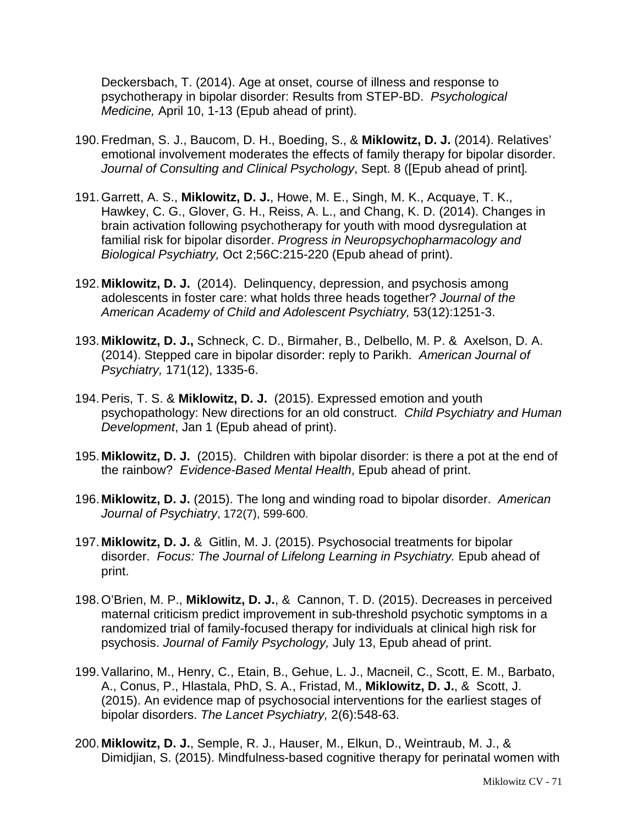Deckersbach, T. (2014). Age at onset, course of illness and response to psychotherapy in bipolar disorder: Results from STEP-BD. *Psychological Medicine,* April 10, 1-13 (Epub ahead of print).

- 190.Fredman, S. J., Baucom, D. H., Boeding, S., & **Miklowitz, D. J.** (2014). Relatives' emotional involvement moderates the effects of family therapy for bipolar disorder. *Journal of Consulting and Clinical Psychology*, Sept. 8 ([Epub ahead of print]*.*
- 191.Garrett, A. S., **Miklowitz, D. J.**, Howe, M. E., Singh, M. K., Acquaye, T. K., Hawkey, C. G., Glover, G. H., Reiss, A. L., and Chang, K. D. (2014). Changes in brain activation following psychotherapy for youth with mood dysregulation at familial risk for bipolar disorder. *Progress in Neuropsychopharmacology and Biological Psychiatry,* Oct 2;56C:215-220 (Epub ahead of print).
- 192. **Miklowitz, D. J.** (2014). Delinquency, depression, and psychosis among adolescents in foster care: what holds three heads together? *Journal of the American Academy of Child and Adolescent Psychiatry,* 53(12):1251-3.
- 193. **Miklowitz, D. J.,** Schneck, C. D., Birmaher, B., Delbello, M. P. & Axelson, D. A. (2014). Stepped care in bipolar disorder: reply to Parikh. *American Journal of Psychiatry,* 171(12), 1335-6.
- 194.Peris, T. S. & **Miklowitz, D. J.** (2015). Expressed emotion and youth psychopathology: New directions for an old construct. *Child Psychiatry and Human Development*, Jan 1 (Epub ahead of print).
- 195. **Miklowitz, D. J.** (2015). Children with bipolar disorder: is there a pot at the end of the rainbow? *Evidence-Based Mental Health*, Epub ahead of print.
- 196. **Miklowitz, D. J.** (2015). The long and winding road to bipolar disorder. *American Journal of Psychiatry*, 172(7), 599-600.
- 197. **Miklowitz, D. J.** & Gitlin, M. J. (2015). Psychosocial treatments for bipolar disorder. *Focus: The Journal of Lifelong Learning in Psychiatry.* Epub ahead of print.
- 198.O'Brien, M. P., **Miklowitz, D. J.**, & Cannon, T. D. (2015). Decreases in perceived maternal criticism predict improvement in sub-threshold psychotic symptoms in a randomized trial of family-focused therapy for individuals at clinical high risk for psychosis. *Journal of Family Psychology,* July 13, Epub ahead of print.
- 199.Vallarino, M., Henry, C., Etain, B., Gehue, L. J., Macneil, C., Scott, E. M., Barbato, A., Conus, P., Hlastala, PhD, S. A., Fristad, M., **Miklowitz, D. J.**, & Scott, J. (2015). An evidence map of psychosocial interventions for the earliest stages of bipolar disorders. *The Lancet Psychiatry,* 2(6):548-63.
- 200. **Miklowitz, D. J.**, Semple, R. J., Hauser, M., Elkun, D., Weintraub, M. J., & Dimidjian, S. (2015). Mindfulness-based cognitive therapy for perinatal women with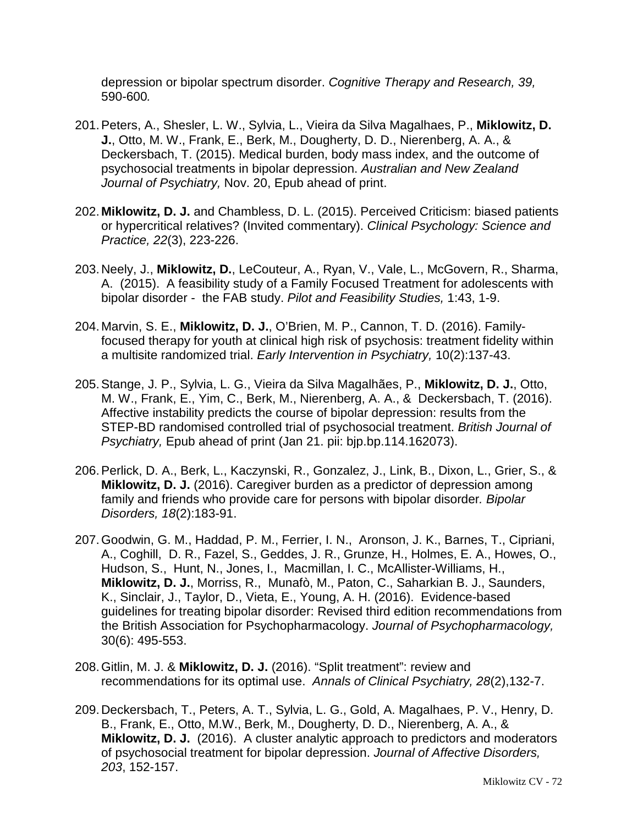depression or bipolar spectrum disorder. *Cognitive Therapy and Research, 39,* 590-600*.*

- 201.Peters, A., Shesler, L. W., Sylvia, L., Vieira da Silva Magalhaes, P., **Miklowitz, D. J.**, Otto, M. W., Frank, E., Berk, M., Dougherty, D. D., Nierenberg, A. A., & Deckersbach, T. (2015). Medical burden, body mass index, and the outcome of psychosocial treatments in bipolar depression. *Australian and New Zealand Journal of Psychiatry,* Nov. 20, Epub ahead of print.
- 202. **Miklowitz, D. J.** and Chambless, D. L. (2015). Perceived Criticism: biased patients or hypercritical relatives? (Invited commentary). *Clinical Psychology: Science and Practice, 22*(3), 223-226.
- 203.Neely, J., **Miklowitz, D.**, LeCouteur, A., Ryan, V., Vale, L., McGovern, R., Sharma, A. (2015). A feasibility study of a Family Focused Treatment for adolescents with bipolar disorder - the FAB study. *Pilot and Feasibility Studies,* 1:43, 1-9.
- 204. Marvin, S. E., **Miklowitz, D. J.**, O'Brien, M. P., Cannon, T. D. (2016). Familyfocused therapy for youth at clinical high risk of psychosis: treatment fidelity within a multisite randomized trial. *Early Intervention in Psychiatry,* 10(2):137-43.
- 205.Stange, J. P., Sylvia, L. G., Vieira da Silva Magalhães, P., **Miklowitz, D. J.**, Otto, M. W., Frank, E., Yim, C., Berk, M., Nierenberg, A. A., & Deckersbach, T. (2016). Affective instability predicts the course of bipolar depression: results from the STEP-BD randomised controlled trial of psychosocial treatment. *British Journal of Psychiatry,* Epub ahead of print (Jan 21. pii: bjp.bp.114.162073).
- 206.Perlick, D. A., Berk, L., Kaczynski, R., Gonzalez, J., Link, B., Dixon, L., Grier, S., & **Miklowitz, D. J.** (2016). Caregiver burden as a predictor of depression among family and friends who provide care for persons with bipolar disorder*. Bipolar Disorders, 18*(2):183-91.
- 207.Goodwin, G. M., Haddad, P. M., Ferrier, I. N., Aronson, J. K., Barnes, T., Cipriani, A., Coghill, D. R., Fazel, S., Geddes, J. R., Grunze, H., Holmes, E. A., Howes, O., Hudson, S., Hunt, N., Jones, I., Macmillan, I. C., McAllister-Williams, H., **Miklowitz, D. J.**, Morriss, R., Munafò, M., Paton, C., Saharkian B. J., Saunders, K., Sinclair, J., Taylor, D., Vieta, E., Young, A. H. (2016). Evidence-based guidelines for treating bipolar disorder: Revised third edition recommendations from the British Association for Psychopharmacology. *Journal of Psychopharmacology,* 30(6): 495-553.
- 208.Gitlin, M. J. & **Miklowitz, D. J.** (2016). "Split treatment": review and recommendations for its optimal use. *Annals of Clinical Psychiatry, 28*(2),132-7.
- 209.Deckersbach, T., Peters, A. T., Sylvia, L. G., Gold, A. Magalhaes, P. V., Henry, D. B., Frank, E., Otto, M.W., Berk, M., Dougherty, D. D., Nierenberg, A. A., & **Miklowitz, D. J.** (2016). A cluster analytic approach to predictors and moderators of psychosocial treatment for bipolar depression. *Journal of Affective Disorders, 203*, 152-157.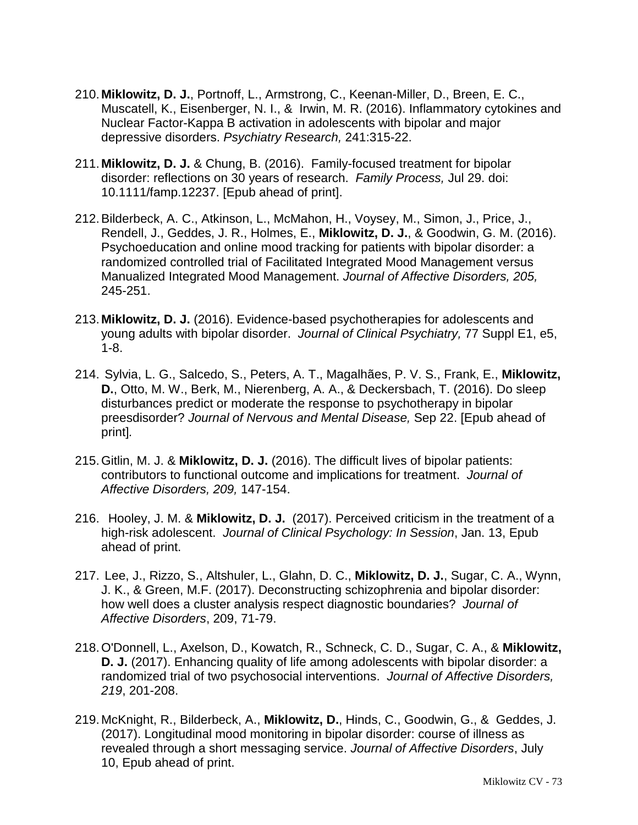- 210. **Miklowitz, D. J.**, Portnoff, L., Armstrong, C., Keenan-Miller, D., Breen, E. C., Muscatell, K., Eisenberger, N. I., & Irwin, M. R. (2016). Inflammatory cytokines and Nuclear Factor-Kappa B activation in adolescents with bipolar and major depressive disorders. *Psychiatry Research,* 241:315-22.
- 211. **Miklowitz, D. J.** & Chung, B. (2016). Family-focused treatment for bipolar disorder: reflections on 30 years of research. *Family Process,* Jul 29. doi: 10.1111/famp.12237. [Epub ahead of print].
- 212.Bilderbeck, A. C., Atkinson, L., McMahon, H., Voysey, M., Simon, J., Price, J., Rendell, J., Geddes, J. R., Holmes, E., **Miklowitz, D. J.**, & Goodwin, G. M. (2016). Psychoeducation and online mood tracking for patients with bipolar disorder: a randomized controlled trial of Facilitated Integrated Mood Management versus Manualized Integrated Mood Management. *Journal of Affective Disorders, 205,* 245-251.
- 213. **Miklowitz, D. J.** (2016). Evidence-based psychotherapies for adolescents and young adults with bipolar disorder. *Journal of Clinical Psychiatry,* 77 Suppl E1, e5, 1-8.
- 214. Sylvia, L. G., Salcedo, S., Peters, A. T., Magalhães, P. V. S., Frank, E., **Miklowitz, D.**, Otto, M. W., Berk, M., Nierenberg, A. A., & Deckersbach, T. (2016). Do sleep disturbances predict or moderate the response to psychotherapy in bipolar preesdisorder? *Journal of Nervous and Mental Disease,* Sep 22. [Epub ahead of print]*.*
- 215.Gitlin, M. J. & **Miklowitz, D. J.** (2016). The difficult lives of bipolar patients: contributors to functional outcome and implications for treatment. *Journal of Affective Disorders, 209,* 147-154.
- 216. Hooley, J. M. & **Miklowitz, D. J.** (2017). Perceived criticism in the treatment of a high-risk adolescent. *Journal of Clinical Psychology: In Session*, Jan. 13, Epub ahead of print.
- 217. Lee, J., Rizzo, S., Altshuler, L., Glahn, D. C., **Miklowitz, D. J.**, Sugar, C. A., Wynn, J. K., & Green, M.F. (2017). Deconstructing schizophrenia and bipolar disorder: how well does a cluster analysis respect diagnostic boundaries? *Journal of Affective Disorders*, 209, 71-79.
- 218.O'Donnell, L., Axelson, D., Kowatch, R., Schneck, C. D., Sugar, C. A., & **Miklowitz, D. J.** (2017). Enhancing quality of life among adolescents with bipolar disorder: a randomized trial of two psychosocial interventions. *Journal of Affective Disorders, 219*, 201-208.
- 219. McKnight, R., Bilderbeck, A., **Miklowitz, D.**, Hinds, C., Goodwin, G., & Geddes, J. (2017). Longitudinal mood monitoring in bipolar disorder: course of illness as revealed through a short messaging service. *Journal of Affective Disorders*, July 10, Epub ahead of print.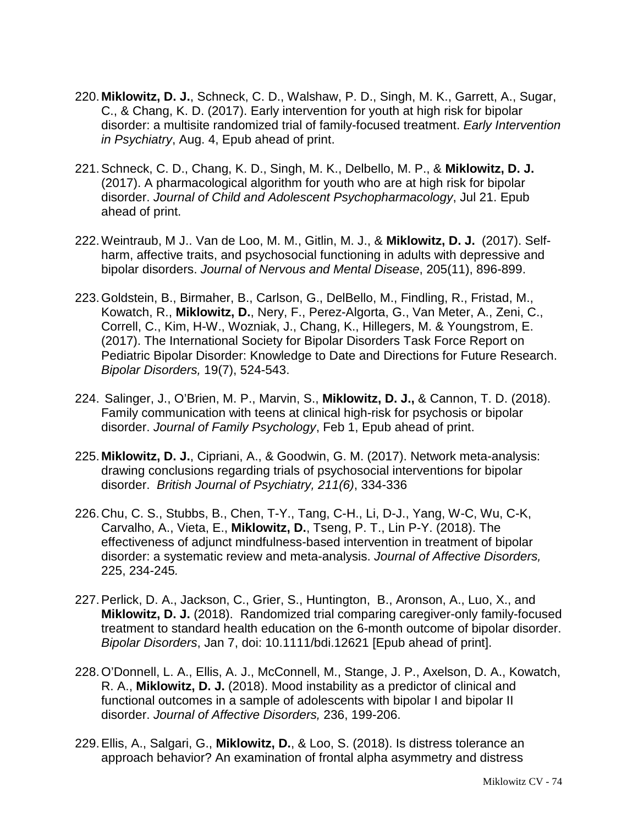- 220. **Miklowitz, D. J.**, Schneck, C. D., Walshaw, P. D., Singh, M. K., Garrett, A., Sugar, C., & Chang, K. D. (2017). Early intervention for youth at high risk for bipolar disorder: a multisite randomized trial of family-focused treatment. *Early Intervention in Psychiatry*, Aug. 4, Epub ahead of print.
- 221.Schneck, C. D., Chang, K. D., Singh, M. K., Delbello, M. P., & **Miklowitz, D. J.** (2017). A pharmacological algorithm for youth who are at high risk for bipolar disorder. *Journal of Child and Adolescent Psychopharmacology*, Jul 21. Epub ahead of print.
- 222.Weintraub, M J.. Van de Loo, M. M., Gitlin, M. J., & **Miklowitz, D. J.** (2017). Selfharm, affective traits, and psychosocial functioning in adults with depressive and bipolar disorders. *Journal of Nervous and Mental Disease*, 205(11), 896-899.
- 223.Goldstein, B., Birmaher, B., Carlson, G., DelBello, M., Findling, R., Fristad, M., Kowatch, R., **Miklowitz, D.**, Nery, F., Perez-Algorta, G., Van Meter, A., Zeni, C., Correll, C., Kim, H-W., Wozniak, J., Chang, K., Hillegers, M. & Youngstrom, E. (2017). The International Society for Bipolar Disorders Task Force Report on Pediatric Bipolar Disorder: Knowledge to Date and Directions for Future Research. *Bipolar Disorders,* 19(7), 524-543.
- 224. Salinger, J., O'Brien, M. P., Marvin, S., **Miklowitz, D. J.,** & Cannon, T. D. (2018). Family communication with teens at clinical high-risk for psychosis or bipolar disorder. *Journal of Family Psychology*, Feb 1, Epub ahead of print.
- 225. **Miklowitz, D. J.**, Cipriani, A., & Goodwin, G. M. (2017). Network meta-analysis: drawing conclusions regarding trials of psychosocial interventions for bipolar disorder. *British Journal of Psychiatry, 211(6)*, 334-336
- 226.Chu, C. S., Stubbs, B., Chen, T-Y., Tang, C-H., Li, D-J., Yang, W-C, Wu, C-K, Carvalho, A., Vieta, E., **Miklowitz, D.**, Tseng, P. T., Lin P-Y. (2018). The effectiveness of adjunct mindfulness-based intervention in treatment of bipolar disorder: a systematic review and meta-analysis. *Journal of Affective Disorders,*  225, 234-245*.*
- 227.Perlick, D. A., Jackson, C., Grier, S., Huntington, B., Aronson, A., Luo, X., and **Miklowitz, D. J.** (2018). Randomized trial comparing caregiver-only family-focused treatment to standard health education on the 6-month outcome of bipolar disorder. *Bipolar Disorders*, Jan 7, doi: 10.1111/bdi.12621 [Epub ahead of print].
- 228.O'Donnell, L. A., Ellis, A. J., McConnell, M., Stange, J. P., Axelson, D. A., Kowatch, R. A., **Miklowitz, D. J.** (2018). Mood instability as a predictor of clinical and functional outcomes in a sample of adolescents with bipolar I and bipolar II disorder. *Journal of Affective Disorders,* 236, 199-206.
- 229.Ellis, A., Salgari, G., **Miklowitz, D.**, & Loo, S. (2018). Is distress tolerance an approach behavior? An examination of frontal alpha asymmetry and distress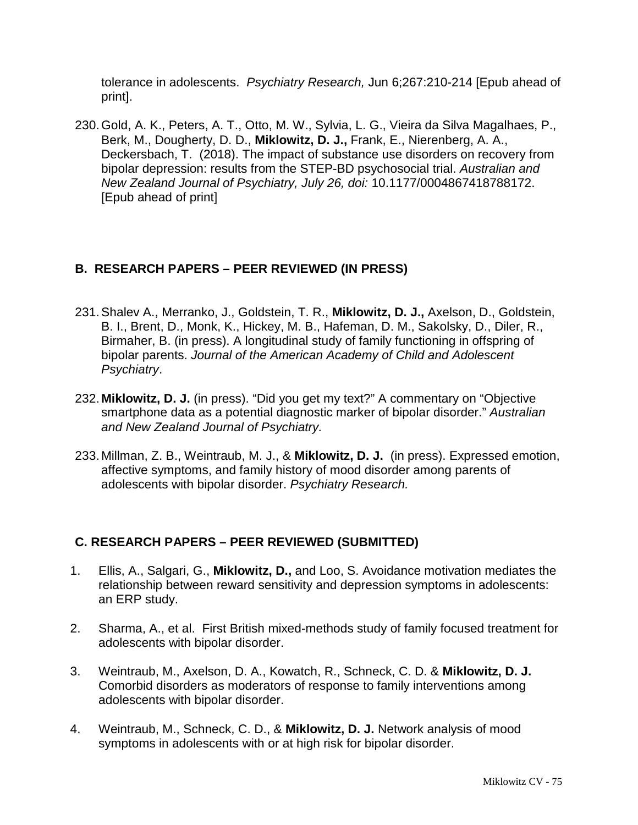tolerance in adolescents. *Psychiatry Research,* Jun 6;267:210-214 [Epub ahead of print].

230.Gold, A. K., Peters, A. T., Otto, M. W., Sylvia, L. G., Vieira da Silva Magalhaes, P., Berk, M., Dougherty, D. D., **Miklowitz, D. J.,** Frank, E., Nierenberg, A. A., Deckersbach, T. (2018). The impact of substance use disorders on recovery from bipolar depression: results from the STEP-BD psychosocial trial. *Australian and New Zealand Journal of Psychiatry, July 26, doi:* 10.1177/0004867418788172. [Epub ahead of print]

# **B. RESEARCH PAPERS – PEER REVIEWED (IN PRESS)**

- 231.Shalev A., Merranko, J., Goldstein, T. R., **Miklowitz, D. J.,** Axelson, D., Goldstein, B. I., Brent, D., Monk, K., Hickey, M. B., Hafeman, D. M., Sakolsky, D., Diler, R., Birmaher, B. (in press). A longitudinal study of family functioning in offspring of bipolar parents. *Journal of the American Academy of Child and Adolescent Psychiatry*.
- 232. **Miklowitz, D. J.** (in press). "Did you get my text?" A commentary on "Objective smartphone data as a potential diagnostic marker of bipolar disorder." *Australian and New Zealand Journal of Psychiatry.*
- 233. Millman, Z. B., Weintraub, M. J., & **Miklowitz, D. J.** (in press). Expressed emotion, affective symptoms, and family history of mood disorder among parents of adolescents with bipolar disorder. *Psychiatry Research.*

### **C. RESEARCH PAPERS – PEER REVIEWED (SUBMITTED)**

- 1. Ellis, A., Salgari, G., **Miklowitz, D.,** and Loo, S. Avoidance motivation mediates the relationship between reward sensitivity and depression symptoms in adolescents: an ERP study.
- 2. Sharma, A., et al. First British mixed-methods study of family focused treatment for adolescents with bipolar disorder.
- 3. Weintraub, M., Axelson, D. A., Kowatch, R., Schneck, C. D. & **Miklowitz, D. J.** Comorbid disorders as moderators of response to family interventions among adolescents with bipolar disorder.
- 4. Weintraub, M., Schneck, C. D., & **Miklowitz, D. J.** Network analysis of mood symptoms in adolescents with or at high risk for bipolar disorder.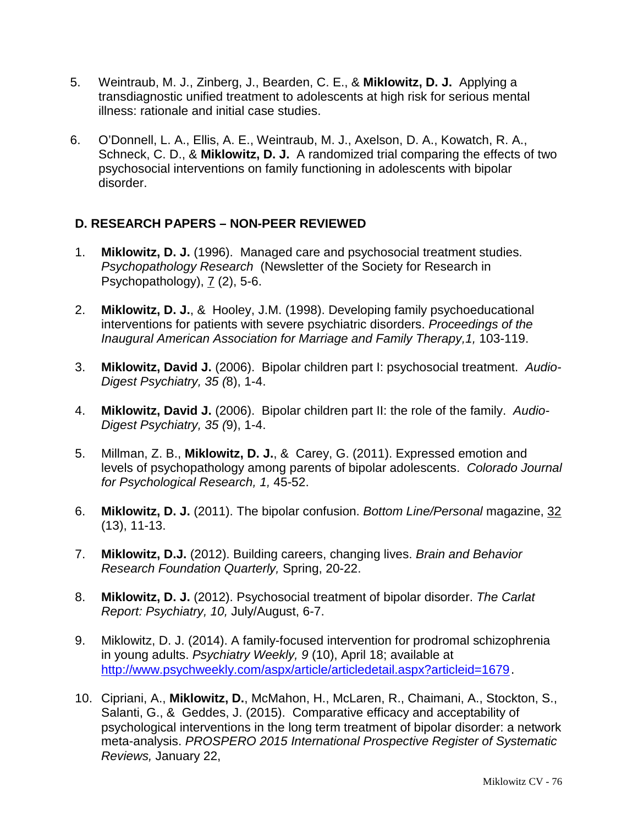- 5. Weintraub, M. J., Zinberg, J., Bearden, C. E., & **Miklowitz, D. J.** Applying a transdiagnostic unified treatment to adolescents at high risk for serious mental illness: rationale and initial case studies.
- 6. O'Donnell, L. A., Ellis, A. E., Weintraub, M. J., Axelson, D. A., Kowatch, R. A., Schneck, C. D., & **Miklowitz, D. J.** A randomized trial comparing the effects of two psychosocial interventions on family functioning in adolescents with bipolar disorder.

### **D. RESEARCH PAPERS – NON-PEER REVIEWED**

- 1. **Miklowitz, D. J.** (1996). Managed care and psychosocial treatment studies. *Psychopathology Research* (Newsletter of the Society for Research in Psychopathology), 7 (2), 5-6.
- 2. **Miklowitz, D. J.**, & Hooley, J.M. (1998). Developing family psychoeducational interventions for patients with severe psychiatric disorders. *Proceedings of the Inaugural American Association for Marriage and Family Therapy,1,* 103-119.
- 3. **Miklowitz, David J.** (2006). Bipolar children part I: psychosocial treatment. *Audio-Digest Psychiatry, 35 (*8), 1-4.
- 4. **Miklowitz, David J.** (2006). Bipolar children part II: the role of the family. *Audio-Digest Psychiatry, 35 (*9), 1-4.
- 5. Millman, Z. B., **Miklowitz, D. J.**, & Carey, G. (2011). Expressed emotion and levels of psychopathology among parents of bipolar adolescents. *Colorado Journal for Psychological Research, 1,* 45-52.
- 6. **Miklowitz, D. J.** (2011). The bipolar confusion. *Bottom Line/Personal* magazine, 32 (13), 11-13.
- 7. **Miklowitz, D.J.** (2012). Building careers, changing lives. *Brain and Behavior Research Foundation Quarterly,* Spring, 20-22.
- 8. **Miklowitz, D. J.** (2012). Psychosocial treatment of bipolar disorder. *The Carlat Report: Psychiatry, 10,* July/August, 6-7.
- 9. Miklowitz, D. J. (2014). A family-focused intervention for prodromal schizophrenia in young adults. *Psychiatry Weekly, 9* (10), April 18; available at <http://www.psychweekly.com/aspx/article/articledetail.aspx?articleid=1679>.
- 10. Cipriani, A., **Miklowitz, D.**, McMahon, H., McLaren, R., Chaimani, A., Stockton, S., Salanti, G., & Geddes, J. (2015). Comparative efficacy and acceptability of psychological interventions in the long term treatment of bipolar disorder: a network meta-analysis. *PROSPERO 2015 International Prospective Register of Systematic Reviews,* January 22,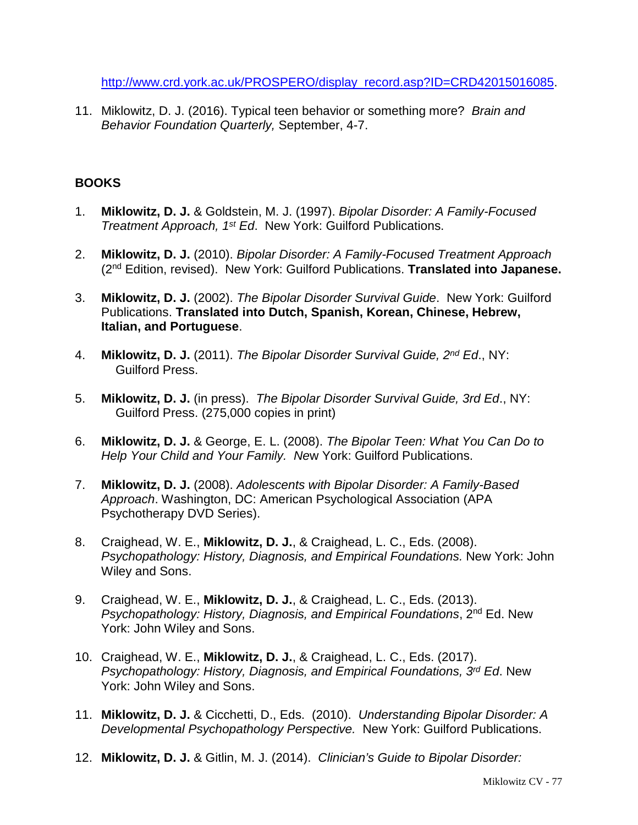[http://www.crd.york.ac.uk/PROSPERO/display\\_record.asp?ID=CRD42015016085.](http://www.crd.york.ac.uk/PROSPERO/display_record.asp?ID=CRD42015016085)

11. Miklowitz, D. J. (2016). Typical teen behavior or something more? *Brain and Behavior Foundation Quarterly,* September, 4-7.

### **BOOKS**

- 1. **Miklowitz, D. J.** & Goldstein, M. J. (1997). *Bipolar Disorder: A Family-Focused Treatment Approach, 1st Ed*. New York: Guilford Publications.
- 2. **Miklowitz, D. J.** (2010). *Bipolar Disorder: A Family-Focused Treatment Approach* (2nd Edition, revised). New York: Guilford Publications. **Translated into Japanese.**
- 3. **Miklowitz, D. J.** (2002). *The Bipolar Disorder Survival Guide*. New York: Guilford Publications. **Translated into Dutch, Spanish, Korean, Chinese, Hebrew, Italian, and Portuguese**.
- 4. **Miklowitz, D. J.** (2011). *The Bipolar Disorder Survival Guide, 2nd Ed*., NY: Guilford Press.
- 5. **Miklowitz, D. J.** (in press). *The Bipolar Disorder Survival Guide, 3rd Ed*., NY: Guilford Press. (275,000 copies in print)
- 6. **Miklowitz, D. J.** & George, E. L. (2008). *The Bipolar Teen: What You Can Do to Help Your Child and Your Family. Ne*w York: Guilford Publications.
- 7. **Miklowitz, D. J.** (2008). *Adolescents with Bipolar Disorder: A Family-Based Approach*. Washington, DC: American Psychological Association (APA Psychotherapy DVD Series).
- 8. Craighead, W. E., **Miklowitz, D. J.**, & Craighead, L. C., Eds. (2008). *Psychopathology: History, Diagnosis, and Empirical Foundations.* New York: John Wiley and Sons.
- 9. Craighead, W. E., **Miklowitz, D. J.**, & Craighead, L. C., Eds. (2013). *Psychopathology: History, Diagnosis, and Empirical Foundations*, 2nd Ed. New York: John Wiley and Sons.
- 10. Craighead, W. E., **Miklowitz, D. J.**, & Craighead, L. C., Eds. (2017). *Psychopathology: History, Diagnosis, and Empirical Foundations, 3rd Ed*. New York: John Wiley and Sons.
- 11. **Miklowitz, D. J.** & Cicchetti, D., Eds. (2010). *Understanding Bipolar Disorder: A Developmental Psychopathology Perspective.* New York: Guilford Publications.
- 12. **Miklowitz, D. J.** & Gitlin, M. J. (2014). *Clinician's Guide to Bipolar Disorder:*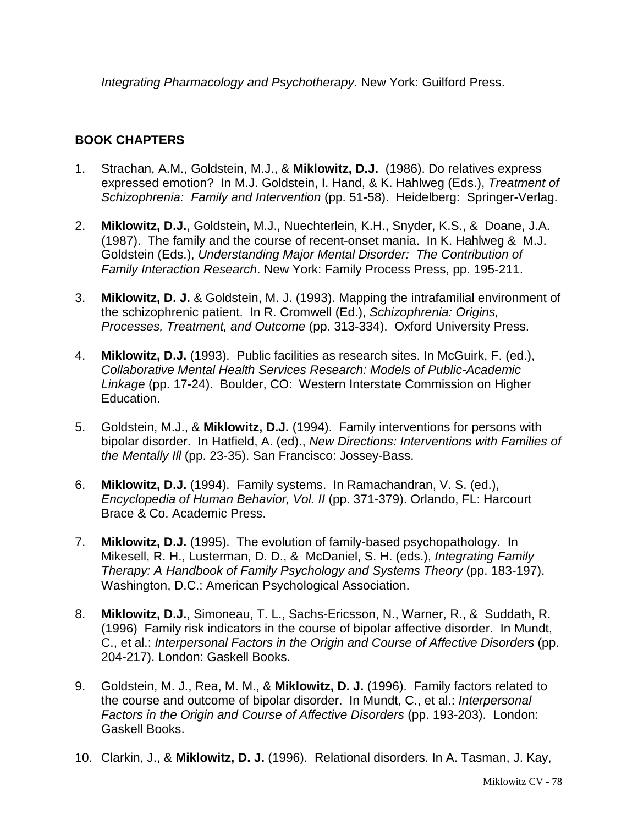*Integrating Pharmacology and Psychotherapy.* New York: Guilford Press.

# **BOOK CHAPTERS**

- 1. Strachan, A.M., Goldstein, M.J., & **Miklowitz, D.J.** (1986). Do relatives express expressed emotion? In M.J. Goldstein, I. Hand, & K. Hahlweg (Eds.), *Treatment of Schizophrenia: Family and Intervention* (pp. 51-58). Heidelberg: Springer-Verlag.
- 2. **Miklowitz, D.J.**, Goldstein, M.J., Nuechterlein, K.H., Snyder, K.S., & Doane, J.A. (1987). The family and the course of recent-onset mania. In K. Hahlweg & M.J. Goldstein (Eds.), *Understanding Major Mental Disorder: The Contribution of Family Interaction Research*. New York: Family Process Press, pp. 195-211.
- 3. **Miklowitz, D. J.** & Goldstein, M. J. (1993). Mapping the intrafamilial environment of the schizophrenic patient. In R. Cromwell (Ed.), *Schizophrenia: Origins, Processes, Treatment, and Outcome* (pp. 313-334). Oxford University Press.
- 4. **Miklowitz, D.J.** (1993). Public facilities as research sites. In McGuirk, F. (ed.), *Collaborative Mental Health Services Research: Models of Public-Academic Linkage* (pp. 17-24). Boulder, CO: Western Interstate Commission on Higher Education.
- 5. Goldstein, M.J., & **Miklowitz, D.J.** (1994). Family interventions for persons with bipolar disorder. In Hatfield, A. (ed)., *New Directions: Interventions with Families of the Mentally Ill* (pp. 23-35). San Francisco: Jossey-Bass.
- 6. **Miklowitz, D.J.** (1994). Family systems. In Ramachandran, V. S. (ed.), *Encyclopedia of Human Behavior, Vol. II* (pp. 371-379). Orlando, FL: Harcourt Brace & Co. Academic Press.
- 7. **Miklowitz, D.J.** (1995). The evolution of family-based psychopathology. In Mikesell, R. H., Lusterman, D. D., & McDaniel, S. H. (eds.), *Integrating Family Therapy: A Handbook of Family Psychology and Systems Theory* (pp. 183-197). Washington, D.C.: American Psychological Association.
- 8. **Miklowitz, D.J.**, Simoneau, T. L., Sachs-Ericsson, N., Warner, R., & Suddath, R. (1996) Family risk indicators in the course of bipolar affective disorder. In Mundt, C., et al.: *Interpersonal Factors in the Origin and Course of Affective Disorders* (pp. 204-217). London: Gaskell Books.
- 9. Goldstein, M. J., Rea, M. M., & **Miklowitz, D. J.** (1996). Family factors related to the course and outcome of bipolar disorder. In Mundt, C., et al.: *Interpersonal Factors in the Origin and Course of Affective Disorders* (pp. 193-203). London: Gaskell Books.
- 10. Clarkin, J., & **Miklowitz, D. J.** (1996). Relational disorders. In A. Tasman, J. Kay,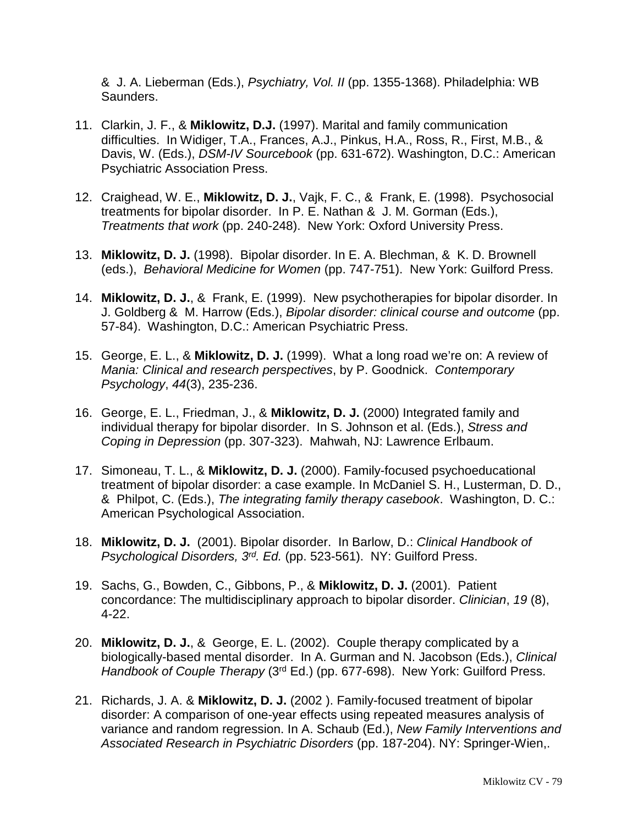& J. A. Lieberman (Eds.), *Psychiatry, Vol. II* (pp. 1355-1368). Philadelphia: WB Saunders.

- 11. Clarkin, J. F., & **Miklowitz, D.J.** (1997). Marital and family communication difficulties. In Widiger, T.A., Frances, A.J., Pinkus, H.A., Ross, R., First, M.B., & Davis, W. (Eds.), *DSM-IV Sourcebook* (pp. 631-672). Washington, D.C.: American Psychiatric Association Press.
- 12. Craighead, W. E., **Miklowitz, D. J.**, Vajk, F. C., & Frank, E. (1998). Psychosocial treatments for bipolar disorder. In P. E. Nathan & J. M. Gorman (Eds.), *Treatments that work* (pp. 240-248). New York: Oxford University Press.
- 13. **Miklowitz, D. J.** (1998). Bipolar disorder. In E. A. Blechman, & K. D. Brownell (eds.), *Behavioral Medicine for Women* (pp. 747-751). New York: Guilford Press.
- 14. **Miklowitz, D. J.**, & Frank, E. (1999). New psychotherapies for bipolar disorder. In J. Goldberg & M. Harrow (Eds.), *Bipolar disorder: clinical course and outcome* (pp. 57-84). Washington, D.C.: American Psychiatric Press.
- 15. George, E. L., & **Miklowitz, D. J.** (1999). What a long road we're on: A review of *Mania: Clinical and research perspectives*, by P. Goodnick. *Contemporary Psychology*, *44*(3), 235-236.
- 16. George, E. L., Friedman, J., & **Miklowitz, D. J.** (2000) Integrated family and individual therapy for bipolar disorder. In S. Johnson et al. (Eds.), *Stress and Coping in Depression* (pp. 307-323). Mahwah, NJ: Lawrence Erlbaum.
- 17. Simoneau, T. L., & **Miklowitz, D. J.** (2000). Family-focused psychoeducational treatment of bipolar disorder: a case example. In McDaniel S. H., Lusterman, D. D., & Philpot, C. (Eds.), *The integrating family therapy casebook*. Washington, D. C.: American Psychological Association.
- 18. **Miklowitz, D. J.** (2001). Bipolar disorder. In Barlow, D.: *Clinical Handbook of Psychological Disorders, 3rd. Ed.* (pp. 523-561). NY: Guilford Press.
- 19. Sachs, G., Bowden, C., Gibbons, P., & **Miklowitz, D. J.** (2001). Patient concordance: The multidisciplinary approach to bipolar disorder. *Clinician*, *19* (8), 4-22.
- 20. **Miklowitz, D. J.**, & George, E. L. (2002). Couple therapy complicated by a biologically-based mental disorder. In A. Gurman and N. Jacobson (Eds.), *Clinical Handbook of Couple Therapy* (3rd Ed.) (pp. 677-698). New York: Guilford Press.
- 21. Richards, J. A. & **Miklowitz, D. J.** (2002 ). Family-focused treatment of bipolar disorder: A comparison of one-year effects using repeated measures analysis of variance and random regression. In A. Schaub (Ed.), *New Family Interventions and Associated Research in Psychiatric Disorders* (pp. 187-204). NY: Springer-Wien,.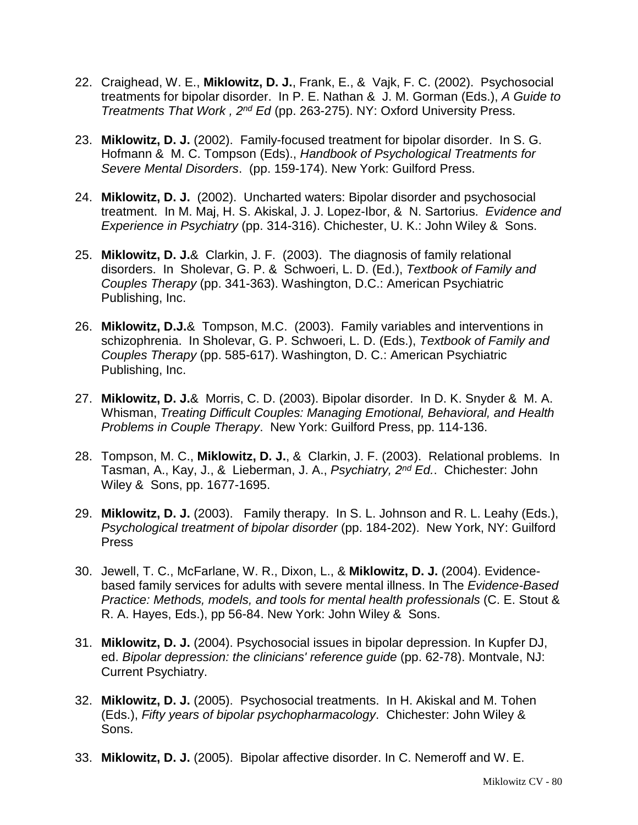- 22. Craighead, W. E., **Miklowitz, D. J.**, Frank, E., & Vajk, F. C. (2002). Psychosocial treatments for bipolar disorder. In P. E. Nathan & J. M. Gorman (Eds.), *A Guide to Treatments That Work , 2nd Ed* (pp. 263-275). NY: Oxford University Press.
- 23. **Miklowitz, D. J.** (2002). Family-focused treatment for bipolar disorder. In S. G. Hofmann & M. C. Tompson (Eds)., *Handbook of Psychological Treatments for Severe Mental Disorders*. (pp. 159-174). New York: Guilford Press.
- 24. **Miklowitz, D. J.** (2002). Uncharted waters: Bipolar disorder and psychosocial treatment. In M. Maj, H. S. Akiskal, J. J. Lopez-Ibor, & N. Sartorius. *Evidence and Experience in Psychiatry* (pp. 314-316). Chichester, U. K.: John Wiley & Sons.
- 25. **Miklowitz, D. J.**& Clarkin, J. F. (2003). The diagnosis of family relational disorders. In Sholevar, G. P. & Schwoeri, L. D. (Ed.), *Textbook of Family and Couples Therapy* (pp. 341-363). Washington, D.C.: American Psychiatric Publishing, Inc.
- 26. **Miklowitz, D.J.**& Tompson, M.C. (2003). Family variables and interventions in schizophrenia. In Sholevar, G. P. Schwoeri, L. D. (Eds.), *Textbook of Family and Couples Therapy* (pp. 585-617). Washington, D. C.: American Psychiatric Publishing, Inc.
- 27. **Miklowitz, D. J.**& Morris, C. D. (2003). Bipolar disorder. In D. K. Snyder & M. A. Whisman, *Treating Difficult Couples: Managing Emotional, Behavioral, and Health Problems in Couple Therapy*. New York: Guilford Press, pp. 114-136.
- 28. Tompson, M. C., **Miklowitz, D. J.**, & Clarkin, J. F. (2003). Relational problems. In Tasman, A., Kay, J., & Lieberman, J. A., *Psychiatry, 2nd Ed.*. Chichester: John Wiley & Sons, pp. 1677-1695.
- 29. **Miklowitz, D. J.** (2003). Family therapy. In S. L. Johnson and R. L. Leahy (Eds.), *Psychological treatment of bipolar disorder* (pp. 184-202). New York, NY: Guilford Press
- 30. Jewell, T. C., McFarlane, W. R., Dixon, L., & **Miklowitz, D. J.** (2004). Evidencebased family services for adults with severe mental illness. In The *Evidence-Based Practice: Methods, models, and tools for mental health professionals* (C. E. Stout & R. A. Hayes, Eds.), pp 56-84. New York: John Wiley & Sons.
- 31. **Miklowitz, D. J.** (2004). Psychosocial issues in bipolar depression. In Kupfer DJ, ed. *Bipolar depression: the clinicians' reference guide* (pp. 62-78). Montvale, NJ: Current Psychiatry.
- 32. **Miklowitz, D. J.** (2005). Psychosocial treatments. In H. Akiskal and M. Tohen (Eds.), *Fifty years of bipolar psychopharmacology*. Chichester: John Wiley & Sons.
- 33. **Miklowitz, D. J.** (2005). Bipolar affective disorder. In C. Nemeroff and W. E.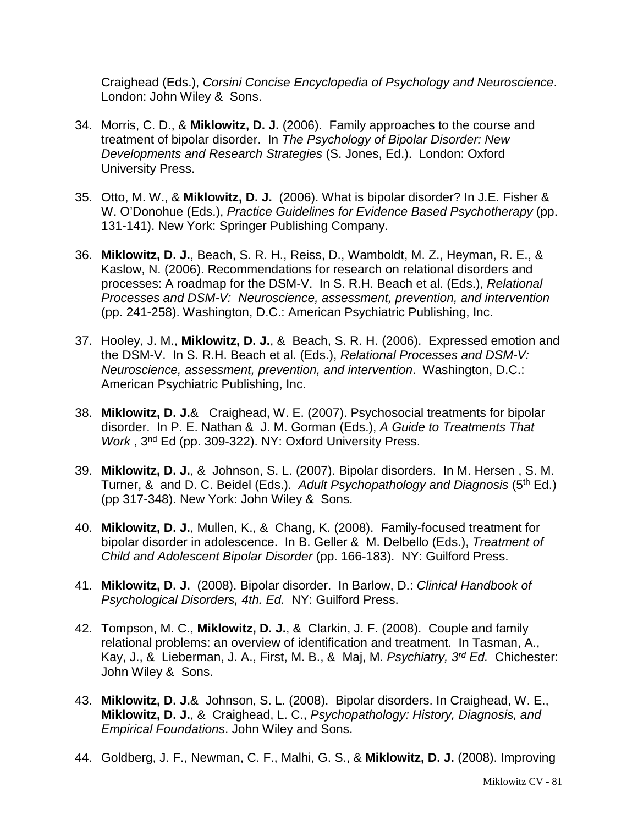Craighead (Eds.), *Corsini Concise Encyclopedia of Psychology and Neuroscience*. London: John Wiley & Sons.

- 34. Morris, C. D., & **Miklowitz, D. J.** (2006). Family approaches to the course and treatment of bipolar disorder. In *The Psychology of Bipolar Disorder: New Developments and Research Strategies* (S. Jones, Ed.). London: Oxford University Press.
- 35. Otto, M. W., & **Miklowitz, D. J.** (2006). What is bipolar disorder? In J.E. Fisher & W. O'Donohue (Eds.), *Practice Guidelines for Evidence Based Psychotherapy* (pp. 131-141). New York: Springer Publishing Company.
- 36. **Miklowitz, D. J.**, Beach, S. R. H., Reiss, D., Wamboldt, M. Z., Heyman, R. E., & Kaslow, N. (2006). Recommendations for research on relational disorders and processes: A roadmap for the DSM-V. In S. R.H. Beach et al. (Eds.), *Relational Processes and DSM-V: Neuroscience, assessment, prevention, and intervention* (pp. 241-258). Washington, D.C.: American Psychiatric Publishing, Inc.
- 37. Hooley, J. M., **Miklowitz, D. J.**, & Beach, S. R. H. (2006). Expressed emotion and the DSM-V. In S. R.H. Beach et al. (Eds.), *Relational Processes and DSM-V: Neuroscience, assessment, prevention, and intervention*. Washington, D.C.: American Psychiatric Publishing, Inc.
- 38. **Miklowitz, D. J.**& Craighead, W. E. (2007). Psychosocial treatments for bipolar disorder. In P. E. Nathan & J. M. Gorman (Eds.), *A Guide to Treatments That Work* , 3nd Ed (pp. 309-322). NY: Oxford University Press.
- 39. **Miklowitz, D. J.**, & Johnson, S. L. (2007). Bipolar disorders. In M. Hersen , S. M. Turner, & and D. C. Beidel (Eds.). *Adult Psychopathology and Diagnosis* (5th Ed.) (pp 317-348). New York: John Wiley & Sons.
- 40. **Miklowitz, D. J.**, Mullen, K., & Chang, K. (2008). Family-focused treatment for bipolar disorder in adolescence. In B. Geller & M. Delbello (Eds.), *Treatment of Child and Adolescent Bipolar Disorder* (pp. 166-183). NY: Guilford Press.
- 41. **Miklowitz, D. J.** (2008). Bipolar disorder. In Barlow, D.: *Clinical Handbook of Psychological Disorders, 4th. Ed.* NY: Guilford Press.
- 42. Tompson, M. C., **Miklowitz, D. J.**, & Clarkin, J. F. (2008). Couple and family relational problems: an overview of identification and treatment. In Tasman, A., Kay, J., & Lieberman, J. A., First, M. B., & Maj, M. *Psychiatry, 3rd Ed.* Chichester: John Wiley & Sons.
- 43. **Miklowitz, D. J.**& Johnson, S. L. (2008). Bipolar disorders. In Craighead, W. E., **Miklowitz, D. J.**, & Craighead, L. C., *Psychopathology: History, Diagnosis, and Empirical Foundations*. John Wiley and Sons.
- 44. Goldberg, J. F., Newman, C. F., Malhi, G. S., & **Miklowitz, D. J.** (2008). Improving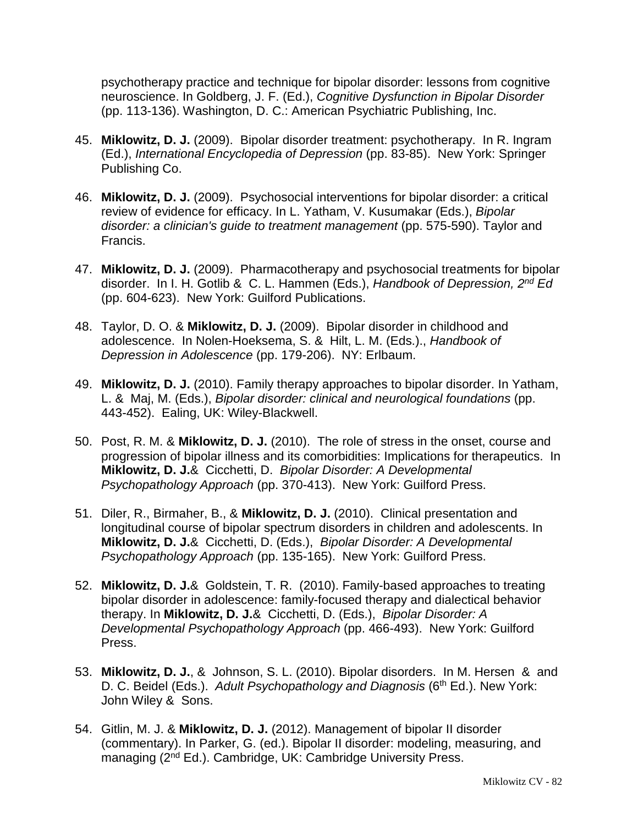psychotherapy practice and technique for bipolar disorder: lessons from cognitive neuroscience. In Goldberg, J. F. (Ed.), *Cognitive Dysfunction in Bipolar Disorder* (pp. 113-136). Washington, D. C.: American Psychiatric Publishing, Inc.

- 45. **Miklowitz, D. J.** (2009). Bipolar disorder treatment: psychotherapy. In R. Ingram (Ed.), *International Encyclopedia of Depression* (pp. 83-85). New York: Springer Publishing Co.
- 46. **Miklowitz, D. J.** (2009). Psychosocial interventions for bipolar disorder: a critical review of evidence for efficacy. In L. Yatham, V. Kusumakar (Eds.), *Bipolar disorder: a clinician's guide to treatment management* (pp. 575-590). Taylor and Francis.
- 47. **Miklowitz, D. J.** (2009). Pharmacotherapy and psychosocial treatments for bipolar disorder. In I. H. Gotlib & C. L. Hammen (Eds.), *Handbook of Depression, 2nd Ed* (pp. 604-623). New York: Guilford Publications.
- 48. Taylor, D. O. & **Miklowitz, D. J.** (2009). Bipolar disorder in childhood and adolescence. In Nolen-Hoeksema, S. & Hilt, L. M. (Eds.)., *Handbook of Depression in Adolescence* (pp. 179-206). NY: Erlbaum.
- 49. **Miklowitz, D. J.** (2010). Family therapy approaches to bipolar disorder. In Yatham, L. & Maj, M. (Eds.), *Bipolar disorder: clinical and neurological foundations* (pp. 443-452). Ealing, UK: Wiley-Blackwell.
- 50. Post, R. M. & **Miklowitz, D. J.** (2010). The role of stress in the onset, course and progression of bipolar illness and its comorbidities: Implications for therapeutics. In **Miklowitz, D. J.**& Cicchetti, D. *Bipolar Disorder: A Developmental Psychopathology Approach* (pp. 370-413). New York: Guilford Press.
- 51. Diler, R., Birmaher, B., & **Miklowitz, D. J.** (2010). Clinical presentation and longitudinal course of bipolar spectrum disorders in children and adolescents. In **Miklowitz, D. J.**& Cicchetti, D. (Eds.), *Bipolar Disorder: A Developmental Psychopathology Approach* (pp. 135-165). New York: Guilford Press.
- 52. **Miklowitz, D. J.**& Goldstein, T. R. (2010). Family-based approaches to treating bipolar disorder in adolescence: family-focused therapy and dialectical behavior therapy. In **Miklowitz, D. J.**& Cicchetti, D. (Eds.), *Bipolar Disorder: A Developmental Psychopathology Approach* (pp. 466-493). New York: Guilford Press.
- 53. **Miklowitz, D. J.**, & Johnson, S. L. (2010). Bipolar disorders. In M. Hersen & and D. C. Beidel (Eds.). *Adult Psychopathology and Diagnosis* (6<sup>th</sup> Ed.). New York: John Wiley & Sons.
- 54. Gitlin, M. J. & **Miklowitz, D. J.** (2012). Management of bipolar II disorder (commentary). In Parker, G. (ed.). Bipolar II disorder: modeling, measuring, and managing (2<sup>nd</sup> Ed.). Cambridge, UK: Cambridge University Press.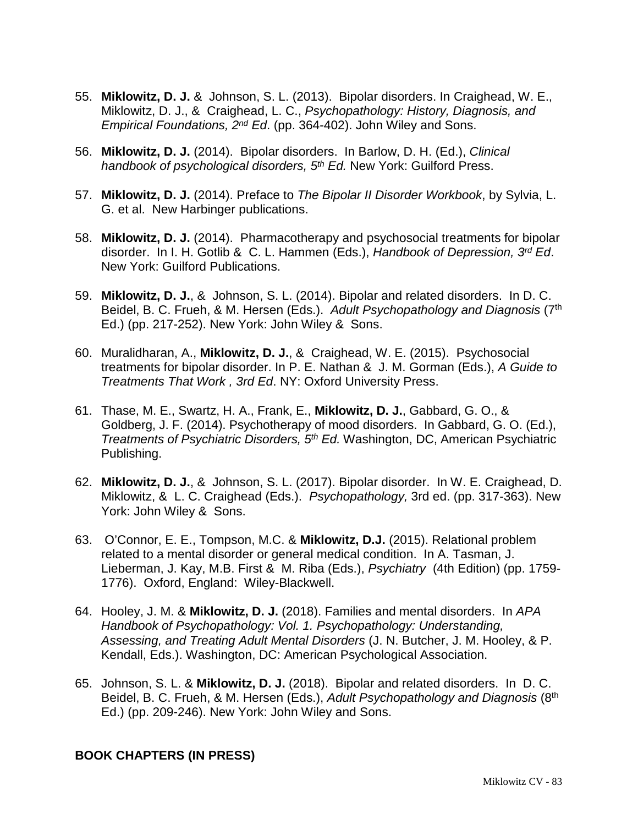- 55. **Miklowitz, D. J.** & Johnson, S. L. (2013). Bipolar disorders. In Craighead, W. E., Miklowitz, D. J., & Craighead, L. C., *Psychopathology: History, Diagnosis, and Empirical Foundations, 2nd Ed*. (pp. 364-402). John Wiley and Sons.
- 56. **Miklowitz, D. J.** (2014). Bipolar disorders. In Barlow, D. H. (Ed.), *Clinical handbook of psychological disorders, 5th Ed.* New York: Guilford Press.
- 57. **Miklowitz, D. J.** (2014). Preface to *The Bipolar II Disorder Workbook*, by Sylvia, L. G. et al. New Harbinger publications.
- 58. **Miklowitz, D. J.** (2014). Pharmacotherapy and psychosocial treatments for bipolar disorder. In I. H. Gotlib & C. L. Hammen (Eds.), *Handbook of Depression, 3rd Ed*. New York: Guilford Publications.
- 59. **Miklowitz, D. J.**, & Johnson, S. L. (2014). Bipolar and related disorders. In D. C. Beidel, B. C. Frueh, & M. Hersen (Eds.). *Adult Psychopathology and Diagnosis* (7th Ed.) (pp. 217-252). New York: John Wiley & Sons.
- 60. Muralidharan, A., **Miklowitz, D. J.**, & Craighead, W. E. (2015). Psychosocial treatments for bipolar disorder. In P. E. Nathan & J. M. Gorman (Eds.), *A Guide to Treatments That Work , 3rd Ed*. NY: Oxford University Press.
- 61. Thase, M. E., Swartz, H. A., Frank, E., **Miklowitz, D. J.**, Gabbard, G. O., & Goldberg, J. F. (2014). Psychotherapy of mood disorders. In Gabbard, G. O. (Ed.), *Treatments of Psychiatric Disorders, 5th Ed.* Washington, DC, American Psychiatric Publishing.
- 62. **Miklowitz, D. J.**, & Johnson, S. L. (2017). Bipolar disorder. In W. E. Craighead, D. Miklowitz, & L. C. Craighead (Eds.). *Psychopathology,* 3rd ed. (pp. 317-363). New York: John Wiley & Sons.
- 63. O'Connor, E. E., Tompson, M.C. & **Miklowitz, D.J.** (2015). Relational problem related to a mental disorder or general medical condition. In A. Tasman, J. Lieberman, J. Kay, M.B. First & M. Riba (Eds.), *Psychiatry* (4th Edition) (pp. 1759- 1776). Oxford, England: Wiley-Blackwell.
- 64. Hooley, J. M. & **Miklowitz, D. J.** (2018). Families and mental disorders. In *APA Handbook of Psychopathology: Vol. 1. Psychopathology: Understanding, Assessing, and Treating Adult Mental Disorders* (J. N. Butcher, J. M. Hooley, & P. Kendall, Eds.). Washington, DC: American Psychological Association.
- 65. Johnson, S. L. & **Miklowitz, D. J.** (2018). Bipolar and related disorders. In D. C. Beidel, B. C. Frueh, & M. Hersen (Eds.), *Adult Psychopathology and Diagnosis* (8th Ed.) (pp. 209-246). New York: John Wiley and Sons.

### **BOOK CHAPTERS (IN PRESS)**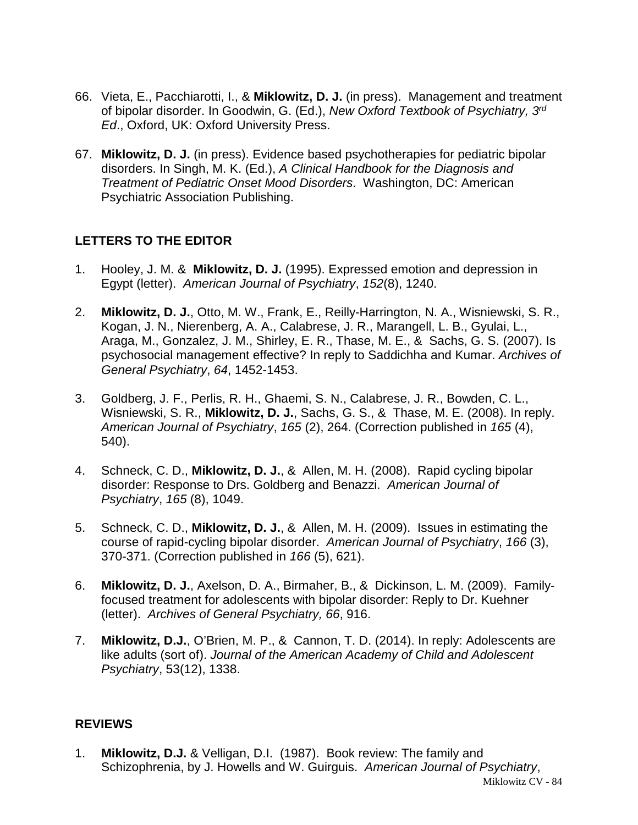- 66. Vieta, E., Pacchiarotti, I., & **Miklowitz, D. J.** (in press). Management and treatment of bipolar disorder. In Goodwin, G. (Ed.), *New Oxford Textbook of Psychiatry, 3rd Ed*., Oxford, UK: Oxford University Press.
- 67. **Miklowitz, D. J.** (in press). Evidence based psychotherapies for pediatric bipolar disorders. In Singh, M. K. (Ed.), *A Clinical Handbook for the Diagnosis and Treatment of Pediatric Onset Mood Disorders*. Washington, DC: American Psychiatric Association Publishing.

# **LETTERS TO THE EDITOR**

- 1. Hooley, J. M. & **Miklowitz, D. J.** (1995). Expressed emotion and depression in Egypt (letter). *American Journal of Psychiatry*, *152*(8), 1240.
- 2. **Miklowitz, D. J.**, Otto, M. W., Frank, E., Reilly-Harrington, N. A., Wisniewski, S. R., Kogan, J. N., Nierenberg, A. A., Calabrese, J. R., Marangell, L. B., Gyulai, L., Araga, M., Gonzalez, J. M., Shirley, E. R., Thase, M. E., & Sachs, G. S. (2007). Is psychosocial management effective? In reply to Saddichha and Kumar. *Archives of General Psychiatry*, *64*, 1452-1453.
- 3. Goldberg, J. F., Perlis, R. H., Ghaemi, S. N., Calabrese, J. R., Bowden, C. L., Wisniewski, S. R., **Miklowitz, D. J.**, Sachs, G. S., & Thase, M. E. (2008). In reply. *American Journal of Psychiatry*, *165* (2), 264. (Correction published in *165* (4), 540).
- 4. Schneck, C. D., **Miklowitz, D. J.**, & Allen, M. H. (2008). Rapid cycling bipolar disorder: Response to Drs. Goldberg and Benazzi. *American Journal of Psychiatry*, *165* (8), 1049.
- 5. Schneck, C. D., **Miklowitz, D. J.**, & Allen, M. H. (2009). Issues in estimating the course of rapid-cycling bipolar disorder. *American Journal of Psychiatry*, *166* (3), 370-371. (Correction published in *166* (5), 621).
- 6. **Miklowitz, D. J.**, Axelson, D. A., Birmaher, B., & Dickinson, L. M. (2009). Familyfocused treatment for adolescents with bipolar disorder: Reply to Dr. Kuehner (letter). *Archives of General Psychiatry, 66*, 916.
- 7. **Miklowitz, D.J.**, O'Brien, M. P., & Cannon, T. D. (2014). In reply: Adolescents are like adults (sort of). *Journal of the American Academy of Child and Adolescent Psychiatry*, 53(12), 1338.

### **REVIEWS**

Miklowitz CV - 84 1. **Miklowitz, D.J.** & Velligan, D.I. (1987). Book review: The family and Schizophrenia, by J. Howells and W. Guirguis. *American Journal of Psychiatry*,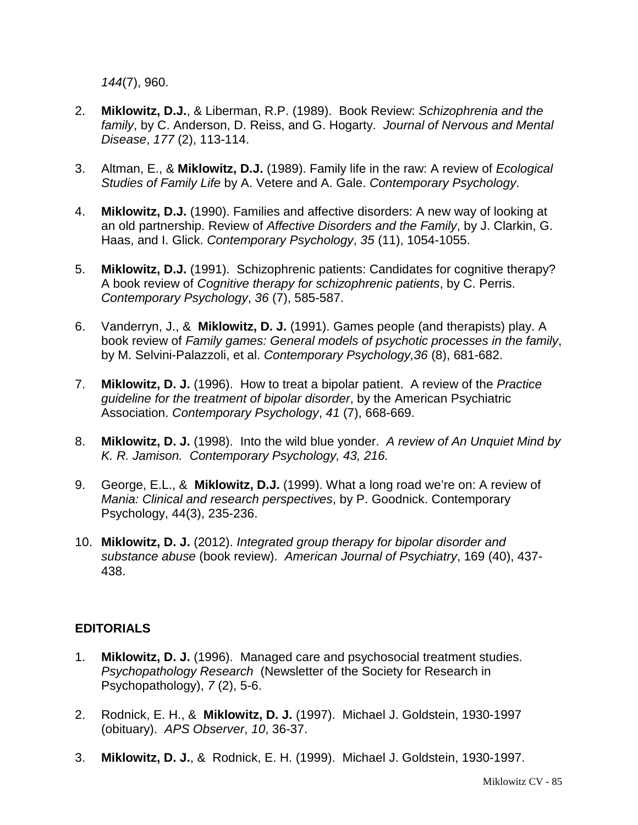*144*(7), 960.

- 2. **Miklowitz, D.J.**, & Liberman, R.P. (1989). Book Review: *Schizophrenia and the family*, by C. Anderson, D. Reiss, and G. Hogarty. *Journal of Nervous and Mental Disease*, *177* (2), 113-114.
- 3. Altman, E., & **Miklowitz, D.J.** (1989). Family life in the raw: A review of *Ecological Studies of Family Life* by A. Vetere and A. Gale. *Contemporary Psychology*.
- 4. **Miklowitz, D.J.** (1990). Families and affective disorders: A new way of looking at an old partnership. Review of *Affective Disorders and the Family*, by J. Clarkin, G. Haas, and I. Glick. *Contemporary Psychology*, *35* (11), 1054-1055.
- 5. **Miklowitz, D.J.** (1991). Schizophrenic patients: Candidates for cognitive therapy? A book review of *Cognitive therapy for schizophrenic patients*, by C. Perris. *Contemporary Psychology*, *36* (7), 585-587.
- 6. Vanderryn, J., & **Miklowitz, D. J.** (1991). Games people (and therapists) play. A book review of *Family games: General models of psychotic processes in the family*, by M. Selvini-Palazzoli, et al. *Contemporary Psychology,36* (8), 681-682.
- 7. **Miklowitz, D. J.** (1996). How to treat a bipolar patient. A review of the *Practice guideline for the treatment of bipolar disorder*, by the American Psychiatric Association. *Contemporary Psychology*, *41* (7), 668-669.
- 8. **Miklowitz, D. J.** (1998). Into the wild blue yonder. *A review of An Unquiet Mind by K. R. Jamison. Contemporary Psychology, 43, 216.*
- 9. George, E.L., & **Miklowitz, D.J.** (1999). What a long road we're on: A review of *Mania: Clinical and research perspectives*, by P. Goodnick. Contemporary Psychology, 44(3), 235-236.
- 10. **Miklowitz, D. J.** (2012). *Integrated group therapy for bipolar disorder and substance abuse* (book review). *American Journal of Psychiatry*, 169 (40), 437- 438.

### **EDITORIALS**

- 1. **Miklowitz, D. J.** (1996). Managed care and psychosocial treatment studies. *Psychopathology Research* (Newsletter of the Society for Research in Psychopathology), *7* (2), 5-6.
- 2. Rodnick, E. H., & **Miklowitz, D. J.** (1997). Michael J. Goldstein, 1930-1997 (obituary). *APS Observer*, *10*, 36-37.
- 3. **Miklowitz, D. J.**, & Rodnick, E. H. (1999). Michael J. Goldstein, 1930-1997.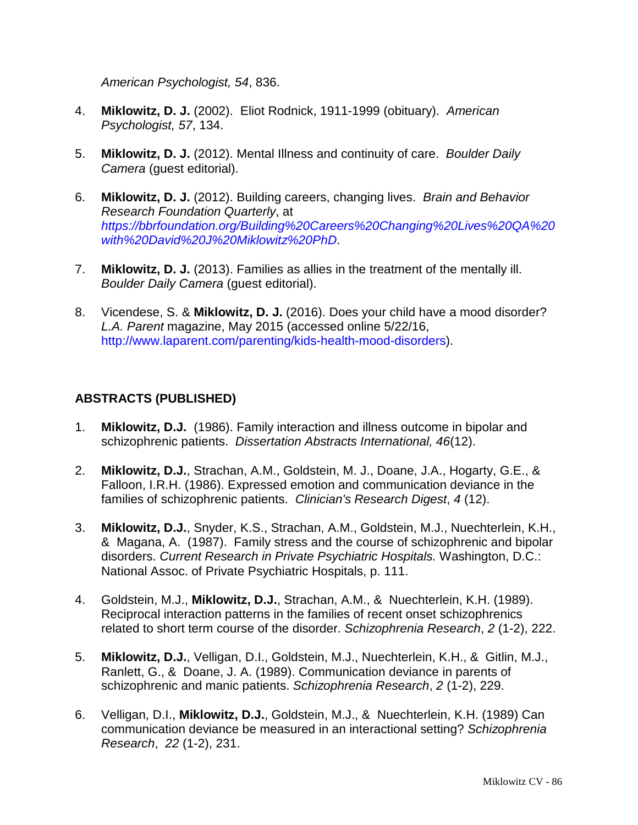*American Psychologist, 54*, 836.

- 4. **Miklowitz, D. J.** (2002). Eliot Rodnick, 1911-1999 (obituary). *American Psychologist, 57*, 134.
- 5. **Miklowitz, D. J.** (2012). Mental Illness and continuity of care. *Boulder Daily Camera* (guest editorial).
- 6. **Miklowitz, D. J.** (2012). Building careers, changing lives. *Brain and Behavior Research Foundation Quarterly*, at *[https://bbrfoundation.org/Building%20Careers%20Changing%20Lives%20QA%20](https://bbrfoundation.org/Building%20Careers%20Changing%20Lives%20QA%20with%20David%20J%20Miklowitz%20PhD) [with%20David%20J%20Miklowitz%20PhD](https://bbrfoundation.org/Building%20Careers%20Changing%20Lives%20QA%20with%20David%20J%20Miklowitz%20PhD)*.
- 7. **Miklowitz, D. J.** (2013). Families as allies in the treatment of the mentally ill. *Boulder Daily Camera* (guest editorial).
- 8. Vicendese, S. & **Miklowitz, D. J.** (2016). Does your child have a mood disorder? *L.A. Parent* magazine, May 2015 (accessed online 5/22/16, [http://www.laparent.com/parenting/kids-health-mood-disorders\)](http://www.laparent.com/parenting/kids-health-mood-disorders).

# **ABSTRACTS (PUBLISHED)**

- 1. **Miklowitz, D.J.** (1986). Family interaction and illness outcome in bipolar and schizophrenic patients. *Dissertation Abstracts International, 46*(12).
- 2. **Miklowitz, D.J.**, Strachan, A.M., Goldstein, M. J., Doane, J.A., Hogarty, G.E., & Falloon, I.R.H. (1986). Expressed emotion and communication deviance in the families of schizophrenic patients. *Clinician's Research Digest*, *4* (12).
- 3. **Miklowitz, D.J.**, Snyder, K.S., Strachan, A.M., Goldstein, M.J., Nuechterlein, K.H., & Magana, A. (1987). Family stress and the course of schizophrenic and bipolar disorders. *Current Research in Private Psychiatric Hospitals.* Washington, D.C.: National Assoc. of Private Psychiatric Hospitals, p. 111.
- 4. Goldstein, M.J., **Miklowitz, D.J.**, Strachan, A.M., & Nuechterlein, K.H. (1989). Reciprocal interaction patterns in the families of recent onset schizophrenics related to short term course of the disorder. *Schizophrenia Research*, *2* (1-2), 222.
- 5. **Miklowitz, D.J.**, Velligan, D.I., Goldstein, M.J., Nuechterlein, K.H., & Gitlin, M.J., Ranlett, G., & Doane, J. A. (1989). Communication deviance in parents of schizophrenic and manic patients. *Schizophrenia Research*, *2* (1-2), 229.
- 6. Velligan, D.I., **Miklowitz, D.J.**, Goldstein, M.J., & Nuechterlein, K.H. (1989) Can communication deviance be measured in an interactional setting? *Schizophrenia Research*, *22* (1-2), 231.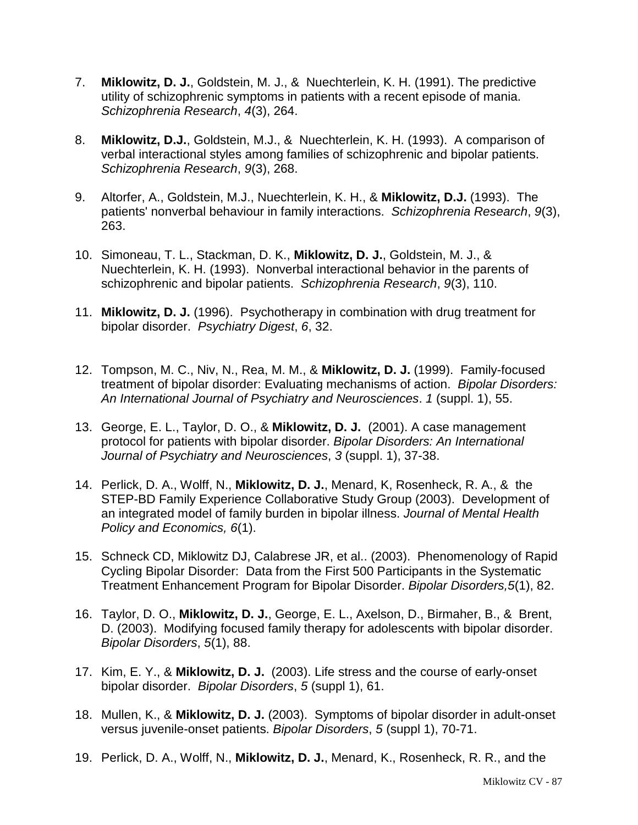- 7. **Miklowitz, D. J.**, Goldstein, M. J., & Nuechterlein, K. H. (1991). The predictive utility of schizophrenic symptoms in patients with a recent episode of mania. *Schizophrenia Research*, *4*(3), 264.
- 8. **Miklowitz, D.J.**, Goldstein, M.J., & Nuechterlein, K. H. (1993). A comparison of verbal interactional styles among families of schizophrenic and bipolar patients. *Schizophrenia Research*, *9*(3), 268.
- 9. Altorfer, A., Goldstein, M.J., Nuechterlein, K. H., & **Miklowitz, D.J.** (1993). The patients' nonverbal behaviour in family interactions. *Schizophrenia Research*, *9*(3), 263.
- 10. Simoneau, T. L., Stackman, D. K., **Miklowitz, D. J.**, Goldstein, M. J., & Nuechterlein, K. H. (1993). Nonverbal interactional behavior in the parents of schizophrenic and bipolar patients. *Schizophrenia Research*, *9*(3), 110.
- 11. **Miklowitz, D. J.** (1996). Psychotherapy in combination with drug treatment for bipolar disorder. *Psychiatry Digest*, *6*, 32.
- 12. Tompson, M. C., Niv, N., Rea, M. M., & **Miklowitz, D. J.** (1999). Family-focused treatment of bipolar disorder: Evaluating mechanisms of action. *Bipolar Disorders: An International Journal of Psychiatry and Neurosciences*. *1* (suppl. 1), 55.
- 13. George, E. L., Taylor, D. O., & **Miklowitz, D. J.** (2001). A case management protocol for patients with bipolar disorder. *Bipolar Disorders: An International Journal of Psychiatry and Neurosciences*, *3* (suppl. 1), 37-38.
- 14. Perlick, D. A., Wolff, N., **Miklowitz, D. J.**, Menard, K, Rosenheck, R. A., & the STEP-BD Family Experience Collaborative Study Group (2003). Development of an integrated model of family burden in bipolar illness. *Journal of Mental Health Policy and Economics, 6*(1).
- 15. Schneck CD, Miklowitz DJ, Calabrese JR, et al.. (2003). Phenomenology of Rapid Cycling Bipolar Disorder: Data from the First 500 Participants in the Systematic Treatment Enhancement Program for Bipolar Disorder. *Bipolar Disorders,5*(1), 82.
- 16. Taylor, D. O., **Miklowitz, D. J.**, George, E. L., Axelson, D., Birmaher, B., & Brent, D. (2003). Modifying focused family therapy for adolescents with bipolar disorder. *Bipolar Disorders*, *5*(1), 88.
- 17. Kim, E. Y., & **Miklowitz, D. J.** (2003). Life stress and the course of early-onset bipolar disorder. *Bipolar Disorders*, *5* (suppl 1), 61.
- 18. Mullen, K., & **Miklowitz, D. J.** (2003). Symptoms of bipolar disorder in adult-onset versus juvenile-onset patients. *Bipolar Disorders*, *5* (suppl 1), 70-71.
- 19. Perlick, D. A., Wolff, N., **Miklowitz, D. J.**, Menard, K., Rosenheck, R. R., and the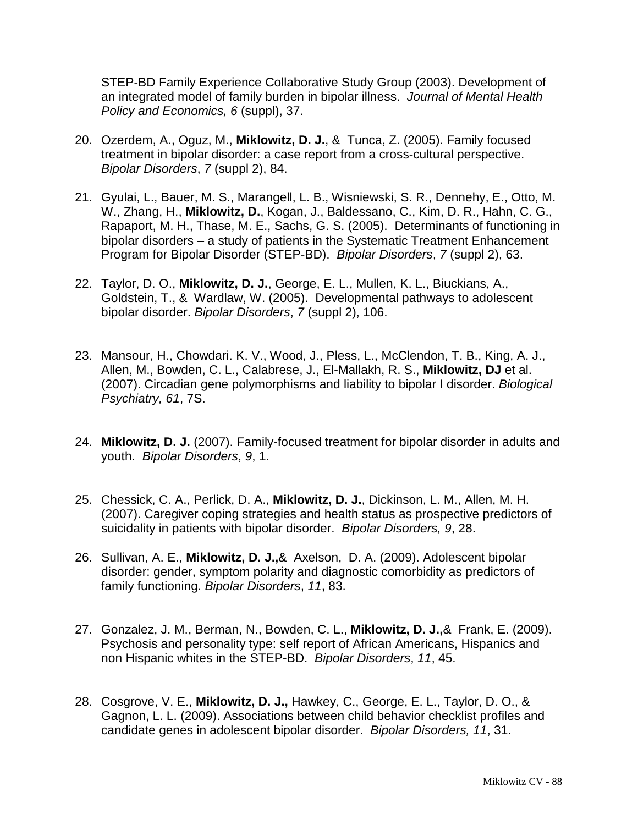STEP-BD Family Experience Collaborative Study Group (2003). Development of an integrated model of family burden in bipolar illness. *Journal of Mental Health Policy and Economics, 6* (suppl), 37.

- 20. Ozerdem, A., Oguz, M., **Miklowitz, D. J.**, & Tunca, Z. (2005). Family focused treatment in bipolar disorder: a case report from a cross-cultural perspective. *Bipolar Disorders*, *7* (suppl 2), 84.
- 21. Gyulai, L., Bauer, M. S., Marangell, L. B., Wisniewski, S. R., Dennehy, E., Otto, M. W., Zhang, H., **Miklowitz, D.**, Kogan, J., Baldessano, C., Kim, D. R., Hahn, C. G., Rapaport, M. H., Thase, M. E., Sachs, G. S. (2005). Determinants of functioning in bipolar disorders – a study of patients in the Systematic Treatment Enhancement Program for Bipolar Disorder (STEP-BD). *Bipolar Disorders*, *7* (suppl 2), 63.
- 22. Taylor, D. O., **Miklowitz, D. J.**, George, E. L., Mullen, K. L., Biuckians, A., Goldstein, T., & Wardlaw, W. (2005). Developmental pathways to adolescent bipolar disorder. *Bipolar Disorders*, *7* (suppl 2), 106.
- 23. Mansour, H., Chowdari. K. V., Wood, J., Pless, L., McClendon, T. B., King, A. J., Allen, M., Bowden, C. L., Calabrese, J., El-Mallakh, R. S., **Miklowitz, DJ** et al. (2007). Circadian gene polymorphisms and liability to bipolar I disorder. *Biological Psychiatry, 61*, 7S.
- 24. **Miklowitz, D. J.** (2007). Family-focused treatment for bipolar disorder in adults and youth. *Bipolar Disorders*, *9*, 1.
- 25. Chessick, C. A., Perlick, D. A., **Miklowitz, D. J.**, Dickinson, L. M., Allen, M. H. (2007). Caregiver coping strategies and health status as prospective predictors of suicidality in patients with bipolar disorder. *Bipolar Disorders, 9*, 28.
- 26. Sullivan, A. E., **Miklowitz, D. J.,**& Axelson, D. A. (2009). Adolescent bipolar disorder: gender, symptom polarity and diagnostic comorbidity as predictors of family functioning. *Bipolar Disorders*, *11*, 83.
- 27. Gonzalez, J. M., Berman, N., Bowden, C. L., **Miklowitz, D. J.,**& Frank, E. (2009). Psychosis and personality type: self report of African Americans, Hispanics and non Hispanic whites in the STEP-BD. *Bipolar Disorders*, *11*, 45.
- 28. Cosgrove, V. E., **Miklowitz, D. J.,** Hawkey, C., George, E. L., Taylor, D. O., & Gagnon, L. L. (2009). Associations between child behavior checklist profiles and candidate genes in adolescent bipolar disorder. *Bipolar Disorders, 11*, 31.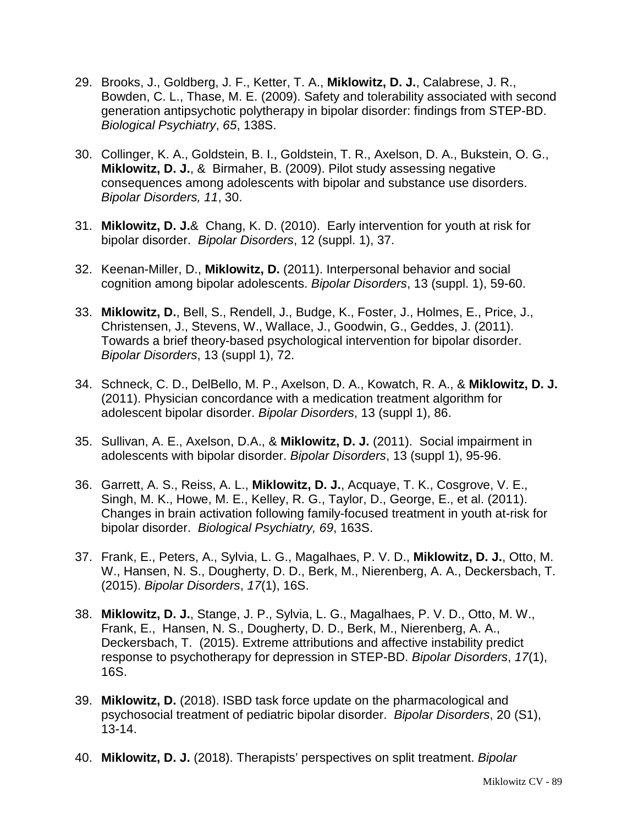- 29. Brooks, J., Goldberg, J. F., Ketter, T. A., **Miklowitz, D. J.**, Calabrese, J. R., Bowden, C. L., Thase, M. E. (2009). Safety and tolerability associated with second generation antipsychotic polytherapy in bipolar disorder: findings from STEP-BD. *Biological Psychiatry*, *65*, 138S.
- 30. Collinger, K. A., Goldstein, B. I., Goldstein, T. R., Axelson, D. A., Bukstein, O. G., **Miklowitz, D. J.**, & Birmaher, B. (2009). Pilot study assessing negative consequences among adolescents with bipolar and substance use disorders. *Bipolar Disorders, 11*, 30.
- 31. **Miklowitz, D. J.**& Chang, K. D. (2010). Early intervention for youth at risk for bipolar disorder. *Bipolar Disorders*, 12 (suppl. 1), 37.
- 32. Keenan-Miller, D., **Miklowitz, D.** (2011). Interpersonal behavior and social cognition among bipolar adolescents. *Bipolar Disorders*, 13 (suppl. 1), 59-60.
- 33. **Miklowitz, D.**, Bell, S., Rendell, J., Budge, K., Foster, J., Holmes, E., Price, J., Christensen, J., Stevens, W., Wallace, J., Goodwin, G., Geddes, J. (2011). Towards a brief theory-based psychological intervention for bipolar disorder. *Bipolar Disorders*, 13 (suppl 1), 72.
- 34. Schneck, C. D., DelBello, M. P., Axelson, D. A., Kowatch, R. A., & **Miklowitz, D. J.** (2011). Physician concordance with a medication treatment algorithm for adolescent bipolar disorder. *Bipolar Disorders*, 13 (suppl 1), 86.
- 35. Sullivan, A. E., Axelson, D.A., & **Miklowitz, D. J.** (2011). Social impairment in adolescents with bipolar disorder. *Bipolar Disorders*, 13 (suppl 1), 95-96.
- 36. Garrett, A. S., Reiss, A. L., **Miklowitz, D. J.**, Acquaye, T. K., Cosgrove, V. E., Singh, M. K., Howe, M. E., Kelley, R. G., Taylor, D., George, E., et al. (2011). Changes in brain activation following family-focused treatment in youth at-risk for bipolar disorder. *Biological Psychiatry, 69*, 163S.
- 37. [Frank, E.](http://apps.webofknowledge.com/OneClickSearch.do?product=UA&search_mode=OneClickSearch&excludeEventConfig=ExcludeIfFromFullRecPage&SID=2DSQSXGoGDWpr6uYcS5&field=AU&value=Frank,%20E), [Peters, A.](http://apps.webofknowledge.com/OneClickSearch.do?product=UA&search_mode=OneClickSearch&excludeEventConfig=ExcludeIfFromFullRecPage&SID=2DSQSXGoGDWpr6uYcS5&field=AU&value=Peters,%20A), [Sylvia, L. G.](http://apps.webofknowledge.com/OneClickSearch.do?product=UA&search_mode=OneClickSearch&excludeEventConfig=ExcludeIfFromFullRecPage&SID=2DSQSXGoGDWpr6uYcS5&field=AU&value=Sylvia,%20LG), [Magalhaes, P. V. D.](http://apps.webofknowledge.com/OneClickSearch.do?product=UA&search_mode=OneClickSearch&excludeEventConfig=ExcludeIfFromFullRecPage&SID=2DSQSXGoGDWpr6uYcS5&field=AU&value=Magalhaes,%20PVD), **[Miklowitz, D. J.](http://apps.webofknowledge.com/OneClickSearch.do?product=UA&search_mode=OneClickSearch&excludeEventConfig=ExcludeIfFromFullRecPage&SID=2DSQSXGoGDWpr6uYcS5&field=AU&value=Miklowitz,%20DJ)**, [Otto, M.](http://apps.webofknowledge.com/OneClickSearch.do?product=UA&search_mode=OneClickSearch&excludeEventConfig=ExcludeIfFromFullRecPage&SID=2DSQSXGoGDWpr6uYcS5&field=AU&value=Otto,%20MW)  [W.](http://apps.webofknowledge.com/OneClickSearch.do?product=UA&search_mode=OneClickSearch&excludeEventConfig=ExcludeIfFromFullRecPage&SID=2DSQSXGoGDWpr6uYcS5&field=AU&value=Otto,%20MW), [Hansen, N. S.](http://apps.webofknowledge.com/OneClickSearch.do?product=UA&search_mode=OneClickSearch&excludeEventConfig=ExcludeIfFromFullRecPage&SID=2DSQSXGoGDWpr6uYcS5&field=AU&value=Hansen,%20NS), [Dougherty, D. D.](http://apps.webofknowledge.com/OneClickSearch.do?product=UA&search_mode=OneClickSearch&excludeEventConfig=ExcludeIfFromFullRecPage&SID=2DSQSXGoGDWpr6uYcS5&field=AU&value=Dougherty,%20DD), [Berk, M.](http://apps.webofknowledge.com/OneClickSearch.do?product=UA&search_mode=OneClickSearch&excludeEventConfig=ExcludeIfFromFullRecPage&SID=2DSQSXGoGDWpr6uYcS5&field=AU&value=Berk,%20M), [Nierenberg, A. A.](http://apps.webofknowledge.com/OneClickSearch.do?product=UA&search_mode=OneClickSearch&excludeEventConfig=ExcludeIfFromFullRecPage&SID=2DSQSXGoGDWpr6uYcS5&field=AU&value=Nierenberg,%20AA), [Deckersbach, T.](http://apps.webofknowledge.com/OneClickSearch.do?product=UA&search_mode=OneClickSearch&excludeEventConfig=ExcludeIfFromFullRecPage&SID=2DSQSXGoGDWpr6uYcS5&field=AU&value=Deckersbach,%20T) (2015). *Bipolar Disorders*, *17*(1), 16S.
- 38. **[Miklowitz, D. J.](http://apps.webofknowledge.com/OneClickSearch.do?product=UA&search_mode=OneClickSearch&excludeEventConfig=ExcludeIfFromFullRecPage&SID=2DSQSXGoGDWpr6uYcS5&field=AU&value=Miklowitz,%20DJ)**, [Stange, J. P.](http://apps.webofknowledge.com/OneClickSearch.do?product=UA&search_mode=OneClickSearch&excludeEventConfig=ExcludeIfFromFullRecPage&SID=2DSQSXGoGDWpr6uYcS5&field=AU&value=Stange,%20JP), [Sylvia, L. G.](http://apps.webofknowledge.com/OneClickSearch.do?product=UA&search_mode=OneClickSearch&excludeEventConfig=ExcludeIfFromFullRecPage&SID=2DSQSXGoGDWpr6uYcS5&field=AU&value=Sylvia,%20LG), [Magalhaes, P. V. D.](http://apps.webofknowledge.com/OneClickSearch.do?product=UA&search_mode=OneClickSearch&excludeEventConfig=ExcludeIfFromFullRecPage&SID=2DSQSXGoGDWpr6uYcS5&field=AU&value=Magalhaes,%20PVD), [Otto, M. W.](http://apps.webofknowledge.com/OneClickSearch.do?product=UA&search_mode=OneClickSearch&excludeEventConfig=ExcludeIfFromFullRecPage&SID=2DSQSXGoGDWpr6uYcS5&field=AU&value=Otto,%20MW), [Frank, E.](http://apps.webofknowledge.com/OneClickSearch.do?product=UA&search_mode=OneClickSearch&excludeEventConfig=ExcludeIfFromFullRecPage&SID=2DSQSXGoGDWpr6uYcS5&field=AU&value=Frank,%20E), [Hansen, N. S.](http://apps.webofknowledge.com/OneClickSearch.do?product=UA&search_mode=OneClickSearch&excludeEventConfig=ExcludeIfFromFullRecPage&SID=2DSQSXGoGDWpr6uYcS5&field=AU&value=Hansen,%20NS), [Dougherty, D. D.](http://apps.webofknowledge.com/OneClickSearch.do?product=UA&search_mode=OneClickSearch&excludeEventConfig=ExcludeIfFromFullRecPage&SID=2DSQSXGoGDWpr6uYcS5&field=AU&value=Dougherty,%20DD), [Berk, M.](http://apps.webofknowledge.com/OneClickSearch.do?product=UA&search_mode=OneClickSearch&excludeEventConfig=ExcludeIfFromFullRecPage&SID=2DSQSXGoGDWpr6uYcS5&field=AU&value=Berk,%20M), [Nierenberg, A. A.](http://apps.webofknowledge.com/OneClickSearch.do?product=UA&search_mode=OneClickSearch&excludeEventConfig=ExcludeIfFromFullRecPage&SID=2DSQSXGoGDWpr6uYcS5&field=AU&value=Nierenberg,%20AA), [Deckersbach, T.](http://apps.webofknowledge.com/OneClickSearch.do?product=UA&search_mode=OneClickSearch&excludeEventConfig=ExcludeIfFromFullRecPage&SID=2DSQSXGoGDWpr6uYcS5&field=AU&value=Deckersbach,%20T) (2015). Extreme attributions and affective instability predict response to psychotherapy for depression in STEP-BD. *Bipolar Disorders*, *17*(1), 16S.
- 39. **Miklowitz, D.** (2018). ISBD task force update on the pharmacological and psychosocial treatment of pediatric bipolar disorder. *Bipolar Disorders*, 20 (S1), 13-14.
- 40. **Miklowitz, D. J.** (2018). Therapists' perspectives on split treatment. *Bipolar*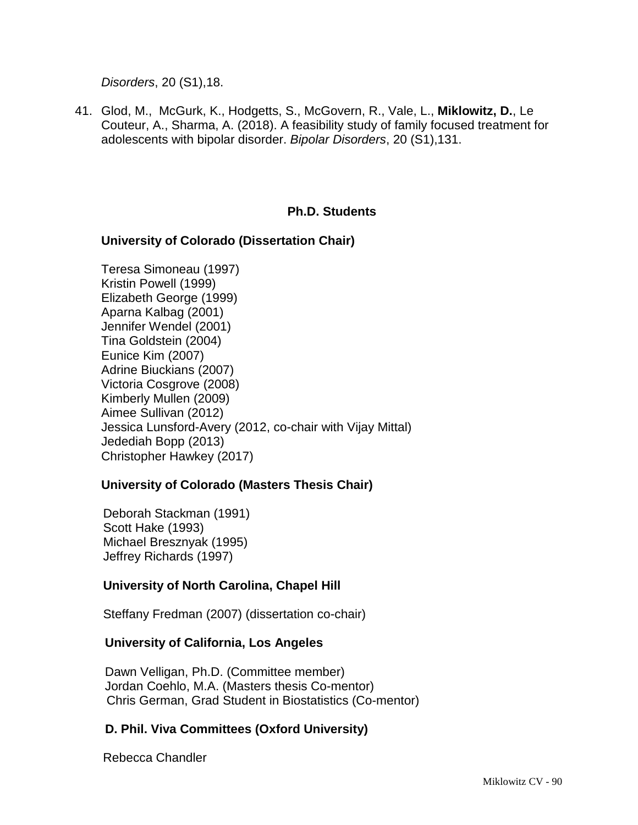*Disorders*, 20 (S1),18.

41. Glod, M., McGurk, K., Hodgetts, S., McGovern, R., Vale, L., **Miklowitz, D.**, Le Couteur, A., Sharma, A. (2018). A feasibility study of family focused treatment for adolescents with bipolar disorder. *Bipolar Disorders*, 20 (S1),131.

### **Ph.D. Students**

#### **University of Colorado (Dissertation Chair)**

Teresa Simoneau (1997) Kristin Powell (1999) Elizabeth George (1999) Aparna Kalbag (2001) Jennifer Wendel (2001) Tina Goldstein (2004) Eunice Kim (2007) Adrine Biuckians (2007) Victoria Cosgrove (2008) Kimberly Mullen (2009) Aimee Sullivan (2012) Jessica Lunsford-Avery (2012, co-chair with Vijay Mittal) Jedediah Bopp (2013) Christopher Hawkey (2017)

#### **University of Colorado (Masters Thesis Chair)**

Deborah Stackman (1991) Scott Hake (1993) Michael Bresznyak (1995) Jeffrey Richards (1997)

### **University of North Carolina, Chapel Hill**

Steffany Fredman (2007) (dissertation co-chair)

#### **University of California, Los Angeles**

Dawn Velligan, Ph.D. (Committee member) Jordan Coehlo, M.A. (Masters thesis Co-mentor) Chris German, Grad Student in Biostatistics (Co-mentor)

### **D. Phil. Viva Committees (Oxford University)**

Rebecca Chandler